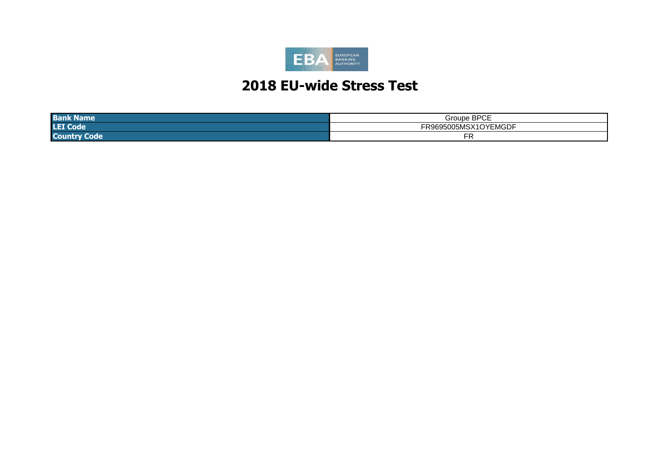

# **2018 EU-wide Stress Test**

| <b>Ban</b><br>тенне   | $\sim$ ppose<br>droupe '<br>ັບ∟<br>. ت       |
|-----------------------|----------------------------------------------|
| <b>LEI Co</b><br>Tote | $- - -$<br>``<br>15.0<br>- IVIUJU F<br>טונגו |
| <b>Co</b><br>we       | Ð                                            |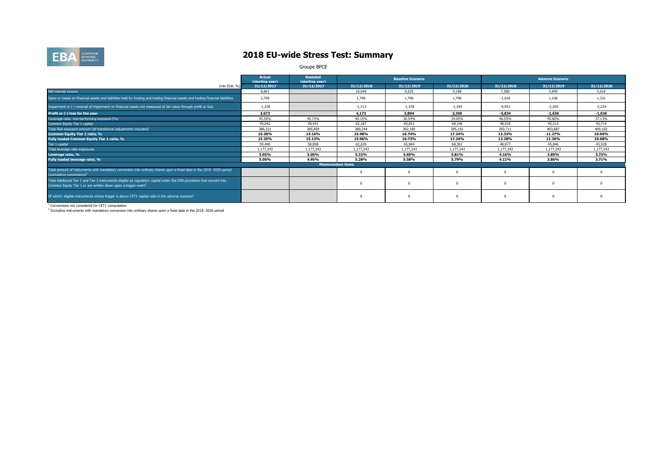

### **2018 EU-wide Stress Test: Summary**

Groupe BPCE

|                                                                                                                                                                                                        | <b>Actual</b><br>(starting year) | <b>Restated</b><br>(starting year) |            | <b>Baseline Scenario</b> |            |            | <b>Adverse Scenario</b> |            |
|--------------------------------------------------------------------------------------------------------------------------------------------------------------------------------------------------------|----------------------------------|------------------------------------|------------|--------------------------|------------|------------|-------------------------|------------|
| (mln EUR, %)                                                                                                                                                                                           | 31/12/2017                       | 31/12/2017                         | 31/12/2018 | 31/12/2019               | 31/12/2020 | 31/12/2018 | 31/12/2019              | 31/12/2020 |
| Net interest income                                                                                                                                                                                    | 8.861                            |                                    | 10,049     | 9.625                    | 9.186      | 7,580      | 5,995                   | 5,616      |
| Gains or losses on financial assets and liabilities held for trading and trading financial assets and trading financial liabilities                                                                    | 2,709                            |                                    | 1,796      | 1,796                    | 1.796      | $-1.010$   | 1,106                   | 1,331      |
| Impairment or (-) reversal of impairment on financial assets not measured at fair value through profit or loss                                                                                         | $-1,328$                         |                                    | $-1,712$   | $-1,378$                 | $-1,345$   | $-4,951$   | $-2,205$                | $-2,224$   |
| Profit or (-) loss for the year                                                                                                                                                                        | 3,673                            |                                    | 4,173      | 3,804                    | 3,360      | $-5,834$   | $-1,636$                | $-1,026$   |
| Coverage ratio: non-performing exposure (%)                                                                                                                                                            | 45.50%                           | 45.72%                             | 40.15%     | 36.54%                   | 34.05%     | 46.05%     | 40.80%                  | 37.13%     |
| Common Equity Tier 1 capital                                                                                                                                                                           | 59,042                           | 58,451                             | 62.187     | 65.651                   | 68,146     | 48,525     | 45,513                  | 43,714     |
| Total Risk exposure amount (all transitional adjustments included)                                                                                                                                     | 386,331                          | 385,459                            | 389,244    | 392,185                  | 395,191    | 393,711    | 403,887                 | 409,102    |
| Common Equity Tier 1 ratio, %                                                                                                                                                                          | 15.28%                           | 15.16%                             | 15.98%     | 16.74%                   | 17.24%     | 12.33%     | 11.27%                  | 10.69%     |
| Fully loaded Common Equity Tier 1 ratio, %                                                                                                                                                             | 15.25%                           | 15.13%                             | 15.96%     | 16.73%                   | 17.24%     | 12.28%     | 11.26%                  | 10.68%     |
| Tier 1 capital                                                                                                                                                                                         | 59,490                           | 58,898                             | 62.639     | 65,984                   | 68,361     | 48,977     | 45,846                  | 43,928     |
| Total leverage ratio exposures                                                                                                                                                                         | 1,177,243                        | 1,177,243                          | 1,177,243  | 1,177,243                | 1,177,243  | 1,177,243  | 1,177,243               | 1,177,243  |
| Leverage ratio, %                                                                                                                                                                                      | 5.05%                            | 5.00%                              | 5.32%      | 5.60%                    | 5.81%      | 4.16%      | 3.89%                   | 3.73%      |
| Fully loaded leverage ratio, %                                                                                                                                                                         | 5.00%                            | 4.95%                              | 5.28%      | 5.58%                    | 5.79%      | 4.11%      | 3.86%                   | 3.71%      |
|                                                                                                                                                                                                        |                                  | <b>Memorandum items</b>            |            |                          |            |            |                         |            |
| Total amount of instruments with mandatory conversion into ordinary shares upon a fixed date in the 2018 -2020 period<br>(cumulative conversions) <sup>1</sup>                                         |                                  |                                    |            |                          |            |            |                         |            |
| Total Additional Tier 1 and Tier 2 instruments eligible as regulatory capital under the CRR provisions that convert into<br>Common Equity Tier 1 or are written down upon a trigger event <sup>2</sup> |                                  |                                    |            |                          |            |            | $\Omega$                |            |
| Of which: eligible instruments whose trigger is above CET1 capital ratio in the adverse scenario <sup>2</sup>                                                                                          |                                  |                                    |            |                          |            |            | $\Omega$                |            |

<sup>1</sup> Conversions not considered for CET1 computation<br><sup>2</sup> Excluding instruments with mandatory conversion into ordinary shares upon a fixed date in the 2018 -2020 period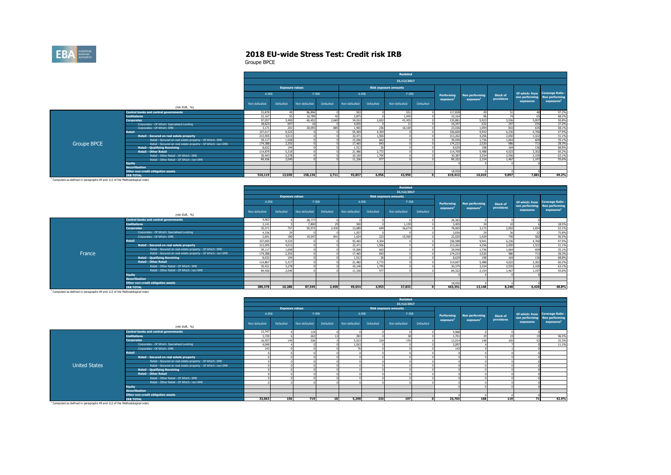

Groupe BPCE

|                    |                                                              |               |                        |               |           |               |           | Restated                     |           |                   |                       |                 |                                                   |                        |
|--------------------|--------------------------------------------------------------|---------------|------------------------|---------------|-----------|---------------|-----------|------------------------------|-----------|-------------------|-----------------------|-----------------|---------------------------------------------------|------------------------|
|                    |                                                              |               |                        |               |           |               |           | 31/12/2017                   |           |                   |                       |                 |                                                   |                        |
|                    |                                                              |               | <b>Exposure values</b> |               |           |               |           | <b>Risk exposure amounts</b> |           |                   |                       |                 |                                                   |                        |
|                    |                                                              | A-IRB         |                        | $F-IRB$       |           | $A - IRB$     |           | $F-IRB$                      |           | <b>Performing</b> | <b>Non performing</b> | <b>Stock of</b> | Of which: from Coverage Ratio -<br>non performing | Non performing         |
|                    | (mln EUR, %)                                                 | Non-defaulted | Defaulted              | Non-defaulted | Defaulted | Non-defaulted | Defaulted | Non-defaulted                | Defaulted | exposure          | exposure <sup>1</sup> | provisions      | exposures                                         | exposures <sup>1</sup> |
|                    | <b>Central banks and central governments</b>                 | 53,878        |                        | 86,896        |           | 503           |           | 551                          |           | 117,838           |                       |                 |                                                   | 97.2%                  |
|                    | <b>Institutions</b>                                          | 22,167        |                        | 10.789        |           | 3,875         |           | 1.945                        |           | 10.164            |                       |                 |                                                   | 68.2%                  |
|                    | <b>Corporates</b>                                            | 97,057        | 3,400                  | 60.452        | 2,669     | 34,010        | 2.652     | 41.455                       |           | 135.881           | 5,923                 | 3.536           | 3,007                                             | 50.8%                  |
|                    | Corporates - Of Which: Specialised Lending                   | 18.623        | 697                    | 16            |           | 4.835         |           |                              |           | 16,347            | 632                   | 297             | 235                                               | 37.2%                  |
|                    | Corporates - Of Which: SME                                   | 3.171         | 201                    | 20,093        | 885       | 1.965         | 236       | 16,169                       |           | 23,036            | 1.094                 | 810             | 635                                               | 58.1%                  |
|                    | <b>Retail</b>                                                | 337,017       | 9,525                  |               |           | 55,469        | 4,304     |                              |           | 336,600           | 9.942                 | 6.236           | 4.760                                             | 47.9%                  |
|                    | Retail - Secured on real estate property                     | 213,505       | 4.013                  |               |           | 32,471        | 1,506     |                              |           | 213,262           | 4.256                 | 2.050           | 1.322                                             | 31.1%                  |
|                    | Retail - Secured on real estate property - Of Which: SME     | 39,117        | 1.658                  |               |           | 15,006        | 663       |                              |           | 39,040            | 1.736                 | 1.064           | 609                                               | 35.1%                  |
| <b>Groupe BPCE</b> | Retail - Secured on real estate property - Of Which: non-SME | 174.388       | 2,355                  |               |           | 17,465        | 843       |                              |           | 174,223           | 2.520                 | 986             | 713                                               | 28.3%                  |
|                    | <b>Retail - Qualifying Revolving</b>                         | 8,632         | 194                    |               |           | 1.512         | 26        |                              |           | 8.629             | 198                   | 164             | 136                                               | 68,8%                  |
|                    | <b>Retail - Other Retail</b>                                 | 114,879       | 5,318                  |               |           | 21.486        | 2.772     |                              |           | 114,709           | 5,488                 | 4.023           | 3,302                                             | 60.2%                  |
|                    | Retail - Other Retail - Of Which: SME                        | 30,443        | 3.278                  |               |           | 10.150        | 1.795     |                              |           | 30,387            | 3.334                 | 2.556           | 2.105                                             | 63.1%                  |
|                    | Retail - Other Retail - Of Which: non-SME                    | 84,436        | 2,040                  |               |           | 11,336        | 977       |                              |           | 84,322            | 2.154                 | 1.467           | 1.197                                             | 55.6%                  |
|                    | <b>Equity</b>                                                |               |                        |               |           |               |           |                              |           |                   |                       |                 |                                                   |                        |
|                    | <b>Securitisation</b>                                        |               |                        |               |           |               |           |                              |           |                   |                       |                 |                                                   |                        |
|                    | Other non-credit obligation assets                           |               |                        |               |           |               |           |                              |           | 18,930            |                       |                 |                                                   |                        |
|                    | <b>IRB TOTAL</b>                                             | 510.119       | 13.030                 | 158,136       | 2.711     | 93,857        | 6,956     | 43.950                       |           | 619,413           | 16,010                | 9,897           | 7,881                                             | 49.2%                  |

<sup>1</sup> Computed as defined in paragraphs 49 and 112 of the Methodological note)

|        |                                                              |               |                        |               |           |               |           | <b>Restated</b>              |              |                       |                       |                 |                             |                                          |
|--------|--------------------------------------------------------------|---------------|------------------------|---------------|-----------|---------------|-----------|------------------------------|--------------|-----------------------|-----------------------|-----------------|-----------------------------|------------------------------------------|
|        |                                                              |               |                        |               |           |               |           | 31/12/2017                   |              |                       |                       |                 |                             |                                          |
|        |                                                              |               | <b>Exposure values</b> |               |           |               |           | <b>Risk exposure amounts</b> |              |                       |                       |                 |                             |                                          |
|        |                                                              | A-IRB         |                        | $F-IRB$       |           | A-IRB         |           | $F-IRB$                      |              | <b>Performing</b>     | Non performing        | <b>Stock of</b> |                             | Of which: from Coverage Ratio -          |
|        | (mln EUR, %)                                                 | Non-defaulted | Defaulted              | Non-defaulted | Defaulted | Non-defaulted | Defaulted | Non-defaulted                | Defaulted    | exposure <sup>1</sup> | exposure <sup>1</sup> | provisions      | non performing<br>exposures | Non performing<br>exposures <sup>1</sup> |
|        | <b>Central banks and central governments</b>                 | 4,962         |                        | 28,777        |           |               |           |                              |              | 26,363                |                       |                 |                             |                                          |
|        | <b>Institutions</b>                                          | 3,141         |                        | 7,800         |           | 500           |           | 1.159                        |              | 3,405                 |                       |                 |                             | 18.5%                                    |
|        | <b>Corporates</b>                                            | 35,271        | 757                    | 50,972        | 2,430     | 13,689        | 649       | 36,674                       |              | 78,065                | 3.173                 | 2.002           | 1.654                       | 52.1%                                    |
|        | Corporates - Of Which: Specialised Lending                   | 4,336         | $\overline{2}$         |               |           | 1.057         |           |                              |              | 3,836                 |                       |                 |                             | 75.8%                                    |
|        | Corporates - Of Which: SME                                   | 2.691         | 180                    | 19,547        | 841       | 1,624         | 223       | 15,560                       |              | 22,020                | 1.029                 | 745             | 582                         | 56.5%                                    |
|        | <b>Retail</b>                                                | 337,005       | 9,525                  |               |           | 55,465        | 4.304     |                              |              | 336,588               | 9.941                 | 6,236           | 4,760                       | 47.9%                                    |
|        | Retail - Secured on real estate property                     | 213,505       | 4,013                  |               |           | 32.471        | 1,506     |                              |              | 213,262               | 4,256                 | 2,050           | 1,322                       | 31.1%                                    |
|        | Retail - Secured on real estate property - Of Which: SME     | 39,117        | 1,658                  |               |           | 15,006        | 663       |                              |              | 39,040                | 1.736                 | 1.064           | 609                         | 35.1%                                    |
| France | Retail - Secured on real estate property - Of Which: non-SME | 174,388       | 2,355                  |               |           | 17,465        | 843       |                              |              | 174,223               | 2,520                 | 986             | 713                         | 28.3%                                    |
|        | <b>Retail - Qualifying Revolving</b>                         | 8.632         | 194                    |               |           | 1.512         |           |                              |              | 8.629                 | 198                   | 164             | 136                         | 68.8%                                    |
|        | <b>Retail - Other Retail</b>                                 | 114.867       | 5.317                  |               |           | 21,482        | 2.772     |                              |              | 114.697               | 5,488                 | 4.022           | 3,302                       | 60.2%                                    |
|        | Retail - Other Retail - Of Which: SME                        | 30,431        | 3,278                  |               |           | 10.146        | 1,795     |                              |              | 30,375                | 3.334                 | 2.555           | 2.105                       | 63.1%                                    |
|        | Retail - Other Retail - Of Which: non-SME                    | 84.436        | 2,040                  |               |           | 11,336        | 977       |                              |              | 84,322                | 2.154                 | 1.467           | 1.197                       | 55.6%                                    |
|        | <b>Equity</b>                                                |               |                        |               |           |               |           |                              |              |                       |                       |                 |                             |                                          |
|        | <b>Securitisation</b>                                        |               |                        |               |           |               |           |                              |              |                       |                       |                 |                             |                                          |
|        | Other non-credit obligation assets                           |               |                        |               |           |               |           |                              |              | 18,930                |                       |                 |                             |                                          |
|        | <b>IRB TOTAL</b>                                             | 380,378       | 10,288                 | 87.549        | 2,458     | 69,654        | 4,953     | 37,832                       | $\mathbf{r}$ | 463,351               | 13.148                | 8,248           | 6,420                       | 48.8%                                    |

1 Computed as defined in paragraphs 49 and 112 of the Methodological note)

|                      |                                                              |               |                        |               |           |               |                 | Restated                     |           |                       |                       |                 |                             |                                          |
|----------------------|--------------------------------------------------------------|---------------|------------------------|---------------|-----------|---------------|-----------------|------------------------------|-----------|-----------------------|-----------------------|-----------------|-----------------------------|------------------------------------------|
|                      |                                                              |               |                        |               |           |               |                 | 31/12/2017                   |           |                       |                       |                 |                             |                                          |
|                      |                                                              |               | <b>Exposure values</b> |               |           |               |                 | <b>Risk exposure amounts</b> |           |                       |                       |                 |                             |                                          |
|                      |                                                              | A-IRB         |                        | $F-IRB$       |           | $A - IRB$     |                 | $F-IRB$                      |           | Performing            | Non performing        | <b>Stock of</b> |                             | Of which: from Coverage Ratio -          |
|                      | (mln EUR, %)                                                 | Non-defaulted | Defaulted              | Non-defaulted | Defaulted | Non-defaulted | Defaulted       | Non-defaulted                | Defaulted | exposure <sup>1</sup> | exposure <sup>1</sup> | provisions      | non performing<br>exposures | Non performing<br>exposures <sup>1</sup> |
|                      | <b>Central banks and central governments</b>                 | 12,747        |                        | 119           |           |               |                 |                              |           | 9,988                 |                       |                 |                             |                                          |
|                      | <b>Institutions</b>                                          | 3,720         |                        | 263           |           | 283           |                 |                              |           | 1,701                 |                       |                 |                             | 96.5%                                    |
|                      | <b>Corporates</b>                                            | 16,597        | 149                    | 336           |           | 5,015         | 23 <sup>6</sup> | 159                          |           | 12,01                 | 148                   | 100             |                             | 35.3%                                    |
|                      | Corporates - Of Which: Specialised Lending                   | 4,049         |                        |               |           | 1,015         |                 |                              |           | 3,097                 |                       |                 |                             | 11.1%                                    |
|                      | Corporates - Of Which: SME                                   | 143           |                        |               |           | --            |                 |                              |           | 147                   |                       |                 |                             |                                          |
|                      | <b>Retail</b>                                                |               |                        |               |           |               |                 |                              |           |                       |                       |                 |                             |                                          |
|                      | Retail - Secured on real estate property                     |               |                        |               |           |               |                 |                              |           |                       |                       |                 |                             |                                          |
|                      | Retail - Secured on real estate property - Of Which: SME     |               |                        |               |           |               |                 |                              |           |                       |                       |                 |                             |                                          |
| <b>United States</b> | Retail - Secured on real estate property - Of Which: non-SME |               |                        |               |           |               |                 |                              |           |                       |                       |                 |                             |                                          |
|                      | <b>Retail - Qualifying Revolving</b>                         |               |                        |               |           |               |                 |                              |           |                       |                       |                 |                             |                                          |
|                      | <b>Retail - Other Retail</b>                                 |               |                        |               |           |               |                 |                              |           |                       |                       |                 |                             |                                          |
|                      | Retail - Other Retail - Of Which: SME                        |               |                        |               |           |               |                 |                              |           |                       |                       |                 |                             |                                          |
|                      | Retail - Other Retail - Of Which: non-SME                    |               |                        |               |           |               |                 |                              |           |                       |                       |                 |                             |                                          |
|                      | <b>Equity</b>                                                |               |                        |               |           |               |                 |                              |           |                       |                       |                 |                             |                                          |
|                      | <b>Securitisation</b>                                        |               |                        |               |           |               |                 |                              |           |                       |                       |                 |                             |                                          |
|                      | Other non-credit obligation assets                           |               |                        |               |           |               |                 |                              |           |                       |                       |                 |                             |                                          |
|                      | <b>IRB TOTAL</b>                                             | 33,063        | 156                    | 719           | 18        | 5,298         | 234             | 197                          |           | 23.703                | 168                   | 119             | 71                          | 42.4%                                    |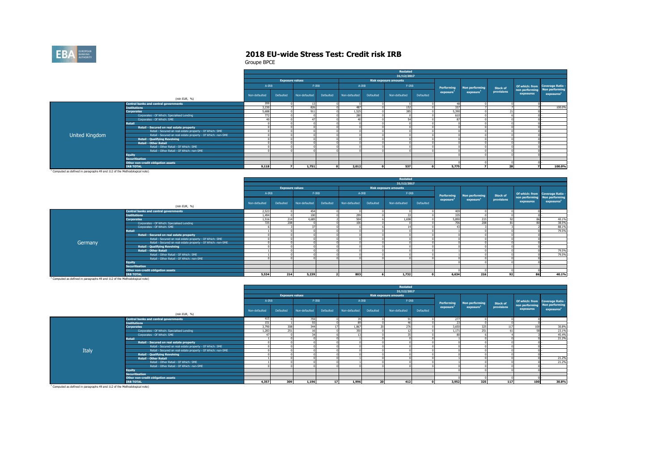

Groupe BPCE

|                |                                                              |               |                        |               |           |               |           | <b>Restated</b>              |           |                       |                       |                 |                               |                                 |
|----------------|--------------------------------------------------------------|---------------|------------------------|---------------|-----------|---------------|-----------|------------------------------|-----------|-----------------------|-----------------------|-----------------|-------------------------------|---------------------------------|
|                |                                                              |               |                        |               |           |               |           | 31/12/2017                   |           |                       |                       |                 |                               |                                 |
|                |                                                              |               | <b>Exposure values</b> |               |           |               |           | <b>Risk exposure amounts</b> |           |                       |                       |                 |                               |                                 |
|                |                                                              | $A-IRB$       |                        |               | $F-IRB$   | A-IRB         |           | $F-IRB$                      |           | <b>Performing</b>     | Non performing        | <b>Stock of</b> | non performing Non performing | Of which: from Coverage Ratio - |
|                |                                                              | Non-defaulted | Defaulted              | Non-defaulted | Defaulted | Non-defaulted | Defaulted | Non-defaulted                | Defaulted | exposure <sup>1</sup> | exposure <sup>1</sup> | provisions      | exposures                     | exposures <sup>1</sup>          |
|                | (mln EUR, %)                                                 |               |                        |               |           |               |           |                              |           |                       |                       |                 |                               |                                 |
|                | <b>Central banks and central governments</b>                 | 200           |                        | 13            |           |               |           |                              |           | 48                    |                       |                 |                               |                                 |
|                | <b>Institutions</b>                                          | 3,230         |                        | 826           |           | 487           |           | 152                          |           | 337                   |                       |                 |                               | 100.0%                          |
|                | <b>Corporates</b>                                            | 5,688         |                        | 911           |           | 1.525         |           | 385                          |           | 5,390                 |                       |                 |                               |                                 |
|                | Corporates - Of Which: Specialised Lending                   | 772           |                        |               |           | 280           |           |                              |           | 610                   |                       |                 |                               |                                 |
|                | Corporates - Of Which: SME                                   |               |                        | 47            |           | 40            |           | FA                           |           | 87                    |                       |                 |                               |                                 |
|                | Retail                                                       |               |                        |               |           |               |           |                              |           |                       |                       |                 |                               |                                 |
|                | Retail - Secured on real estate property                     |               |                        |               |           |               |           |                              |           |                       |                       |                 |                               |                                 |
|                | Retail - Secured on real estate property - Of Which: SME     |               |                        |               |           |               |           |                              |           |                       |                       |                 |                               |                                 |
| United Kingdom | Retail - Secured on real estate property - Of Which: non-SME |               |                        |               |           |               |           |                              |           |                       |                       |                 |                               |                                 |
|                | <b>Retail - Qualifying Revolving</b>                         |               |                        |               |           |               |           |                              |           |                       |                       |                 |                               |                                 |
|                | <b>Retail - Other Retail</b>                                 |               |                        |               |           |               |           |                              |           |                       |                       |                 |                               |                                 |
|                | Retail - Other Retail - Of Which: SME                        |               |                        |               |           |               |           |                              |           |                       |                       |                 |                               |                                 |
|                | Retail - Other Retail - Of Which: non-SME                    |               |                        |               |           |               |           |                              |           |                       |                       |                 |                               |                                 |
|                | <b>Equity</b>                                                |               |                        |               |           |               |           |                              |           |                       |                       |                 |                               |                                 |
|                | <b>Securitisation</b>                                        |               |                        |               |           |               |           |                              |           |                       |                       |                 |                               |                                 |
|                | Other non-credit obligation assets                           |               |                        |               |           |               |           |                              |           |                       |                       |                 |                               |                                 |
|                | <b>IRB TOTAL</b>                                             | 9.118         |                        | 1.751         |           | 2.012         |           | 537                          |           | 5.775                 |                       | 28              |                               | 100.0%                          |

ted as defined in paragraphs 49 and 112 of the Methodological note)

|         |                                                              |               |                        |               |           |               |           | Restated                     |           |                 |                       |                 |           |                                                         |
|---------|--------------------------------------------------------------|---------------|------------------------|---------------|-----------|---------------|-----------|------------------------------|-----------|-----------------|-----------------------|-----------------|-----------|---------------------------------------------------------|
|         |                                                              |               |                        |               |           |               |           | 31/12/2017                   |           |                 |                       |                 |           |                                                         |
|         |                                                              |               | <b>Exposure values</b> |               |           |               |           | <b>Risk exposure amounts</b> |           |                 |                       |                 |           |                                                         |
|         |                                                              | A-IRB         |                        | $F-IRB$       |           | $A-IRB$       |           | $F-IRB$                      |           | Performing      | Non performing        | <b>Stock of</b> |           | Of which: from Coverage Ratio -                         |
|         |                                                              | Non-defaulted | Defaulted              | Non-defaulted | Defaulted | Non-defaulted | Defaulted | Non-defaulted                | Defaulted | exposure        | exposure <sup>1</sup> | provisions      | exposures | non performing Non performing<br>exposures <sup>1</sup> |
|         | (mln EUR, %)                                                 |               |                        |               |           |               |           |                              |           |                 |                       |                 |           |                                                         |
|         | <b>Central banks and central governments</b>                 | 2.523         |                        | 454           |           |               |           |                              |           | 409             |                       |                 |           |                                                         |
|         | <b>Institutions</b>                                          | 1.494         |                        | 100           |           | 299           |           | $\sim$                       |           | 335             |                       |                 |           |                                                         |
|         | <b>Corporates</b>                                            | 1.516         | 214                    | 4,685         |           | 504           |           | 1.698                        |           | 5,890           | $\sim$                |                 |           | 40.1%                                                   |
|         | Corporates - Of Which: Specialised Lending                   | 725           | 208                    |               |           | 106           |           |                              |           | 70 <sub>6</sub> | 20                    | $^{\circ}$      |           | 38.5%                                                   |
|         | Corporates - Of Which: SME                                   |               |                        | $\sim$        |           |               |           |                              |           |                 |                       |                 |           | 88.1%                                                   |
|         | <b>Retail</b>                                                |               |                        |               |           |               |           |                              |           |                 |                       |                 |           | 79.5%                                                   |
|         | Retail - Secured on real estate property                     |               |                        |               |           |               |           |                              |           |                 |                       |                 |           |                                                         |
|         | Retail - Secured on real estate property - Of Which: SME     |               |                        |               |           |               |           |                              |           |                 |                       |                 |           |                                                         |
| Germany | Retail - Secured on real estate property - Of Which: non-SME |               |                        |               |           |               |           |                              |           |                 |                       |                 |           |                                                         |
|         | <b>Retail - Qualifying Revolving</b>                         |               |                        |               |           |               |           |                              |           |                 |                       |                 |           |                                                         |
|         | Retail - Other Retail                                        |               |                        |               |           |               |           |                              |           |                 |                       |                 |           | 79.5%                                                   |
|         | Retail - Other Retail - Of Which: SME                        |               |                        |               |           |               |           |                              |           |                 |                       |                 |           | 79.5%                                                   |
|         | Retail - Other Retail - Of Which: non-SME                    |               |                        |               |           |               |           |                              |           |                 |                       |                 |           |                                                         |
|         | Equity                                                       |               |                        |               |           |               |           |                              |           |                 |                       |                 |           |                                                         |
|         | <b>Securitisation</b>                                        |               |                        |               |           |               |           |                              |           |                 |                       |                 |           |                                                         |
|         | Other non-credit obligation assets                           |               |                        |               |           |               |           |                              |           |                 |                       |                 |           |                                                         |
|         | <b>IRB TOTAL</b>                                             | 5,534         | 214                    | 5,239         |           | 803           |           | 1,732                        |           | 6.634           | 216                   | 92              | 86        | 40.1%                                                   |

<sup>1</sup> Computed as defined in paragraphs 49 and 112 of the Methodological note)

|       |                                                              |               |                        |               |                 |               |           | Restated                     |           |                       |                       |                 |                                            |                       |
|-------|--------------------------------------------------------------|---------------|------------------------|---------------|-----------------|---------------|-----------|------------------------------|-----------|-----------------------|-----------------------|-----------------|--------------------------------------------|-----------------------|
|       |                                                              |               |                        |               |                 |               |           | 31/12/2017                   |           |                       |                       |                 |                                            |                       |
|       |                                                              |               | <b>Exposure values</b> |               |                 |               |           | <b>Risk exposure amounts</b> |           |                       |                       |                 |                                            |                       |
|       |                                                              | $A-IRB$       |                        | $F-IRB$       |                 | $A - IRB$     |           | $F-IRB$                      |           | Performing            | Non performing        | <b>Stock of</b> | Of which: from Coverage Ratio -            |                       |
|       |                                                              | Non-defaulted | Defaulted              | Non-defaulted | Defaulted       | Non-defaulted | Defaulted | Non-defaulted                | Defaulted | exposure <sup>1</sup> | exposure <sup>1</sup> | provisions      | non performing Non performing<br>exposures | exposure <sup>1</sup> |
|       | (mln EUR, %)                                                 |               |                        |               |                 |               |           |                              |           |                       |                       |                 |                                            |                       |
|       | <b>Central banks and central governments</b>                 | 415           |                        | 759           |                 | 39            |           | 01                           |           | 277                   |                       |                 |                                            |                       |
|       | <b>Institutions</b>                                          | 151           |                        | 93            |                 | 89            |           |                              |           |                       |                       |                 |                                            |                       |
|       | <b>Corporates</b>                                            | 3,790         | 308                    | 344           |                 | 1.867         |           | 276                          |           | 3.650                 | 325                   | 117             | 100                                        | 30.8%                 |
|       | Corporates - Of Which: Specialised Lending                   | 1.283         | 251                    | 16            |                 | 350           |           |                              |           | 1.171                 | 251                   | 61              |                                            | 23.1%                 |
|       | Corporates - Of Which: SME                                   |               |                        | 34            |                 | 13            |           |                              |           |                       |                       |                 |                                            | 45.4%                 |
|       | Retail                                                       |               |                        |               |                 |               |           |                              |           |                       |                       |                 |                                            | 21.2%                 |
|       | Retail - Secured on real estate property                     |               |                        |               |                 |               |           |                              |           |                       |                       |                 |                                            |                       |
|       | Retail - Secured on real estate property - Of Which: SME     |               |                        |               |                 |               |           |                              |           |                       |                       |                 |                                            |                       |
| Italy | Retail - Secured on real estate property - Of Which: non-SME |               |                        |               |                 |               |           |                              |           |                       |                       |                 |                                            |                       |
|       | <b>Retail - Qualifying Revolving</b>                         |               |                        |               |                 |               |           |                              |           |                       |                       |                 |                                            |                       |
|       | <b>Retail - Other Retail</b>                                 |               |                        |               |                 |               |           |                              |           |                       |                       |                 |                                            | 21.2%                 |
|       | Retail - Other Retail - Of Which: SME                        |               |                        |               |                 |               |           |                              |           |                       |                       |                 |                                            | 21.2%                 |
|       | Retail - Other Retail - Of Which: non-SME                    |               |                        |               |                 |               |           |                              |           |                       |                       |                 |                                            |                       |
|       | <b>Equity</b>                                                |               |                        |               |                 |               |           |                              |           |                       |                       |                 |                                            |                       |
|       | <b>Securitisation</b>                                        |               |                        |               |                 |               |           |                              |           |                       |                       |                 |                                            |                       |
|       | Other non-credit obligation assets                           |               |                        |               |                 |               |           |                              |           |                       |                       |                 |                                            |                       |
|       | <b>IRB TOTAL</b>                                             | 4.357         | 309                    | 1.196         | 17 <sup>1</sup> | 1,996         | 20        | 412                          |           | 3,952                 | 325                   | 117             | 100                                        | 30.8%                 |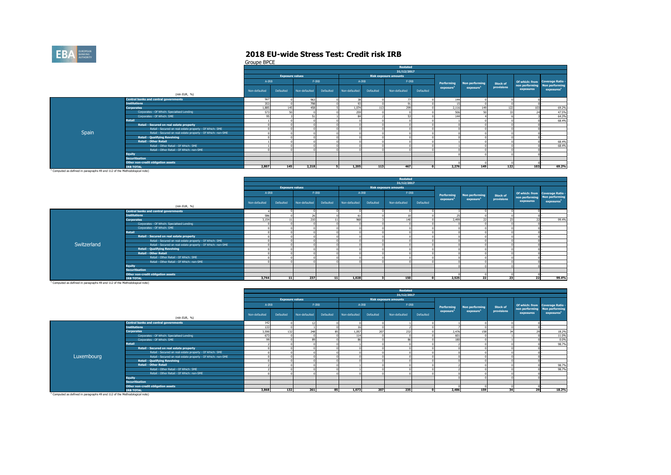

Groupe BPCE

|       |                                                              |               |                        |               |           |               |           | Restated                     |           |                       |                       |            |                 |                                                         |
|-------|--------------------------------------------------------------|---------------|------------------------|---------------|-----------|---------------|-----------|------------------------------|-----------|-----------------------|-----------------------|------------|-----------------|---------------------------------------------------------|
|       |                                                              |               |                        |               |           |               |           | 31/12/2017                   |           |                       |                       |            |                 |                                                         |
|       |                                                              |               | <b>Exposure values</b> |               |           |               |           | <b>Risk exposure amounts</b> |           |                       |                       |            |                 |                                                         |
|       |                                                              | A-IRB         |                        | $F-IRB$       |           | $A-IRB$       |           | $F-IRB$                      |           | Performing            | Non performing        | Stock of   |                 | Of which: from Coverage Ratio -                         |
|       | (mln EUR, %)                                                 | Non-defaulted | Defaulted              | Non-defaulted | Defaulted | Non-defaulted | Defaulted | Non-defaulted                | Defaulted | exposure <sup>1</sup> | exposure <sup>1</sup> | provisions | exposures       | non performing Non performing<br>exposures <sup>1</sup> |
|       |                                                              |               |                        |               |           |               |           |                              |           |                       |                       |            |                 |                                                         |
|       | <b>Central banks and central governments</b>                 | 567           |                        | 963           |           |               |           |                              |           | 144                   |                       |            |                 |                                                         |
|       | <b>Institutions</b>                                          | 353           |                        | 798           |           | 93            |           |                              |           |                       |                       |            |                 |                                                         |
|       | <b>Corporates</b>                                            | 1,885         | 145                    | 458           |           | 1,074         |           | 299                          |           | 2,116                 |                       | 122        | 10 <sup>7</sup> | 69.2%                                                   |
|       | Corporates - Of Which: Specialised Lending                   | 573           |                        |               |           | 259           |           |                              |           | 506                   |                       |            |                 | 47.5%                                                   |
|       | Corporates - Of Which: SME                                   |               |                        |               |           | R             |           |                              |           | 144                   |                       |            |                 | 64.3%                                                   |
|       | <b>Retail</b>                                                |               |                        |               |           |               |           |                              |           |                       |                       |            |                 | 68,4%                                                   |
|       | Retail - Secured on real estate property                     |               |                        |               |           |               |           |                              |           |                       |                       |            |                 |                                                         |
|       | Retail - Secured on real estate property - Of Which: SME     |               |                        |               |           |               |           |                              |           |                       |                       |            |                 |                                                         |
| Spain | Retail - Secured on real estate property - Of Which: non-SME |               |                        |               |           |               |           |                              |           |                       |                       |            |                 |                                                         |
|       | <b>Retail - Qualifying Revolving</b>                         |               |                        |               |           |               |           |                              |           |                       |                       |            |                 |                                                         |
|       | <b>Retail - Other Retail</b>                                 |               |                        |               |           |               |           |                              |           |                       |                       |            |                 | 68.4%                                                   |
|       | Retail - Other Retail - Of Which: SME                        |               |                        |               |           |               |           |                              |           |                       |                       |            |                 | 68.4%                                                   |
|       | Retail - Other Retail - Of Which: non-SME                    |               |                        |               |           |               |           |                              |           |                       |                       |            |                 |                                                         |
|       | <b>Equity</b>                                                |               |                        |               |           |               |           |                              |           |                       |                       |            |                 |                                                         |
|       | <b>Securitisation</b>                                        |               |                        |               |           |               |           |                              |           |                       |                       |            |                 |                                                         |
|       | Other non-credit obligation assets                           |               |                        |               |           |               |           |                              |           |                       |                       |            |                 |                                                         |
|       | <b>IRB TOTAL</b>                                             | 2,807         | 145                    | 2,218         |           | 1,205         | 113       | 467                          |           | 2.276                 | 149                   | 122        | 103             | 69.2%                                                   |
|       |                                                              |               |                        |               |           |               |           |                              |           |                       |                       |            |                 |                                                         |

<sup>1</sup> Computed as defined in paragraphs 49 and 112 of the Methodological note)

|             |                                                              |               |                        |               |           |               |           | Restated                     |           |            |                       |            |                |                                                   |
|-------------|--------------------------------------------------------------|---------------|------------------------|---------------|-----------|---------------|-----------|------------------------------|-----------|------------|-----------------------|------------|----------------|---------------------------------------------------|
|             |                                                              |               |                        |               |           |               |           | 31/12/2017                   |           |            |                       |            |                |                                                   |
|             |                                                              |               | <b>Exposure values</b> |               |           |               |           | <b>Risk exposure amounts</b> |           |            |                       |            |                |                                                   |
|             |                                                              | A-IRB         |                        | $F-IRB$       |           |               | $A-IRB$   | $F-IRB$                      |           | Performing | Non performing        | Stock of   | non performing | Of which: from Coverage Ratio -<br>Non performing |
|             |                                                              | Non-defaulted | Defaulted              | Non-defaulted | Defaulted | Non-defaulted | Defaulted | Non-defaulted                | Defaulted | exposure   | exposure <sup>1</sup> | provisions | exposures      | exposures <sup>1</sup>                            |
|             | (mln EUR, %)                                                 |               |                        |               |           |               |           |                              |           |            |                       |            |                |                                                   |
|             | <b>Central banks and central governments</b>                 |               |                        |               |           |               |           |                              |           |            |                       |            |                |                                                   |
|             | <b>Institutions</b>                                          | 586           |                        | 26            |           |               |           |                              |           |            |                       |            |                |                                                   |
|             | <b>Corporates</b>                                            | 3.154         |                        | 210           |           | 968           |           | 140                          |           | 2,499      |                       | 77         |                | 99.4%                                             |
|             | Corporates - Of Which: Specialised Lending                   |               |                        |               |           |               |           |                              |           |            |                       |            |                |                                                   |
|             | Corporates - Of Which: SME                                   |               |                        |               |           |               |           |                              |           |            |                       |            |                |                                                   |
|             | <b>Retail</b>                                                |               |                        |               |           |               |           |                              |           |            |                       |            |                |                                                   |
|             | Retail - Secured on real estate property                     |               |                        |               |           |               |           |                              |           |            |                       |            |                |                                                   |
|             | Retail - Secured on real estate property - Of Which: SME     |               |                        |               |           |               |           |                              |           |            |                       |            |                |                                                   |
| Switzerland | Retail - Secured on real estate property - Of Which: non-SME |               |                        |               |           |               |           |                              |           |            |                       |            |                |                                                   |
|             | <b>Retail - Qualifying Revolving</b>                         |               |                        |               |           |               |           |                              |           |            |                       |            |                |                                                   |
|             | <b>Retail - Other Retail</b>                                 |               |                        |               |           |               |           |                              |           |            |                       |            |                |                                                   |
|             | Retail - Other Retail - Of Which: SME                        |               |                        |               |           |               |           |                              |           |            |                       |            |                |                                                   |
|             | Retail - Other Retail - Of Which: non-SME                    |               |                        |               |           |               |           |                              |           |            |                       |            |                |                                                   |
|             | <b>Equity</b>                                                |               |                        |               |           |               |           |                              |           |            |                       |            |                |                                                   |
|             | <b>Securitisation</b>                                        |               |                        |               |           |               |           |                              |           |            |                       |            |                |                                                   |
|             | Other non-credit obligation assets                           |               |                        |               |           |               |           |                              |           |            |                       |            |                |                                                   |
|             | <b>IRB TOTAL</b>                                             | 3.744         | -11                    | 237           | 11        | 1.028         |           | 150                          |           | 2,525      | 22                    | 23         | 22             | 99.4%                                             |

1 Computed as defined in paragraphs 49 and 112 of the Methodological note)

|            |                                                              |               |                        |               |           |               |           | Restated                     |           |                       |                       |                 |           |                                                         |
|------------|--------------------------------------------------------------|---------------|------------------------|---------------|-----------|---------------|-----------|------------------------------|-----------|-----------------------|-----------------------|-----------------|-----------|---------------------------------------------------------|
|            |                                                              |               |                        |               |           |               |           | 31/12/2017                   |           |                       |                       |                 |           |                                                         |
|            |                                                              |               | <b>Exposure values</b> |               |           |               |           | <b>Risk exposure amounts</b> |           |                       |                       |                 |           |                                                         |
|            |                                                              | A-IRB         |                        | $F-IRB$       |           | $A - IRB$     |           | $F-IRB$                      |           | Performing            | Non performing        | <b>Stock of</b> |           | Of which: from Coverage Ratio -                         |
|            |                                                              | Non-defaulted | Defaulted              | Non-defaulted | Defaulted | Non-defaulted | Defaulted | Non-defaulted                | Defaulted | exposure <sup>1</sup> | exposure <sup>1</sup> | provisions      | exposures | non performing Non performing<br>exposures <sup>1</sup> |
|            | (mln EUR, %)                                                 |               |                        |               |           |               |           |                              |           |                       |                       |                 |           |                                                         |
|            | <b>Central banks and central governments</b>                 | 142           |                        |               |           |               |           |                              |           |                       |                       |                 |           |                                                         |
|            | <b>Institutions</b>                                          | 133           |                        |               |           |               |           |                              |           |                       |                       |                 |           |                                                         |
|            | <b>Corporates</b>                                            | 3,590         | 132                    | 248           |           | 1,057         | 207       | 232                          |           | 2,476                 | 15                    |                 |           | 18.2%                                                   |
|            | Corporates - Of Which: Specialised Lending                   | 673           |                        |               |           | 114           |           |                              |           | 601                   |                       |                 |           | 11.0%                                                   |
|            | Corporates - Of Which: SME                                   |               |                        |               |           | 86            |           |                              |           | 180                   |                       |                 |           | 0.0%                                                    |
|            | <b>Retail</b>                                                |               |                        |               |           |               |           |                              |           |                       |                       |                 |           | 98.7%                                                   |
|            | Retail - Secured on real estate property                     |               |                        |               |           |               |           |                              |           |                       |                       |                 |           |                                                         |
|            | Retail - Secured on real estate property - Of Which: SME     |               |                        |               |           |               |           |                              |           |                       |                       |                 |           |                                                         |
| Luxembourg | Retail - Secured on real estate property - Of Which: non-SME |               |                        |               |           |               |           |                              |           |                       |                       |                 |           |                                                         |
|            | <b>Retail - Qualifying Revolving</b>                         |               |                        |               |           |               |           |                              |           |                       |                       |                 |           |                                                         |
|            | <b>Retail - Other Retail</b>                                 |               |                        |               |           |               |           |                              |           |                       |                       |                 |           | 98.7%                                                   |
|            | Retail - Other Retail - Of Which: SME                        |               |                        |               |           |               |           |                              |           |                       |                       |                 |           | 98.7%                                                   |
|            | Retail - Other Retail - Of Which: non-SME                    |               |                        |               |           |               |           |                              |           |                       |                       |                 |           |                                                         |
|            | <b>Equity</b>                                                |               |                        |               |           |               |           |                              |           |                       |                       |                 |           |                                                         |
|            | <b>Securitisation</b>                                        |               |                        |               |           |               |           |                              |           |                       |                       |                 |           |                                                         |
|            | Other non-credit obligation assets                           |               |                        |               |           |               |           |                              |           |                       |                       |                 |           |                                                         |
|            | <b>IRB TOTAL</b>                                             | 3,868         | 132                    | 261           | 85        | 1.073         | 207       | 235                          |           | 2,486                 | 159                   | 34              | 29        | 18.2%                                                   |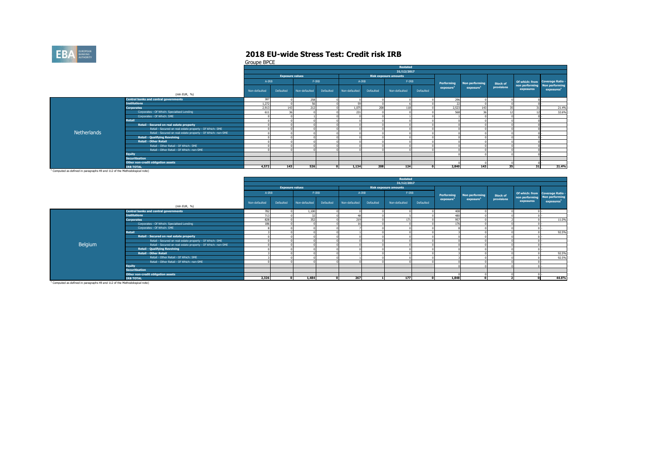

Groupe BPCE

|                    |                                                              |               |                        |               |           |               |           | Restated                     |           |                       |                       |                 |           |                                                                  |
|--------------------|--------------------------------------------------------------|---------------|------------------------|---------------|-----------|---------------|-----------|------------------------------|-----------|-----------------------|-----------------------|-----------------|-----------|------------------------------------------------------------------|
|                    |                                                              |               |                        |               |           |               |           | 31/12/2017                   |           |                       |                       |                 |           |                                                                  |
|                    |                                                              |               | <b>Exposure values</b> |               |           |               |           | <b>Risk exposure amounts</b> |           |                       |                       |                 |           |                                                                  |
|                    |                                                              | A-IRB         |                        | $F-IRB$       |           | $A - IRB$     |           | $F-IRB$                      |           | Performing            | Non performing        | <b>Stock of</b> |           | Of which: from Coverage Ratio -<br>non performing Non performing |
|                    |                                                              | Non-defaulted | Defaulted              | Non-defaulted | Defaulted | Non-defaulted | Defaulted | Non-defaulted                | Defaulted | exposure <sup>1</sup> | exposure <sup>1</sup> | provisions      | exposures | exposure <sup>1</sup>                                            |
|                    | (mln EUR, %)                                                 |               |                        |               |           |               |           |                              |           |                       |                       |                 |           |                                                                  |
|                    | <b>Central banks and central governments</b>                 | 387           |                        | 258           |           |               |           |                              |           | 296                   |                       |                 |           |                                                                  |
|                    | <b>Institutions</b>                                          | 1.272         |                        | 56            |           | 59            |           |                              |           | $\sim$                |                       |                 |           |                                                                  |
|                    | <b>Corporates</b>                                            | 2,913         | 143                    | 212           |           | 1,075         | 208       | 118                          |           | 2,523                 | 14                    |                 |           | 21.4%                                                            |
|                    | Corporates - Of Which: Specialised Lending                   | 611           |                        |               |           | 231           |           |                              |           | 568                   |                       |                 |           | 32.6%                                                            |
|                    | Corporates - Of Which: SME                                   |               |                        |               |           |               |           |                              |           |                       |                       |                 |           |                                                                  |
|                    | <b>Retail</b>                                                |               |                        |               |           |               |           |                              |           |                       |                       |                 |           |                                                                  |
|                    | Retail - Secured on real estate property                     |               |                        |               |           |               |           |                              |           |                       |                       |                 |           |                                                                  |
|                    | Retail - Secured on real estate property - Of Which: SME     |               |                        |               |           |               |           |                              |           |                       |                       |                 |           |                                                                  |
| <b>Netherlands</b> | Retail - Secured on real estate property - Of Which: non-SME |               |                        |               |           |               |           |                              |           |                       |                       |                 |           |                                                                  |
|                    | <b>Retail - Qualifying Revolving</b>                         |               |                        |               |           |               |           |                              |           |                       |                       |                 |           |                                                                  |
|                    | <b>Retail - Other Retail</b>                                 |               |                        |               |           |               |           |                              |           |                       |                       |                 |           |                                                                  |
|                    | Retail - Other Retail - Of Which: SME                        |               |                        |               |           |               |           |                              |           |                       |                       |                 |           |                                                                  |
|                    | Retail - Other Retail - Of Which: non-SME                    |               |                        |               |           |               |           |                              |           |                       |                       |                 |           |                                                                  |
|                    | <b>Equity</b>                                                |               |                        |               |           |               |           |                              |           |                       |                       |                 |           |                                                                  |
|                    | <b>Securitisation</b>                                        |               |                        |               |           |               |           |                              |           |                       |                       |                 |           |                                                                  |
|                    | Other non-credit obligation assets                           |               |                        |               |           |               |           |                              |           |                       |                       |                 |           |                                                                  |
|                    | <b>IRB TOTAL</b>                                             | 4.572         | 143                    | 526           |           | 1.134         | 208       | 124                          |           | 2,840                 | 143                   | 35              | 31        | 21.4%                                                            |
|                    |                                                              |               |                        |               |           |               |           |                              |           |                       |                       |                 |           |                                                                  |

<sup>1</sup> Computed as defined in paragraphs 49 and 112 of the Methodological note)

|         |                                                              |               |                        |               |           |               |           | Restated                     |           |                       |                       |                 |                             |                                         |
|---------|--------------------------------------------------------------|---------------|------------------------|---------------|-----------|---------------|-----------|------------------------------|-----------|-----------------------|-----------------------|-----------------|-----------------------------|-----------------------------------------|
|         |                                                              |               |                        |               |           |               |           | 31/12/2017                   |           |                       |                       |                 |                             |                                         |
|         |                                                              |               | <b>Exposure values</b> |               |           |               |           | <b>Risk exposure amounts</b> |           |                       |                       |                 |                             |                                         |
|         |                                                              | A-IRB         |                        |               | $F-IRB$   | $A-IRB$       |           | $F-IRB$                      |           | Performing            | Non performing        | <b>Stock of</b> |                             | Of which: from Coverage Ratio -         |
|         |                                                              | Non-defaulted | Defaulted              | Non-defaulted | Defaulted | Non-defaulted | Defaulted | Non-defaulted                | Defaulted | exposure <sup>1</sup> | exposure <sup>1</sup> | provisions      | non performing<br>exposures | Non performing<br>exposure <sup>1</sup> |
|         | (mln EUR, %)                                                 |               |                        |               |           |               |           |                              |           |                       |                       |                 |                             |                                         |
|         | <b>Central banks and central governments</b>                 | 782           |                        | 1.100         |           |               |           |                              |           | 408                   |                       |                 |                             |                                         |
|         | <b>Institutions</b>                                          | 713           |                        | 22            |           |               |           |                              |           | 480                   |                       |                 |                             |                                         |
|         | <b>Corporates</b>                                            | 828           |                        | 352           |           | 219           |           | 171                          |           | 957                   |                       |                 |                             | 11.0%                                   |
|         | Corporates - Of Which: Specialised Lending                   | 186           |                        |               |           | 16            |           |                              |           | 176                   |                       |                 |                             |                                         |
|         | Corporates - Of Which: SME                                   |               |                        |               |           |               |           |                              |           |                       |                       |                 |                             |                                         |
|         | Retail                                                       |               |                        |               |           |               |           |                              |           |                       |                       |                 |                             | 92.5%                                   |
|         | Retail - Secured on real estate property                     |               |                        |               |           |               |           |                              |           |                       |                       |                 |                             |                                         |
|         | Retail - Secured on real estate property - Of Which: SME     |               |                        |               |           |               |           |                              |           |                       |                       |                 |                             |                                         |
| Belgium | Retail - Secured on real estate property - Of Which: non-SME |               |                        |               |           |               |           |                              |           |                       |                       |                 |                             |                                         |
|         | <b>Retail - Qualifying Revolving</b>                         |               |                        |               |           |               |           |                              |           |                       |                       |                 |                             |                                         |
|         | <b>Retail - Other Retail</b>                                 |               |                        |               |           |               |           |                              |           |                       |                       |                 |                             | 92.5%                                   |
|         | Retail - Other Retail - Of Which: SME                        |               |                        |               |           |               |           |                              |           |                       |                       |                 |                             | 92.5%                                   |
|         | Retail - Other Retail - Of Which: non-SME                    |               |                        |               |           |               |           |                              |           |                       |                       |                 |                             |                                         |
|         | <b>Equity</b>                                                |               |                        |               |           |               |           |                              |           |                       |                       |                 |                             |                                         |
|         | <b>Securitisation</b>                                        |               |                        |               |           |               |           |                              |           |                       |                       |                 |                             |                                         |
|         | Other non-credit obligation assets                           |               |                        |               |           |               |           |                              |           |                       |                       |                 |                             |                                         |
|         | <b>IRB TOTAL</b>                                             | 2,326         |                        | 1,484         |           | 267           |           | 177                          |           | 1,848                 |                       |                 |                             | 44.6%                                   |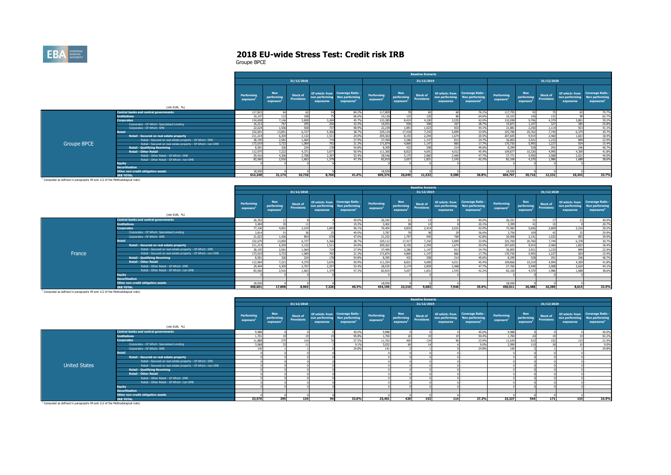

|                    |                                                              |                        |                                                   |                                      |                            |                                                                                    |                                     |                                                   | <b>Baseline Scenario</b>             |                                               |                                                                            |                                     |                                                   |                                      |                                               |                                                                     |
|--------------------|--------------------------------------------------------------|------------------------|---------------------------------------------------|--------------------------------------|----------------------------|------------------------------------------------------------------------------------|-------------------------------------|---------------------------------------------------|--------------------------------------|-----------------------------------------------|----------------------------------------------------------------------------|-------------------------------------|---------------------------------------------------|--------------------------------------|-----------------------------------------------|---------------------------------------------------------------------|
|                    |                                                              |                        |                                                   | 31/12/2018                           |                            |                                                                                    |                                     |                                                   | 31/12/2019                           |                                               |                                                                            |                                     |                                                   | 31/12/2020                           |                                               |                                                                     |
|                    | (mln EUR, %)                                                 | Performing<br>exposure | <b>Non</b><br>performing<br>exposure <sup>1</sup> | <b>Stock of</b><br><b>Provisions</b> | non performin<br>exposures | Of which: from Coverage Ratio -<br><b>Non performing</b><br>exposures <sup>1</sup> | Performing<br>exposure <sup>2</sup> | <b>Non</b><br>performing<br>exposure <sup>1</sup> | <b>Stock of</b><br><b>Provisions</b> | Of which: from<br>non performing<br>exposures | <b>Coverage Ratio -</b><br><b>Non performing</b><br>exposures <sup>1</sup> | Performing<br>exposure <sup>1</sup> | <b>Non</b><br>performing<br>exposure <sup>1</sup> | <b>Stock of</b><br><b>Provisions</b> | Of which: from<br>non performing<br>exposures | <b>Coverage Ratio -</b><br>Non performing<br>exposures <sup>1</sup> |
|                    | <b>Central banks and central governments</b>                 | 117,823                | 64                                                |                                      |                            | 84.2%                                                                              | 117,809                             |                                                   |                                      |                                               | 76.1%                                                                      | 117,795                             |                                                   |                                      |                                               | 70.7%                                                               |
|                    | <b>Institutions</b>                                          | 10,147                 |                                                   |                                      |                            | 66.6%                                                                              | 10,126                              | 133                                               |                                      |                                               | 64.6%                                                                      | 10,10                               | 156                                               |                                      |                                               | 62.7%                                                               |
|                    | <b>Corporates</b>                                            | 134,658                | 7.146                                             | 3,828                                | 3.269                      | 45.7%                                                                              | 133,385                             | 8,419                                             | 4.100                                | 3,535                                         | 42.0%                                                                      | 132,098                             | 9,706                                             | 4.379                                | 3,801                                         | 39.2%                                                               |
|                    | Corporates - Of Which: Specialised Lending                   | 16,212                 | 767                                               | 295                                  | 250                        | 32.5%                                                                              | 16,051                              | 928                                               | 308                                  | 267                                           | 28.7%                                                                      | 15,872                              | 1.107                                             | 327                                  | 285                                           | 25,8%                                                               |
|                    | Corporates - Of Which: SME                                   | 22,624                 | 1.506                                             | 928                                  | 737                        | 48.9%                                                                              | 22,239                              | 1,891                                             | 1.023                                | 833                                           | 44.1%                                                                      | 21,881                              | 2,250                                             | 1.114                                | 027                                           | 41.1%                                                               |
|                    | Retail                                                       | 332,69                 | 13.851                                            | 6.727                                | 5,366                      | 38,7%                                                                              | 329,124                             | 17,418                                            | 7.243                                | 5,899                                         | 33.9%                                                                      | 325,780                             | 20,762                                            | 7.745                                | 6.379                                         | 30.7%                                                               |
|                    | Retail - Secured on real estate property                     | 211,214                | 6.304                                             | 2.132                                | 1.511                      | 24.0%                                                                              | 209,363                             | 8,155                                             | 2.294                                | 1.674                                         | 20.5%                                                                      | 207,605                             | 9.914                                             | 2,460                                | 1.823                                         | 18,4%                                                               |
|                    | Retail - Secured on real estate property - Of Which: SME     | 38,195                 | 2.581                                             | 1.064                                | 719                        | 27,9%                                                                              | 37,490                              | 3.286                                             | 1.147                                | 813                                           | 24.7%                                                                      | 36,855                              | 3.921                                             | 1.233                                | 89 <sup>c</sup>                               | 22.9%                                                               |
| <b>Groupe BPCE</b> | Retail - Secured on real estate property - Of Which: non-SME | 173,01                 | 3.723                                             | 1.069                                | 797                        | 21.3%                                                                              | 171.874                             | 4,869                                             | 1.147                                | 860                                           | 17.7%                                                                      | 170,750                             | 5,993                                             | 1.227                                | 02                                            | 15.4%                                                               |
|                    | <b>Retail - Qualifying Revolving</b>                         | 8.501                  | 326                                               | 224                                  | 178                        | 54.8%                                                                              | 8.395                               | 432                                               | 259                                  | 214                                           | 49.6%                                                                      | 8.299                               | 528                                               | 291                                  | 746                                           | 46.7%                                                               |
|                    | <b>Retail - Other Retail</b>                                 | 112,975                | 7,222                                             | 4.371                                | 3,677                      | 50.9%                                                                              | 111,365                             | 8,832                                             | 4.691                                | 4,012                                         | 45.4%                                                                      | 109,877                             | 10,320                                            | 4.995                                | 4,309                                         | 41.8%                                                               |
|                    | Retail - Other Retail - Of Which: SME                        | 29,416                 | 4,306                                             | 2.708                                | 2,297                      | 53.4%                                                                              | 28,546                              | 5,175                                             | 2,860                                | 2,469                                         | 47.7%                                                                      | 27,77                               | 5,950                                             | 3,008                                | 2,621                                         | 44.0%                                                               |
|                    | Retail - Other Retail - Of Which: non-SME                    | 83,560                 | 2.916                                             | 1.663                                | 1.379                      | 47.3%                                                                              | 82,819                              | 3.657                                             | 1.831                                | 1.543                                         | 42.2%                                                                      | 82,106                              | 4.370                                             | 1.986                                | 1.688                                         | 38,6%                                                               |
|                    | <b>Equity</b>                                                |                        |                                                   |                                      |                            |                                                                                    |                                     |                                                   |                                      |                                               |                                                                            |                                     |                                                   |                                      |                                               |                                                                     |
|                    | <b>Securitisation</b>                                        |                        |                                                   |                                      |                            |                                                                                    |                                     |                                                   |                                      |                                               |                                                                            |                                     |                                                   |                                      |                                               |                                                                     |
|                    | Other non-credit obligation assets                           | 18.93                  |                                                   |                                      |                            |                                                                                    | 18,930                              |                                                   |                                      |                                               |                                                                            | 18,930                              |                                                   |                                      |                                               |                                                                     |
|                    | <b><i>IRB TOTAL</i></b>                                      | 614,248                | 21.174                                            | 10,726                               | 8.764                      | 41.4%                                                                              | 609,374                             | 26,049                                            | 11,532                               | 9,580                                         | 36.8%                                                                      | 604,707                             | 30,716                                            | 12.331                               | 10.342                                        | 33.7%                                                               |

|        |                                                              |                                            |                                      |                                      |                             |                                                                                    |                                     |                                      | <b>Baseline Scenario</b> |                                               |                                                                     |                                     |                                      |                               |                                               |                                                                            |
|--------|--------------------------------------------------------------|--------------------------------------------|--------------------------------------|--------------------------------------|-----------------------------|------------------------------------------------------------------------------------|-------------------------------------|--------------------------------------|--------------------------|-----------------------------------------------|---------------------------------------------------------------------|-------------------------------------|--------------------------------------|-------------------------------|-----------------------------------------------|----------------------------------------------------------------------------|
|        |                                                              |                                            |                                      | 31/12/2018                           |                             |                                                                                    |                                     |                                      | 31/12/2019               |                                               |                                                                     |                                     |                                      | 31/12/2020                    |                                               |                                                                            |
|        |                                                              | <b>Performing</b><br>exposure <sup>2</sup> | <b>Non</b><br>performing<br>exposure | <b>Stock of</b><br><b>Provisions</b> | non performing<br>exposures | Of which: from Coverage Ratio -<br><b>Non performing</b><br>exposures <sup>1</sup> | Performing<br>exposure <sup>1</sup> | <b>Non</b><br>performing<br>exposure | Stock of<br>Provisions   | Of which: from<br>non performing<br>exposures | <b>Coverage Ratio -</b><br>Non performing<br>exposures <sup>1</sup> | Performing<br>exposure <sup>1</sup> | <b>Non</b><br>performing<br>exposure | <b>Stock of</b><br>Provisions | Of which: from<br>non performing<br>exposures | <b>Coverage Ratio -</b><br><b>Non performing</b><br>exposures <sup>1</sup> |
|        | (mln EUR, %)                                                 |                                            |                                      |                                      |                             |                                                                                    |                                     |                                      |                          |                                               |                                                                     |                                     |                                      |                               |                                               |                                                                            |
|        | <b>Central banks and central governments</b>                 | 26,352                                     |                                      |                                      |                             | 40.0%                                                                              | 26,342                              |                                      |                          |                                               | 40.0%                                                               | 26,331                              |                                      |                               |                                               | 40.0%                                                                      |
|        | <b>Institutions</b>                                          | 3,404                                      |                                      |                                      |                             | 19.3%                                                                              | 3.402                               |                                      |                          |                                               | 20.1%                                                               | 3,399                               |                                      |                               |                                               | 20.7%                                                                      |
|        | <b>Corporates</b>                                            | 77.236                                     | 4.001                                | 2.219                                | 1.843                       | 46.1%                                                                              | 76.404                              | 4,833                                | 2.414                    | 2.031                                         | 42.0%                                                               | 75.582                              | 5.656                                | 2.609                         | 2.216                                         | 39.2%                                                                      |
|        | Corporates - Of Which: Specialised Lending                   | 3,814                                      |                                      |                                      |                             | 49.0%                                                                              | 3,787                               |                                      |                          |                                               | 36,6%                                                               | 3,756                               | 109                                  |                               |                                               | 29.9%                                                                      |
|        | Corporates - Of Which: SME                                   | 21,623                                     | 1.426                                | 854                                  |                             | 47.6%                                                                              | 21,252                              | 1.797                                | 04 <sup>t</sup>          | 769                                           | 42.8%                                                               | 20,908                              | 2,141                                | 1.032                         | R5                                            | 39.9%                                                                      |
|        | Retail                                                       | 332,679                                    | 13,850                               | 6.727                                | 5.366                       | 38.7%                                                                              | 329,112                             | 17,417                               | 7,242                    | 5,899                                         | 33.9%                                                               | 325,769                             | 20,760                               | 7.744                         | 6.378                                         | 30.7%                                                                      |
|        | Retail - Secured on real estate property                     | 211,214                                    | 6,304                                | 2.132                                | 1.511                       | 24.0%                                                                              | 209.363                             | 8.155                                | 2.294                    | 1.674                                         | 20.5%                                                               | 207,605                             | 9.914                                | 2.460                         | 1.823                                         | 18.4%                                                                      |
|        | Retail - Secured on real estate property - Of Which: SME     | 38,195                                     | 2,581                                | 1.064                                |                             | 27,9%                                                                              | 37,490                              | 3.286                                | 1.14                     | 813                                           | 24.7%                                                               | 36,855                              | 3,921                                | 1.233                         | 899                                           | 22.9%                                                                      |
| France | Retail - Secured on real estate property - Of Which: non-SME | 173,019                                    | 3,723                                | 1.069                                | 797                         | 21.3%                                                                              | 171,874                             | 4,869                                | 1.14                     | 860                                           | 17.7%                                                               | 170,750                             | 5.993                                | 1.227                         | 924                                           | 15.4%                                                                      |
|        | <b>Retail - Qualifying Revolving</b>                         | 8.501                                      | 326                                  | 224                                  |                             | 54,8%                                                                              | 8.395                               | 432                                  | 258                      | 214                                           | 49.6%                                                               | 8.299                               | 528                                  | 291                           | 246                                           | 46.7%                                                                      |
|        | <b>Retail - Other Retail</b>                                 | 112,964                                    | 7,221                                | 4,370                                | 3.676                       | 50.9%                                                                              | 111.354                             | 8,831                                | 4.69                     | 4,011                                         | 45.4%                                                               | 109,866                             | 10,319                               | 4,994                         | 4,309                                         | 41.8%                                                                      |
|        | Retail - Other Retail - Of Which: SME                        | 29,404                                     | 4.305                                | 2,707                                | 2.297                       | 53.4%                                                                              | 28,535                              | 5,174                                | 2,859                    | 2,468                                         | 47.7%                                                               | 27,760                              | 5,949                                | 3,008                         | 2,620                                         | 44.1%                                                                      |
|        | Retail - Other Retail - Of Which: non-SME                    | 83,560                                     | 2.916                                | 1.663                                | 1.379                       | 47.3%                                                                              | 82,819                              | 3.657                                | 1.831                    | 1.543                                         | 42.2%                                                               | 82,106                              | 4,370                                | 1986                          | 1.688                                         | 38.6%                                                                      |
|        | <b>Equity</b>                                                |                                            |                                      |                                      |                             |                                                                                    |                                     |                                      |                          |                                               |                                                                     |                                     |                                      |                               |                                               |                                                                            |
|        | <b>Securitisation</b>                                        |                                            |                                      |                                      |                             |                                                                                    |                                     |                                      |                          |                                               |                                                                     |                                     |                                      |                               |                                               |                                                                            |
|        | Other non-credit obligation assets                           | 18,930                                     |                                      |                                      |                             |                                                                                    | 18,930                              |                                      |                          |                                               |                                                                     | 18,930                              |                                      |                               |                                               |                                                                            |
|        | <b>IRB TOTAL</b>                                             | 458,601                                    | 17,898                               | 8,965                                | 7,220                       | 40.3%                                                                              | 454,190                             | 22,310                               | 9,683                    | 7,946                                         | 35.6%                                                               | 450.011                             | 26,488                               | 10,385                        | 8.615                                         | 32.5%                                                                      |

|                                                                                       |                                                              |                               |                                                   |                                      |                             |                                                                                    |                                     |                                                   | <b>Baseline Scenario</b>             |                             |                                                                             |                                     |                                                   |                               |                             |                                                                                    |
|---------------------------------------------------------------------------------------|--------------------------------------------------------------|-------------------------------|---------------------------------------------------|--------------------------------------|-----------------------------|------------------------------------------------------------------------------------|-------------------------------------|---------------------------------------------------|--------------------------------------|-----------------------------|-----------------------------------------------------------------------------|-------------------------------------|---------------------------------------------------|-------------------------------|-----------------------------|------------------------------------------------------------------------------------|
|                                                                                       |                                                              |                               |                                                   | 31/12/2018                           |                             |                                                                                    |                                     |                                                   | 31/12/2019                           |                             |                                                                             |                                     |                                                   | 31/12/2020                    |                             |                                                                                    |
|                                                                                       | (mln EUR, %)                                                 | <b>Performing</b><br>exposure | <b>Non</b><br>performing<br>exposure <sup>1</sup> | <b>Stock of</b><br><b>Provisions</b> | non performing<br>exposures | Of which: from Coverage Ratio -<br><b>Non performing</b><br>exposures <sup>1</sup> | Performing<br>exposure <sup>1</sup> | <b>Non</b><br>performing<br>exposure <sup>1</sup> | <b>Stock of</b><br><b>Provisions</b> | non performing<br>exposures | Of which: from Coverage Ratio -<br>Non performing<br>exposures <sup>1</sup> | Performing<br>exposure <sup>1</sup> | <b>Non</b><br>performing<br>exposure <sup>1</sup> | Stock of<br><b>Provisions</b> | non performing<br>exposures | Of which: from Coverage Ratio -<br><b>Non performing</b><br>exposures <sup>1</sup> |
|                                                                                       | <b>Central banks and central governments</b>                 | 9,988                         |                                                   |                                      |                             | 40.0%                                                                              | 9,988                               |                                                   |                                      |                             | 40.0%                                                                       | 9,988                               |                                                   |                               |                             | 40.0%                                                                              |
|                                                                                       | <b>Institutions</b>                                          | 1.701                         |                                                   |                                      |                             | 95.8%                                                                              | 1.700                               |                                                   |                                      |                             | 94.49                                                                       | 1,700                               |                                                   |                               |                             | 92.2%                                                                              |
|                                                                                       | <b>Corporates</b>                                            | 11,888                        |                                                   |                                      |                             | 27.5%                                                                              | 11,763                              | 400                                               |                                      |                             | 23.99                                                                       | 11,639                              |                                                   |                               |                             |                                                                                    |
|                                                                                       | Corporates - Of Which: Specialised Lending                   | 3,068                         |                                                   |                                      |                             | 9.1%                                                                               | 3.032                               |                                                   |                                      |                             | 9.0%                                                                        | 2,990                               |                                                   |                               |                             | 21.9%<br>9.0%                                                                      |
|                                                                                       | Corporates - Of Which: SME                                   | 142                           |                                                   |                                      |                             | 24.8%                                                                              | 14                                  |                                                   |                                      |                             | 24.85                                                                       | 140                                 |                                                   |                               |                             | 24.8%                                                                              |
|                                                                                       | <b>Retail</b>                                                |                               |                                                   |                                      |                             |                                                                                    |                                     |                                                   |                                      |                             |                                                                             |                                     |                                                   |                               |                             |                                                                                    |
|                                                                                       | Retail - Secured on real estate property                     |                               |                                                   |                                      |                             |                                                                                    |                                     |                                                   |                                      |                             |                                                                             |                                     |                                                   |                               |                             |                                                                                    |
|                                                                                       | Retail - Secured on real estate property - Of Which: SME     |                               |                                                   |                                      |                             |                                                                                    |                                     |                                                   |                                      |                             |                                                                             |                                     |                                                   |                               |                             |                                                                                    |
| <b>United States</b>                                                                  | Retail - Secured on real estate property - Of Which: non-SME |                               |                                                   |                                      |                             |                                                                                    |                                     |                                                   |                                      |                             |                                                                             |                                     |                                                   |                               |                             |                                                                                    |
|                                                                                       | <b>Retail - Qualifying Revolving</b>                         |                               |                                                   |                                      |                             |                                                                                    |                                     |                                                   |                                      |                             |                                                                             |                                     |                                                   |                               |                             |                                                                                    |
|                                                                                       | <b>Retail - Other Retail</b>                                 |                               |                                                   |                                      |                             |                                                                                    |                                     |                                                   |                                      |                             |                                                                             |                                     |                                                   |                               |                             |                                                                                    |
|                                                                                       | Retail - Other Retail - Of Which: SME                        |                               |                                                   |                                      |                             |                                                                                    |                                     |                                                   |                                      |                             |                                                                             |                                     |                                                   |                               |                             |                                                                                    |
|                                                                                       | Retail - Other Retail - Of Which: non-SME                    |                               |                                                   |                                      |                             |                                                                                    |                                     |                                                   |                                      |                             |                                                                             |                                     |                                                   |                               |                             |                                                                                    |
|                                                                                       | <b>Equity</b>                                                |                               |                                                   |                                      |                             |                                                                                    |                                     |                                                   |                                      |                             |                                                                             |                                     |                                                   |                               |                             |                                                                                    |
|                                                                                       | Securitisation                                               |                               |                                                   |                                      |                             |                                                                                    |                                     |                                                   |                                      |                             |                                                                             |                                     |                                                   |                               |                             |                                                                                    |
|                                                                                       | Other non-credit obligation assets                           |                               |                                                   |                                      |                             |                                                                                    |                                     |                                                   |                                      |                             |                                                                             |                                     |                                                   |                               |                             |                                                                                    |
|                                                                                       | <b>TRB TOTAL</b>                                             | 23,576                        | 295                                               | 134                                  | 94                          | 32.0%                                                                              | 23,451                              | 420                                               | 152                                  | 114                         | 27.2%                                                                       | 23.327                              | 544                                               | 171                           | 133                         | 24.5%                                                                              |
| <sup>1</sup> Computed as defined in paragraphs 49 and 112 of the Methodological note) |                                                              |                               |                                                   |                                      |                             |                                                                                    |                                     |                                                   |                                      |                             |                                                                             |                                     |                                                   |                               |                             |                                                                                    |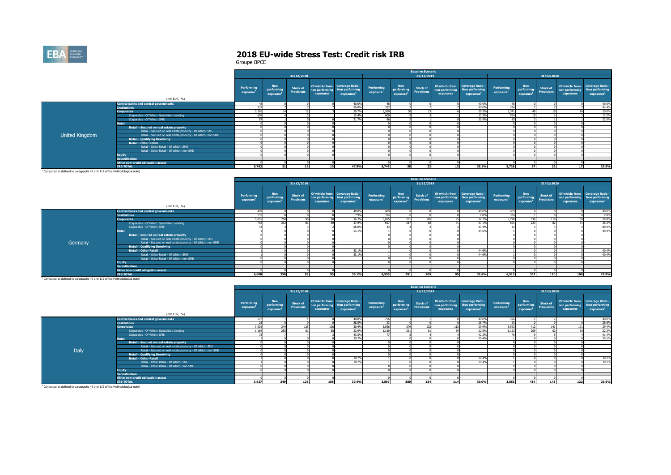

|                                                                                     |                                                              |                                     |                                                   |                                      |           |                                                                                            |                                     |                                                   | <b>Baseline Scenario</b>             |                             |                                                                             |                                     |                                                   |                                      |                             |                                                                             |
|-------------------------------------------------------------------------------------|--------------------------------------------------------------|-------------------------------------|---------------------------------------------------|--------------------------------------|-----------|--------------------------------------------------------------------------------------------|-------------------------------------|---------------------------------------------------|--------------------------------------|-----------------------------|-----------------------------------------------------------------------------|-------------------------------------|---------------------------------------------------|--------------------------------------|-----------------------------|-----------------------------------------------------------------------------|
|                                                                                     |                                                              |                                     |                                                   | 31/12/2018                           |           |                                                                                            |                                     |                                                   | 31/12/2019                           |                             |                                                                             |                                     |                                                   | 31/12/2020                           |                             |                                                                             |
|                                                                                     | (mln EUR, %)                                                 | Performing<br>exposure <sup>1</sup> | <b>Non</b><br>performing<br>exposure <sup>1</sup> | <b>Stock of</b><br><b>Provisions</b> | exposures | Of which: from Coverage Ratio -<br>non performing Non performing<br>exposures <sup>1</sup> | Performing<br>exposure <sup>1</sup> | <b>Non</b><br>performing<br>exposure <sup>1</sup> | <b>Stock of</b><br><b>Provisions</b> | non performing<br>exposures | Of which: from Coverage Ratio -<br>Non performing<br>exposures <sup>1</sup> | Performing<br>exposure <sup>1</sup> | <b>Non</b><br>performing<br>exposure <sup>+</sup> | <b>Stock of</b><br><b>Provisions</b> | non performing<br>exposures | Of which: from Coverage Ratio -<br>Non performing<br>exposures <sup>1</sup> |
|                                                                                     | <b>Central banks and central governments</b>                 |                                     |                                                   |                                      |           | 40.0%                                                                                      | AQ                                  |                                                   |                                      |                             | 40.0%                                                                       |                                     |                                                   |                                      |                             | 40.0%                                                                       |
|                                                                                     | <b>Institutions</b>                                          | 337                                 |                                                   |                                      |           | 99.0%                                                                                      | 337                                 |                                                   |                                      |                             | 97.0%                                                                       | 336                                 |                                                   |                                      |                             | 94.4%                                                                       |
|                                                                                     | <b>Corporates</b>                                            | 5.376                               |                                                   |                                      |           | 20.7%                                                                                      | 5,360                               |                                                   |                                      |                             | 20.3%                                                                       | 5.341                               |                                                   |                                      |                             | 20.0%                                                                       |
|                                                                                     | Corporates - Of Which: Specialised Lending                   | 606                                 |                                                   |                                      |           | 13.4%                                                                                      | 600                                 |                                                   |                                      |                             | 13.3%                                                                       | 594                                 |                                                   |                                      |                             | 13.2%                                                                       |
|                                                                                     | Corporates - Of Which: SME                                   |                                     |                                                   |                                      |           | 21.7%                                                                                      |                                     |                                                   |                                      |                             | 21.9%                                                                       |                                     |                                                   |                                      |                             | 22.0%                                                                       |
|                                                                                     | <b>Retail</b>                                                |                                     |                                                   |                                      |           |                                                                                            |                                     |                                                   |                                      |                             |                                                                             |                                     |                                                   |                                      |                             |                                                                             |
|                                                                                     | Retail - Secured on real estate property                     |                                     |                                                   |                                      |           |                                                                                            |                                     |                                                   |                                      |                             |                                                                             |                                     |                                                   |                                      |                             |                                                                             |
|                                                                                     | Retail - Secured on real estate property - Of Which: SME     |                                     |                                                   |                                      |           |                                                                                            |                                     |                                                   |                                      |                             |                                                                             |                                     |                                                   |                                      |                             |                                                                             |
| United Kingdom                                                                      | Retail - Secured on real estate property - Of Which: non-SME |                                     |                                                   |                                      |           |                                                                                            |                                     |                                                   |                                      |                             |                                                                             |                                     |                                                   |                                      |                             |                                                                             |
|                                                                                     | <b>Retail - Qualifying Revolving</b>                         |                                     |                                                   |                                      |           |                                                                                            |                                     |                                                   |                                      |                             |                                                                             |                                     |                                                   |                                      |                             |                                                                             |
|                                                                                     | <b>Retail - Other Retail</b>                                 |                                     |                                                   |                                      |           |                                                                                            |                                     |                                                   |                                      |                             |                                                                             |                                     |                                                   |                                      |                             |                                                                             |
|                                                                                     | Retail - Other Retail - Of Which: SME                        |                                     |                                                   |                                      |           |                                                                                            |                                     |                                                   |                                      |                             |                                                                             |                                     |                                                   |                                      |                             |                                                                             |
|                                                                                     | Retail - Other Retail - Of Which: non-SME                    |                                     |                                                   |                                      |           |                                                                                            |                                     |                                                   |                                      |                             |                                                                             |                                     |                                                   |                                      |                             |                                                                             |
|                                                                                     | <b>Equity</b>                                                |                                     |                                                   |                                      |           |                                                                                            |                                     |                                                   |                                      |                             |                                                                             |                                     |                                                   |                                      |                             |                                                                             |
|                                                                                     | <b>Securitisation</b>                                        |                                     |                                                   |                                      |           |                                                                                            |                                     |                                                   |                                      |                             |                                                                             |                                     |                                                   |                                      |                             |                                                                             |
|                                                                                     | Other non-credit obligation assets                           |                                     |                                                   |                                      |           |                                                                                            |                                     |                                                   |                                      |                             |                                                                             |                                     |                                                   |                                      |                             |                                                                             |
| I would not be absented to be a simple and containing change in the contract of the | <b>IRB TOTAL</b>                                             | 5,762                               |                                                   | 19                                   |           | 47.5%                                                                                      | 5,745                               | 29                                                |                                      | 13                          | 35.1%                                                                       | 5,726                               | 57                                                |                                      |                             | 29.8%                                                                       |

|                                                                                       |                                                              |                               |                                      |                                      |           |                                                                                            |                        |                                      | <b>Baseline Scenario</b>             |                             |                                                                             |                                     |                                                   |                                      |                             |                                                                             |
|---------------------------------------------------------------------------------------|--------------------------------------------------------------|-------------------------------|--------------------------------------|--------------------------------------|-----------|--------------------------------------------------------------------------------------------|------------------------|--------------------------------------|--------------------------------------|-----------------------------|-----------------------------------------------------------------------------|-------------------------------------|---------------------------------------------------|--------------------------------------|-----------------------------|-----------------------------------------------------------------------------|
|                                                                                       |                                                              |                               |                                      | 31/12/2018                           |           |                                                                                            |                        |                                      | 31/12/2019                           |                             |                                                                             |                                     |                                                   | 31/12/2020                           |                             |                                                                             |
|                                                                                       | (mln EUR, %)                                                 | <b>Performing</b><br>exposure | <b>Non</b><br>performing<br>exposure | <b>Stock of</b><br><b>Provisions</b> | exposures | Of which: from Coverage Ratio -<br>non performing Non performing<br>exposures <sup>1</sup> | Performing<br>exposure | <b>Non</b><br>performing<br>exposure | <b>Stock of</b><br><b>Provisions</b> | non performing<br>exposures | Of which: from Coverage Ratio -<br>Non performing<br>exposures <sup>1</sup> | Performing<br>exposure <sup>1</sup> | <b>Non</b><br>performing<br>exposure <sup>1</sup> | <b>Stock of</b><br><b>Provisions</b> | non performing<br>exposures | Of which: from Coverage Ratio -<br>Non performing<br>exposures <sup>1</sup> |
|                                                                                       | <b>Central banks and central governments</b>                 | 409                           |                                      |                                      |           | 40.0%                                                                                      | 409                    |                                      |                                      |                             | 40.0%                                                                       | 409                                 |                                                   |                                      |                             | 40.0%                                                                       |
|                                                                                       | <b>Institutions</b>                                          | 225                           |                                      |                                      |           | 7.9%                                                                                       | 334                    |                                      |                                      |                             | 7.8%                                                                        | 334                                 |                                                   |                                      |                             | 7.8%                                                                        |
|                                                                                       | <b>Corporates</b>                                            | 5,855                         |                                      |                                      |           | 36.2%                                                                                      | 5,815                  | 291                                  |                                      |                             | 32.7%                                                                       | 5,770                               | 226                                               |                                      |                             | 29.8%                                                                       |
|                                                                                       | Corporates - Of Which: Specialised Lending                   | 702                           |                                      |                                      |           | 37.99                                                                                      | 697                    | 217                                  |                                      |                             | 37.1%                                                                       | 691                                 | כרר                                               |                                      |                             | 36.3%                                                                       |
|                                                                                       | Corporates - Of Which: SME                                   |                               |                                      |                                      |           | 86.09                                                                                      | A2                     |                                      |                                      |                             | 83.4%                                                                       |                                     |                                                   |                                      |                             | 80.9%                                                                       |
|                                                                                       | Retail                                                       |                               |                                      |                                      |           | 53.1%                                                                                      |                        |                                      |                                      |                             | 44.6%                                                                       |                                     |                                                   |                                      |                             | 40.4%                                                                       |
|                                                                                       | Retail - Secured on real estate property                     |                               |                                      |                                      |           |                                                                                            |                        |                                      |                                      |                             |                                                                             |                                     |                                                   |                                      |                             |                                                                             |
|                                                                                       | Retail - Secured on real estate property - Of Which: SME     |                               |                                      |                                      |           |                                                                                            |                        |                                      |                                      |                             |                                                                             |                                     |                                                   |                                      |                             |                                                                             |
| Germany                                                                               | Retail - Secured on real estate property - Of Which: non-SME |                               |                                      |                                      |           |                                                                                            |                        |                                      |                                      |                             |                                                                             |                                     |                                                   |                                      |                             |                                                                             |
|                                                                                       | <b>Retail - Qualifving Revolving</b>                         |                               |                                      |                                      |           |                                                                                            |                        |                                      |                                      |                             |                                                                             |                                     |                                                   |                                      |                             |                                                                             |
|                                                                                       | <b>Retail - Other Retail</b>                                 |                               |                                      |                                      |           | 53.19                                                                                      |                        |                                      |                                      |                             | 44.6%                                                                       |                                     |                                                   |                                      |                             | 40.4%                                                                       |
|                                                                                       | Retail - Other Retail - Of Which: SME                        |                               |                                      |                                      |           | 53.1%                                                                                      |                        |                                      |                                      |                             | 44.6%                                                                       |                                     |                                                   |                                      |                             | 40.4%                                                                       |
|                                                                                       | Retail - Other Retail - Of Which: non-SME                    |                               |                                      |                                      |           |                                                                                            |                        |                                      |                                      |                             |                                                                             |                                     |                                                   |                                      |                             |                                                                             |
|                                                                                       | <b>Equity</b>                                                |                               |                                      |                                      |           |                                                                                            |                        |                                      |                                      |                             |                                                                             |                                     |                                                   |                                      |                             |                                                                             |
|                                                                                       | <b>Securitisation</b>                                        |                               |                                      |                                      |           |                                                                                            |                        |                                      |                                      |                             |                                                                             |                                     |                                                   |                                      |                             |                                                                             |
|                                                                                       | Other non-credit obligation assets                           |                               |                                      |                                      |           |                                                                                            |                        |                                      |                                      |                             |                                                                             |                                     |                                                   |                                      |                             |                                                                             |
|                                                                                       | <b>IRB TOTAL</b>                                             | 6,600                         | 250                                  | 99 <sub>1</sub>                      | 90        | 36.1%                                                                                      | 6,558                  | 291                                  | 105                                  | 95 <sub>1</sub>             | 32.6%                                                                       | 6.513                               | 337                                               | 110                                  | 100                         | 29.8%                                                                       |
| <sup>1</sup> Computed as defined in paragraphs 49 and 112 of the Methodological note) |                                                              |                               |                                      |                                      |           |                                                                                            |                        |                                      |                                      |                             |                                                                             |                                     |                                                   |                                      |                             |                                                                             |

|                                                                                       |                                                              |                        |                                                   |                                      |                             |                                                                             |                                     |                                      | <b>Baseline Scenario</b>             |                             |                                                                                    |                                     |                                                   |                                      |                                                                |                                          |
|---------------------------------------------------------------------------------------|--------------------------------------------------------------|------------------------|---------------------------------------------------|--------------------------------------|-----------------------------|-----------------------------------------------------------------------------|-------------------------------------|--------------------------------------|--------------------------------------|-----------------------------|------------------------------------------------------------------------------------|-------------------------------------|---------------------------------------------------|--------------------------------------|----------------------------------------------------------------|------------------------------------------|
|                                                                                       |                                                              |                        |                                                   | 31/12/2018                           |                             |                                                                             |                                     |                                      | 31/12/2019                           |                             |                                                                                    |                                     |                                                   | 31/12/2020                           |                                                                |                                          |
|                                                                                       | (mln EUR, %)                                                 | Performing<br>exposure | <b>Non</b><br>performing<br>exposure <sup>1</sup> | <b>Stock of</b><br><b>Provisions</b> | non performing<br>exposures | Of which: from Coverage Ratio -<br>Non performing<br>exposures <sup>1</sup> | Performing<br>exposure <sup>1</sup> | <b>Non</b><br>performing<br>exposure | <b>Stock of</b><br><b>Provisions</b> | non performing<br>exposures | Of which: from Coverage Ratio -<br><b>Non performing</b><br>exposures <sup>3</sup> | Performing<br>exposure <sup>1</sup> | <b>Non</b><br>performing<br>exposure <sup>1</sup> | <b>Stock of</b><br><b>Provisions</b> | Of which: from Coverage Ratio -<br>non performing<br>exposures | Non performing<br>exposures <sup>1</sup> |
|                                                                                       | <b>Central banks and central governments</b>                 | 277                    |                                                   |                                      |                             | 40.0%                                                                       | 276                                 |                                      |                                      |                             | 40.0%                                                                              | 276                                 |                                                   |                                      |                                                                | 40.0%                                    |
|                                                                                       | <b>Institutions</b>                                          | $\mathbf{B}$           |                                                   |                                      |                             | 28.5%                                                                       |                                     |                                      |                                      |                             | 28.7%                                                                              | 73                                  |                                                   |                                      |                                                                |                                          |
|                                                                                       | <b>Corporates</b>                                            | 3,626                  | 349                                               | 125                                  |                             | 30.4%                                                                       | 3,596                               |                                      | 127                                  |                             | 29.9%                                                                              | 3,563                               | 412                                               |                                      | 121                                                            | 28.6%<br>29.4%<br>22.3%                  |
|                                                                                       | Corporates - Of Which: Specialised Lending                   | 1,166                  | 255                                               |                                      |                             | 22.9%                                                                       | 1.160                               | 261                                  |                                      |                             | 22.6%                                                                              | 1,153                               | 250                                               |                                      |                                                                |                                          |
|                                                                                       | Corporates - Of Which: SME                                   |                        |                                                   |                                      |                             | 43.5%                                                                       |                                     |                                      |                                      |                             | 42.3%                                                                              | 76                                  |                                                   |                                      |                                                                | 41.4%                                    |
|                                                                                       | Retail                                                       |                        |                                                   |                                      |                             | 20.7%                                                                       |                                     |                                      |                                      |                             | 20,4%                                                                              |                                     |                                                   |                                      |                                                                | 20.1%                                    |
|                                                                                       | Retail - Secured on real estate property                     |                        |                                                   |                                      |                             |                                                                             |                                     |                                      |                                      |                             |                                                                                    |                                     |                                                   |                                      |                                                                |                                          |
|                                                                                       | Retail - Secured on real estate property - Of Which: SME     |                        |                                                   |                                      |                             |                                                                             |                                     |                                      |                                      |                             |                                                                                    |                                     |                                                   |                                      |                                                                |                                          |
| Italy                                                                                 | Retail - Secured on real estate property - Of Which: non-SME |                        |                                                   |                                      |                             |                                                                             |                                     |                                      |                                      |                             |                                                                                    |                                     |                                                   |                                      |                                                                |                                          |
|                                                                                       | <b>Retail - Qualifying Revolving</b>                         |                        |                                                   |                                      |                             |                                                                             |                                     |                                      |                                      |                             |                                                                                    |                                     |                                                   |                                      |                                                                |                                          |
|                                                                                       | <b>Retail - Other Retail</b>                                 |                        |                                                   |                                      |                             | 20.7%                                                                       |                                     |                                      |                                      |                             | 20.4%                                                                              |                                     |                                                   |                                      |                                                                | 20.1%                                    |
|                                                                                       | Retail - Other Retail - Of Which: SME                        |                        |                                                   |                                      |                             | 20.7%                                                                       |                                     |                                      |                                      |                             | 20.4%                                                                              |                                     |                                                   |                                      |                                                                | 20.1%                                    |
|                                                                                       | Retail - Other Retail - Of Which: non-SME                    |                        |                                                   |                                      |                             |                                                                             |                                     |                                      |                                      |                             |                                                                                    |                                     |                                                   |                                      |                                                                |                                          |
|                                                                                       | <b>Equity</b>                                                |                        |                                                   |                                      |                             |                                                                             |                                     |                                      |                                      |                             |                                                                                    |                                     |                                                   |                                      |                                                                |                                          |
|                                                                                       | <b>Securitisation</b>                                        |                        |                                                   |                                      |                             |                                                                             |                                     |                                      |                                      |                             |                                                                                    |                                     |                                                   |                                      |                                                                |                                          |
|                                                                                       | Other non-credit obligation assets                           |                        |                                                   |                                      |                             |                                                                             |                                     |                                      |                                      |                             |                                                                                    |                                     |                                                   |                                      |                                                                |                                          |
|                                                                                       | <b>IRB TOTAL</b>                                             | 3.927                  | 349                                               | 126                                  | 106                         | 30.4%                                                                       | 3,897                               | 380                                  | 134                                  | 114                         | 30.0%                                                                              | 3,863                               | 414                                               | 143                                  | 122                                                            | 29.5%                                    |
| <sup>1</sup> Computed as defined in paragraphs 49 and 112 of the Methodological note) |                                                              |                        |                                                   |                                      |                             |                                                                             |                                     |                                      |                                      |                             |                                                                                    |                                     |                                                   |                                      |                                                                |                                          |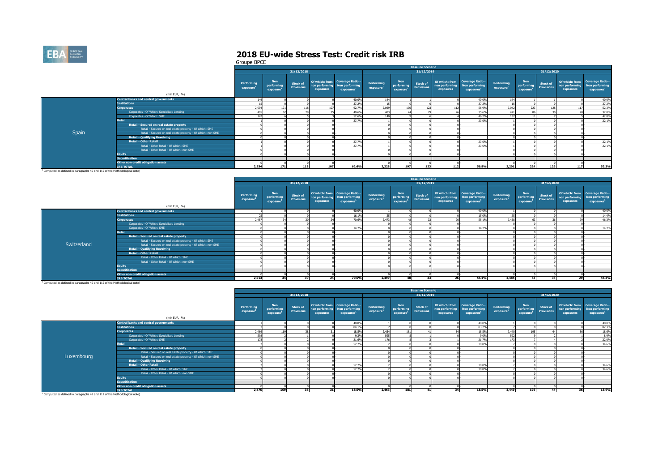

Groupe BPCE

|                                                                                                                                                                                                                                |                                                              |                        |                                      |                                      |           |                                                                                            |                                     |                                                   | <b>Baseline Scenario</b>      |                             |                                                                             |                                     |                                      |                                      |                             |                                                                             |
|--------------------------------------------------------------------------------------------------------------------------------------------------------------------------------------------------------------------------------|--------------------------------------------------------------|------------------------|--------------------------------------|--------------------------------------|-----------|--------------------------------------------------------------------------------------------|-------------------------------------|---------------------------------------------------|-------------------------------|-----------------------------|-----------------------------------------------------------------------------|-------------------------------------|--------------------------------------|--------------------------------------|-----------------------------|-----------------------------------------------------------------------------|
|                                                                                                                                                                                                                                |                                                              |                        |                                      | 31/12/2018                           |           |                                                                                            |                                     |                                                   | 31/12/2019                    |                             |                                                                             |                                     |                                      | 31/12/2020                           |                             |                                                                             |
|                                                                                                                                                                                                                                | (mln EUR, %)                                                 | Performing<br>exposure | <b>Non</b><br>performing<br>exposure | <b>Stock of</b><br><b>Provisions</b> | exposures | Of which: from Coverage Ratio -<br>non performing Non performing<br>exposures <sup>1</sup> | Performing<br>exposure <sup>1</sup> | <b>Non</b><br>performing<br>exposure <sup>1</sup> | Stock of<br><b>Provisions</b> | non performing<br>exposures | Of which: from Coverage Ratio -<br>Non performing<br>exposures <sup>1</sup> | Performing<br>exposure <sup>1</sup> | <b>Non</b><br>performing<br>exposure | <b>Stock of</b><br><b>Provisions</b> | non performing<br>exposures | Of which: from Coverage Ratio -<br>Non performing<br>exposures <sup>1</sup> |
|                                                                                                                                                                                                                                | <b>Central banks and central governments</b>                 | 144                    |                                      |                                      |           | 40.0%                                                                                      | 144                                 |                                                   |                               |                             | 40.0%                                                                       | 144                                 |                                      |                                      |                             | 40.0%                                                                       |
|                                                                                                                                                                                                                                | <b>Institutions</b>                                          |                        |                                      |                                      |           | 37.2%                                                                                      |                                     |                                                   |                               |                             | 37.2%                                                                       |                                     |                                      |                                      |                             | 37.2%                                                                       |
|                                                                                                                                                                                                                                | <b>Corporates</b>                                            | 2,094                  |                                      |                                      |           | 62.7%                                                                                      | 2,069                               | 196                                               |                               |                             | 56.9%                                                                       | 2,042                               |                                      |                                      |                             | 52.3%                                                                       |
|                                                                                                                                                                                                                                | Corporates - Of Which: Specialised Lending                   | 495                    |                                      |                                      |           | 40.6%                                                                                      |                                     |                                                   |                               |                             | 35.6%                                                                       | 471                                 |                                      |                                      |                             | 32.0%                                                                       |
|                                                                                                                                                                                                                                | Corporates - Of Which: SME                                   | 147                    |                                      |                                      |           | 52.6%                                                                                      |                                     |                                                   |                               |                             | 46.2%                                                                       | 137                                 |                                      |                                      |                             | 42.8%                                                                       |
|                                                                                                                                                                                                                                | Retail                                                       |                        |                                      |                                      |           | 27.7%                                                                                      |                                     |                                                   |                               |                             | 23.6%                                                                       |                                     |                                      |                                      |                             | 22.1%                                                                       |
|                                                                                                                                                                                                                                | Retail - Secured on real estate property                     |                        |                                      |                                      |           |                                                                                            |                                     |                                                   |                               |                             |                                                                             |                                     |                                      |                                      |                             |                                                                             |
|                                                                                                                                                                                                                                | Retail - Secured on real estate property - Of Which: SME     |                        |                                      |                                      |           |                                                                                            |                                     |                                                   |                               |                             |                                                                             |                                     |                                      |                                      |                             |                                                                             |
| Spain                                                                                                                                                                                                                          | Retail - Secured on real estate property - Of Which: non-SME |                        |                                      |                                      |           |                                                                                            |                                     |                                                   |                               |                             |                                                                             |                                     |                                      |                                      |                             |                                                                             |
|                                                                                                                                                                                                                                | <b>Retail - Qualifying Revolving</b>                         |                        |                                      |                                      |           |                                                                                            |                                     |                                                   |                               |                             |                                                                             |                                     |                                      |                                      |                             |                                                                             |
|                                                                                                                                                                                                                                | <b>Retail - Other Retail</b>                                 |                        |                                      |                                      |           | 27.7%                                                                                      |                                     |                                                   |                               |                             | 23.6%                                                                       |                                     |                                      |                                      |                             | 22.1%                                                                       |
|                                                                                                                                                                                                                                | Retail - Other Retail - Of Which: SME                        |                        |                                      |                                      |           | 27.7%                                                                                      |                                     |                                                   |                               |                             | 23.6%                                                                       |                                     |                                      |                                      |                             | 22.1%                                                                       |
|                                                                                                                                                                                                                                | Retail - Other Retail - Of Which: non-SME                    |                        |                                      |                                      |           |                                                                                            |                                     |                                                   |                               |                             |                                                                             |                                     |                                      |                                      |                             |                                                                             |
|                                                                                                                                                                                                                                | <b>Equity</b>                                                |                        |                                      |                                      |           |                                                                                            |                                     |                                                   |                               |                             |                                                                             |                                     |                                      |                                      |                             |                                                                             |
|                                                                                                                                                                                                                                | <b>Securitisation</b>                                        |                        |                                      |                                      |           |                                                                                            |                                     |                                                   |                               |                             |                                                                             |                                     |                                      |                                      |                             |                                                                             |
|                                                                                                                                                                                                                                | Other non-credit obligation assets                           |                        |                                      |                                      |           |                                                                                            |                                     |                                                   |                               |                             |                                                                             |                                     |                                      |                                      |                             |                                                                             |
|                                                                                                                                                                                                                                | <b>TRB TOTAL</b>                                             | 2,254                  | 171                                  | 118                                  | 107       | 62.6%                                                                                      | 2,228                               | 197                                               | 123                           | 112                         | 56.8%                                                                       | 2,201                               | 224                                  | 129                                  | 117                         | 52.3%                                                                       |
| the contract of the communication of the contract of the contract of the contract of the contract of the contract of the contract of the contract of the contract of the contract of the contract of the contract of the contr |                                                              |                        |                                      |                                      |           |                                                                                            |                                     |                                                   |                               |                             |                                                                             |                                     |                                      |                                      |                             |                                                                             |

<sup>1</sup> Computed as defined in paragraphs 49 and 112 of the Methodological note)

|             |                                                              |                                     |                                                   |                                      |                             |                                                                             |                                     |                                            | <b>Baseline Scenario</b>      |                                               |                                                                            |                                     |                                                   |                        |                             |                                                                             |
|-------------|--------------------------------------------------------------|-------------------------------------|---------------------------------------------------|--------------------------------------|-----------------------------|-----------------------------------------------------------------------------|-------------------------------------|--------------------------------------------|-------------------------------|-----------------------------------------------|----------------------------------------------------------------------------|-------------------------------------|---------------------------------------------------|------------------------|-----------------------------|-----------------------------------------------------------------------------|
|             |                                                              |                                     |                                                   | 31/12/2018                           |                             |                                                                             |                                     |                                            | 31/12/2019                    |                                               |                                                                            |                                     |                                                   | 31/12/2020             |                             |                                                                             |
|             | (mln EUR, %)                                                 | Performing<br>exposure <sup>1</sup> | <b>Non</b><br>performing<br>exposure <sup>1</sup> | <b>Stock of</b><br><b>Provisions</b> | non performing<br>exposures | Of which: from Coverage Ratio -<br>Non performing<br>exposures <sup>1</sup> | Performing<br>exposure <sup>1</sup> | Non<br>performing<br>exposure <sup>1</sup> | Stock of<br><b>Provisions</b> | Of which: from<br>non performing<br>exposures | <b>Coverage Ratio -</b><br><b>Non performing</b><br>exposures <sup>1</sup> | Performing<br>exposure <sup>1</sup> | <b>Non</b><br>performing<br>exposure <sup>1</sup> | Stock of<br>Provisions | non performing<br>exposures | Of which: from Coverage Ratio -<br>Non performing<br>exposures <sup>1</sup> |
|             | <b>Central banks and central governments</b>                 |                                     |                                                   |                                      |                             | 40.0%                                                                       |                                     |                                            |                               |                                               | 40.0%                                                                      |                                     |                                                   |                        |                             | 40.0%                                                                       |
|             | <b>Institutions</b>                                          |                                     |                                                   |                                      |                             | 16.1%                                                                       |                                     |                                            |                               |                                               | 15.0%                                                                      | 25                                  |                                                   |                        |                             | 14.4%                                                                       |
|             | <b>Corporates</b>                                            | 2.487                               |                                                   |                                      |                             | 70.6%                                                                       | 2.473                               |                                            |                               |                                               | 55.1%                                                                      | 2.458                               |                                                   |                        |                             | 46.3%                                                                       |
|             | Corporates - Of Which: Specialised Lending                   |                                     |                                                   |                                      |                             |                                                                             |                                     |                                            |                               |                                               |                                                                            |                                     |                                                   |                        |                             |                                                                             |
|             | Corporates - Of Which: SME                                   |                                     |                                                   |                                      |                             | 14.7%                                                                       |                                     |                                            |                               |                                               | 14.7%                                                                      |                                     |                                                   |                        |                             | 14.7%                                                                       |
|             | Retail                                                       |                                     |                                                   |                                      |                             |                                                                             |                                     |                                            |                               |                                               |                                                                            |                                     |                                                   |                        |                             |                                                                             |
|             | Retail - Secured on real estate property                     |                                     |                                                   |                                      |                             |                                                                             |                                     |                                            |                               |                                               |                                                                            |                                     |                                                   |                        |                             |                                                                             |
|             | Retail - Secured on real estate property - Of Which: SME     |                                     |                                                   |                                      |                             |                                                                             |                                     |                                            |                               |                                               |                                                                            |                                     |                                                   |                        |                             |                                                                             |
| Switzerland | Retail - Secured on real estate property - Of Which: non-SME |                                     |                                                   |                                      |                             |                                                                             |                                     |                                            |                               |                                               |                                                                            |                                     |                                                   |                        |                             |                                                                             |
|             | <b>Retail - Qualifying Revolving</b>                         |                                     |                                                   |                                      |                             |                                                                             |                                     |                                            |                               |                                               |                                                                            |                                     |                                                   |                        |                             |                                                                             |
|             | <b>Retail - Other Retail</b>                                 |                                     |                                                   |                                      |                             |                                                                             |                                     |                                            |                               |                                               |                                                                            |                                     |                                                   |                        |                             |                                                                             |
|             | Retail - Other Retail - Of Which: SME                        |                                     |                                                   |                                      |                             |                                                                             |                                     |                                            |                               |                                               |                                                                            |                                     |                                                   |                        |                             |                                                                             |
|             | Retail - Other Retail - Of Which: non-SME                    |                                     |                                                   |                                      |                             |                                                                             |                                     |                                            |                               |                                               |                                                                            |                                     |                                                   |                        |                             |                                                                             |
|             | <b>Equity</b>                                                |                                     |                                                   |                                      |                             |                                                                             |                                     |                                            |                               |                                               |                                                                            |                                     |                                                   |                        |                             |                                                                             |
|             | <b>Securitisation</b>                                        |                                     |                                                   |                                      |                             |                                                                             |                                     |                                            |                               |                                               |                                                                            |                                     |                                                   |                        |                             |                                                                             |
|             | Other non-credit obligation assets                           |                                     |                                                   |                                      |                             |                                                                             |                                     |                                            |                               |                                               |                                                                            |                                     |                                                   |                        |                             |                                                                             |
|             | <b>IRB TOTAL</b>                                             | 2.513                               | 34                                                | 30                                   |                             | 70.6%                                                                       | 2.499                               | 48                                         |                               |                                               | 55.1%                                                                      | 2,484                               | 63                                                | 36                     |                             | 46.3%                                                                       |

|                                                                                       |                                                              |                        |                                                   |                                      |           |                                                                                            |                                     |                                      | <b>Baseline Scenario</b>             |                             |                                                                             |                                     |                                      |                               |                             |                                                                             |
|---------------------------------------------------------------------------------------|--------------------------------------------------------------|------------------------|---------------------------------------------------|--------------------------------------|-----------|--------------------------------------------------------------------------------------------|-------------------------------------|--------------------------------------|--------------------------------------|-----------------------------|-----------------------------------------------------------------------------|-------------------------------------|--------------------------------------|-------------------------------|-----------------------------|-----------------------------------------------------------------------------|
|                                                                                       |                                                              |                        |                                                   | 31/12/2018                           |           |                                                                                            |                                     |                                      | 31/12/2019                           |                             |                                                                             |                                     |                                      | 31/12/2020                    |                             |                                                                             |
|                                                                                       | (mln EUR, %)                                                 | Performing<br>exposure | <b>Non</b><br>performing<br>exposure <sup>1</sup> | <b>Stock of</b><br><b>Provisions</b> | exposures | Of which: from Coverage Ratio -<br>non performing Non performing<br>exposures <sup>1</sup> | Performing<br>exposure <sup>1</sup> | <b>Non</b><br>performing<br>exposure | <b>Stock of</b><br><b>Provisions</b> | non performing<br>exposures | Of which: from Coverage Ratio -<br>Non performing<br>exposures <sup>1</sup> | Performing<br>exposure <sup>1</sup> | <b>Non</b><br>performing<br>exposure | <b>Stock of</b><br>Provisions | non performing<br>exposures | Of which: from Coverage Ratio -<br>Non performing<br>exposures <sup>1</sup> |
|                                                                                       | <b>Central banks and central governments</b>                 |                        |                                                   |                                      |           | 40.0%                                                                                      |                                     |                                      |                                      |                             | 40.0%                                                                       |                                     |                                      |                               |                             | 40.0%                                                                       |
|                                                                                       | <b>Institutions</b>                                          |                        |                                                   |                                      |           | 84.1%                                                                                      |                                     |                                      |                                      |                             | 83.2%                                                                       |                                     |                                      |                               |                             | 82.3%                                                                       |
|                                                                                       | <b>Corporates</b>                                            | 2,466                  | 169                                               |                                      |           | 18.5%                                                                                      | 2.454                               |                                      |                                      |                             | 18.5%                                                                       | 2,440                               | 195                                  |                               |                             | 18.6%                                                                       |
|                                                                                       | Corporates - Of Which: Specialised Lending                   | 598                    |                                                   |                                      |           | 9.3%                                                                                       | 5951                                |                                      |                                      |                             | 9.0%                                                                        | 592                                 |                                      |                               |                             | 8.9%                                                                        |
|                                                                                       | Corporates - Of Which: SME                                   | 178                    |                                                   |                                      |           | 21.6%                                                                                      |                                     |                                      |                                      |                             | 21.7%                                                                       | 173                                 |                                      |                               |                             | 22.0%                                                                       |
|                                                                                       | <b>Retail</b>                                                |                        |                                                   |                                      |           | 52.7%                                                                                      |                                     |                                      |                                      |                             | 39.8%                                                                       |                                     |                                      |                               |                             | 34.6%                                                                       |
|                                                                                       | Retail - Secured on real estate property                     |                        |                                                   |                                      |           |                                                                                            |                                     |                                      |                                      |                             |                                                                             |                                     |                                      |                               |                             |                                                                             |
|                                                                                       | Retail - Secured on real estate property - Of Which: SME     |                        |                                                   |                                      |           |                                                                                            |                                     |                                      |                                      |                             |                                                                             |                                     |                                      |                               |                             |                                                                             |
| Luxembourg                                                                            | Retail - Secured on real estate property - Of Which: non-SME |                        |                                                   |                                      |           |                                                                                            |                                     |                                      |                                      |                             |                                                                             |                                     |                                      |                               |                             |                                                                             |
|                                                                                       | <b>Retail - Qualifying Revolving</b>                         |                        |                                                   |                                      |           |                                                                                            |                                     |                                      |                                      |                             |                                                                             |                                     |                                      |                               |                             |                                                                             |
|                                                                                       | <b>Retail - Other Retail</b>                                 |                        |                                                   |                                      |           | 52,7%                                                                                      |                                     |                                      |                                      |                             | 39.8%                                                                       |                                     |                                      |                               |                             | 34.6%                                                                       |
|                                                                                       | Retail - Other Retail - Of Which: SME                        |                        |                                                   |                                      |           | 52,7%                                                                                      |                                     |                                      |                                      |                             | 39.8%                                                                       |                                     |                                      |                               |                             | 34.6%                                                                       |
|                                                                                       | Retail - Other Retail - Of Which: non-SME                    |                        |                                                   |                                      |           |                                                                                            |                                     |                                      |                                      |                             |                                                                             |                                     |                                      |                               |                             |                                                                             |
|                                                                                       | <b>Equity</b>                                                |                        |                                                   |                                      |           |                                                                                            |                                     |                                      |                                      |                             |                                                                             |                                     |                                      |                               |                             |                                                                             |
|                                                                                       | <b>Securitisation</b>                                        |                        |                                                   |                                      |           |                                                                                            |                                     |                                      |                                      |                             |                                                                             |                                     |                                      |                               |                             |                                                                             |
|                                                                                       | Other non-credit obligation assets                           |                        |                                                   |                                      |           |                                                                                            |                                     |                                      |                                      |                             |                                                                             |                                     |                                      |                               |                             |                                                                             |
|                                                                                       | <b>IRB TOTAL</b>                                             | 2,475                  | 169                                               | 20 <sup>1</sup>                      | 31        | 18.5%                                                                                      | 2,463                               | 181                                  | 41                                   | 34                          | 18.5%                                                                       | 2,449                               | 195                                  | AA                            | 36                          | 18.6%                                                                       |
| <sup>1</sup> Computed as defined in paragraphs 49 and 112 of the Methodological note) |                                                              |                        |                                                   |                                      |           |                                                                                            |                                     |                                      |                                      |                             |                                                                             |                                     |                                      |                               |                             |                                                                             |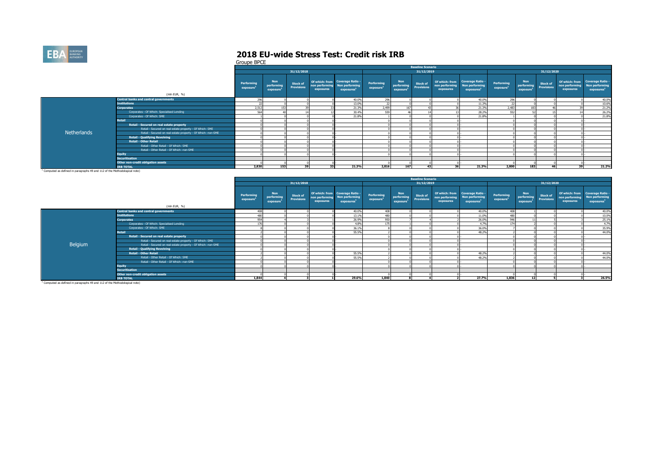

Groupe BPCE

|                                                                                                                                                                                                                               |                                                              |                        |                                                   |                                      |           |                                                                                            |                                     |                                      | <b>Baseline Scenario</b>             |                             |                                                                             |                                     |                                                   |                                      |                             |                                                                             |
|-------------------------------------------------------------------------------------------------------------------------------------------------------------------------------------------------------------------------------|--------------------------------------------------------------|------------------------|---------------------------------------------------|--------------------------------------|-----------|--------------------------------------------------------------------------------------------|-------------------------------------|--------------------------------------|--------------------------------------|-----------------------------|-----------------------------------------------------------------------------|-------------------------------------|---------------------------------------------------|--------------------------------------|-----------------------------|-----------------------------------------------------------------------------|
|                                                                                                                                                                                                                               |                                                              |                        |                                                   | 31/12/2018                           |           |                                                                                            |                                     |                                      | 31/12/2019                           |                             |                                                                             |                                     |                                                   | 31/12/2020                           |                             |                                                                             |
|                                                                                                                                                                                                                               | (mln EUR, %)                                                 | Performing<br>exposure | <b>Non</b><br>performing<br>exposure <sup>1</sup> | <b>Stock of</b><br><b>Provisions</b> | exposures | Of which: from Coverage Ratio -<br>non performing Non performing<br>exposures <sup>1</sup> | Performing<br>exposure <sup>1</sup> | <b>Non</b><br>performing<br>exposure | <b>Stock of</b><br><b>Provisions</b> | non performing<br>exposures | Of which: from Coverage Ratio -<br>Non performing<br>exposures <sup>1</sup> | Performing<br>exposure <sup>1</sup> | <b>Non</b><br>performing<br>exposure <sup>1</sup> | <b>Stock of</b><br><b>Provisions</b> | non performing<br>exposures | Of which: from Coverage Ratio -<br>Non performing<br>exposures <sup>1</sup> |
|                                                                                                                                                                                                                               | Central banks and central governments                        | 296                    |                                                   |                                      |           | 40.0%                                                                                      | 296                                 |                                      |                                      |                             | 40.0%                                                                       | 296                                 |                                                   |                                      |                             | 40.0%                                                                       |
|                                                                                                                                                                                                                               | <b>Institutions</b>                                          | - 7                    |                                                   |                                      |           | 13.09                                                                                      | 22                                  |                                      |                                      |                             | 11.3%                                                                       | 22                                  |                                                   |                                      |                             | 10.6%                                                                       |
|                                                                                                                                                                                                                               | <b>Corporates</b>                                            | 2,512                  |                                                   |                                      |           | 21.3%                                                                                      | 2,499                               | 167                                  |                                      |                             | 21.3%                                                                       | 2,483                               |                                                   |                                      |                             | 21.2%                                                                       |
|                                                                                                                                                                                                                               | Corporates - Of Which: Specialised Lending                   | 564                    |                                                   |                                      |           | 30.4%                                                                                      | 559                                 |                                      |                                      |                             | 28.2%                                                                       | 552                                 |                                                   |                                      |                             | 26.2%                                                                       |
|                                                                                                                                                                                                                               | Corporates - Of Which: SME                                   |                        |                                                   |                                      |           | 21.8%                                                                                      |                                     |                                      |                                      |                             | 21.8%                                                                       |                                     |                                                   |                                      |                             | 21.8%                                                                       |
|                                                                                                                                                                                                                               | Retail                                                       |                        |                                                   |                                      |           |                                                                                            |                                     |                                      |                                      |                             |                                                                             |                                     |                                                   |                                      |                             |                                                                             |
|                                                                                                                                                                                                                               | Retail - Secured on real estate property                     |                        |                                                   |                                      |           |                                                                                            |                                     |                                      |                                      |                             |                                                                             |                                     |                                                   |                                      |                             |                                                                             |
|                                                                                                                                                                                                                               | Retail - Secured on real estate property - Of Which: SME     |                        |                                                   |                                      |           |                                                                                            |                                     |                                      |                                      |                             |                                                                             |                                     |                                                   |                                      |                             |                                                                             |
| Netherlands                                                                                                                                                                                                                   | Retail - Secured on real estate property - Of Which: non-SME |                        |                                                   |                                      |           |                                                                                            |                                     |                                      |                                      |                             |                                                                             |                                     |                                                   |                                      |                             |                                                                             |
|                                                                                                                                                                                                                               | <b>Retail - Qualifying Revolving</b>                         |                        |                                                   |                                      |           |                                                                                            |                                     |                                      |                                      |                             |                                                                             |                                     |                                                   |                                      |                             |                                                                             |
|                                                                                                                                                                                                                               | <b>Retail - Other Retail</b>                                 |                        |                                                   |                                      |           |                                                                                            |                                     |                                      |                                      |                             |                                                                             |                                     |                                                   |                                      |                             |                                                                             |
|                                                                                                                                                                                                                               | Retail - Other Retail - Of Which: SME                        |                        |                                                   |                                      |           |                                                                                            |                                     |                                      |                                      |                             |                                                                             |                                     |                                                   |                                      |                             |                                                                             |
|                                                                                                                                                                                                                               | Retail - Other Retail - Of Which: non-SME                    |                        |                                                   |                                      |           |                                                                                            |                                     |                                      |                                      |                             |                                                                             |                                     |                                                   |                                      |                             |                                                                             |
|                                                                                                                                                                                                                               | <b>Equity</b>                                                |                        |                                                   |                                      |           |                                                                                            |                                     |                                      |                                      |                             |                                                                             |                                     |                                                   |                                      |                             |                                                                             |
|                                                                                                                                                                                                                               | <b>Securitisation</b>                                        |                        |                                                   |                                      |           |                                                                                            |                                     |                                      |                                      |                             |                                                                             |                                     |                                                   |                                      |                             |                                                                             |
|                                                                                                                                                                                                                               | Other non-credit obligation assets                           |                        |                                                   |                                      |           |                                                                                            |                                     |                                      |                                      |                             |                                                                             |                                     |                                                   |                                      |                             |                                                                             |
|                                                                                                                                                                                                                               | <b>IRB TOTAL</b>                                             | 2,830                  | 153                                               | 39                                   |           | 21.3%                                                                                      | 2.816                               | 167                                  |                                      |                             | 21.3%                                                                       | 2,800                               | 183                                               | 46                                   |                             | 21.2%                                                                       |
| the company of the company of the company of the company of the company of the company of the company of the company of the company of the company of the company of the company of the company of the company of the company | .                                                            |                        |                                                   |                                      |           |                                                                                            |                                     |                                      |                                      |                             |                                                                             |                                     |                                                   |                                      |                             |                                                                             |

<sup>1</sup> Computed as defined in paragraphs 49 and 112 of the Methodological note)

|         |                                                              |                        |                                                   |                                      |                             |                                                                             |                                     |                                      | <b>Baseline Scenario</b>      |                             |                                                                             |                        |                                                   |                                      |                             |                                                                             |
|---------|--------------------------------------------------------------|------------------------|---------------------------------------------------|--------------------------------------|-----------------------------|-----------------------------------------------------------------------------|-------------------------------------|--------------------------------------|-------------------------------|-----------------------------|-----------------------------------------------------------------------------|------------------------|---------------------------------------------------|--------------------------------------|-----------------------------|-----------------------------------------------------------------------------|
|         |                                                              |                        |                                                   | 31/12/2018                           |                             |                                                                             |                                     |                                      | 31/12/2019                    |                             |                                                                             |                        |                                                   | 31/12/2020                           |                             |                                                                             |
|         |                                                              | Performing<br>exposure | <b>Non</b><br>performing<br>exposure <sup>1</sup> | <b>Stock of</b><br><b>Provisions</b> | non performing<br>exposures | Of which: from Coverage Ratio -<br>Non performing<br>exposures <sup>1</sup> | Performing<br>exposure <sup>1</sup> | <b>Non</b><br>performing<br>exposure | <b>Stock of</b><br>Provisions | non performing<br>exposures | Of which: from Coverage Ratio -<br>Non performing<br>exposures <sup>1</sup> | Performing<br>exposure | <b>Non</b><br>performing<br>exposure <sup>1</sup> | <b>Stock of</b><br><b>Provisions</b> | non performing<br>exposures | Of which: from Coverage Ratio -<br>Non performing<br>exposures <sup>1</sup> |
|         | (mln EUR, %)                                                 |                        |                                                   |                                      |                             |                                                                             |                                     |                                      |                               |                             |                                                                             |                        |                                                   |                                      |                             |                                                                             |
|         | <b>Central banks and central governments</b>                 | 408                    |                                                   |                                      |                             | 40,0%                                                                       | 408                                 |                                      |                               |                             | 40.0%                                                                       | 408                    |                                                   |                                      |                             | 40.0%                                                                       |
|         | <b>Institutions</b>                                          | 480                    |                                                   |                                      |                             | 13.1%                                                                       | 480                                 |                                      |                               |                             | 11.09                                                                       | 480                    |                                                   |                                      |                             | 10.0%                                                                       |
|         | <b>Corporates</b>                                            | 954                    |                                                   |                                      |                             | 26.9%                                                                       | 950                                 |                                      |                               |                             | 26.0%                                                                       | 946                    |                                                   |                                      |                             | 25.1%                                                                       |
|         | Corporates - Of Which: Specialised Lending                   | 176                    |                                                   |                                      |                             | 4.8%                                                                        |                                     |                                      |                               |                             | 4.7%                                                                        | 174                    |                                                   |                                      |                             | 4.7%                                                                        |
|         | Corporates - Of Which: SME                                   |                        |                                                   |                                      |                             | 36.1%                                                                       |                                     |                                      |                               |                             | 36.0%                                                                       |                        |                                                   |                                      |                             | 35.9%                                                                       |
|         | <b>Retail</b>                                                |                        |                                                   |                                      |                             | 55.5%                                                                       |                                     |                                      |                               |                             | 48.2%                                                                       |                        |                                                   |                                      |                             | 44.0%                                                                       |
|         | Retail - Secured on real estate property                     |                        |                                                   |                                      |                             |                                                                             |                                     |                                      |                               |                             |                                                                             |                        |                                                   |                                      |                             |                                                                             |
|         | Retail - Secured on real estate property - Of Which: SME     |                        |                                                   |                                      |                             |                                                                             |                                     |                                      |                               |                             |                                                                             |                        |                                                   |                                      |                             |                                                                             |
| Belgium | Retail - Secured on real estate property - Of Which: non-SME |                        |                                                   |                                      |                             |                                                                             |                                     |                                      |                               |                             |                                                                             |                        |                                                   |                                      |                             |                                                                             |
|         | <b>Retail - Qualifying Revolving</b>                         |                        |                                                   |                                      |                             |                                                                             |                                     |                                      |                               |                             |                                                                             |                        |                                                   |                                      |                             |                                                                             |
|         | <b>Retail - Other Retail</b>                                 |                        |                                                   |                                      |                             | 55.5%                                                                       |                                     |                                      |                               |                             | 48.2%                                                                       |                        |                                                   |                                      |                             | 44.0%                                                                       |
|         | Retail - Other Retail - Of Which: SME                        |                        |                                                   |                                      |                             | 55.5%                                                                       |                                     |                                      |                               |                             | 48.2%                                                                       |                        |                                                   |                                      |                             | 44.0%                                                                       |
|         | Retail - Other Retail - Of Which: non-SME                    |                        |                                                   |                                      |                             |                                                                             |                                     |                                      |                               |                             |                                                                             |                        |                                                   |                                      |                             |                                                                             |
|         | <b>Equity</b>                                                |                        |                                                   |                                      |                             |                                                                             |                                     |                                      |                               |                             |                                                                             |                        |                                                   |                                      |                             |                                                                             |
|         | <b>Securitisation</b>                                        |                        |                                                   |                                      |                             |                                                                             |                                     |                                      |                               |                             |                                                                             |                        |                                                   |                                      |                             |                                                                             |
|         | Other non-credit obligation assets                           |                        |                                                   |                                      |                             |                                                                             |                                     |                                      |                               |                             |                                                                             |                        |                                                   |                                      |                             |                                                                             |
|         | <b>IRB TOTAL</b>                                             | 1.844                  |                                                   |                                      |                             | 29.6%                                                                       | 1,840                               |                                      |                               |                             | 27.7%                                                                       | 1.836                  | 12                                                |                                      |                             | 26.5%                                                                       |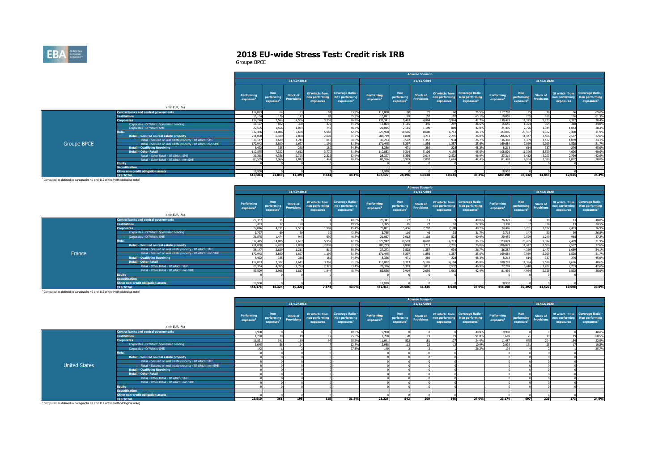

|                    |                                                              |                        |                                      |                               |                                               |                                                                            |                                     |                                                   | <b>Adverse Scenario</b>              |                             |                                                                                    |                                     |                                                   |                                      |                                               |                                                                     |
|--------------------|--------------------------------------------------------------|------------------------|--------------------------------------|-------------------------------|-----------------------------------------------|----------------------------------------------------------------------------|-------------------------------------|---------------------------------------------------|--------------------------------------|-----------------------------|------------------------------------------------------------------------------------|-------------------------------------|---------------------------------------------------|--------------------------------------|-----------------------------------------------|---------------------------------------------------------------------|
|                    |                                                              |                        |                                      | 31/12/2018                    |                                               |                                                                            |                                     |                                                   | 31/12/2019                           |                             |                                                                                    |                                     |                                                   | 31/12/2020                           |                                               |                                                                     |
|                    | (mln EUR, %)                                                 | Performing<br>exposure | <b>Non</b><br>performing<br>exposure | Stock of<br><b>Provisions</b> | Of which: from<br>non performing<br>exposures | <b>Coverage Ratio -</b><br><b>Non performing</b><br>exposures <sup>1</sup> | Performing<br>exposure <sup>1</sup> | <b>Non</b><br>performing<br>exposure <sup>1</sup> | <b>Stock of</b><br><b>Provisions</b> | non performing<br>exposures | Of which: from Coverage Ratio -<br><b>Non performing</b><br>exposures <sup>1</sup> | Performing<br>exposure <sup>1</sup> | <b>Non</b><br>performing<br>exposure <sup>1</sup> | <b>Stock of</b><br><b>Provisions</b> | Of which: from<br>non performing<br>exposures | <b>Coverage Ratio -</b><br>Non performing<br>exposures <sup>1</sup> |
|                    | <b>Central banks and central governments</b>                 | 117,823                | 64                                   |                               |                                               | 83.9%                                                                      | 117,808                             |                                                   | 71                                   |                             | 75.5%                                                                              | 117,792                             |                                                   |                                      |                                               | 69,6%                                                               |
|                    | <b>Institutions</b>                                          | 10.134                 | 126                                  |                               |                                               | 65.3%                                                                      | 10.091                              |                                                   | 157                                  | 107                         | 63.1%                                                                              | 10,055                              | 205                                               | 169                                  | 176                                           | 61.3%                                                               |
|                    | <b>Corporates</b>                                            | 134,240                | 7,564                                | 4,506                         | 3,538                                         | 46.8%                                                                      | 132,341                             | 9,463                                             | 4,804                                | 3.944                       | 41.7%                                                                              | 130,429                             | 11,375                                            | 5.223                                | 4.362                                         | 38.4%                                                               |
|                    | Corporates - Of Which: Specialised Lending                   | 16,107                 | 872                                  | 360                           | 272                                           | 31.2%                                                                      | 15,864                              | 1,11                                              | 346                                  |                             | 26.6%                                                                              | 15,655                              | 1.324                                             | 364                                  | 318                                           | 24.0%                                                               |
|                    | Corporates - Of Which: SME                                   | 22,575                 | 1,556                                | 1.031                         | 749                                           | 48.2%                                                                      | 22,015                              | 2,115                                             | 1,190                                | 889                         | 42.0%                                                                              | 21,405                              | 2,726                                             | 1.345                                | 1.043                                         | 38,3%                                                               |
|                    | Retail                                                       | 332,456                | 14,086                               | 7,688                         | 5,960                                         | 42.3%                                                                      | 327.958                             | 18,585                                            | 8,608                                | 6.713                       | 36.1%                                                                              | 323,085                             | 23,457                                            | 9,372                                | 7,490                                         | 31.9%                                                               |
|                    | Retail - Secured on real estate property                     | 211,090                | 6.429                                | 2,838                         | 2,009                                         | 31.2%                                                                      | 208,719                             | 8.800                                             | 3.213                                | 2,291                       | 26.0%                                                                              | 206.071                             | 11.447                                            | 3.506                                | 2,587                                         | 22.6%                                                               |
|                    | Retail - Secured on real estate property - Of Which: SME     | 38.147                 | 2.629                                | 1.211                         | 810                                           | 30.8%                                                                      | 37.273                              | 3,502                                             | 1.357                                | 934                         | 26.7%                                                                              | 36,387                              | 4.389                                             | 1.477                                | 1.059                                         | 24.1%                                                               |
| <b>Groupe BPCE</b> | Retail - Secured on real estate property - Of Which: non-SME | 172,943                | 3,800                                | 1.627                         | 1.199                                         | 31.5%                                                                      | 171.445                             | 5.297                                             | 1,856                                | 1.357                       | 25.6%                                                                              | 169,684                             | 7.059                                             | 2,029                                | 1.528                                         | 21.7%                                                               |
|                    | <b>Retail - Qualifying Revolving</b>                         | 8,492                  | 335                                  | 238                           | 182                                           | 54.3%                                                                      | 8.356                               | 471                                               | 289                                  |                             | 48.3%                                                                              | 8.213                               | 614                                               | 337                                  | 276                                           | 45.0%                                                               |
|                    | <b>Retail - Other Retail</b>                                 | 112,875                | 7,322                                | 4,612                         | 3,770                                         | 51.5%                                                                      | 110,883                             | 9,314                                             | 5,106                                | 4.195                       | 45.0%                                                                              | 108,801                             | 11,396                                            | 5,529                                | 4.626                                         | 40.6%                                                               |
|                    | Retail - Other Retail - Of Which: SME                        | 29,365                 | 4.356                                | 2.795                         | 2.325                                         | 53.4%                                                                      | 28,327                              | 5,395                                             | 3.014                                | 2.532                       | 46.9%                                                                              | 27,310                              | 6.412                                             | 3.203                                | 2,734                                         | 42.6%                                                               |
|                    | Retail - Other Retail - Of Which: non-SME                    | 83,509                 | 2,966                                | 1.817                         | 1,444                                         | 48.7%                                                                      | 82.556                              | 3,919                                             | 2,092                                | 1.663                       | 42.4%                                                                              | 81.492                              | 4.984                                             | 2,326                                | 1.892                                         | 38,0%                                                               |
|                    | <b>Equity</b>                                                |                        |                                      |                               |                                               |                                                                            |                                     |                                                   |                                      |                             |                                                                                    |                                     |                                                   |                                      |                                               |                                                                     |
|                    | <b>Securitisation</b>                                        |                        |                                      |                               |                                               |                                                                            |                                     |                                                   |                                      |                             |                                                                                    |                                     |                                                   |                                      |                                               |                                                                     |
|                    | Other non-credit obligation assets                           | 18,930                 |                                      |                               |                                               |                                                                            | 18.930                              |                                                   |                                      |                             |                                                                                    | 18,930                              |                                                   |                                      |                                               |                                                                     |
|                    | <b>TRB TOTAL</b>                                             | 613,583                | 21.840                               | 12,399                        | 9,634                                         | 44.1%                                                                      | 607.127                             | 28,296                                            | 13,638                               | 10.824                      | 38.3%                                                                              | 600,290                             | 35.132                                            | 14.843                               | 12.044                                        | 34.3%                                                               |

|        |                                                              |                        |                                      |                                      |                                               |                                                                   |                                     |                                                         | <b>Adverse Scenario</b>              |                             |                                                                |                                     |                                                          |                 |                             |                                                                             |
|--------|--------------------------------------------------------------|------------------------|--------------------------------------|--------------------------------------|-----------------------------------------------|-------------------------------------------------------------------|-------------------------------------|---------------------------------------------------------|--------------------------------------|-----------------------------|----------------------------------------------------------------|-------------------------------------|----------------------------------------------------------|-----------------|-----------------------------|-----------------------------------------------------------------------------|
|        |                                                              |                        |                                      | 31/12/2018                           |                                               |                                                                   |                                     |                                                         | 31/12/2019                           |                             |                                                                |                                     |                                                          | 31/12/2020      |                             |                                                                             |
|        | (mln EUR, %)                                                 | Performing<br>exposure | <b>Non</b><br>performing<br>exposure | <b>Stock of</b><br><b>Provisions</b> | Of which: from<br>non performing<br>exposures | <b>Coverage Ratio</b><br>Non performing<br>exposures <sup>1</sup> | Performing<br>exposure <sup>1</sup> | Non <sup>1</sup><br>performing<br>exposure <sup>1</sup> | <b>Stock of</b><br><b>Provisions</b> | non performing<br>exposures | Of which: from Coverage Ratio -<br>Non performing<br>exposures | Performing<br>exposure <sup>1</sup> | <b>Non</b><br><b>Provisions</b><br>exposure <sup>1</sup> | <b>Stock of</b> | non performing<br>exposures | Of which: from Coverage Ratio -<br>Non performing<br>exposures <sup>1</sup> |
|        | <b>Central banks and central governments</b>                 | 26,352                 |                                      |                                      |                                               | 40.0%                                                             | 26,341                              |                                                         |                                      |                             | 40.0%                                                          | 26,329                              |                                                          |                 |                             | 40.0%                                                                       |
|        | <b>Institutions</b>                                          | 3,403                  |                                      |                                      |                                               | 19.9%                                                             | 3,395                               |                                                         |                                      |                             | 22.9%                                                          | 3,388                               |                                                          |                 |                             | 24.5%                                                                       |
|        | <b>Corporates</b>                                            | 77,046                 | 4.191                                | 2,503                                | 1,902                                         | 45.4%                                                             | 75,801                              | 5,436                                                   | 2,792                                | 2,18                        | 40.2%                                                          | 74,486                              | 6,751                                                    | 3.107           | 2,493                       | 36.9%                                                                       |
|        | Corporates - Of Which: Specialised Lending                   | 3,797                  |                                      |                                      |                                               | 43.3%                                                             | 3,755                               | 11                                                      |                                      |                             | 31.7%                                                          | 3,718                               | 147                                                      |                 |                             | 26.8%                                                                       |
|        | Corporates - Of Which: SME                                   | 21,575                 | 1.474                                | 945                                  | 690                                           | 46.8%                                                             | 21.037                              | 2,012                                                   | 1.102                                | 823                         | 40.9%                                                          | 20,450                              | 2,599                                                    | 1.249           | 96                          | 37.3%                                                                       |
|        | <b>Retail</b>                                                | 332.445                | 14.085                               | 7.687                                | 5.959                                         | 42.3%                                                             | 327.947                             | 18,583                                                  | 8.607                                | 6.713                       | 36.1%                                                          | 323,074                             | 23,455                                                   | 9,372           | 7,489                       | 31.9%                                                                       |
|        | Retail - Secured on real estate property                     | 211.090                | 6.429                                | 2,838                                | 2,009                                         | 31.2%                                                             | 208,719                             | 8,800                                                   | 3.213                                | 2.291                       | 26.0%                                                          | 206.071                             | 11.447                                                   | 3,506           | 2,587                       | 22.6%                                                                       |
|        | Retail - Secured on real estate property - Of Which: SME     | 38,147                 | 2,629                                | 1,211                                | 810                                           | 30.8%                                                             | 37,273                              | 3,502                                                   | 1.357                                | 934                         | 26.7%                                                          | 36,387                              | 4,389                                                    | 1.477           | 1,059                       | 24.1%                                                                       |
| France | Retail - Secured on real estate property - Of Which: non-SME | 172,943                | 3,800                                | 1.627                                | 1.199                                         | 31.5%                                                             | 171,445                             | 5.297                                                   | 1,856                                | 1.357                       | 25.6%                                                          | 169.684                             | 7.059                                                    | 2.029           | 1,528                       | 21.7%                                                                       |
|        | <b>Retail - Qualifying Revolving</b>                         | 8.492                  |                                      | 238                                  | 182                                           | 54.3%                                                             | 8.356                               | 47                                                      | 289                                  | 228                         | 48.3%                                                          | 8.213                               | 614                                                      | 337             | 27                          | 45.0%                                                                       |
|        | <b>Retail - Other Retail</b>                                 | 112,863                | 7,322                                | 4,611                                | 3,769                                         | 51.5%                                                             | 110,872                             | 9.313                                                   | 5.105                                | 4.19                        | 45.0%                                                          | 108,791                             | 11.394                                                   | 5,528           | 4,626                       | 40.6%                                                                       |
|        | Retail - Other Retail - Of Which: SME                        | 29,354                 | 4.355                                | 2,794                                | 2.325                                         | 53.4%                                                             | 28.316                              | 5.393                                                   | 3.013                                | 2,532                       | 46.9%                                                          | 27,299                              | 6,410                                                    | 3,202           | 2,733                       | 42.6%                                                                       |
|        | Retail - Other Retail - Of Which: non-SME                    | 83,509                 | 2.966                                | 1.817                                | 1.444                                         | 48.7%                                                             | 82.556                              | 3,919                                                   | 2.092                                | 1.663                       | 42.4%                                                          | 81.492                              | 4.984                                                    | 2.326           | 1.892                       | 38,0%                                                                       |
|        | <b>Equity</b>                                                |                        |                                      |                                      |                                               |                                                                   |                                     |                                                         |                                      |                             |                                                                |                                     |                                                          |                 |                             |                                                                             |
|        | <b>Securitisation</b>                                        |                        |                                      |                                      |                                               |                                                                   |                                     |                                                         |                                      |                             |                                                                |                                     |                                                          |                 |                             |                                                                             |
|        | Other non-credit obligation assets                           | 18,930                 |                                      |                                      |                                               |                                                                   | 18,930                              |                                                         |                                      |                             |                                                                | 18,930                              |                                                          |                 |                             |                                                                             |
|        | <b>IRB TOTAL</b>                                             | 458,175                | 18.324                               | 10,220                               | 7,874                                         | 43.0%                                                             | 452.413                             | 24,086                                                  | 11,435                               | 8,920                       | 37.0%                                                          | 446,208                             | 30,292                                                   | 12,520          | 10,008                      | 33.0%                                                                       |

|                                                                                       |                                                              |                        |                                                   |                                      |                                               |                                                                            |                                     |                                                   | <b>Adverse Scenario</b>              |           |                                                                                            |                        |                                                   |                               |                             |                                                                             |
|---------------------------------------------------------------------------------------|--------------------------------------------------------------|------------------------|---------------------------------------------------|--------------------------------------|-----------------------------------------------|----------------------------------------------------------------------------|-------------------------------------|---------------------------------------------------|--------------------------------------|-----------|--------------------------------------------------------------------------------------------|------------------------|---------------------------------------------------|-------------------------------|-----------------------------|-----------------------------------------------------------------------------|
|                                                                                       |                                                              |                        |                                                   | 31/12/2018                           |                                               |                                                                            |                                     |                                                   | 31/12/2019                           |           |                                                                                            |                        |                                                   | 31/12/2020                    |                             |                                                                             |
|                                                                                       | (mln EUR, %)                                                 | Performing<br>exposure | <b>Non</b><br>performing<br>exposure <sup>1</sup> | <b>Stock of</b><br><b>Provisions</b> | Of which: from<br>non performing<br>exposures | <b>Coverage Ratio -</b><br><b>Non performing</b><br>exposures <sup>1</sup> | Performing<br>exposure <sup>1</sup> | <b>Non</b><br>performing<br>exposure <sup>1</sup> | <b>Stock of</b><br><b>Provisions</b> | exposures | Of which: from Coverage Ratio -<br>non performing Non performing<br>exposures <sup>1</sup> | Performing<br>exposure | <b>Non</b><br>performing<br>exposure <sup>1</sup> | Stock of<br><b>Provisions</b> | non performing<br>exposures | Of which: from Coverage Ratio -<br>Non performing<br>exposures <sup>1</sup> |
|                                                                                       | <b>Central banks and central governments</b>                 | 9,988                  |                                                   |                                      |                                               | 40.0%                                                                      | 9,988                               |                                                   |                                      |           | 40.0%                                                                                      | 9,988                  |                                                   |                               |                             | 40.0%                                                                       |
|                                                                                       | <b>Institutions</b>                                          | 1,700                  |                                                   |                                      |                                               | 95.0%                                                                      | 1,700                               |                                                   |                                      |           | 91.8%                                                                                      | 1.699                  |                                                   |                               |                             | 88.5%                                                                       |
|                                                                                       | <b>Corporates</b>                                            | 11,821                 | 341                                               | 180                                  |                                               | 28.2%                                                                      | 11,641                              | 522                                               |                                      | 12        | 24.4%                                                                                      | 11,487                 | 675                                               | 204                           | 15                          | 22.9%                                                                       |
|                                                                                       | Corporates - Of Which: Specialised Lending                   | 3,045                  |                                                   | - -                                  |                                               | 12.8%                                                                      | 2,988                               | 113                                               |                                      |           | 10.9%                                                                                      | 2,939                  |                                                   | $\sim$                        |                             | 10.3%                                                                       |
|                                                                                       | Corporates - Of Which: SME                                   | 142                    |                                                   |                                      |                                               | 27.8%                                                                      | 140                                 |                                                   |                                      |           | 26.2%                                                                                      | 139                    |                                                   |                               |                             | 25,7%                                                                       |
|                                                                                       | <b>Retail</b>                                                |                        |                                                   |                                      |                                               |                                                                            |                                     |                                                   |                                      |           |                                                                                            |                        |                                                   |                               |                             |                                                                             |
|                                                                                       | Retail - Secured on real estate property                     |                        |                                                   |                                      |                                               |                                                                            |                                     |                                                   |                                      |           |                                                                                            |                        |                                                   |                               |                             |                                                                             |
|                                                                                       | Retail - Secured on real estate property - Of Which: SME     |                        |                                                   |                                      |                                               |                                                                            |                                     |                                                   |                                      |           |                                                                                            |                        |                                                   |                               |                             |                                                                             |
| <b>United States</b>                                                                  | Retail - Secured on real estate property - Of Which: non-SME |                        |                                                   |                                      |                                               |                                                                            |                                     |                                                   |                                      |           |                                                                                            |                        |                                                   |                               |                             |                                                                             |
|                                                                                       | <b>Retail - Qualifying Revolving</b>                         |                        |                                                   |                                      |                                               |                                                                            |                                     |                                                   |                                      |           |                                                                                            |                        |                                                   |                               |                             |                                                                             |
|                                                                                       | <b>Retail - Other Retail</b>                                 |                        |                                                   |                                      |                                               |                                                                            |                                     |                                                   |                                      |           |                                                                                            |                        |                                                   |                               |                             |                                                                             |
|                                                                                       | Retail - Other Retail - Of Which: SME                        |                        |                                                   |                                      |                                               |                                                                            |                                     |                                                   |                                      |           |                                                                                            |                        |                                                   |                               |                             |                                                                             |
|                                                                                       | Retail - Other Retail - Of Which: non-SME                    |                        |                                                   |                                      |                                               |                                                                            |                                     |                                                   |                                      |           |                                                                                            |                        |                                                   |                               |                             |                                                                             |
|                                                                                       | <b>Equity</b>                                                |                        |                                                   |                                      |                                               |                                                                            |                                     |                                                   |                                      |           |                                                                                            |                        |                                                   |                               |                             |                                                                             |
|                                                                                       | <b>Securitisation</b>                                        |                        |                                                   |                                      |                                               |                                                                            |                                     |                                                   |                                      |           |                                                                                            |                        |                                                   |                               |                             |                                                                             |
|                                                                                       | Other non-credit obligation assets                           |                        |                                                   |                                      |                                               |                                                                            |                                     |                                                   |                                      |           |                                                                                            |                        |                                                   |                               |                             |                                                                             |
|                                                                                       | <b>TRB TOTAL</b>                                             | 23,510                 | 361                                               | 198                                  | 115                                           | 31.8%                                                                      | 23,328                              | 542                                               | 200                                  | 146       | 27.0%                                                                                      | 23.174                 | 697                                               | 223                           | 173                         | 24.9%                                                                       |
| <sup>1</sup> Computed as defined in paragraphs 49 and 112 of the Methodological note) |                                                              |                        |                                                   |                                      |                                               |                                                                            |                                     |                                                   |                                      |           |                                                                                            |                        |                                                   |                               |                             |                                                                             |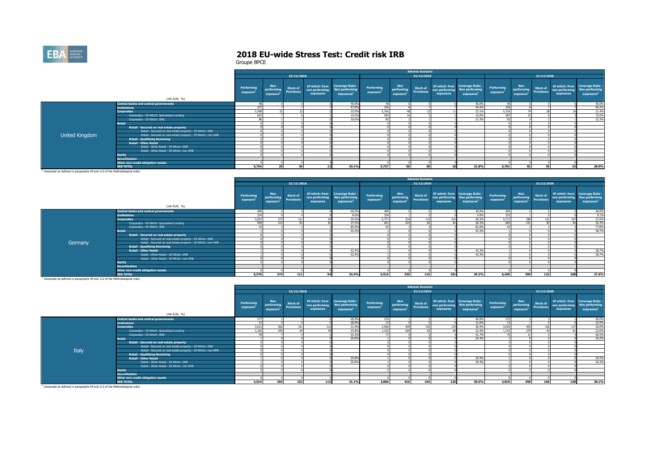

|                |                                                              |                        |                                      |                               |                                               |                                                              |                                     |                                                   | <b>Adverse Scenario</b>              |                             |                                                                             |                                     |                                                   |                               |                             |                                                                             |
|----------------|--------------------------------------------------------------|------------------------|--------------------------------------|-------------------------------|-----------------------------------------------|--------------------------------------------------------------|-------------------------------------|---------------------------------------------------|--------------------------------------|-----------------------------|-----------------------------------------------------------------------------|-------------------------------------|---------------------------------------------------|-------------------------------|-----------------------------|-----------------------------------------------------------------------------|
|                |                                                              |                        |                                      | 31/12/2018                    |                                               |                                                              |                                     |                                                   | 31/12/2019                           |                             |                                                                             |                                     |                                                   | 31/12/2020                    |                             |                                                                             |
|                |                                                              | Performing<br>exposure | <b>Non</b><br>performing<br>exposure | Stock of<br><b>Provisions</b> | Of which: from<br>non performing<br>exposures | Coverage Ratio -<br>Non performing<br>exposures <sup>1</sup> | Performing<br>exposure <sup>1</sup> | <b>Non</b><br>performing<br>exposure <sup>1</sup> | <b>Stock of</b><br><b>Provisions</b> | non performing<br>exposures | Of which: from Coverage Ratio -<br>Non performing<br>exposures <sup>2</sup> | Performing<br>exposure <sup>1</sup> | <b>Non</b><br>performing<br>exposure <sup>1</sup> | <b>Stock of</b><br>Provisions | non performing<br>exposures | Of which: from Coverage Ratio -<br>Non performing<br>exposures <sup>1</sup> |
|                | (mln EUR, %)                                                 |                        |                                      |                               |                                               |                                                              |                                     |                                                   |                                      |                             |                                                                             |                                     |                                                   |                               |                             |                                                                             |
|                | <b>Central banks and central governments</b>                 |                        |                                      |                               |                                               | 40.0%                                                        | $\Lambda$ <sup>O</sup>              |                                                   |                                      |                             | 40.0%                                                                       | 48                                  |                                                   |                               |                             | 40.0%                                                                       |
|                | <b>Institutions</b>                                          | -כל                    |                                      |                               |                                               | 97.8%                                                        | 336                                 |                                                   |                                      |                             | 94.0%                                                                       | 336                                 |                                                   |                               |                             | 90.2%                                                                       |
|                | <b>Corporates</b>                                            | 5,368                  |                                      | $\sim$                        |                                               | 25.09                                                        | 5,342                               |                                                   |                                      |                             | 22.1%                                                                       | 5,316                               |                                                   |                               |                             | 21.4%                                                                       |
|                | Corporates - Of Which: Specialised Lending                   | 602                    |                                      |                               |                                               | 19.2%                                                        | 594                                 |                                                   |                                      |                             | 16.0%                                                                       | 587                                 |                                                   |                               |                             | 15.0%                                                                       |
|                | Corporates - Of Which: SME                                   |                        |                                      |                               |                                               | 20.6%                                                        | 85                                  |                                                   |                                      |                             | 21.5%                                                                       | 83                                  |                                                   |                               |                             | 22.3%                                                                       |
|                | <b>Retail</b>                                                |                        |                                      |                               |                                               |                                                              |                                     |                                                   |                                      |                             |                                                                             |                                     |                                                   |                               |                             |                                                                             |
|                | Retail - Secured on real estate property                     |                        |                                      |                               |                                               |                                                              |                                     |                                                   |                                      |                             |                                                                             |                                     |                                                   |                               |                             |                                                                             |
|                | Retail - Secured on real estate property - Of Which: SME     |                        |                                      |                               |                                               |                                                              |                                     |                                                   |                                      |                             |                                                                             |                                     |                                                   |                               |                             |                                                                             |
| United Kingdom | Retail - Secured on real estate property - Of Which: non-SME |                        |                                      |                               |                                               |                                                              |                                     |                                                   |                                      |                             |                                                                             |                                     |                                                   |                               |                             |                                                                             |
|                | <b>Retail - Qualifying Revolving</b>                         |                        |                                      |                               |                                               |                                                              |                                     |                                                   |                                      |                             |                                                                             |                                     |                                                   |                               |                             |                                                                             |
|                | Retail - Other Retail                                        |                        |                                      |                               |                                               |                                                              |                                     |                                                   |                                      |                             |                                                                             |                                     |                                                   |                               |                             |                                                                             |
|                | Retail - Other Retail - Of Which: SME                        |                        |                                      |                               |                                               |                                                              |                                     |                                                   |                                      |                             |                                                                             |                                     |                                                   |                               |                             |                                                                             |
|                | Retail - Other Retail - Of Which: non-SME                    |                        |                                      |                               |                                               |                                                              |                                     |                                                   |                                      |                             |                                                                             |                                     |                                                   |                               |                             |                                                                             |
|                | <b>Equity</b>                                                |                        |                                      |                               |                                               |                                                              |                                     |                                                   |                                      |                             |                                                                             |                                     |                                                   |                               |                             |                                                                             |
|                | <b>Securitisation</b>                                        |                        |                                      |                               |                                               |                                                              |                                     |                                                   |                                      |                             |                                                                             |                                     |                                                   |                               |                             |                                                                             |
|                | Other non-credit obligation assets                           |                        |                                      |                               |                                               |                                                              |                                     |                                                   |                                      |                             |                                                                             |                                     |                                                   |                               |                             |                                                                             |
|                | <b>IRB TOTAL</b>                                             | 5.754                  | 29                                   | 30                            | 12 <sup>1</sup>                               | 43.1%                                                        | 5.727                               | EG.                                               | 30                                   |                             | 31.8%                                                                       | 5.701                               | 82 <sup>1</sup>                                   | 35                            | 23                          | 28.0%                                                                       |

|         |                                                              |                                     |                                      |                                      |                             |                                                                             |                                     |                                   | <b>Adverse Scenario</b>              |                             |                                                                             |                                     |                                                              |                 |                             |                                                                             |
|---------|--------------------------------------------------------------|-------------------------------------|--------------------------------------|--------------------------------------|-----------------------------|-----------------------------------------------------------------------------|-------------------------------------|-----------------------------------|--------------------------------------|-----------------------------|-----------------------------------------------------------------------------|-------------------------------------|--------------------------------------------------------------|-----------------|-----------------------------|-----------------------------------------------------------------------------|
|         |                                                              |                                     |                                      | 31/12/2018                           |                             |                                                                             |                                     |                                   | 31/12/2019                           |                             |                                                                             |                                     |                                                              | 31/12/2020      |                             |                                                                             |
|         |                                                              | Performing<br>exposure <sup>1</sup> | <b>Non</b><br>performing<br>exposure | <b>Stock of</b><br><b>Provisions</b> | non performing<br>exposures | Of which: from Coverage Ratio -<br>Non performing<br>exposures <sup>1</sup> | Performing<br>exposure <sup>1</sup> | <b>Non</b><br>perform<br>exposure | <b>Stock of</b><br><b>Provisions</b> | non performing<br>exposures | Of which: from Coverage Ratio -<br>Non performing<br>exposures <sup>1</sup> | Performing<br>exposure <sup>1</sup> | <b>Non</b><br>performing Provisions<br>exposure <sup>1</sup> | <b>Stock of</b> | non performing<br>exposures | Of which: from Coverage Ratio -<br>Non performing<br>exposures <sup>1</sup> |
|         | (mln EUR, %)                                                 |                                     |                                      |                                      |                             |                                                                             |                                     |                                   |                                      |                             |                                                                             |                                     |                                                              |                 |                             |                                                                             |
|         | <b>Central banks and central governments</b>                 | 409                                 |                                      |                                      |                             | 40.0%                                                                       | 409                                 |                                   |                                      |                             | 40.0%                                                                       | 409                                 |                                                              |                 |                             | 40.0%                                                                       |
|         | <b>Institutions</b>                                          | 334                                 |                                      |                                      |                             | 8.0%                                                                        | 334                                 |                                   |                                      | 101                         | 9.0%                                                                        | 333                                 |                                                              |                 |                             | 9.1%                                                                        |
|         | <b>Corporates</b>                                            | 5,832                               | 273                                  | $\sim$                               |                             | 34.4%                                                                       | 5.771                               | 334                               | 115                                  |                             | 30.2%                                                                       | 5.717                               | 389                                                          | 121             |                             | 27.6%                                                                       |
|         | Corporates - Of Which: Specialised Lending                   | 699                                 | 215                                  |                                      |                             | 37.5%                                                                       | 691                                 | 224                               |                                      |                             | 36.3%                                                                       | 684                                 | 231                                                          |                 |                             | 35.3%                                                                       |
|         | Corporates - Of Which: SME                                   |                                     |                                      |                                      |                             | 85.5%                                                                       |                                     |                                   |                                      |                             | 81.6%                                                                       |                                     |                                                              |                 |                             | 77.8%                                                                       |
|         | <b>Retail</b>                                                |                                     |                                      |                                      |                             | 52.5%                                                                       |                                     |                                   |                                      |                             | 43.3%                                                                       |                                     |                                                              |                 |                             | 38.7%                                                                       |
|         | Retail - Secured on real estate property                     |                                     |                                      |                                      |                             |                                                                             |                                     |                                   |                                      |                             |                                                                             |                                     |                                                              |                 |                             |                                                                             |
|         | Retail - Secured on real estate property - Of Which: SME     |                                     |                                      |                                      |                             |                                                                             |                                     |                                   |                                      |                             |                                                                             |                                     |                                                              |                 |                             |                                                                             |
| Germany | Retail - Secured on real estate property - Of Which: non-SME |                                     |                                      |                                      |                             |                                                                             |                                     |                                   |                                      |                             |                                                                             |                                     |                                                              |                 |                             |                                                                             |
|         | <b>Retail - Qualifving Revolving</b>                         |                                     |                                      |                                      |                             |                                                                             |                                     |                                   |                                      |                             |                                                                             |                                     |                                                              |                 |                             |                                                                             |
|         | <b>Retail - Other Retail</b>                                 |                                     |                                      |                                      |                             | 52.5%                                                                       |                                     |                                   |                                      |                             | 43.39                                                                       |                                     |                                                              |                 |                             | 38.7%                                                                       |
|         | Retail - Other Retail - Of Which: SME                        |                                     |                                      |                                      |                             | 52.5%                                                                       |                                     |                                   |                                      |                             | 43.3%                                                                       |                                     |                                                              |                 |                             | 38.7%                                                                       |
|         | Retail - Other Retail - Of Which: non-SME                    |                                     |                                      |                                      |                             |                                                                             |                                     |                                   |                                      |                             |                                                                             |                                     |                                                              |                 |                             |                                                                             |
|         | <b>Equity</b>                                                |                                     |                                      |                                      |                             |                                                                             |                                     |                                   |                                      |                             |                                                                             |                                     |                                                              |                 |                             |                                                                             |
|         | <b>Securitisation</b>                                        |                                     |                                      |                                      |                             |                                                                             |                                     |                                   |                                      |                             |                                                                             |                                     |                                                              |                 |                             |                                                                             |
|         | Other non-credit obligation assets                           |                                     |                                      |                                      |                             |                                                                             |                                     |                                   |                                      |                             |                                                                             |                                     |                                                              |                 |                             |                                                                             |
|         | <b>IRB TOTAL</b>                                             | 6,576                               | 274                                  | 111                                  | 94                          | 34.4%                                                                       | 6,514                               | 335                               | 115                                  | 101                         | 30.2%                                                                       | 6,459                               | 390                                                          | 122             | 108                         | 27.6%                                                                       |

|                                                                                       |                                                              |                                     |                                                   |                                      |                             |                                                                                    |                                     |                                      | <b>Adverse Scenario</b>              |                             |                                                                             |                                     |                                                   |                                      |                             |                                                                             |
|---------------------------------------------------------------------------------------|--------------------------------------------------------------|-------------------------------------|---------------------------------------------------|--------------------------------------|-----------------------------|------------------------------------------------------------------------------------|-------------------------------------|--------------------------------------|--------------------------------------|-----------------------------|-----------------------------------------------------------------------------|-------------------------------------|---------------------------------------------------|--------------------------------------|-----------------------------|-----------------------------------------------------------------------------|
|                                                                                       |                                                              |                                     |                                                   | 31/12/2018                           |                             |                                                                                    |                                     |                                      | 31/12/2019                           |                             |                                                                             |                                     |                                                   | 31/12/2020                           |                             |                                                                             |
|                                                                                       | (mln EUR, %)                                                 | Performing<br>exposure <sup>1</sup> | <b>Non</b><br>performing<br>exposure <sup>2</sup> | <b>Stock of</b><br><b>Provisions</b> | non performing<br>exposures | Of which: from Coverage Ratio -<br><b>Non performing</b><br>exposures <sup>1</sup> | Performing<br>exposure <sup>1</sup> | <b>Non</b><br>performing<br>exposure | <b>Stock of</b><br><b>Provisions</b> | non performing<br>exposures | Of which: from Coverage Ratio -<br>Non performing<br>exposures <sup>1</sup> | Performing<br>exposure <sup>1</sup> | <b>Non</b><br>performing<br>exposure <sup>1</sup> | <b>Stock of</b><br><b>Provisions</b> | non performing<br>exposures | Of which: from Coverage Ratio -<br>Non performing<br>exposures <sup>1</sup> |
|                                                                                       | <b>Central banks and central governments</b>                 | 277                                 |                                                   |                                      |                             | 40.0%                                                                              | 276                                 |                                      |                                      |                             | 40.0%                                                                       | 275                                 |                                                   |                                      |                             | 40.0%                                                                       |
|                                                                                       | <b>Institutions</b>                                          | $\sim$                              |                                                   |                                      |                             | 28.9%                                                                              | 22                                  |                                      |                                      |                             | 31.6%                                                                       | -33                                 |                                                   |                                      |                             | 32.0%                                                                       |
|                                                                                       | <b>Corporates</b>                                            | 3.613                               | 362                                               | 151                                  | 117                         | 31.0%                                                                              | 3,566                               | <b>ADD</b>                           | 152                                  | 12 <sub>0</sub>             | 30.5%                                                                       | 3,520                               | 455                                               | 163                                  |                             | 30.0%                                                                       |
|                                                                                       | Corporates - Of Which: Specialised Lending                   | 1.162                               | 250                                               |                                      |                             | 22.8%                                                                              | 1.152                               |                                      |                                      |                             | 22.4%                                                                       | 1.143                               | 279                                               |                                      |                             | 22.0%                                                                       |
|                                                                                       | Corporates - Of Which: SME                                   |                                     |                                                   |                                      |                             | 43.3%                                                                              | $\rightarrow$                       |                                      |                                      |                             | 41.7%                                                                       |                                     |                                                   |                                      |                             | 40.5%                                                                       |
|                                                                                       | <b>Retail</b>                                                |                                     |                                                   |                                      |                             | 20,8%                                                                              |                                     |                                      |                                      |                             | 20,4%                                                                       |                                     |                                                   |                                      |                             | 20.2%                                                                       |
|                                                                                       | Retail - Secured on real estate property                     |                                     |                                                   |                                      |                             |                                                                                    |                                     |                                      |                                      |                             |                                                                             |                                     |                                                   |                                      |                             |                                                                             |
|                                                                                       | Retail - Secured on real estate property - Of Which: SME     |                                     |                                                   |                                      |                             |                                                                                    |                                     |                                      |                                      |                             |                                                                             |                                     |                                                   |                                      |                             |                                                                             |
| Italy                                                                                 | Retail - Secured on real estate property - Of Which: non-SME |                                     |                                                   |                                      |                             |                                                                                    |                                     |                                      |                                      |                             |                                                                             |                                     |                                                   |                                      |                             |                                                                             |
|                                                                                       | <b>Retail - Qualifving Revolving</b>                         |                                     |                                                   |                                      |                             |                                                                                    |                                     |                                      |                                      |                             |                                                                             |                                     |                                                   |                                      |                             |                                                                             |
|                                                                                       | <b>Retail - Other Retail</b>                                 |                                     |                                                   |                                      |                             | 20,8%                                                                              |                                     |                                      |                                      |                             | 20.4%                                                                       |                                     |                                                   |                                      |                             | 20.2%                                                                       |
|                                                                                       | Retail - Other Retail - Of Which: SME                        |                                     |                                                   |                                      |                             | 20.8%                                                                              |                                     |                                      |                                      |                             | 20,4%                                                                       |                                     |                                                   |                                      |                             | 20.2%                                                                       |
|                                                                                       | Retail - Other Retail - Of Which: non-SME                    |                                     |                                                   |                                      |                             |                                                                                    |                                     |                                      |                                      |                             |                                                                             |                                     |                                                   |                                      |                             |                                                                             |
|                                                                                       | <b>Equity</b>                                                |                                     |                                                   |                                      |                             |                                                                                    |                                     |                                      |                                      |                             |                                                                             |                                     |                                                   |                                      |                             |                                                                             |
|                                                                                       | <b>Securitisation</b>                                        |                                     |                                                   |                                      |                             |                                                                                    |                                     |                                      |                                      |                             |                                                                             |                                     |                                                   |                                      |                             |                                                                             |
|                                                                                       | Other non-credit obligation assets                           |                                     |                                                   |                                      |                             |                                                                                    |                                     |                                      |                                      |                             |                                                                             |                                     |                                                   |                                      |                             |                                                                             |
|                                                                                       | <b>IRB TOTAL</b>                                             | 3,914                               | 363                                               | 152                                  | 113                         | 31.1%                                                                              | 3,866                               | 410                                  | 154                                  | 125                         | 30.5%                                                                       | 3,819                               | 458                                               | 166                                  | 138                         | 30.1%                                                                       |
| <sup>1</sup> Computed as defined in paragraphs 49 and 112 of the Methodological note) |                                                              |                                     |                                                   |                                      |                             |                                                                                    |                                     |                                      |                                      |                             |                                                                             |                                     |                                                   |                                      |                             |                                                                             |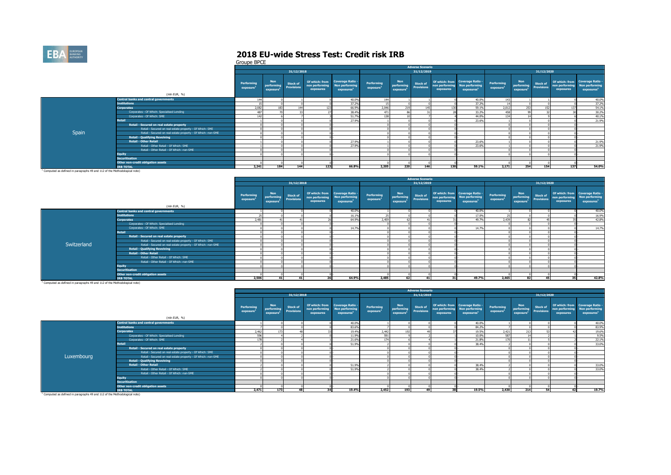

Groupe BPCE

|                                                                                                                                                                                                                                |                                                              |                        |                                                   |                                      |                             |                                                                                    |                                     |                                      | <b>Adverse Scenario</b>              |           |                                                                                            |                                     |                                                   |                                      |                             |                                                                             |
|--------------------------------------------------------------------------------------------------------------------------------------------------------------------------------------------------------------------------------|--------------------------------------------------------------|------------------------|---------------------------------------------------|--------------------------------------|-----------------------------|------------------------------------------------------------------------------------|-------------------------------------|--------------------------------------|--------------------------------------|-----------|--------------------------------------------------------------------------------------------|-------------------------------------|---------------------------------------------------|--------------------------------------|-----------------------------|-----------------------------------------------------------------------------|
|                                                                                                                                                                                                                                |                                                              |                        |                                                   | 31/12/2018                           |                             |                                                                                    |                                     |                                      | 31/12/2019                           |           |                                                                                            |                                     |                                                   | 31/12/2020                           |                             |                                                                             |
|                                                                                                                                                                                                                                | (mln EUR, %)                                                 | Performing<br>exposure | <b>Non</b><br>performing<br>exposure <sup>2</sup> | <b>Stock of</b><br><b>Provisions</b> | non performing<br>exposures | Of which: from Coverage Ratio -<br><b>Non performing</b><br>exposures <sup>1</sup> | Performing<br>exposure <sup>1</sup> | <b>Non</b><br>performing<br>exposure | <b>Stock of</b><br><b>Provisions</b> | exposures | Of which: from Coverage Ratio -<br>non performing Non performing<br>exposures <sup>1</sup> | Performing<br>exposure <sup>1</sup> | <b>Non</b><br>performing<br>exposure <sup>1</sup> | <b>Stock of</b><br><b>Provisions</b> | non performing<br>exposures | Of which: from Coverage Ratio -<br>Non performing<br>exposures <sup>1</sup> |
|                                                                                                                                                                                                                                | <b>Central banks and central governments</b>                 | 144                    |                                                   |                                      |                             | 40.0%                                                                              | 144                                 |                                      |                                      |           | 40.0%                                                                                      | 143                                 |                                                   |                                      |                             | 40.0%                                                                       |
|                                                                                                                                                                                                                                | <b>Institutions</b>                                          |                        |                                                   |                                      |                             | 37.2%                                                                              |                                     |                                      |                                      |           | 37.2%                                                                                      |                                     |                                                   |                                      |                             | 37.2%                                                                       |
|                                                                                                                                                                                                                                | <b>Corporates</b>                                            | 2.082                  |                                                   |                                      | 123                         | 66,9%                                                                              | 2,046                               |                                      |                                      |           | 59.1%                                                                                      | 2,012                               | 253                                               | 152                                  |                             | 54.1%                                                                       |
|                                                                                                                                                                                                                                | Corporates - Of Which: Specialised Lending                   | 487                    |                                                   |                                      |                             | 38,4%                                                                              | 47'                                 |                                      |                                      |           | 33.2%                                                                                      | 458                                 |                                                   |                                      |                             | 30.2%                                                                       |
|                                                                                                                                                                                                                                | Corporates - Of Which: SME                                   | 14.7                   |                                                   |                                      |                             | 51.7%                                                                              |                                     |                                      |                                      |           | 44.0%                                                                                      | 134                                 |                                                   |                                      |                             | 40.1%                                                                       |
|                                                                                                                                                                                                                                | <b>Retail</b>                                                |                        |                                                   |                                      |                             | 27.9%                                                                              |                                     |                                      |                                      |           | 23.6%                                                                                      |                                     |                                                   |                                      |                             | 21.9%                                                                       |
|                                                                                                                                                                                                                                | Retail - Secured on real estate property                     |                        |                                                   |                                      |                             |                                                                                    |                                     |                                      |                                      |           |                                                                                            |                                     |                                                   |                                      |                             |                                                                             |
|                                                                                                                                                                                                                                | Retail - Secured on real estate property - Of Which: SME     |                        |                                                   |                                      |                             |                                                                                    |                                     |                                      |                                      |           |                                                                                            |                                     |                                                   |                                      |                             |                                                                             |
| Spain                                                                                                                                                                                                                          | Retail - Secured on real estate property - Of Which: non-SME |                        |                                                   |                                      |                             |                                                                                    |                                     |                                      |                                      |           |                                                                                            |                                     |                                                   |                                      |                             |                                                                             |
|                                                                                                                                                                                                                                | <b>Retail - Qualifying Revolving</b>                         |                        |                                                   |                                      |                             |                                                                                    |                                     |                                      |                                      |           |                                                                                            |                                     |                                                   |                                      |                             |                                                                             |
|                                                                                                                                                                                                                                | <b>Retail - Other Retail</b>                                 |                        |                                                   |                                      |                             | 27.9%                                                                              |                                     |                                      |                                      |           | 23,6%                                                                                      |                                     |                                                   |                                      |                             | 21.9%                                                                       |
|                                                                                                                                                                                                                                | Retail - Other Retail - Of Which: SME                        |                        |                                                   |                                      |                             | 27.9%                                                                              |                                     |                                      |                                      |           | 23,6%                                                                                      |                                     |                                                   |                                      |                             | 21.9%                                                                       |
|                                                                                                                                                                                                                                | Retail - Other Retail - Of Which: non-SME                    |                        |                                                   |                                      |                             |                                                                                    |                                     |                                      |                                      |           |                                                                                            |                                     |                                                   |                                      |                             |                                                                             |
|                                                                                                                                                                                                                                | <b>Equity</b>                                                |                        |                                                   |                                      |                             |                                                                                    |                                     |                                      |                                      |           |                                                                                            |                                     |                                                   |                                      |                             |                                                                             |
|                                                                                                                                                                                                                                | <b>Securitisation</b>                                        |                        |                                                   |                                      |                             |                                                                                    |                                     |                                      |                                      |           |                                                                                            |                                     |                                                   |                                      |                             |                                                                             |
|                                                                                                                                                                                                                                | Other non-credit obligation assets                           |                        |                                                   |                                      |                             |                                                                                    |                                     |                                      |                                      |           |                                                                                            |                                     |                                                   |                                      |                             |                                                                             |
|                                                                                                                                                                                                                                | <b><i>IRB TOTAL</i></b>                                      | 2.241                  | 184                                               | 144                                  | 123                         | 66.8%                                                                              | 2,205                               | 220                                  | 146                                  | 130       | 59.1%                                                                                      | 2.171                               | 254                                               | 154                                  | 137                         | 54.0%                                                                       |
| the contract of the communication of the contract of the contract of the contract of the contract of the contract of the contract of the contract of the contract of the contract of the contract of the contract of the contr |                                                              |                        |                                                   |                                      |                             |                                                                                    |                                     |                                      |                                      |           |                                                                                            |                                     |                                                   |                                      |                             |                                                                             |

<sup>1</sup> Computed as defined in paragraphs 49 and 112 of the Methodological note)

|             |                                                              |                        |                                                   |                                      |                                               |                                                                     |                                     |                                                   | <b>Adverse Scenario</b>              |                             |                                                                             |                                     |                                                   |                               |                             |                                                                             |
|-------------|--------------------------------------------------------------|------------------------|---------------------------------------------------|--------------------------------------|-----------------------------------------------|---------------------------------------------------------------------|-------------------------------------|---------------------------------------------------|--------------------------------------|-----------------------------|-----------------------------------------------------------------------------|-------------------------------------|---------------------------------------------------|-------------------------------|-----------------------------|-----------------------------------------------------------------------------|
|             |                                                              |                        |                                                   | 31/12/2018                           |                                               |                                                                     |                                     |                                                   | 31/12/2019                           |                             |                                                                             |                                     |                                                   | 31/12/2020                    |                             |                                                                             |
|             | (mln EUR, %)                                                 | Performing<br>exposure | <b>Non</b><br>performing<br>exposure <sup>1</sup> | <b>Stock of</b><br><b>Provisions</b> | Of which: from<br>non performing<br>exposures | <b>Coverage Ratio -</b><br>Non performing<br>exposures <sup>1</sup> | Performing<br>exposure <sup>1</sup> | <b>Non</b><br>performing<br>exposure <sup>1</sup> | <b>Stock of</b><br><b>Provisions</b> | non performing<br>exposures | Of which: from Coverage Ratio -<br>Non performing<br>exposures <sup>1</sup> | Performing<br>exposure <sup>1</sup> | <b>Non</b><br>performing<br>exposure <sup>1</sup> | Stock of<br><b>Provisions</b> | non performing<br>exposures | Of which: from Coverage Ratio -<br>Non performing<br>exposures <sup>1</sup> |
|             | <b>Central banks and central governments</b>                 |                        |                                                   |                                      |                                               | 40.0%                                                               |                                     |                                                   |                                      |                             | 40.0%                                                                       |                                     |                                                   |                               |                             | 40.0%                                                                       |
|             | <b>Institutions</b>                                          |                        |                                                   |                                      |                                               | 16.1%                                                               |                                     |                                                   |                                      |                             | 17.0%                                                                       |                                     |                                                   |                               |                             | 16.9%                                                                       |
|             | <b>Corporates</b>                                            | 2,481                  |                                                   |                                      |                                               | 64.9%                                                               | 2.459                               |                                                   |                                      |                             | 49.7%                                                                       | 2,439                               |                                                   |                               |                             | 42.8%                                                                       |
|             | Corporates - Of Which: Specialised Lending                   |                        |                                                   |                                      |                                               |                                                                     |                                     |                                                   |                                      |                             |                                                                             |                                     |                                                   |                               |                             |                                                                             |
|             | Corporates - Of Which: SME                                   |                        |                                                   |                                      |                                               | 14.7%                                                               |                                     |                                                   |                                      |                             | 14.7%                                                                       |                                     |                                                   |                               |                             | 14.7%                                                                       |
|             | <b>Retail</b>                                                |                        |                                                   |                                      |                                               |                                                                     |                                     |                                                   |                                      |                             |                                                                             |                                     |                                                   |                               |                             |                                                                             |
|             | Retail - Secured on real estate property                     |                        |                                                   |                                      |                                               |                                                                     |                                     |                                                   |                                      |                             |                                                                             |                                     |                                                   |                               |                             |                                                                             |
|             | Retail - Secured on real estate property - Of Which: SME     |                        |                                                   |                                      |                                               |                                                                     |                                     |                                                   |                                      |                             |                                                                             |                                     |                                                   |                               |                             |                                                                             |
| Switzerland | Retail - Secured on real estate property - Of Which: non-SME |                        |                                                   |                                      |                                               |                                                                     |                                     |                                                   |                                      |                             |                                                                             |                                     |                                                   |                               |                             |                                                                             |
|             | <b>Retail - Qualifying Revolving</b>                         |                        |                                                   |                                      |                                               |                                                                     |                                     |                                                   |                                      |                             |                                                                             |                                     |                                                   |                               |                             |                                                                             |
|             | <b>Retail - Other Retail</b>                                 |                        |                                                   |                                      |                                               |                                                                     |                                     |                                                   |                                      |                             |                                                                             |                                     |                                                   |                               |                             |                                                                             |
|             | Retail - Other Retail - Of Which: SME                        |                        |                                                   |                                      |                                               |                                                                     |                                     |                                                   |                                      |                             |                                                                             |                                     |                                                   |                               |                             |                                                                             |
|             | Retail - Other Retail - Of Which: non-SME                    |                        |                                                   |                                      |                                               |                                                                     |                                     |                                                   |                                      |                             |                                                                             |                                     |                                                   |                               |                             |                                                                             |
|             | <b>Equity</b>                                                |                        |                                                   |                                      |                                               |                                                                     |                                     |                                                   |                                      |                             |                                                                             |                                     |                                                   |                               |                             |                                                                             |
|             | <b>Securitisation</b>                                        |                        |                                                   |                                      |                                               |                                                                     |                                     |                                                   |                                      |                             |                                                                             |                                     |                                                   |                               |                             |                                                                             |
|             | Other non-credit obligation assets                           |                        |                                                   |                                      |                                               |                                                                     |                                     |                                                   |                                      |                             |                                                                             |                                     |                                                   |                               |                             |                                                                             |
|             | <b>IRB TOTAL</b>                                             | 2,506                  | 41                                                | 41                                   |                                               | 64.9%                                                               | 2.485                               | 62                                                | 41                                   | 31                          | 49.7%                                                                       | 2.465                               | 82                                                | 45                            | 35                          | 42.8%                                                                       |

|                                                                                       |                                                              |                        |                                      |                                      |                                               |                                                                     |                                     |                                            | <b>Adverse Scenario</b>              |           |                                                                                            |                                     |                                                   |                               |                             |                                                                             |
|---------------------------------------------------------------------------------------|--------------------------------------------------------------|------------------------|--------------------------------------|--------------------------------------|-----------------------------------------------|---------------------------------------------------------------------|-------------------------------------|--------------------------------------------|--------------------------------------|-----------|--------------------------------------------------------------------------------------------|-------------------------------------|---------------------------------------------------|-------------------------------|-----------------------------|-----------------------------------------------------------------------------|
|                                                                                       |                                                              |                        |                                      | 31/12/2018                           |                                               |                                                                     |                                     |                                            | 31/12/2019                           |           |                                                                                            |                                     |                                                   | 31/12/2020                    |                             |                                                                             |
|                                                                                       | (mln EUR, %)                                                 | Performing<br>exposure | <b>Non</b><br>performing<br>exposure | <b>Stock of</b><br><b>Provisions</b> | Of which: from<br>non performing<br>exposures | <b>Coverage Ratio -</b><br>Non performing<br>exposures <sup>1</sup> | Performing<br>exposure <sup>1</sup> | Non <sup>1</sup><br>performing<br>exposure | <b>Stock of</b><br><b>Provisions</b> | exposures | Of which: from Coverage Ratio -<br>non performing Non performing<br>exposures <sup>1</sup> | Performing<br>exposure <sup>1</sup> | <b>Non</b><br>performing<br>exposure <sup>1</sup> | Stock of<br><b>Provisions</b> | non performing<br>exposures | Of which: from Coverage Ratio -<br>Non performing<br>exposures <sup>1</sup> |
|                                                                                       | <b>Central banks and central governments</b>                 |                        |                                      |                                      |                                               | 40.0%                                                               |                                     |                                            |                                      |           | 40.0%                                                                                      |                                     |                                                   |                               |                             | 40.0%                                                                       |
|                                                                                       | <b>Institutions</b>                                          |                        |                                      |                                      |                                               | 83.6%                                                               |                                     |                                            |                                      |           | 84.2%                                                                                      |                                     |                                                   |                               |                             | 83.9%                                                                       |
|                                                                                       | <b>Corporates</b>                                            | 2.462                  | 173                                  |                                      |                                               | 19.4%                                                               | 2.442                               |                                            |                                      |           | 19.5%                                                                                      | 2.421                               | 213                                               |                               |                             | 19.6%                                                                       |
|                                                                                       | Corporates - Of Which: Specialised Lending                   | 596                    |                                      |                                      |                                               | 11.9%                                                               | 591                                 |                                            |                                      |           | 10.0%                                                                                      | 587                                 |                                                   |                               |                             | 9.5%                                                                        |
|                                                                                       | Corporates - Of Which: SME                                   | 178                    |                                      |                                      |                                               | 21.6%                                                               | 174                                 |                                            |                                      |           | 21.8%                                                                                      | 170                                 |                                                   |                               |                             | 22.1%                                                                       |
|                                                                                       | <b>Retail</b>                                                |                        |                                      |                                      |                                               | 51.9%                                                               |                                     |                                            |                                      |           | 38,4%                                                                                      |                                     |                                                   |                               |                             | 33.0%                                                                       |
|                                                                                       | Retail - Secured on real estate property                     |                        |                                      |                                      |                                               |                                                                     |                                     |                                            |                                      |           |                                                                                            |                                     |                                                   |                               |                             |                                                                             |
|                                                                                       | Retail - Secured on real estate property - Of Which: SME     |                        |                                      |                                      |                                               |                                                                     |                                     |                                            |                                      |           |                                                                                            |                                     |                                                   |                               |                             |                                                                             |
| Luxembourg                                                                            | Retail - Secured on real estate property - Of Which: non-SME |                        |                                      |                                      |                                               |                                                                     |                                     |                                            |                                      |           |                                                                                            |                                     |                                                   |                               |                             |                                                                             |
|                                                                                       | <b>Retail - Qualifying Revolving</b>                         |                        |                                      |                                      |                                               |                                                                     |                                     |                                            |                                      |           |                                                                                            |                                     |                                                   |                               |                             |                                                                             |
|                                                                                       | <b>Retail - Other Retail</b>                                 |                        |                                      |                                      |                                               | 51.9%                                                               |                                     |                                            |                                      |           | 38.4%                                                                                      |                                     |                                                   |                               |                             | 33.0%                                                                       |
|                                                                                       | Retail - Other Retail - Of Which: SME                        |                        |                                      |                                      |                                               | 51.9%                                                               |                                     |                                            |                                      |           | 38.4%                                                                                      |                                     |                                                   |                               |                             | 33.0%                                                                       |
|                                                                                       | Retail - Other Retail - Of Which: non-SME                    |                        |                                      |                                      |                                               |                                                                     |                                     |                                            |                                      |           |                                                                                            |                                     |                                                   |                               |                             |                                                                             |
|                                                                                       | <b>Equity</b>                                                |                        |                                      |                                      |                                               |                                                                     |                                     |                                            |                                      |           |                                                                                            |                                     |                                                   |                               |                             |                                                                             |
|                                                                                       | <b>Securitisation</b>                                        |                        |                                      |                                      |                                               |                                                                     |                                     |                                            |                                      |           |                                                                                            |                                     |                                                   |                               |                             |                                                                             |
|                                                                                       | Other non-credit obligation assets                           |                        |                                      |                                      |                                               |                                                                     |                                     |                                            |                                      |           |                                                                                            |                                     |                                                   |                               |                             |                                                                             |
|                                                                                       | <b>IRB TOTAL</b>                                             | 2.471                  | 173                                  |                                      | 34                                            | 19.4%                                                               | 2,452                               | 193                                        | $A\Omega$                            | 20        | 19.5%                                                                                      | 2,430                               | 214                                               | 54                            |                             | 19.7%                                                                       |
| <sup>1</sup> Computed as defined in paragraphs 49 and 112 of the Methodological note) |                                                              |                        |                                      |                                      |                                               |                                                                     |                                     |                                            |                                      |           |                                                                                            |                                     |                                                   |                               |                             |                                                                             |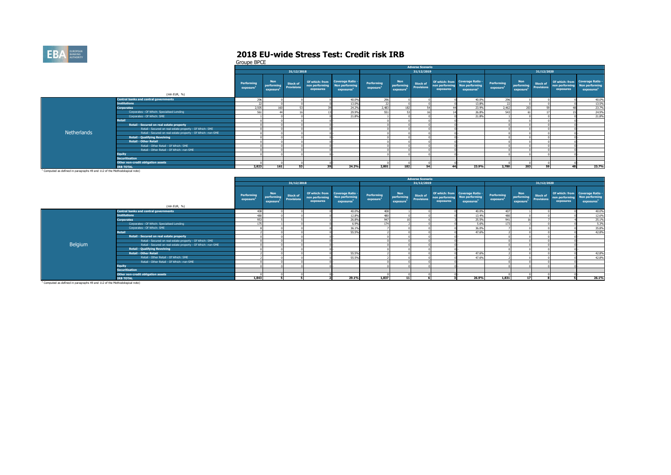

|                                                                                       |                                                              |                          |                                      |                                      |                             |                                                                             |                                     |                                                   | <b>Adverse Scenario</b>              |                             |                                                                             |                                     |                                                   |                                |                             |                                                                             |
|---------------------------------------------------------------------------------------|--------------------------------------------------------------|--------------------------|--------------------------------------|--------------------------------------|-----------------------------|-----------------------------------------------------------------------------|-------------------------------------|---------------------------------------------------|--------------------------------------|-----------------------------|-----------------------------------------------------------------------------|-------------------------------------|---------------------------------------------------|--------------------------------|-----------------------------|-----------------------------------------------------------------------------|
|                                                                                       |                                                              |                          |                                      | 31/12/2018                           |                             |                                                                             |                                     |                                                   | 31/12/2019                           |                             |                                                                             |                                     |                                                   | 31/12/2020                     |                             |                                                                             |
|                                                                                       | (mln EUR, %)                                                 | Performing<br>exposure   | <b>Non</b><br>performing<br>exposure | <b>Stock of</b><br><b>Provisions</b> | non performing<br>exposures | Of which: from Coverage Ratio -<br>Non performing<br>exposures <sup>1</sup> | Performing<br>exposure <sup>1</sup> | <b>Non</b><br>performing<br>exposure <sup>1</sup> | <b>Stock of</b><br><b>Provisions</b> | non performing<br>exposures | Of which: from Coverage Ratio -<br>Non performing<br>exposures <sup>1</sup> | Performing<br>exposure <sup>1</sup> | <b>Non</b><br>performing<br>exposure <sup>1</sup> | <b>Stock of<br/>Provisions</b> | non performing<br>exposures | Of which: from Coverage Ratio -<br>Non performing<br>exposures <sup>1</sup> |
|                                                                                       | <b>Central banks and central governments</b>                 | 296                      |                                      |                                      |                             | 40.0%                                                                       | 296                                 |                                                   |                                      |                             | 40.0%                                                                       | 296                                 |                                                   |                                |                             | 40.0%                                                                       |
|                                                                                       | <b>Institutions</b>                                          | $\sim$<br>$\prime\prime$ |                                      |                                      |                             | 13.0%                                                                       | $\sim$                              |                                                   |                                      |                             | 13,8%                                                                       |                                     |                                                   |                                |                             | 13.5%                                                                       |
|                                                                                       | <b>Corporates</b>                                            | 2.505                    |                                      |                                      |                             | 24.2%                                                                       | 2.483                               | 18                                                |                                      |                             | 23.9%                                                                       | 2.462                               | DO.                                               |                                |                             | 23.7%                                                                       |
|                                                                                       | Corporates - Of Which: Specialised Lending                   | 561                      |                                      |                                      |                             | 29.9%                                                                       | 551                                 |                                                   |                                      |                             | 26.8%                                                                       | 543                                 |                                                   |                                |                             | 24.9%                                                                       |
|                                                                                       | Corporates - Of Which: SME                                   |                          |                                      |                                      |                             | 21.8%                                                                       |                                     |                                                   |                                      |                             | 21.8%                                                                       |                                     |                                                   |                                |                             | 21.8%                                                                       |
|                                                                                       | <b>Retail</b>                                                |                          |                                      |                                      |                             |                                                                             |                                     |                                                   |                                      |                             |                                                                             |                                     |                                                   |                                |                             |                                                                             |
|                                                                                       | Retail - Secured on real estate property                     |                          |                                      |                                      |                             |                                                                             |                                     |                                                   |                                      |                             |                                                                             |                                     |                                                   |                                |                             |                                                                             |
|                                                                                       | Retail - Secured on real estate property - Of Which: SME     |                          |                                      |                                      |                             |                                                                             |                                     |                                                   |                                      |                             |                                                                             |                                     |                                                   |                                |                             |                                                                             |
| <b>Netherlands</b>                                                                    | Retail - Secured on real estate property - Of Which: non-SME |                          |                                      |                                      |                             |                                                                             |                                     |                                                   |                                      |                             |                                                                             |                                     |                                                   |                                |                             |                                                                             |
|                                                                                       | <b>Retail - Qualifying Revolving</b>                         |                          |                                      |                                      |                             |                                                                             |                                     |                                                   |                                      |                             |                                                                             |                                     |                                                   |                                |                             |                                                                             |
|                                                                                       | <b>Retail - Other Retail</b>                                 |                          |                                      |                                      |                             |                                                                             |                                     |                                                   |                                      |                             |                                                                             |                                     |                                                   |                                |                             |                                                                             |
|                                                                                       | Retail - Other Retail - Of Which: SME                        |                          |                                      |                                      |                             |                                                                             |                                     |                                                   |                                      |                             |                                                                             |                                     |                                                   |                                |                             |                                                                             |
|                                                                                       | Retail - Other Retail - Of Which: non-SME                    |                          |                                      |                                      |                             |                                                                             |                                     |                                                   |                                      |                             |                                                                             |                                     |                                                   |                                |                             |                                                                             |
|                                                                                       | <b>Equity</b>                                                |                          |                                      |                                      |                             |                                                                             |                                     |                                                   |                                      |                             |                                                                             |                                     |                                                   |                                |                             |                                                                             |
|                                                                                       | <b>Securitisation</b>                                        |                          |                                      |                                      |                             |                                                                             |                                     |                                                   |                                      |                             |                                                                             |                                     |                                                   |                                |                             |                                                                             |
|                                                                                       | Other non-credit obligation assets                           |                          |                                      |                                      |                             |                                                                             |                                     |                                                   |                                      |                             |                                                                             |                                     |                                                   |                                |                             |                                                                             |
|                                                                                       | <b>TRB TOTAL</b>                                             | 2.823                    | 161                                  | 53                                   | 39                          | 24.2%                                                                       | 2.801                               | 182                                               | 54                                   |                             | 23.9%                                                                       | 2,780                               | 203                                               | 59                             |                             | 23.7%                                                                       |
| <sup>1</sup> Computed as defined in paragraphs 49 and 112 of the Methodological note) |                                                              |                          |                                      |                                      |                             |                                                                             |                                     |                                                   |                                      |                             |                                                                             |                                     |                                                   |                                |                             |                                                                             |

|         |                                                              |                                     |                                                   |                                      |                             |                                                                                    |                                     |                                                   | <b>Adverse Scenario</b>              |                             |                                                                             |                                     |                                                              |                 |                             |                                                                             |
|---------|--------------------------------------------------------------|-------------------------------------|---------------------------------------------------|--------------------------------------|-----------------------------|------------------------------------------------------------------------------------|-------------------------------------|---------------------------------------------------|--------------------------------------|-----------------------------|-----------------------------------------------------------------------------|-------------------------------------|--------------------------------------------------------------|-----------------|-----------------------------|-----------------------------------------------------------------------------|
|         |                                                              |                                     |                                                   | 31/12/2018                           |                             |                                                                                    |                                     |                                                   | 31/12/2019                           |                             |                                                                             |                                     |                                                              | 31/12/2020      |                             |                                                                             |
|         |                                                              | Performing<br>exposure <sup>1</sup> | <b>Non</b><br>performing<br>exposure <sup>1</sup> | <b>Stock of</b><br><b>Provisions</b> | non performing<br>exposures | Of which: from Coverage Ratio -<br><b>Non performing</b><br>exposures <sup>1</sup> | Performing<br>exposure <sup>1</sup> | <b>Non</b><br>performing<br>exposure <sup>3</sup> | <b>Stock of</b><br><b>Provisions</b> | non performing<br>exposures | Of which: from Coverage Ratio -<br>Non performing<br>exposures <sup>1</sup> | Performing<br>exposure <sup>1</sup> | <b>Non</b><br>performing Provisions<br>exposure <sup>1</sup> | <b>Stock of</b> | non performing<br>exposures | Of which: from Coverage Ratio -<br>Non performing<br>exposures <sup>1</sup> |
|         | (mln EUR, %)                                                 |                                     |                                                   |                                      |                             |                                                                                    |                                     |                                                   |                                      |                             |                                                                             |                                     |                                                              |                 |                             |                                                                             |
|         | <b>Central banks and central governments</b>                 | 408                                 |                                                   |                                      |                             | 40.0%                                                                              | 408                                 |                                                   |                                      |                             | 40.0%                                                                       | 407                                 |                                                              |                 |                             | 40.0%                                                                       |
|         | <b>Institutions</b>                                          | 480                                 |                                                   |                                      |                             | 12.8%                                                                              | 480                                 |                                                   |                                      |                             | 13,4%                                                                       | 480                                 |                                                              |                 |                             | 12.6%                                                                       |
|         | <b>Corporates</b>                                            | 953                                 |                                                   |                                      |                             | 26.8%                                                                              | 947                                 |                                                   |                                      |                             | 25.5%                                                                       | 941                                 |                                                              |                 |                             | 25.1%                                                                       |
|         | Corporates - Of Which: Specialised Lending                   |                                     |                                                   |                                      |                             | 6.9%                                                                               | 17                                  |                                                   |                                      |                             | 5.6%                                                                        | 172                                 |                                                              |                 |                             | 5.3%                                                                        |
|         | Corporates - Of Which: SME                                   |                                     |                                                   |                                      |                             | 36.1%                                                                              |                                     |                                                   |                                      |                             | 36.0%                                                                       |                                     |                                                              |                 |                             | 35.8%                                                                       |
|         | <b>Retail</b>                                                |                                     |                                                   |                                      |                             | 55.5%                                                                              |                                     |                                                   |                                      |                             | 47.6%                                                                       |                                     |                                                              |                 |                             | 42.8%                                                                       |
|         | Retail - Secured on real estate property                     |                                     |                                                   |                                      |                             |                                                                                    |                                     |                                                   |                                      |                             |                                                                             |                                     |                                                              |                 |                             |                                                                             |
|         | Retail - Secured on real estate property - Of Which: SME     |                                     |                                                   |                                      |                             |                                                                                    |                                     |                                                   |                                      |                             |                                                                             |                                     |                                                              |                 |                             |                                                                             |
| Belgium | Retail - Secured on real estate property - Of Which: non-SME |                                     |                                                   |                                      |                             |                                                                                    |                                     |                                                   |                                      |                             |                                                                             |                                     |                                                              |                 |                             |                                                                             |
|         | <b>Retail - Qualifying Revolving</b>                         |                                     |                                                   |                                      |                             |                                                                                    |                                     |                                                   |                                      |                             |                                                                             |                                     |                                                              |                 |                             |                                                                             |
|         | <b>Retail - Other Retail</b>                                 |                                     |                                                   |                                      |                             | 55.5%                                                                              |                                     |                                                   |                                      |                             | 47.6%                                                                       |                                     |                                                              |                 |                             | 42.8%                                                                       |
|         | Retail - Other Retail - Of Which: SME                        |                                     |                                                   |                                      |                             | 55.5%                                                                              |                                     |                                                   |                                      |                             | 47.6%                                                                       |                                     |                                                              |                 |                             | 42.8%                                                                       |
|         | Retail - Other Retail - Of Which: non-SME                    |                                     |                                                   |                                      |                             |                                                                                    |                                     |                                                   |                                      |                             |                                                                             |                                     |                                                              |                 |                             |                                                                             |
|         | <b>Equity</b>                                                |                                     |                                                   |                                      |                             |                                                                                    |                                     |                                                   |                                      |                             |                                                                             |                                     |                                                              |                 |                             |                                                                             |
|         | <b>Securitisation</b>                                        |                                     |                                                   |                                      |                             |                                                                                    |                                     |                                                   |                                      |                             |                                                                             |                                     |                                                              |                 |                             |                                                                             |
|         | Other non-credit obligation assets                           |                                     |                                                   |                                      |                             |                                                                                    |                                     |                                                   |                                      |                             |                                                                             |                                     |                                                              |                 |                             |                                                                             |
|         | <b>IRB TOTAL</b>                                             | 1,843                               |                                                   |                                      |                             | 29.1%                                                                              | 1.837                               | 11                                                |                                      |                             | 26.9%                                                                       | 1.831                               | 17                                                           |                 |                             | 26.1%                                                                       |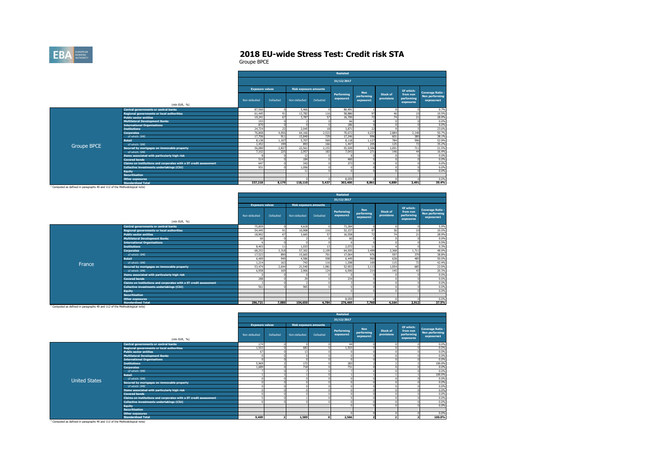

Groupe BPCE

|             |                                                                   |                        |           |                              |           | <b>Restated</b>         |                         |                               |                                     |                                     |
|-------------|-------------------------------------------------------------------|------------------------|-----------|------------------------------|-----------|-------------------------|-------------------------|-------------------------------|-------------------------------------|-------------------------------------|
|             |                                                                   |                        |           |                              |           | 31/12/2017              |                         |                               |                                     |                                     |
|             |                                                                   | <b>Exposure values</b> |           | <b>Risk exposure amounts</b> |           |                         | <b>Non</b>              |                               | Of which:                           | <b>Coverage Ratio -</b>             |
|             |                                                                   | Non-defaulted          | Defaulted | Non-defaulted                | Defaulted | Performing<br>exposure1 | performing<br>exposure1 | <b>Stock of</b><br>provisions | from non<br>performing<br>exposures | <b>Non performing</b><br>exposures1 |
|             | (mln EUR, %)                                                      |                        |           |                              |           |                         |                         |                               |                                     |                                     |
|             | <b>Central governments or central banks</b>                       | 87,560                 | $\Omega$  | 5.466                        |           | 80,491                  |                         |                               |                                     | 0.7%                                |
|             | <b>Regional governments or local authorities</b>                  | 61,445                 | 91        | 12,782                       | 116       | 58,886                  | 97                      | 46                            | 10                                  | 10.5%                               |
|             | <b>Public sector entities</b>                                     | 19.241                 | 67        | 3.787                        | 57        | 16,700                  | 72                      | 74                            | 21                                  | 28.9%                               |
|             | <b>Multilateral Development Banks</b>                             | 193                    |           |                              |           | 66                      |                         |                               |                                     | 0.0%                                |
|             | <b>International Organisations</b>                                | 870                    |           | $\Omega$                     |           | 186                     |                         |                               |                                     | 0.0%                                |
|             | <b>Institutions</b>                                               | 24,724                 | 22        | 2.045                        | 18        | 3.871                   | 22                      |                               |                                     | 23.6%                               |
|             | <b>Corporates</b>                                                 | 76,868                 | 4.056     | 64.166                       | 2,522     | 70,672                  | 4.237                   | 2.884                         | 2.148                               | 50.7%                               |
|             | of which: SME                                                     | 17,706                 | 911       | 15,840                       | 729       | 17,246                  | 996                     | 601                           | 380                                 | 38.1%                               |
|             | <b>Retail</b>                                                     | 8,138                  | 1,107     | 5.707                        | 569       | 8,118                   | 1,127                   | 784                           | 596                                 | 52.9%                               |
| Groupe BPCE | of which: SME                                                     | 1,452                  | 199       | 893                          | 166       | 1,447                   | 205                     | 125                           | 72                                  | 35.2%                               |
|             | Secured by mortgages on immovable property                        | 56,080                 | 2.837     | 22,561                       | 2,155     | 55,509                  | 3,306                   | 1.091                         | 711                                 | 21.5%                               |
|             | of which: SME                                                     | 7.102                  | 225       | 2.957                        | 183       | 7.043                   | 271                     | 146                           | 44                                  | 16.4%                               |
|             | Items associated with particularly high risk                      |                        |           | 12                           |           |                         |                         |                               |                                     | 0.0%                                |
|             | <b>Covered bonds</b>                                              | 514                    |           | 184                          |           | 460                     |                         |                               |                                     | 0.0%                                |
|             | Claims on institutions and corporates with a ST credit assessment | 647                    |           | 343                          |           | 373                     |                         |                               |                                     | 0.0%                                |
|             | Collective investments undertakings (CIU)                         | 931                    |           | 1.056                        |           |                         |                         |                               |                                     | 0.0%                                |
|             | <b>Equity</b>                                                     |                        |           | 11                           |           |                         |                         |                               |                                     | 0.0%                                |
|             | <b>Securitisation</b>                                             |                        |           |                              |           |                         |                         |                               |                                     |                                     |
|             | <b>Other exposures</b>                                            |                        |           |                              |           | 8.059                   |                         |                               |                                     | 0.0%                                |
|             | <b>Standardised Total</b>                                         | 337.218                | 8.179     | 118,110                      | 5,437     | 303,400                 | 8.861                   | 4,889                         | 3,491                               | 39.4%                               |

<sup>1</sup> Computed as defined in paragraphs 49 and 112 of the Methodological note)

|        |                                                                   | Restated               |           |                              |           |                         |                                       |                               |                                     |                                                         |  |  |  |
|--------|-------------------------------------------------------------------|------------------------|-----------|------------------------------|-----------|-------------------------|---------------------------------------|-------------------------------|-------------------------------------|---------------------------------------------------------|--|--|--|
|        |                                                                   |                        |           |                              |           | 31/12/2017              |                                       |                               |                                     |                                                         |  |  |  |
|        |                                                                   | <b>Exposure values</b> |           | <b>Risk exposure amounts</b> |           |                         |                                       |                               | Of which:                           |                                                         |  |  |  |
|        | (mln EUR, %)                                                      | Non-defaulted          | Defaulted | Non-defaulted                | Defaulted | Performing<br>exposure1 | <b>Non</b><br>performing<br>exposure1 | <b>Stock of</b><br>provisions | from non<br>performing<br>exposures | <b>Coverage Ratio -</b><br>Non performing<br>exposures1 |  |  |  |
|        | Central governments or central banks                              | 75,859                 |           | 4.618                        |           | 73.284                  |                                       |                               |                                     | 5.9%                                                    |  |  |  |
|        | Regional governments or local authorities                         | 54,445                 | 91        | 10,908                       | 116       | 52,337                  | 97                                    | 36                            | 10                                  | 10.5%                                                   |  |  |  |
|        | <b>Public sector entities</b>                                     | 18,902                 | 67        | 3.665                        | 57        | 16,558                  |                                       | 74                            | 21                                  | 28.9%                                                   |  |  |  |
|        | <b>Multilateral Development Banks</b>                             | 60                     |           |                              |           | 60                      |                                       |                               |                                     | 0.0%                                                    |  |  |  |
|        | <b>International Organisations</b>                                |                        |           |                              |           |                         |                                       |                               |                                     | 0.0%                                                    |  |  |  |
|        | <b>Institutions</b>                                               | 8,403                  | 11        | 1.033                        | 13        | 2,072                   |                                       |                               |                                     | 0.3%                                                    |  |  |  |
|        | <b>Corporates</b>                                                 | 68.252                 | 3,318     | 57,302                       | 2.109     | 64,505                  | 3,499                                 | 2.368                         | 1.711                               | 48.9%                                                   |  |  |  |
|        | of which: SME                                                     | 17,523                 | 890       | 15,665                       | 701       | 17,064                  | 976                                   | 597                           | 379                                 | 38.8%                                                   |  |  |  |
|        | Retail                                                            | 6,469                  | 949       | 4.586                        | 508       | 6,449                   | 969                                   | 628                           | 485                                 | 50.0%                                                   |  |  |  |
| France | of which: SMF                                                     | 1.214                  | 163       | 743                          | 116       | 1.208                   | 169                                   | 115                           | 72                                  | 42.4%                                                   |  |  |  |
|        | Secured by mortgages on immovable property                        | 53,474                 | 2.644     | 21,540                       | 1.981     | 52,903                  | 3.113                                 | 1.054                         | 685                                 | 22.0%                                                   |  |  |  |
|        | of which: SME                                                     | 6,958                  | 169       | 2.906                        | 124       | 6,900                   | 214                                   | 145                           | 43                                  | 20.3%                                                   |  |  |  |
|        | Items associated with particularly high risk                      |                        |           |                              |           |                         |                                       |                               |                                     | 0.0%                                                    |  |  |  |
|        | <b>Covered bonds</b>                                              | 288                    |           | 29                           |           | 234                     |                                       |                               |                                     | 0.0%                                                    |  |  |  |
|        | Claims on institutions and corporates with a ST credit assessment |                        |           |                              |           |                         |                                       |                               |                                     | 0.0%                                                    |  |  |  |
|        | Collective investments undertakings (CIU)                         | 561                    |           | 965                          |           |                         |                                       |                               |                                     | 0.0%                                                    |  |  |  |
|        | <b>Equity</b>                                                     |                        |           |                              |           |                         |                                       |                               |                                     | 0.0%                                                    |  |  |  |
|        | <b>Securitisation</b>                                             |                        |           |                              |           |                         |                                       |                               |                                     |                                                         |  |  |  |
|        | <b>Other exposures</b>                                            |                        |           |                              |           | 8.059                   |                                       |                               |                                     | 0.0%                                                    |  |  |  |
|        | <b>Standardised Total</b>                                         | 286.721                | 7,080     | 104,650                      | 4,784     | 276,469                 | 7,760                                 | 4.164                         | 2,912                               | 37.5%                                                   |  |  |  |

<sup>1</sup> Computed as defined in paragraphs 49 and 112 of the Methodological note)

|                      |                                                                   |                        |                         |                              |           | <b>Restated</b>         |                                       |                        |                                     |                                                  |
|----------------------|-------------------------------------------------------------------|------------------------|-------------------------|------------------------------|-----------|-------------------------|---------------------------------------|------------------------|-------------------------------------|--------------------------------------------------|
|                      |                                                                   |                        |                         |                              |           | 31/12/2017              |                                       |                        |                                     |                                                  |
|                      |                                                                   | <b>Exposure values</b> |                         | <b>Risk exposure amounts</b> |           |                         |                                       |                        | Of which:                           |                                                  |
|                      | (mln EUR, %)                                                      | Non-defaulted          | Defaulted               | Non-defaulted                | Defaulted | Performing<br>exposure1 | <b>Non</b><br>performing<br>exposure1 | Stock of<br>provisions | from non<br>performing<br>exposures | Coverage Ratio -<br>Non performing<br>exposures1 |
|                      | Central governments or central banks                              | 174                    | n                       | $\Omega$                     |           | 44                      |                                       |                        |                                     | 0.0%                                             |
|                      | Regional governments or local authorities                         | 1.503                  |                         | 683                          |           | 1.503                   |                                       |                        |                                     | 0.0%                                             |
|                      | <b>Public sector entities</b>                                     | 67                     |                         | 13                           |           |                         |                                       |                        |                                     | 0.0%                                             |
|                      | <b>Multilateral Development Banks</b>                             |                        |                         | $\Omega$                     |           |                         |                                       |                        |                                     | 0.0%                                             |
|                      | <b>International Organisations</b>                                |                        |                         | $\Omega$                     |           |                         |                                       |                        |                                     | 0.0%                                             |
|                      | <b>Institutions</b>                                               | 5.969                  |                         | 172                          |           | 283                     |                                       |                        |                                     | 100.0%                                           |
|                      | <b>Corporates</b>                                                 | 1.689                  |                         | 718                          |           | 731                     |                                       |                        |                                     | 0.0%                                             |
|                      | of which: SME                                                     |                        |                         | $\overline{ }$               |           |                         |                                       |                        |                                     | 0.0%                                             |
|                      | <b>Retail</b>                                                     |                        |                         |                              |           |                         |                                       |                        |                                     | 100.0%                                           |
| <b>United States</b> | of which: SME                                                     |                        |                         | $\Omega$                     |           |                         |                                       |                        |                                     | 0.0%                                             |
|                      | Secured by mortgages on immovable property                        |                        |                         |                              |           |                         |                                       |                        |                                     | 0.0%                                             |
|                      | of which: SME                                                     |                        |                         | $\Omega$                     |           |                         |                                       |                        |                                     | 0.0%                                             |
|                      | Items associated with particularly high risk                      |                        |                         | $\Omega$                     |           |                         |                                       |                        |                                     | 0.0%                                             |
|                      | <b>Covered bonds</b>                                              |                        |                         | n                            |           |                         |                                       |                        |                                     | 0.0%                                             |
|                      | Claims on institutions and corporates with a ST credit assessment |                        |                         |                              |           |                         |                                       |                        |                                     | 0.0%                                             |
|                      | <b>Collective investments undertakings (CIU)</b>                  |                        |                         | n                            |           |                         |                                       |                        |                                     | 0.0%                                             |
|                      | <b>Equity</b>                                                     |                        |                         |                              |           |                         |                                       |                        |                                     | 0.0%                                             |
|                      | <b>Securitisation</b>                                             |                        |                         |                              |           |                         |                                       |                        |                                     |                                                  |
|                      | Other exposures                                                   |                        |                         |                              |           |                         |                                       |                        |                                     | 0.0%                                             |
|                      | <b>Standardised Total</b>                                         | 9,409                  | $\overline{\mathbf{z}}$ | 1,589                        | $\Omega$  | 2,566                   |                                       |                        |                                     | 100.0%                                           |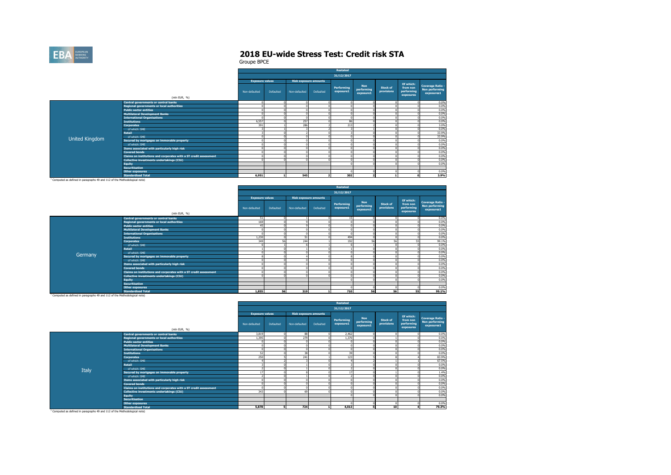

Groupe BPCE

|                |                                                                            | Restated               |           |               |                              |                         |                                       |                               |                                                  |                                                                |  |  |  |  |
|----------------|----------------------------------------------------------------------------|------------------------|-----------|---------------|------------------------------|-------------------------|---------------------------------------|-------------------------------|--------------------------------------------------|----------------------------------------------------------------|--|--|--|--|
|                |                                                                            |                        |           |               |                              | 31/12/2017              |                                       |                               |                                                  |                                                                |  |  |  |  |
|                |                                                                            | <b>Exposure values</b> |           |               | <b>Risk exposure amounts</b> |                         |                                       |                               |                                                  |                                                                |  |  |  |  |
|                | (mln EUR, %)                                                               | Non-defaulted          | Defaulted | Non-defaulted | Defaulted                    | Performing<br>exposure1 | <b>Non</b><br>performing<br>exposure1 | <b>Stock of</b><br>provisions | Of which:<br>from non<br>performing<br>exposures | <b>Coverage Ratio -</b><br><b>Non performing</b><br>exposures1 |  |  |  |  |
|                |                                                                            |                        |           |               |                              |                         |                                       |                               |                                                  | 0.0%                                                           |  |  |  |  |
|                | Central governments or central banks                                       | $\Omega$<br>$\Omega$   |           |               |                              |                         |                                       |                               |                                                  | 0.0%                                                           |  |  |  |  |
|                | Regional governments or local authorities<br><b>Public sector entities</b> | $\sqrt{2}$             |           |               |                              |                         |                                       |                               |                                                  | 0.0%                                                           |  |  |  |  |
|                |                                                                            | $\Omega$               |           |               |                              |                         |                                       |                               |                                                  | 0.0%                                                           |  |  |  |  |
|                | <b>Multilateral Development Banks</b>                                      | $\Omega$               |           |               |                              |                         |                                       |                               |                                                  | 0.0%                                                           |  |  |  |  |
|                | <b>International Organisations</b><br><b>Institutions</b>                  | 6,557                  |           | 257           |                              | 86                      |                                       |                               |                                                  | 0.0%                                                           |  |  |  |  |
|                | <b>Corporates</b>                                                          | 391                    |           | 286           |                              | 213                     |                                       |                               |                                                  | 3.0%                                                           |  |  |  |  |
|                | of which: SME                                                              |                        |           |               |                              |                         |                                       |                               |                                                  | 0.0%                                                           |  |  |  |  |
|                | <b>Retail</b>                                                              | 3                      |           |               |                              |                         |                                       |                               |                                                  | 33.9%                                                          |  |  |  |  |
|                | of which: SME                                                              | $\Omega$               |           |               |                              |                         |                                       |                               |                                                  | 33.9%                                                          |  |  |  |  |
| United Kingdom |                                                                            | $\Omega$               |           |               |                              |                         |                                       |                               |                                                  | 0.0%                                                           |  |  |  |  |
|                | Secured by mortgages on immovable property<br>of which: SME                | $\Omega$               |           |               |                              |                         |                                       |                               |                                                  | 0.0%                                                           |  |  |  |  |
|                | Items associated with particularly high risk                               | n                      |           |               |                              |                         |                                       |                               |                                                  | 0.0%                                                           |  |  |  |  |
|                | <b>Covered bonds</b>                                                       | $\Omega$               |           |               |                              |                         |                                       |                               |                                                  | 0.0%                                                           |  |  |  |  |
|                |                                                                            | $\Omega$               |           |               |                              |                         |                                       |                               |                                                  |                                                                |  |  |  |  |
|                | Claims on institutions and corporates with a ST credit assessment          |                        |           |               |                              |                         |                                       |                               |                                                  | 0.0%<br>0.0%                                                   |  |  |  |  |
|                | Collective investments undertakings (CIU)                                  |                        |           |               |                              |                         |                                       |                               |                                                  | 0.0%                                                           |  |  |  |  |
|                | <b>Equity</b>                                                              |                        |           |               |                              |                         |                                       |                               |                                                  |                                                                |  |  |  |  |
|                | <b>Securitisation</b>                                                      |                        |           |               |                              |                         |                                       |                               |                                                  | 0.0%                                                           |  |  |  |  |
|                | <b>Other exposures</b>                                                     |                        |           |               |                              |                         |                                       |                               |                                                  |                                                                |  |  |  |  |
|                | <b>Standardised Total</b>                                                  | 6,951                  |           | 545           |                              | 302                     |                                       |                               |                                                  | 3.9%                                                           |  |  |  |  |

<sup>1</sup> Computed as defined in paragraphs 49 and 112 of the Methodological note)

|         |                                                                   | <b>Restated</b>        |           |                              |           |                         |                                       |                        |                                     |                                                         |  |  |  |
|---------|-------------------------------------------------------------------|------------------------|-----------|------------------------------|-----------|-------------------------|---------------------------------------|------------------------|-------------------------------------|---------------------------------------------------------|--|--|--|
|         |                                                                   |                        |           |                              |           | 31/12/2017              |                                       |                        |                                     |                                                         |  |  |  |
|         |                                                                   | <b>Exposure values</b> |           | <b>Risk exposure amounts</b> |           |                         |                                       |                        | Of which:                           |                                                         |  |  |  |
|         | (mln EUR, %)                                                      | Non-defaulted          | Defaulted | Non-defaulted                | Defaulted | Performing<br>exposure1 | <b>Non</b><br>performing<br>exposure1 | Stock of<br>provisions | from non<br>performing<br>exposures | <b>Coverage Ratio -</b><br>Non performing<br>exposures1 |  |  |  |
|         | Central governments or central banks                              | 51                     |           |                              |           | 15                      |                                       |                        |                                     | 0.0%                                                    |  |  |  |
|         | Regional governments or local authorities                         | 169                    |           |                              |           |                         |                                       |                        |                                     | 0.0%                                                    |  |  |  |
|         | <b>Public sector entities</b>                                     | 45                     |           |                              |           |                         |                                       |                        |                                     | 0.0%                                                    |  |  |  |
|         | <b>Multilateral Development Banks</b>                             |                        |           |                              |           |                         |                                       |                        |                                     | 0.0%                                                    |  |  |  |
|         | <b>International Organisations</b>                                |                        |           |                              |           |                         |                                       |                        |                                     | 0.0%                                                    |  |  |  |
|         | <b>Institutions</b>                                               | 1,230                  | n         | 51                           |           | 494                     |                                       |                        |                                     | 0.0%                                                    |  |  |  |
|         | <b>Corporates</b>                                                 | 349                    | 56        | 244                          |           | 192                     | 56                                    | 56                     |                                     | 99.1%                                                   |  |  |  |
|         | of which: SME                                                     |                        |           |                              |           |                         |                                       |                        |                                     | 0.0%                                                    |  |  |  |
|         | <b>Retail</b>                                                     |                        |           |                              |           |                         |                                       |                        |                                     | 0.0%                                                    |  |  |  |
| Germany | of which: SME                                                     |                        |           |                              |           |                         |                                       |                        |                                     | 0.0%                                                    |  |  |  |
|         | Secured by mortgages on immovable property                        |                        |           |                              |           |                         |                                       |                        |                                     | 0.0%                                                    |  |  |  |
|         | of which: SME                                                     |                        |           |                              |           |                         |                                       |                        |                                     | 0.0%                                                    |  |  |  |
|         | Items associated with particularly high risk                      |                        |           |                              |           |                         |                                       |                        |                                     | 0.0%                                                    |  |  |  |
|         | <b>Covered bonds</b>                                              |                        |           |                              |           |                         |                                       |                        |                                     | 0.0%                                                    |  |  |  |
|         | Claims on institutions and corporates with a ST credit assessment |                        |           |                              |           |                         |                                       |                        |                                     | 0.0%                                                    |  |  |  |
|         | Collective investments undertakings (CIU)                         |                        |           |                              |           |                         |                                       |                        |                                     | 0.0%                                                    |  |  |  |
|         | <b>Equity</b>                                                     |                        |           |                              |           |                         |                                       |                        |                                     | 0.0%                                                    |  |  |  |
|         | <b>Securitisation</b>                                             |                        |           |                              |           |                         |                                       |                        |                                     |                                                         |  |  |  |
|         | <b>Other exposures</b>                                            |                        |           |                              |           |                         |                                       |                        |                                     | 0.0%                                                    |  |  |  |
|         | <b>Standardised Total</b>                                         | 1,855                  | 56        | 319                          |           | 710                     | 56                                    | 56                     | 55                                  | 99.1%                                                   |  |  |  |

<sup>1</sup> Computed as defined in paragraphs 49 and 112 of the Methodological note)

|                                                                           |                                                                   | Restated               |           |                              |           |                         |                                       |                               |                                                  |                                                                |  |  |
|---------------------------------------------------------------------------|-------------------------------------------------------------------|------------------------|-----------|------------------------------|-----------|-------------------------|---------------------------------------|-------------------------------|--------------------------------------------------|----------------------------------------------------------------|--|--|
|                                                                           |                                                                   |                        |           |                              |           | 31/12/2017              |                                       |                               |                                                  |                                                                |  |  |
|                                                                           |                                                                   | <b>Exposure values</b> |           | <b>Risk exposure amounts</b> |           |                         |                                       |                               |                                                  |                                                                |  |  |
|                                                                           | (mln EUR, %)                                                      | Non-defaulted          | Defaulted | Non-defaulted                | Defaulted | Performing<br>exposure1 | <b>Non</b><br>performing<br>exposure1 | <b>Stock of</b><br>provisions | Of which:<br>from non<br>performing<br>exposures | <b>Coverage Ratio -</b><br><b>Non performing</b><br>exposures1 |  |  |
|                                                                           | Central governments or central banks                              | 3,819                  | 0         | 88                           |           | 2.462                   |                                       |                               |                                                  | 0.0%                                                           |  |  |
|                                                                           | Regional governments or local authorities                         | 1.395                  |           | 279                          |           | 1.370                   |                                       |                               |                                                  | 0.0%                                                           |  |  |
|                                                                           | <b>Public sector entities</b>                                     |                        |           |                              |           |                         |                                       |                               |                                                  | 0.0%                                                           |  |  |
|                                                                           | <b>Multilateral Development Banks</b>                             |                        |           |                              |           |                         |                                       |                               |                                                  | 0.0%                                                           |  |  |
|                                                                           | <b>International Organisations</b>                                |                        |           |                              |           |                         |                                       |                               |                                                  | 0.0%                                                           |  |  |
|                                                                           | <b>Institutions</b>                                               | 52                     |           | 38                           |           | 39                      |                                       |                               |                                                  | 0.0%                                                           |  |  |
|                                                                           | <b>Corporates</b>                                                 | 250                    |           | 241                          |           | 123                     |                                       |                               |                                                  | 83.9%                                                          |  |  |
|                                                                           | of which: SME                                                     |                        |           |                              |           |                         |                                       |                               |                                                  | 67.5%                                                          |  |  |
|                                                                           | <b>Retail</b>                                                     |                        |           |                              |           |                         |                                       |                               |                                                  | 0.0%                                                           |  |  |
| Italy                                                                     | of which: SME                                                     |                        |           |                              |           |                         |                                       |                               |                                                  | 0.0%                                                           |  |  |
|                                                                           | Secured by mortgages on immovable property                        |                        |           |                              |           | 17                      |                                       |                               |                                                  | 1.4%                                                           |  |  |
|                                                                           | of which: SME                                                     |                        |           |                              |           |                         |                                       |                               |                                                  | 0.0%                                                           |  |  |
|                                                                           | Items associated with particularly high risk                      |                        |           |                              |           |                         |                                       |                               |                                                  | 0.0%                                                           |  |  |
|                                                                           | <b>Covered bonds</b>                                              |                        |           |                              |           |                         |                                       |                               |                                                  | 0.0%                                                           |  |  |
|                                                                           | Claims on institutions and corporates with a ST credit assessment |                        |           |                              |           |                         |                                       |                               |                                                  | 0.0%                                                           |  |  |
|                                                                           | Collective investments undertakings (CIU)                         | 343                    |           | 69                           |           |                         |                                       |                               |                                                  | 0.0%                                                           |  |  |
|                                                                           | <b>Equity</b>                                                     |                        |           |                              |           |                         |                                       |                               |                                                  | 0.0%                                                           |  |  |
|                                                                           | <b>Securitisation</b>                                             |                        |           |                              |           |                         |                                       |                               |                                                  |                                                                |  |  |
|                                                                           | <b>Other exposures</b>                                            |                        |           |                              |           |                         |                                       |                               |                                                  | 0.0%                                                           |  |  |
|                                                                           | <b>Standardised Total</b>                                         | 5,878                  | 5         | 724                          |           | 4.013                   |                                       | 10                            |                                                  | 79.3%                                                          |  |  |
| Computed an defined in naragraphs 40 and 117 of the Methodological note). |                                                                   |                        |           |                              |           |                         |                                       |                               |                                                  |                                                                |  |  |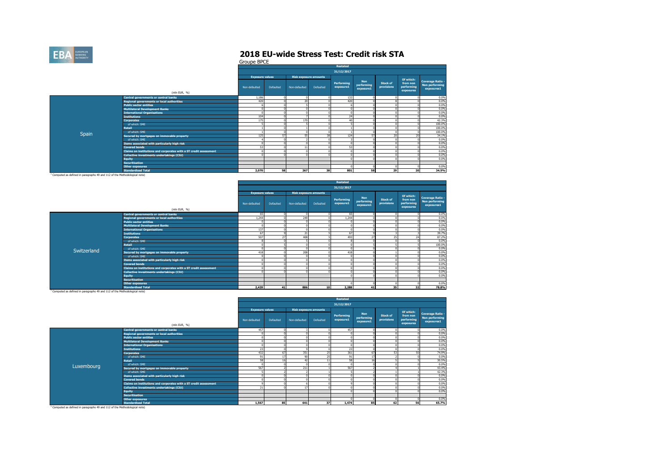

Groupe BPCE

|       |                                                                   | Restated               |                  |                              |           |                         |                                       |                               |                                                  |                                                         |  |  |  |
|-------|-------------------------------------------------------------------|------------------------|------------------|------------------------------|-----------|-------------------------|---------------------------------------|-------------------------------|--------------------------------------------------|---------------------------------------------------------|--|--|--|
|       |                                                                   |                        |                  |                              |           | 31/12/2017              |                                       |                               |                                                  |                                                         |  |  |  |
|       |                                                                   | <b>Exposure values</b> |                  | <b>Risk exposure amounts</b> |           |                         |                                       |                               |                                                  |                                                         |  |  |  |
|       | (mln EUR, %)                                                      | Non-defaulted          | <b>Defaulted</b> | Non-defaulted                | Defaulted | Performing<br>exposure1 | <b>Non</b><br>performing<br>exposure1 | <b>Stock of</b><br>provisions | Of which:<br>from non<br>performing<br>exposures | <b>Coverage Ratio -</b><br>Non performing<br>exposures1 |  |  |  |
|       | Central governments or central banks                              | 1,186                  | $\Omega$         | $\Omega$                     |           | 132                     |                                       |                               |                                                  | 0.0%                                                    |  |  |  |
|       | <b>Regional governments or local authorities</b>                  | 420                    |                  | 20                           |           | 420                     |                                       |                               |                                                  | 0.0%                                                    |  |  |  |
|       | <b>Public sector entities</b>                                     |                        |                  |                              |           |                         |                                       |                               |                                                  | 0.0%                                                    |  |  |  |
|       | <b>Multilateral Development Banks</b>                             | $\Omega$               |                  |                              |           |                         |                                       |                               |                                                  | 0.0%                                                    |  |  |  |
|       | <b>International Organisations</b>                                | $\Omega$               |                  |                              |           |                         |                                       |                               |                                                  | 0.0%                                                    |  |  |  |
|       | <b>Institutions</b>                                               | 104                    |                  |                              |           | 24                      |                                       |                               |                                                  | 0.0%                                                    |  |  |  |
|       | <b>Corporates</b>                                                 | 175                    |                  | 170                          |           | $\Delta$ 0              |                                       |                               |                                                  | 42.3%                                                   |  |  |  |
|       | of which: SME                                                     |                        |                  |                              |           |                         |                                       |                               |                                                  | 100.0%                                                  |  |  |  |
|       | <b>Retail</b>                                                     |                        |                  |                              |           |                         |                                       |                               |                                                  | 100.0%                                                  |  |  |  |
| Spain | of which: SME                                                     |                        |                  |                              |           |                         |                                       |                               |                                                  | 100.0%                                                  |  |  |  |
|       | Secured by mortgages on immovable property                        | 125                    | 57               | 55                           | 38        | 124                     | 57                                    | 20                            | 20                                               | 34.1%                                                   |  |  |  |
|       | of which: SME                                                     |                        |                  |                              |           |                         |                                       |                               |                                                  | 0.0%                                                    |  |  |  |
|       | Items associated with particularly high risk                      | $\Omega$               |                  | $\Omega$                     |           |                         |                                       |                               |                                                  | 0.0%                                                    |  |  |  |
|       | <b>Covered bonds</b>                                              | 53                     |                  | 11                           |           | 53                      |                                       |                               |                                                  | 0.0%                                                    |  |  |  |
|       | Claims on institutions and corporates with a ST credit assessment |                        |                  |                              |           |                         |                                       |                               |                                                  | 0.0%                                                    |  |  |  |
|       | <b>Collective investments undertakings (CIU)</b>                  | $\Omega$               |                  |                              |           |                         |                                       |                               |                                                  | 0.0%                                                    |  |  |  |
|       | <b>Equity</b>                                                     |                        |                  |                              |           |                         |                                       |                               |                                                  | 0.0%                                                    |  |  |  |
|       | <b>Securitisation</b>                                             |                        |                  |                              |           |                         |                                       |                               |                                                  |                                                         |  |  |  |
|       | <b>Other exposures</b>                                            |                        |                  |                              |           |                         |                                       |                               |                                                  | 0.0%                                                    |  |  |  |
|       | <b>Standardised Total</b>                                         | 2.070                  | 58               | 267                          | 38        | 801                     | 58                                    | 29                            | 20                                               | 34.5%                                                   |  |  |  |

<sup>1</sup> Computed as defined in paragraphs 49 and 112 of the Methodological note)

|             |                                                                   |                        |           |                              |           | 31/12/2017              |                                       |                               |                                                  |                                                                |
|-------------|-------------------------------------------------------------------|------------------------|-----------|------------------------------|-----------|-------------------------|---------------------------------------|-------------------------------|--------------------------------------------------|----------------------------------------------------------------|
|             |                                                                   | <b>Exposure values</b> |           | <b>Risk exposure amounts</b> |           |                         |                                       |                               |                                                  |                                                                |
|             | (mln EUR, %)                                                      | Non-defaulted          | Defaulted | Non-defaulted                | Defaulted | Performing<br>exposure1 | <b>Non</b><br>performing<br>exposure1 | <b>Stock of</b><br>provisions | Of which:<br>from non<br>performing<br>exposures | <b>Coverage Ratio -</b><br><b>Non performing</b><br>exposures1 |
|             | Central governments or central banks                              | 65                     |           |                              |           | 65                      |                                       |                               |                                                  | 0.0%                                                           |
|             | Regional governments or local authorities                         | 1.244                  |           | 249                          |           | 1.244                   |                                       |                               |                                                  | 0.0%                                                           |
|             | <b>Public sector entities</b>                                     |                        |           |                              |           |                         |                                       |                               |                                                  | 0.0%                                                           |
|             | <b>Multilateral Development Banks</b>                             | $\Omega$               |           |                              |           | $\Omega$                |                                       |                               |                                                  | 0.0%                                                           |
|             | <b>International Organisations</b>                                | 137                    |           |                              |           | £                       |                                       |                               |                                                  | 0.0%                                                           |
|             | <b>Institutions</b>                                               | 67                     |           | 21                           |           | 67                      |                                       |                               |                                                  | 39.7%                                                          |
|             | <b>Corporates</b>                                                 | 507                    | 27        | 408                          |           | 493                     | 27                                    | 25                            |                                                  | 87.2%                                                          |
|             | of which: SME                                                     |                        |           |                              |           |                         |                                       |                               |                                                  | 0.0%                                                           |
|             | <b>Retail</b>                                                     |                        |           |                              |           | -n                      |                                       |                               |                                                  | 100.0%                                                         |
| Switzerland | of which: SME                                                     | n                      |           |                              |           | £                       |                                       |                               |                                                  | 0.0%                                                           |
|             | Secured by mortgages on immovable property                        | 418                    |           | 208                          |           | 418                     |                                       |                               |                                                  | 0.0%                                                           |
|             | of which: SME                                                     |                        |           |                              |           | £.                      |                                       |                               |                                                  | 0.0%                                                           |
|             | Items associated with particularly high risk                      |                        |           |                              |           | £                       |                                       |                               |                                                  | 0.0%                                                           |
|             | <b>Covered bonds</b>                                              |                        |           |                              |           |                         |                                       |                               |                                                  | 0.0%                                                           |
|             | Claims on institutions and corporates with a ST credit assessment |                        |           |                              |           | £                       |                                       |                               |                                                  | 0.0%                                                           |
|             | Collective investments undertakings (CIU)                         |                        |           |                              |           | £                       |                                       |                               |                                                  | 0.0%                                                           |
|             | <b>Equity</b>                                                     |                        |           |                              |           |                         |                                       |                               |                                                  | 0.0%                                                           |
|             | <b>Securitisation</b>                                             |                        |           |                              |           |                         |                                       |                               |                                                  |                                                                |
|             | <b>Other exposures</b>                                            |                        |           |                              |           |                         |                                       |                               |                                                  | 0.0%                                                           |
|             | <b>Standardised Total</b>                                         | 2,439                  | 41        | 886                          | 10        | 2,288                   | 41                                    | 35                            | 32                                               | 78.8%                                                          |

<sup>1</sup> Computed as defined in paragraphs 49 and 112 of the Methodological note)

|                                                                                    |                                                                   | Restated               |           |                              |           |                         |                                       |                               |                                     |                                                         |  |  |
|------------------------------------------------------------------------------------|-------------------------------------------------------------------|------------------------|-----------|------------------------------|-----------|-------------------------|---------------------------------------|-------------------------------|-------------------------------------|---------------------------------------------------------|--|--|
|                                                                                    |                                                                   |                        |           |                              |           | 31/12/2017              |                                       |                               |                                     |                                                         |  |  |
|                                                                                    |                                                                   | <b>Exposure values</b> |           | <b>Risk exposure amounts</b> |           |                         |                                       |                               | Of which:                           |                                                         |  |  |
|                                                                                    | (mln EUR, %)                                                      | Non-defaulted          | Defaulted | Non-defaulted                | Defaulted | Performing<br>exposure1 | <b>Non</b><br>performing<br>exposure1 | <b>Stock of</b><br>provisions | from non<br>performing<br>exposures | <b>Coverage Ratio -</b><br>Non performing<br>exposures1 |  |  |
|                                                                                    | <b>Central governments or central banks</b>                       | 457                    |           |                              |           | 457                     |                                       |                               |                                     | 0.0%                                                    |  |  |
|                                                                                    | Regional governments or local authorities                         |                        |           |                              |           |                         |                                       |                               |                                     | 0.0%                                                    |  |  |
|                                                                                    | <b>Public sector entities</b>                                     |                        |           |                              |           |                         |                                       |                               |                                     | 0.0%                                                    |  |  |
|                                                                                    | <b>Multilateral Development Banks</b>                             |                        |           |                              |           |                         |                                       |                               |                                     | 0.0%                                                    |  |  |
|                                                                                    | <b>International Organisations</b>                                |                        |           |                              |           |                         |                                       |                               |                                     | 0.0%                                                    |  |  |
|                                                                                    | <b>Institutions</b>                                               | 23                     | n         |                              |           | 23                      |                                       |                               |                                     | 0.0%                                                    |  |  |
|                                                                                    | <b>Corporates</b>                                                 | 432                    | 67        | 351                          | 25        | 361                     | 67                                    | 53                            |                                     | 74.9%                                                   |  |  |
|                                                                                    | of which: SME                                                     | 91                     | 17        | 90                           | 25        | 91                      |                                       |                               |                                     | 0.0%                                                    |  |  |
|                                                                                    | <b>Retail</b>                                                     | 58                     | 16        | 42                           | 11        | 58                      | $\epsilon$                            |                               |                                     | 30.5%                                                   |  |  |
| Luxembourg                                                                         | of which: SME                                                     |                        |           |                              |           |                         |                                       |                               |                                     | 0.0%                                                    |  |  |
|                                                                                    | Secured by mortgages on immovable property                        | 567                    |           | 211                          |           | 567                     |                                       |                               |                                     | 43.4%                                                   |  |  |
|                                                                                    | of which: SME                                                     |                        |           |                              |           |                         |                                       |                               |                                     | 42.3%                                                   |  |  |
|                                                                                    | Items associated with particularly high risk                      |                        |           |                              |           |                         |                                       |                               |                                     | 0.0%                                                    |  |  |
|                                                                                    | <b>Covered bonds</b>                                              |                        |           |                              |           |                         |                                       |                               |                                     | 0.0%                                                    |  |  |
|                                                                                    | Claims on institutions and corporates with a ST credit assessment |                        |           |                              |           |                         |                                       |                               |                                     | 0.0%                                                    |  |  |
|                                                                                    | Collective investments undertakings (CIU)                         | 21                     |           | 17                           |           |                         |                                       |                               |                                     | 0.0%                                                    |  |  |
|                                                                                    | <b>Equity</b>                                                     |                        |           |                              |           |                         |                                       |                               |                                     | 0.0%                                                    |  |  |
|                                                                                    | <b>Securitisation</b>                                             |                        |           |                              |           |                         |                                       |                               |                                     |                                                         |  |  |
|                                                                                    | <b>Other exposures</b>                                            |                        |           |                              |           |                         |                                       |                               |                                     | 0.0%                                                    |  |  |
|                                                                                    | <b>Standardised Total</b>                                         | 1,567                  | 85        | 641                          | 37        | 1,474                   | 85                                    | 62                            | 56                                  | 65.7%                                                   |  |  |
| . Announced and advantage community of a community contract and contract contracts |                                                                   |                        |           |                              |           |                         |                                       |                               |                                     |                                                         |  |  |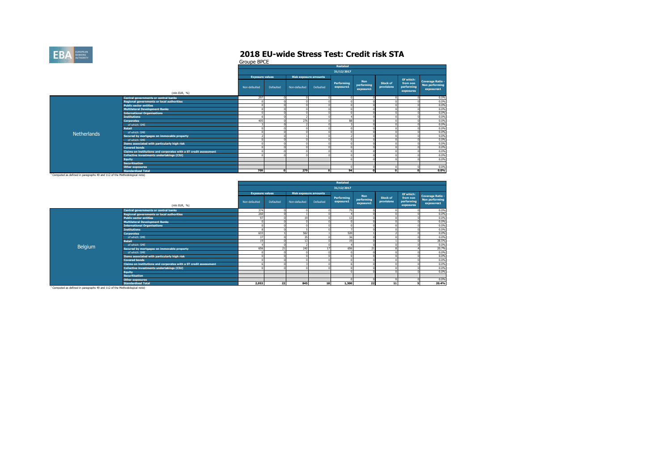

Groupe BPCE

|                    |                                                                   | Restated               |           |               |                              |                         |                                       |                               |                                                  |                                                         |  |  |
|--------------------|-------------------------------------------------------------------|------------------------|-----------|---------------|------------------------------|-------------------------|---------------------------------------|-------------------------------|--------------------------------------------------|---------------------------------------------------------|--|--|
|                    |                                                                   |                        |           |               |                              | 31/12/2017              |                                       |                               |                                                  |                                                         |  |  |
|                    |                                                                   | <b>Exposure values</b> |           |               | <b>Risk exposure amounts</b> |                         |                                       |                               |                                                  |                                                         |  |  |
|                    | (mln EUR, %)                                                      | Non-defaulted          | Defaulted | Non-defaulted | Defaulted                    | Performing<br>exposure1 | <b>Non</b><br>performing<br>exposure1 | <b>Stock of</b><br>provisions | Of which:<br>from non<br>performing<br>exposures | <b>Coverage Ratio -</b><br>Non performing<br>exposures1 |  |  |
|                    | Central governments or central banks                              | 297                    |           | $\Omega$      |                              |                         |                                       |                               |                                                  | 0.0%                                                    |  |  |
|                    | Regional governments or local authorities                         |                        |           |               |                              |                         |                                       |                               |                                                  | 0.0%                                                    |  |  |
|                    | <b>Public sector entities</b>                                     |                        |           |               |                              |                         |                                       |                               |                                                  | 0.0%                                                    |  |  |
|                    | <b>Multilateral Development Banks</b>                             |                        |           |               |                              |                         |                                       |                               |                                                  | 0.0%                                                    |  |  |
|                    | <b>International Organisations</b>                                |                        |           |               |                              |                         |                                       |                               |                                                  | 0.0%                                                    |  |  |
|                    | <b>Institutions</b>                                               |                        |           |               |                              |                         |                                       |                               |                                                  | 0.0%                                                    |  |  |
|                    | <b>Corporates</b>                                                 | 405                    |           | 276           |                              | 88                      |                                       |                               |                                                  | 0.0%                                                    |  |  |
|                    | of which: SME                                                     |                        |           |               |                              |                         |                                       |                               |                                                  | 0.0%                                                    |  |  |
|                    | <b>Retail</b>                                                     |                        |           |               |                              |                         |                                       |                               |                                                  | 0.0%                                                    |  |  |
| <b>Netherlands</b> | of which: SME                                                     |                        |           |               |                              |                         |                                       |                               |                                                  | 0.0%                                                    |  |  |
|                    | Secured by mortgages on immovable property                        |                        |           |               |                              |                         |                                       |                               |                                                  | 0.0%                                                    |  |  |
|                    | of which: SME                                                     |                        |           |               |                              |                         |                                       |                               |                                                  | 0.0%                                                    |  |  |
|                    | Items associated with particularly high risk                      |                        |           |               |                              |                         |                                       |                               |                                                  | 0.0%                                                    |  |  |
|                    | <b>Covered bonds</b>                                              |                        |           |               |                              |                         |                                       |                               |                                                  | 0.0%                                                    |  |  |
|                    | Claims on institutions and corporates with a ST credit assessment |                        |           |               |                              |                         |                                       |                               |                                                  | 0.0%                                                    |  |  |
|                    | Collective investments undertakings (CIU)                         |                        |           | r.            |                              |                         |                                       |                               |                                                  | 0.0%                                                    |  |  |
|                    | <b>Equity</b>                                                     |                        |           |               |                              |                         |                                       |                               |                                                  | 0.0%                                                    |  |  |
|                    | <b>Securitisation</b>                                             |                        |           |               |                              |                         |                                       |                               |                                                  |                                                         |  |  |
|                    | <b>Other exposures</b>                                            |                        |           |               |                              |                         |                                       |                               |                                                  | 0.0%                                                    |  |  |
|                    | <b>Standardised Total</b>                                         | 709                    | c         | 279           |                              | 94                      |                                       |                               |                                                  | 0.0%                                                    |  |  |

<sup>1</sup> Computed as defined in paragraphs 49 and 112 of the Methodological note)

|         |                                                                   | <b>Restated</b>        |           |               |                              |                         |                                       |                               |                                     |                                                                |  |  |  |
|---------|-------------------------------------------------------------------|------------------------|-----------|---------------|------------------------------|-------------------------|---------------------------------------|-------------------------------|-------------------------------------|----------------------------------------------------------------|--|--|--|
|         |                                                                   |                        |           |               |                              | 31/12/2017              |                                       |                               |                                     |                                                                |  |  |  |
|         |                                                                   | <b>Exposure values</b> |           |               | <b>Risk exposure amounts</b> |                         |                                       |                               | Of which:                           |                                                                |  |  |  |
|         | (mln EUR, %)                                                      | Non-defaulted          | Defaulted | Non-defaulted | Defaulted                    | Performing<br>exposure1 | <b>Non</b><br>performing<br>exposure1 | <b>Stock of</b><br>provisions | from non<br>performing<br>exposures | <b>Coverage Ratio -</b><br><b>Non performing</b><br>exposures1 |  |  |  |
|         | Central governments or central banks                              | 374                    |           |               |                              | 75                      |                                       |                               |                                     | 0.0%                                                           |  |  |  |
|         | Regional governments or local authorities                         | 260                    |           |               |                              |                         |                                       |                               |                                     | 0.0%                                                           |  |  |  |
|         | <b>Public sector entities</b>                                     | 97                     |           | 19            |                              | 47                      |                                       |                               |                                     | 0.0%                                                           |  |  |  |
|         | <b>Multilateral Development Banks</b>                             |                        |           |               |                              |                         |                                       |                               |                                     | 0.0%                                                           |  |  |  |
|         | <b>International Organisations</b>                                |                        |           | C             |                              |                         |                                       |                               |                                     | 0.0%                                                           |  |  |  |
|         | <b>Institutions</b>                                               |                        |           |               |                              |                         |                                       |                               |                                     | 0.0%                                                           |  |  |  |
|         | <b>Corporates</b>                                                 | 633                    |           | 562           |                              | 520                     |                                       |                               |                                     | 0.0%                                                           |  |  |  |
|         | of which: SME                                                     | 37                     |           | 35            |                              | 36                      |                                       |                               |                                     | 0.0%                                                           |  |  |  |
|         | <b>Retail</b>                                                     | 19                     |           | 13            |                              |                         |                                       |                               |                                     | 38.5%                                                          |  |  |  |
|         | of which: SME                                                     |                        |           |               |                              |                         |                                       |                               |                                     | 0.0%                                                           |  |  |  |
| Belgium | Secured by mortgages on immovable property                        | 656                    | 21        | 242           | 17                           | 656                     | 21                                    |                               |                                     | 20.7%                                                          |  |  |  |
|         | of which: SME                                                     |                        |           |               |                              |                         |                                       |                               |                                     | 0.0%                                                           |  |  |  |
|         | Items associated with particularly high risk                      |                        |           |               |                              |                         |                                       |                               |                                     | 0.0%                                                           |  |  |  |
|         | <b>Covered bonds</b>                                              |                        |           |               |                              |                         |                                       |                               |                                     | 0.0%                                                           |  |  |  |
|         | Claims on institutions and corporates with a ST credit assessment |                        |           |               |                              |                         |                                       |                               |                                     | 0.0%                                                           |  |  |  |
|         | Collective investments undertakings (CIU)                         |                        |           |               |                              |                         |                                       |                               |                                     | 0.0%                                                           |  |  |  |
|         | <b>Equity</b>                                                     |                        |           |               |                              |                         |                                       |                               |                                     | 0.0%                                                           |  |  |  |
|         | <b>Securitisation</b>                                             |                        |           |               |                              |                         |                                       |                               |                                     |                                                                |  |  |  |
|         | Other exposures                                                   |                        |           |               |                              |                         |                                       |                               |                                     | 0.0%                                                           |  |  |  |
|         | <b>Standardised Total</b>                                         | 2,053                  | 22        | 845           | 18                           | 1,300                   | 22                                    | 11                            |                                     | 20.4%                                                          |  |  |  |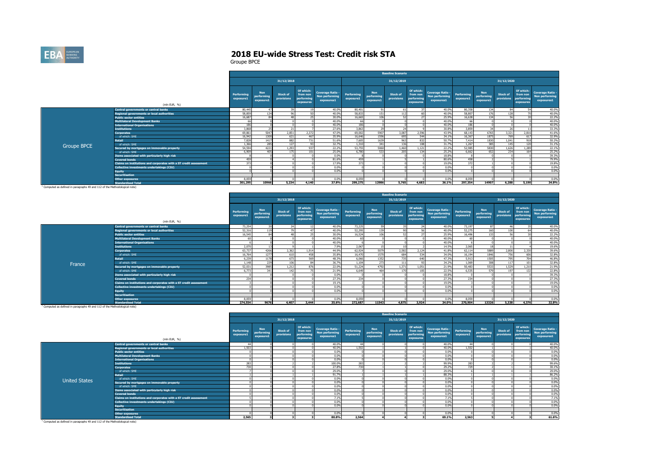

|                                                                                       |                                                                   | <b>Baseline Scenario</b> |                                       |                               |                                                  |                                                         |                         |                                       |                               |                                                  |                                                         |                         |                                       |                               |                                                  |                                                         |
|---------------------------------------------------------------------------------------|-------------------------------------------------------------------|--------------------------|---------------------------------------|-------------------------------|--------------------------------------------------|---------------------------------------------------------|-------------------------|---------------------------------------|-------------------------------|--------------------------------------------------|---------------------------------------------------------|-------------------------|---------------------------------------|-------------------------------|--------------------------------------------------|---------------------------------------------------------|
|                                                                                       |                                                                   |                          |                                       | 31/12/2018                    |                                                  |                                                         |                         |                                       | 31/12/2019                    |                                                  |                                                         |                         |                                       | 31/12/2020                    |                                                  |                                                         |
|                                                                                       | (mln EUR, %)                                                      | Performing<br>exposure1  | <b>Non</b><br>performing<br>exposure1 | <b>Stock of</b><br>provisions | Of which:<br>from non<br>performing<br>exposures | <b>Coverage Ratio -</b><br>Non performing<br>exposures1 | Performing<br>exposure1 | <b>Non</b><br>performing<br>exposure1 | <b>Stock of</b><br>provisions | Of which:<br>from non<br>performing<br>exposures | <b>Coverage Ratio -</b><br>Non performing<br>exposures1 | Performing<br>exposure1 | <b>Non</b><br>performing<br>exposure1 | <b>Stock of</b><br>provisions | Of which:<br>from non<br>performing<br>exposures | <b>Coverage Ratio -</b><br>Non performing<br>exposures1 |
|                                                                                       | Central governments or central banks                              | 80,445                   |                                       | 39                            |                                                  | 40.0%                                                   | 80,401                  | 91                                    | 61                            |                                                  | 40.0%                                                   | 80,358                  | 134                                   | 84                            |                                                  | 40.0%                                                   |
|                                                                                       | Regional governments or local authorities                         | 58,859                   |                                       | 96                            |                                                  | 40.0%                                                   | 58,833                  | 151                                   | 112                           |                                                  | 40.0%                                                   | 58,807                  | 176                                   | 128                           |                                                  | 40.0%                                                   |
|                                                                                       | <b>Public sector entities</b>                                     | 16,687                   |                                       | 48                            |                                                  | 30.0%                                                   | 16,665                  | 106                                   | 52                            |                                                  | 25.9%                                                   | 16,638                  | 134                                   | 56                            | -31                                              | 22.2%                                                   |
|                                                                                       | <b>Multilateral Development Banks</b>                             | 66                       |                                       |                               |                                                  | 40.0%                                                   | 66                      |                                       |                               |                                                  | 40.0%                                                   | 66                      |                                       |                               |                                                  | 40.0%                                                   |
|                                                                                       | <b>International Organisations</b>                                | 186                      |                                       |                               |                                                  | 40.0%                                                   | 186                     |                                       |                               |                                                  | 40.0%                                                   | 186                     |                                       |                               |                                                  | 40.0%                                                   |
|                                                                                       | <b>Institutions</b>                                               | 3,868                    | 25                                    | 21                            |                                                  | 27.6%                                                   | 3.863                   | 29                                    | 24                            |                                                  | 30.8%                                                   | 3.859                   | 34                                    | 26                            |                                                  | 33.3%                                                   |
|                                                                                       | <b>Corporates</b>                                                 | 69.861                   | 5047                                  | 2.851                         | 2.372                                            | 47.0%                                                   | 69.002                  | 5907                                  | 3.087                         | 2.596                                            | 43.9%                                                   | 68.143                  | 6765                                  | 3,321                         | 2.816                                            | 41.6%                                                   |
|                                                                                       | of which: SME                                                     | 16,942                   | 1300                                  | 621                           | 467                                              | 35.9%                                                   | 16.646                  | 1596                                  | 695                           | 544                                              | 34.1%                                                   | 16,367                  | 1875                                  | 769                           | 617                                              | 32.9%                                                   |
|                                                                                       | Retail                                                            | 7.828                    | 1417                                  | 882                           | 731                                              | 51.6%                                                   | 7,605                   | 1639                                  | 963                           | 837                                              | 50.7%                                                   | 7,414                   | 1830                                  | 1,041                         | 918                                              | 50.2%                                                   |
|                                                                                       | of which: SME                                                     | 1,366                    | 285                                   | 127                           |                                                  | 32.7%                                                   | 1,310                   | 341                                   | 136                           | 101                                              | 31.7%                                                   | 1,267                   | 385                                   | 145                           | 120                                              | 31.1%                                                   |
| <b>Groupe BPCE</b>                                                                    | Secured by mortgages on immovable property                        | 54,594                   | 4221                                  | 1.293                         | 937                                              | 22.2%                                                   | 53,755                  | 5060                                  | 1,460                         | 1.121                                            | 22.2%                                                   | 52,985                  | 5830                                  | 1.626                         | 1.289                                            | 22.1%                                                   |
|                                                                                       | of which: SME                                                     | 6,909                    |                                       | 175                           | 101                                              | 25.0%                                                   | 6,780                   | 533                                   | 205                           | 134                                              | 25.2%                                                   | 6.662                   | 652                                   | 234                           |                                                  | 25.2%                                                   |
|                                                                                       | Items associated with particularly high risk                      |                          |                                       |                               |                                                  | 0.0%                                                    |                         |                                       |                               |                                                  | 18.8%                                                   |                         |                                       |                               |                                                  | 39.3%                                                   |
|                                                                                       | <b>Covered bonds</b>                                              | 459                      |                                       |                               |                                                  | 81.6%                                                   | 459                     |                                       |                               |                                                  | 80.6%                                                   | 458                     |                                       |                               |                                                  | 79.9%                                                   |
|                                                                                       | Claims on institutions and corporates with a ST credit assessment | 373                      |                                       |                               |                                                  | 17.9%                                                   | 373                     |                                       |                               |                                                  | 19.0%                                                   | 372                     |                                       |                               |                                                  | 19.8%                                                   |
|                                                                                       | Collective investments undertakings (CIU)                         |                          |                                       |                               |                                                  | 0.0%                                                    |                         |                                       |                               |                                                  | 0.0%                                                    |                         |                                       |                               |                                                  | 0.0%                                                    |
|                                                                                       | <b>Equity</b>                                                     |                          |                                       |                               |                                                  | 0.0%                                                    |                         |                                       |                               |                                                  | 0.0%                                                    |                         |                                       |                               |                                                  | 0.0%                                                    |
|                                                                                       | <b>Securitisation</b>                                             |                          |                                       |                               |                                                  |                                                         |                         |                                       |                               |                                                  |                                                         |                         |                                       |                               |                                                  |                                                         |
|                                                                                       | <b>Other exposures</b>                                            | 8.059                    |                                       |                               |                                                  | 0.0%                                                    | 8.059                   |                                       |                               |                                                  | 0.0%                                                    | 8.059                   |                                       |                               |                                                  | 0.0%                                                    |
|                                                                                       | <b>Standardised Total</b>                                         | 301,295                  | 10966                                 | 5.234                         | 4.140                                            | 37.8%                                                   | 299.275                 | 12986                                 | 5,765                         | 4.683                                            | 36.1%                                                   | 297,354                 | 14907                                 | 6,288                         | 5,190                                            | 34.8%                                                   |
| <sup>1</sup> Computed as defined in paragraphs 49 and 112 of the Methodological note) |                                                                   |                          |                                       |                               |                                                  |                                                         |                         |                                       |                               |                                                  |                                                         |                         |                                       |                               |                                                  |                                                         |

|        |                                                                   | <b>Baseline Scenario</b> |                                       |                        |                                                  |                                                         |                         |                                       |                               |                                                  |                                                         |                         |                                       |                        |                                                  |                                                  |
|--------|-------------------------------------------------------------------|--------------------------|---------------------------------------|------------------------|--------------------------------------------------|---------------------------------------------------------|-------------------------|---------------------------------------|-------------------------------|--------------------------------------------------|---------------------------------------------------------|-------------------------|---------------------------------------|------------------------|--------------------------------------------------|--------------------------------------------------|
|        |                                                                   |                          |                                       | 31/12/2018             |                                                  |                                                         |                         |                                       | 31/12/2019                    |                                                  |                                                         |                         |                                       | 31/12/2020             |                                                  |                                                  |
|        | (mln EUR, %)                                                      | Performing<br>exposure1  | <b>Non</b><br>performing<br>exposure1 | Stock of<br>provisions | Of which:<br>from non<br>performing<br>exposures | <b>Coverage Ratio -</b><br>Non performing<br>exposures1 | Performing<br>exposure1 | <b>Non</b><br>performing<br>exposure1 | <b>Stock of</b><br>provisions | Of which:<br>from non<br>performing<br>exposures | <b>Coverage Ratio -</b><br>Non performing<br>exposures1 | Performing<br>exposure1 | <b>Non</b><br>performing<br>exposure1 | Stock of<br>provisions | Of which:<br>from non<br>performing<br>exposures | Coverage Ratio -<br>Non performing<br>exposures1 |
|        | Central governments or central banks                              | 73.254                   |                                       | 24                     |                                                  | 40.0%                                                   | 73.225                  |                                       | 35                            |                                                  | 40.0%                                                   | 73.197                  | 87                                    | AG.                    |                                                  | 40.0%                                            |
|        | Regional governments or local authorities                         | 52.316                   |                                       | 79                     |                                                  | 40.0%                                                   | 52.295                  | 139                                   | 90                            | 56                                               | 40.0%                                                   | 52,275                  | 160                                   | 100                    |                                                  | 40.0%                                            |
|        | Public sector entities                                            | 16.545                   |                                       | A <sub>0</sub>         |                                                  | 30.0%                                                   | 16.524                  | 106                                   | 52                            |                                                  | 25.9%                                                   | 16,496                  | 137                                   | 56                     |                                                  | 22.2%                                            |
|        | Multilateral Development Banks                                    | 60                       |                                       |                        |                                                  | 40.0%                                                   | 60                      |                                       |                               |                                                  | 40.0%                                                   | 60                      |                                       |                        |                                                  | 40.0%                                            |
|        | <b>International Organisations</b>                                |                          |                                       |                        |                                                  | 40.0%                                                   |                         |                                       |                               |                                                  | 40.0%                                                   |                         |                                       |                        |                                                  | 40.0%                                            |
|        | <b>Institutions</b>                                               | 2.070                    |                                       |                        |                                                  | 7.9%                                                    | 2,067                   |                                       | 10                            |                                                  | 14.5%                                                   | 2,065                   | 18                                    |                        |                                                  | 19.6%                                            |
|        | <b>Corporates</b>                                                 | 63,737                   | 4266                                  | 2,362                  | 1.914                                            | 44.9%                                                   | 62,924                  | 5079                                  | 2,582                         | 2,124                                            | 41.8%                                                   | 62,114                  | 5889                                  | 2,800                  | 2,330                                            | 39.6%                                            |
|        | of which: SME                                                     | 16,764                   | 1277                                  | 610                    |                                                  | 35.8%                                                   | 16,470                  | 1570                                  | 684                           | 534                                              | 34.0%                                                   | 16,194                  | 1846                                  | 756                    | 606                                              | 32.8%                                            |
|        | <b>Retail</b>                                                     | 6,239                    | 1178                                  | 673                    | 569                                              | 48.3%                                                   | 6.066                   | 1352                                  | 735                           | 640                                              | 47.3%                                                   | 5.913                   | 1505                                  | 795                    | 704                                              | 46.8%                                            |
| France | of which: SMF                                                     | 1.148                    | 229                                   | 106                    |                                                  | 36,7%                                                   | 1.104                   | 273                                   | 111                           | $\sim$                                           | 34.2%                                                   | 1.069                   | 308                                   | 117                    | 101                                              | 32.8%                                            |
|        | Secured by mortgages on immovable property                        | 52.031                   | 3985                                  | 1.212                  | 876                                              | 22.0%                                                   | 51,224                  | 4792                                  | 1.371                         | 1.051                                            | 21.9%                                                   | 50,483                  | 5533                                  | 1.529                  | 1,210                                            | 21.9%                                            |
|        | of which: SME                                                     | 6.773                    | 341                                   | 142                    |                                                  | 21.9%                                                   | 6.649                   | 464                                   | 170                           |                                                  | 22.5%                                                   | 6,535                   | 579                                   | 197                    | 132                                              | 22.8%                                            |
|        | Items associated with particularly high risk                      |                          |                                       |                        |                                                  | 0.0%                                                    |                         |                                       |                               |                                                  | 18.8%                                                   |                         |                                       |                        |                                                  | 39.3%                                            |
|        | <b>Covered bonds</b>                                              | 234                      |                                       |                        |                                                  | 27.3%                                                   | 234                     |                                       |                               |                                                  | 27.3%                                                   | 234                     |                                       |                        |                                                  | 27.3%                                            |
|        | Claims on institutions and corporates with a ST credit assessment |                          |                                       |                        |                                                  | 19.1%                                                   |                         |                                       |                               |                                                  | 19.0%                                                   |                         |                                       |                        |                                                  | 19.0%                                            |
|        | Collective investments undertakings (CIU)                         |                          |                                       |                        |                                                  | 0.0%                                                    |                         |                                       |                               |                                                  | 0.0%                                                    |                         |                                       |                        |                                                  | 0.0%                                             |
|        | <b>Equity</b>                                                     |                          |                                       |                        |                                                  | 0.0%                                                    |                         |                                       |                               |                                                  | 0.0%                                                    |                         |                                       |                        |                                                  | 0.0%                                             |
|        | <b>Securitisation</b>                                             |                          |                                       |                        |                                                  |                                                         |                         |                                       |                               |                                                  |                                                         |                         |                                       |                        |                                                  |                                                  |
|        | <b>Other exposures</b>                                            | 8.059                    |                                       |                        |                                                  | 0.0%                                                    | 8.059                   |                                       |                               |                                                  | 0.0%                                                    | 8.059                   |                                       |                        |                                                  | 0.0%                                             |
|        | <b>Standardised Total</b>                                         | 274,554                  | 9676                                  | 4.407                  | 3,444                                            | 35.6%                                                   | 272,687                 | 11543                                 | 4.875                         | 3.924                                            | 34.0%                                                   | 270,904                 | 13326                                 | 5,338                  | 4,376                                            | 32.8%                                            |

**Standardised Total** 1 Computed as defined in paragraphs 49 and 112 of the Methodological note)

|                      |                                                                   |                         |                                       |                               |                                                  |                                                         |                         |                                       | <b>Baseline Scenario</b> |                                                  |                                                         |                         |                                       |                               |                                                  |                                                         |
|----------------------|-------------------------------------------------------------------|-------------------------|---------------------------------------|-------------------------------|--------------------------------------------------|---------------------------------------------------------|-------------------------|---------------------------------------|--------------------------|--------------------------------------------------|---------------------------------------------------------|-------------------------|---------------------------------------|-------------------------------|--------------------------------------------------|---------------------------------------------------------|
|                      |                                                                   |                         |                                       | 31/12/2018                    |                                                  |                                                         |                         |                                       | 31/12/2019               |                                                  |                                                         |                         |                                       | 31/12/2020                    |                                                  |                                                         |
|                      | (mln EUR, %)                                                      | Performing<br>exposure1 | <b>Non</b><br>performing<br>exposure1 | <b>Stock of</b><br>provisions | Of which:<br>from non<br>performing<br>exposures | <b>Coverage Ratio -</b><br>Non performing<br>exposures1 | Performing<br>exposure1 | <b>Non</b><br>performing<br>exposure1 | Stock of<br>provisions   | Of which:<br>from non<br>performing<br>exposures | <b>Coverage Ratio -</b><br>Non performing<br>exposures1 | Performing<br>exposure1 | <b>Non</b><br>performing<br>exposure1 | <b>Stock of</b><br>provisions | Of which:<br>from non<br>performing<br>exposures | <b>Coverage Ratio -</b><br>Non performing<br>exposures1 |
|                      | <b>Central governments or central banks</b>                       | 44                      |                                       |                               |                                                  | 40.0%                                                   | 44                      |                                       |                          |                                                  | 40.0%                                                   | 44                      |                                       |                               |                                                  | 40.0%                                                   |
|                      | <b>Regional governments or local authorities</b>                  | 1.503                   |                                       |                               |                                                  | 40.0%                                                   | 1.502                   |                                       |                          |                                                  | 40.0%                                                   | 1.502                   |                                       |                               |                                                  | 40.0%                                                   |
|                      | <b>Public sector entities</b>                                     |                         |                                       |                               |                                                  | 0.0%                                                    |                         |                                       |                          |                                                  | 0.0%                                                    |                         |                                       |                               |                                                  | 0.0%                                                    |
|                      | <b>Multilateral Development Banks</b>                             |                         |                                       |                               |                                                  | 0.0%                                                    |                         |                                       |                          |                                                  | 0.0%                                                    |                         |                                       |                               |                                                  | 0.0%                                                    |
|                      | <b>International Organisations</b>                                |                         |                                       |                               |                                                  | 0.0%                                                    |                         |                                       |                          |                                                  | 0.0%                                                    |                         |                                       |                               |                                                  | 0.0%                                                    |
|                      | <b>Institutions</b>                                               | 283                     |                                       |                               |                                                  | 100.0%                                                  | 283                     |                                       |                          |                                                  | 99.9%                                                   | 283                     |                                       |                               |                                                  | 99.6%                                                   |
|                      | <b>Corporates</b>                                                 | 730                     |                                       |                               |                                                  | 27.8%                                                   | 730                     |                                       |                          |                                                  | 29.2%                                                   | 729                     |                                       |                               |                                                  | 30.1%                                                   |
|                      | of which: SME                                                     |                         |                                       |                               |                                                  | 29.0%                                                   |                         |                                       |                          |                                                  | 29.0%                                                   |                         |                                       |                               |                                                  | 29.0%                                                   |
|                      | <b>Retail</b>                                                     |                         |                                       |                               |                                                  | 91.7%                                                   |                         |                                       |                          |                                                  | 88.3%                                                   |                         |                                       |                               |                                                  | 86.2%                                                   |
| <b>United States</b> | of which: SME                                                     |                         |                                       |                               |                                                  | 0.0%                                                    |                         |                                       |                          |                                                  | 0.0%                                                    |                         |                                       |                               |                                                  | 0.0%                                                    |
|                      | Secured by mortgages on immovable property                        |                         |                                       |                               |                                                  | 0.0%                                                    |                         |                                       |                          |                                                  | 0.0%                                                    |                         |                                       |                               |                                                  | 0.0%                                                    |
|                      | of which: SME                                                     |                         |                                       |                               |                                                  | 0.0%                                                    |                         |                                       |                          |                                                  | 0.0%                                                    |                         |                                       |                               |                                                  | 0.0%                                                    |
|                      | Items associated with particularly high risk                      |                         |                                       |                               |                                                  | 0.0%                                                    |                         |                                       |                          |                                                  | 0.0%                                                    |                         |                                       |                               |                                                  | 0.0%                                                    |
|                      | <b>Covered bonds</b>                                              |                         |                                       |                               |                                                  | 0.0%                                                    |                         |                                       |                          |                                                  | 0.0%                                                    |                         |                                       |                               |                                                  | 0.0%                                                    |
|                      | Claims on institutions and corporates with a ST credit assessment |                         |                                       |                               |                                                  | 7.1%                                                    |                         |                                       |                          |                                                  | 7.1%                                                    |                         |                                       |                               |                                                  | 7.1%                                                    |
|                      | Collective investments undertakings (CIU)                         |                         |                                       |                               |                                                  | 0.0%                                                    |                         |                                       |                          |                                                  | 0.0%                                                    |                         |                                       |                               |                                                  | 0.0%                                                    |
|                      | <b>Equity</b>                                                     |                         |                                       |                               |                                                  | 0.0%                                                    |                         |                                       |                          |                                                  | 0.0%                                                    |                         |                                       |                               |                                                  | 0.0%                                                    |
|                      | <b>Securitisation</b>                                             |                         |                                       |                               |                                                  |                                                         |                         |                                       |                          |                                                  |                                                         |                         |                                       |                               |                                                  |                                                         |
|                      | <b>Other exposures</b>                                            |                         |                                       |                               |                                                  | 0.0%                                                    |                         |                                       |                          |                                                  | 0.0%                                                    |                         |                                       |                               |                                                  | 0.0%                                                    |
|                      | <b>Standardised Total</b>                                         | 2.565                   |                                       |                               |                                                  | 80.8%                                                   | 2.564                   |                                       |                          |                                                  | 69.1%                                                   | 2,563                   |                                       |                               |                                                  | 61.6%                                                   |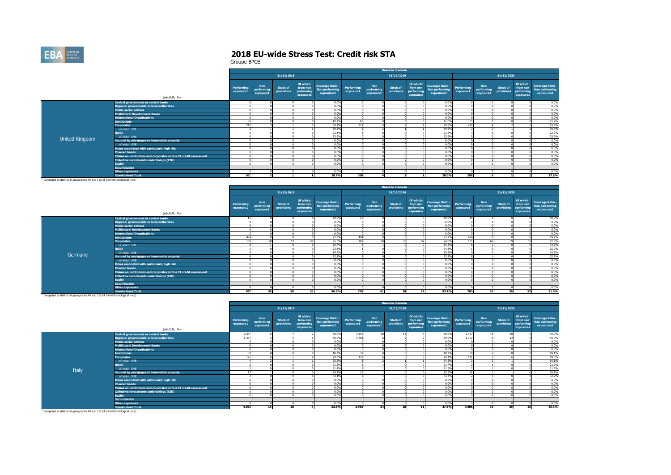

|                                                                                       |                                                                   |                         |                                       |                               |                                                  |                                                         |                         |                                | <b>Baseline Scenario</b>      |                                                  |                                                         |                         |                                |                               |                                                  |                                                  |
|---------------------------------------------------------------------------------------|-------------------------------------------------------------------|-------------------------|---------------------------------------|-------------------------------|--------------------------------------------------|---------------------------------------------------------|-------------------------|--------------------------------|-------------------------------|--------------------------------------------------|---------------------------------------------------------|-------------------------|--------------------------------|-------------------------------|--------------------------------------------------|--------------------------------------------------|
|                                                                                       |                                                                   |                         |                                       | 31/12/2018                    |                                                  |                                                         |                         |                                | 31/12/2019                    |                                                  |                                                         |                         |                                | 31/12/2020                    |                                                  |                                                  |
|                                                                                       | (mln EUR, %)                                                      | Performing<br>exposure1 | <b>Non</b><br>performing<br>exposure1 | <b>Stock of</b><br>provisions | Of which:<br>from non<br>performing<br>exposures | <b>Coverage Ratio -</b><br>Non performing<br>exposures1 | Performing<br>exposure1 | Non<br>performing<br>exposure1 | <b>Stock of</b><br>provisions | Of which:<br>from non<br>performing<br>exposures | <b>Coverage Ratio -</b><br>Non performing<br>exposures1 | Performing<br>exposure1 | Non<br>performing<br>exposure1 | <b>Stock of</b><br>provisions | Of which:<br>from non<br>performing<br>exposures | Coverage Ratio -<br>Non performing<br>exposures1 |
|                                                                                       | Central governments or central banks                              |                         |                                       |                               |                                                  | 0.0%                                                    |                         |                                |                               |                                                  | 0.0%                                                    |                         |                                |                               |                                                  | 0.0%                                             |
|                                                                                       | <b>Regional governments or local authorities</b>                  |                         |                                       |                               |                                                  | 0.0%                                                    |                         |                                |                               |                                                  | 0.0%                                                    |                         |                                |                               |                                                  | 0.0%                                             |
|                                                                                       | <b>Public sector entities</b>                                     |                         |                                       |                               |                                                  | 0.0%                                                    |                         |                                |                               |                                                  | 0.0%                                                    |                         |                                |                               |                                                  | 0.0%                                             |
|                                                                                       | <b>Multilateral Development Banks</b>                             |                         |                                       |                               |                                                  | 0.0%                                                    |                         |                                |                               |                                                  | 0.0%                                                    |                         |                                |                               |                                                  | 0.0%                                             |
|                                                                                       | <b>International Organisations</b>                                |                         |                                       |                               |                                                  | 0.0%                                                    |                         |                                |                               |                                                  | 0.0%                                                    |                         |                                |                               |                                                  | 0.0%                                             |
|                                                                                       | <b>Institutions</b>                                               |                         |                                       |                               |                                                  | 10.2%                                                   | 85                      |                                |                               |                                                  | 11.0%                                                   | 85                      |                                |                               |                                                  | 11.2%                                            |
|                                                                                       | <b>Corporates</b>                                                 | 212                     |                                       |                               |                                                  | 30.1%                                                   | 211                     |                                |                               |                                                  | 29.8%                                                   | 210                     |                                |                               |                                                  | 29.6%                                            |
|                                                                                       | of which: SME                                                     |                         |                                       |                               |                                                  | 39.8%                                                   |                         |                                |                               |                                                  | 39.6%                                                   |                         |                                |                               |                                                  | 39.4%                                            |
|                                                                                       | <b>Retail</b>                                                     |                         |                                       |                               |                                                  | 22.1%                                                   |                         |                                |                               |                                                  | 22.2%                                                   |                         |                                |                               |                                                  | 22.7%                                            |
| United Kingdom                                                                        | of which: SME                                                     |                         |                                       |                               |                                                  | 33.9%                                                   |                         |                                |                               |                                                  | 33.9%                                                   |                         |                                |                               |                                                  | 33.9%                                            |
|                                                                                       | Secured by mortgages on immovable property                        |                         |                                       |                               |                                                  | 0.0%                                                    |                         |                                |                               |                                                  | 0.0%                                                    |                         |                                |                               |                                                  | 0.0%                                             |
|                                                                                       | of which: SME                                                     |                         |                                       |                               |                                                  | 0.0%                                                    |                         |                                |                               |                                                  | 0.0%                                                    |                         |                                |                               |                                                  | 0.0%                                             |
|                                                                                       | Items associated with particularly high risk                      |                         |                                       |                               |                                                  | 0.0%                                                    |                         |                                |                               |                                                  | 0.0%                                                    |                         |                                |                               |                                                  | 0.0%                                             |
|                                                                                       | <b>Covered bonds</b>                                              |                         |                                       |                               |                                                  | 0.0%                                                    |                         |                                |                               |                                                  | 0.0%                                                    |                         |                                |                               |                                                  | 0.0%                                             |
|                                                                                       | Claims on institutions and corporates with a ST credit assessment |                         |                                       |                               |                                                  | 0.0%                                                    |                         |                                |                               |                                                  | 0.0%                                                    |                         |                                |                               |                                                  | 0.0%                                             |
|                                                                                       | Collective investments undertakings (CIU)                         |                         |                                       |                               |                                                  | 0.0%                                                    |                         |                                |                               |                                                  | 0.0%                                                    |                         |                                |                               |                                                  | 0.0%                                             |
|                                                                                       | <b>Equity</b>                                                     |                         |                                       |                               |                                                  | 0.0%                                                    |                         |                                |                               |                                                  | 0.0%                                                    |                         |                                |                               |                                                  | 0.0%                                             |
|                                                                                       | <b>Securitisation</b>                                             |                         |                                       |                               |                                                  |                                                         |                         |                                |                               |                                                  |                                                         |                         |                                |                               |                                                  |                                                  |
|                                                                                       | <b>Other exposures</b>                                            |                         |                                       |                               |                                                  | 0.0%                                                    |                         |                                |                               |                                                  | 0.0%                                                    |                         |                                |                               |                                                  | 0.0%                                             |
|                                                                                       | <b>Standardised Total</b>                                         | 301                     |                                       |                               |                                                  | 28.7%                                                   | 300                     |                                |                               |                                                  | 28.0%                                                   | 298                     |                                |                               |                                                  | 27.6%                                            |
| <sup>1</sup> Computed as defined in paragraphs 49 and 112 of the Methodological note) |                                                                   |                         |                                       |                               |                                                  |                                                         |                         |                                |                               |                                                  |                                                         |                         |                                |                               |                                                  |                                                  |

|         |                                                                   |                         |                                       |                               |                                                  |                                                         |                         |                                       | <b>Baseline Scenario</b>      |                                                  |                                                         |                         |                                       |                        |                                                  |                                                  |
|---------|-------------------------------------------------------------------|-------------------------|---------------------------------------|-------------------------------|--------------------------------------------------|---------------------------------------------------------|-------------------------|---------------------------------------|-------------------------------|--------------------------------------------------|---------------------------------------------------------|-------------------------|---------------------------------------|------------------------|--------------------------------------------------|--------------------------------------------------|
|         |                                                                   |                         |                                       | 31/12/2018                    |                                                  |                                                         |                         |                                       | 31/12/2019                    |                                                  |                                                         |                         |                                       | 31/12/2020             |                                                  |                                                  |
|         | (mln EUR, %)                                                      | Performing<br>exposure1 | <b>Non</b><br>performing<br>exposure1 | <b>Stock of</b><br>provisions | Of which:<br>from non<br>performing<br>exposures | <b>Coverage Ratio -</b><br>Non performing<br>exposures1 | Performing<br>exposure1 | <b>Non</b><br>performing<br>exposure1 | <b>Stock of</b><br>provisions | Of which:<br>from non<br>performing<br>exposures | <b>Coverage Ratio -</b><br>Non performing<br>exposures1 | Performing<br>exposure1 | <b>Non</b><br>performing<br>exposure1 | Stock of<br>provisions | Of which:<br>from non<br>performing<br>exposures | Coverage Ratio -<br>Non performing<br>exposures1 |
|         | Central governments or central banks                              | 15                      |                                       |                               |                                                  | 40.0%                                                   | 15                      |                                       |                               |                                                  | 40.0%                                                   | 15                      |                                       |                        |                                                  | 40.0%                                            |
|         | <b>Regional governments or local authorities</b>                  |                         |                                       |                               |                                                  | 0.0%                                                    |                         |                                       |                               |                                                  | 0.0%                                                    |                         |                                       |                        |                                                  | 0.0%                                             |
|         | <b>Public sector entities</b>                                     |                         |                                       |                               |                                                  | 0.0%                                                    |                         |                                       |                               |                                                  | 0.0%                                                    |                         |                                       |                        |                                                  | 0.0%                                             |
|         | <b>Multilateral Development Banks</b>                             |                         |                                       |                               |                                                  | 0.0%                                                    |                         |                                       |                               |                                                  | 0.0%                                                    |                         |                                       |                        |                                                  | 0.0%                                             |
|         | <b>International Organisations</b>                                |                         |                                       |                               |                                                  | 0.0%                                                    |                         |                                       |                               |                                                  | 0.0%                                                    |                         |                                       |                        |                                                  | 0.0%                                             |
|         | <b>Institutions</b>                                               | 494                     |                                       |                               |                                                  | 27.0%                                                   | 494                     |                                       |                               |                                                  | 23.2%                                                   | 494                     |                                       |                        |                                                  | 19.2%                                            |
|         | <b>Corporates</b>                                                 | 189                     |                                       |                               | 57                                               | 96.5%                                                   | 187                     |                                       |                               |                                                  | 94.0%                                                   | 185                     |                                       |                        |                                                  | 91.8%                                            |
|         | of which: SME                                                     |                         |                                       |                               |                                                  | 36.7%                                                   |                         |                                       |                               |                                                  | 35.5%                                                   |                         |                                       |                        |                                                  | 34.9%                                            |
|         | Retail                                                            |                         |                                       |                               |                                                  | 23.4%                                                   |                         |                                       |                               |                                                  | 24.3%                                                   |                         |                                       |                        |                                                  | 25.0%                                            |
| Germany | of which: SME                                                     |                         |                                       |                               |                                                  | 19.8%                                                   |                         |                                       |                               |                                                  | 19.8%                                                   |                         |                                       |                        |                                                  | 19.8%                                            |
|         | Secured by mortgages on immovable property                        |                         |                                       |                               |                                                  | 22.8%                                                   |                         |                                       |                               |                                                  | 22.8%                                                   |                         |                                       |                        |                                                  | 22.8%                                            |
|         | of which: SME                                                     |                         |                                       |                               |                                                  | 0.0%                                                    |                         |                                       |                               |                                                  | 0.0%                                                    |                         |                                       |                        |                                                  | 0.0%                                             |
|         | Items associated with particularly high risk                      |                         |                                       |                               |                                                  | 0.0%                                                    |                         |                                       |                               |                                                  | 0.0%                                                    |                         |                                       |                        |                                                  | 0.0%                                             |
|         | <b>Covered bonds</b>                                              |                         |                                       |                               |                                                  | 0.0%                                                    |                         |                                       |                               |                                                  | 0.0%                                                    |                         |                                       |                        |                                                  | 0.0%                                             |
|         | Claims on institutions and corporates with a ST credit assessment |                         |                                       |                               |                                                  | 0.0%                                                    |                         |                                       |                               |                                                  | 0.0%                                                    |                         |                                       |                        |                                                  | 0.0%                                             |
|         | Collective investments undertakings (CIU)                         |                         |                                       |                               |                                                  | 0.0%                                                    |                         |                                       |                               |                                                  | 0.0%                                                    |                         |                                       |                        |                                                  | 0.0%                                             |
|         | <b>Equity</b>                                                     |                         |                                       |                               |                                                  | 0.0%                                                    |                         |                                       |                               |                                                  | 0.0%                                                    |                         |                                       |                        |                                                  | 0.0%                                             |
|         | <b>Securitisation</b>                                             |                         |                                       |                               |                                                  |                                                         |                         |                                       |                               |                                                  |                                                         |                         |                                       |                        |                                                  |                                                  |
|         | <b>Other exposures</b>                                            |                         |                                       |                               |                                                  | 0.0%                                                    |                         |                                       |                               |                                                  | 0.0%                                                    |                         |                                       |                        |                                                  | 0.0%                                             |
|         | <b>Standardised Total</b>                                         | 707                     | 58                                    | 58                            | 56                                               | 96.2%                                                   | 705                     | 61                                    | 58                            | 57                                               | 93.4%                                                   | 703                     | 63                                    | 59                     | 57                                               | 91.0%                                            |

**Standardised Total** 1 Computed as defined in paragraphs 49 and 112 of the Methodological note)

|       |                                                                   |                         |                                       |                               |                                                  |                                                         |                          |                                       | <b>Baseline Scenario</b>      |                                                  |                                                  |                         |                                       |                                                                                   |                                                  |
|-------|-------------------------------------------------------------------|-------------------------|---------------------------------------|-------------------------------|--------------------------------------------------|---------------------------------------------------------|--------------------------|---------------------------------------|-------------------------------|--------------------------------------------------|--------------------------------------------------|-------------------------|---------------------------------------|-----------------------------------------------------------------------------------|--------------------------------------------------|
|       |                                                                   |                         |                                       | 31/12/2018                    |                                                  |                                                         |                          |                                       | 31/12/2019                    |                                                  |                                                  |                         |                                       | 31/12/2020                                                                        |                                                  |
|       | (mln EUR, %)                                                      | Performing<br>exposure1 | <b>Non</b><br>performing<br>exposure1 | <b>Stock of</b><br>provisions | Of which:<br>from non<br>performing<br>exposures | <b>Coverage Ratio -</b><br>Non performing<br>exposures1 | Performing<br>exposure1  | <b>Non</b><br>performing<br>exposure1 | <b>Stock of</b><br>provisions | Of which:<br>from non<br>performing<br>exposures | Coverage Ratio -<br>Non performing<br>exposures1 | Performing<br>exposure1 | <b>Non</b><br>performing<br>exposure1 | Of which:<br><b>Stock of</b><br>from non<br>performing<br>provisions<br>exposures | Coverage Ratio -<br>Non performing<br>exposures1 |
|       | <b>Central governments or central banks</b>                       | 2.457                   |                                       |                               |                                                  | 40.0%                                                   | 2.451                    | 10                                    | 131                           |                                                  | 40.0%                                            | 2.447                   | 15                                    | $\overline{20}$                                                                   | 40.0%                                            |
|       | <b>Regional governments or local authorities</b>                  | 1.367                   |                                       |                               |                                                  | 40.0%                                                   | 1.364                    |                                       |                               |                                                  | 40.0%                                            | 1.362                   |                                       |                                                                                   | 40.0%                                            |
|       | <b>Public sector entities</b>                                     |                         |                                       |                               |                                                  | 0.0%                                                    |                          |                                       |                               |                                                  | 0.0%                                             |                         |                                       |                                                                                   | 0.0%                                             |
|       | <b>Multilateral Development Banks</b>                             |                         |                                       |                               |                                                  | 0.0%                                                    |                          |                                       |                               |                                                  | 0.0%                                             |                         |                                       |                                                                                   | 0.0%                                             |
|       | <b>International Organisations</b>                                |                         |                                       |                               |                                                  | 0.0%                                                    |                          |                                       |                               |                                                  | 0.0%                                             |                         |                                       |                                                                                   | 0.0%                                             |
|       | <b>Institutions</b>                                               | 20                      |                                       |                               |                                                  | 18.2%                                                   |                          |                                       |                               |                                                  | 18.2%                                            | 20 <sub>1</sub>         |                                       |                                                                                   | 18.1%                                            |
|       | <b>Corporates</b>                                                 | 122                     |                                       |                               |                                                  | 79.0%                                                   | 122                      |                                       |                               |                                                  | 74.1%                                            | 121                     |                                       |                                                                                   | 69.5%                                            |
|       | of which: SME                                                     |                         |                                       |                               |                                                  | 65.2%                                                   |                          |                                       |                               |                                                  | 64.5%                                            |                         |                                       |                                                                                   | 64.1%                                            |
|       | <b>Retail</b>                                                     |                         |                                       |                               |                                                  | 21.5%                                                   |                          |                                       |                               |                                                  | 21.7%                                            |                         |                                       |                                                                                   | 21.7%                                            |
| Italy | of which: SME                                                     |                         |                                       |                               |                                                  | 21.4%                                                   |                          |                                       |                               |                                                  | 21.5%                                            |                         |                                       |                                                                                   | 21.5%                                            |
|       | Secured by mortgages on immovable property                        | 17                      |                                       |                               |                                                  | 24.1%                                                   | $\overline{\phantom{a}}$ |                                       |                               |                                                  | 25.5%                                            | 16                      |                                       |                                                                                   | 26.1%                                            |
|       | of which: SME                                                     |                         |                                       |                               |                                                  | 34.1%                                                   |                          |                                       |                               |                                                  | 33.2%                                            |                         |                                       |                                                                                   | 32.7%                                            |
|       | Items associated with particularly high risk                      |                         |                                       |                               |                                                  | 0.0%                                                    |                          |                                       |                               |                                                  | 0.0%                                             |                         |                                       |                                                                                   | 0.0%                                             |
|       | <b>Covered bonds</b>                                              |                         |                                       |                               |                                                  | 0.0%                                                    |                          |                                       |                               |                                                  | 0.0%                                             |                         |                                       |                                                                                   | 0.0%                                             |
|       | Claims on institutions and corporates with a ST credit assessment |                         |                                       |                               |                                                  | 0.0%                                                    |                          |                                       |                               |                                                  | 0.0%                                             |                         |                                       |                                                                                   | 0.0%                                             |
|       | Collective investments undertakings (CIU)                         |                         |                                       |                               |                                                  | 0.0%                                                    |                          |                                       |                               |                                                  | 0.0%                                             |                         |                                       |                                                                                   | 0.0%                                             |
|       | <b>Equity</b>                                                     |                         |                                       |                               |                                                  | 0.0%                                                    |                          |                                       |                               |                                                  | 0.0%                                             |                         |                                       |                                                                                   | 0.0%                                             |
|       | <b>Securitisation</b>                                             |                         |                                       |                               |                                                  |                                                         |                          |                                       |                               |                                                  |                                                  |                         |                                       |                                                                                   |                                                  |
|       | Other exposures                                                   |                         |                                       |                               |                                                  | 0.0%                                                    |                          |                                       |                               |                                                  | 0.0%                                             |                         |                                       |                                                                                   | 0.0%                                             |
|       | <b>Standardised Total</b>                                         | 4.004                   | 15                                    | 18                            |                                                  | 53.8%                                                   | 3,995                    | 24                                    | 28                            | 11                                               | 47.8%                                            | 3.986                   | 33                                    | 39<br>15                                                                          | 45.3%                                            |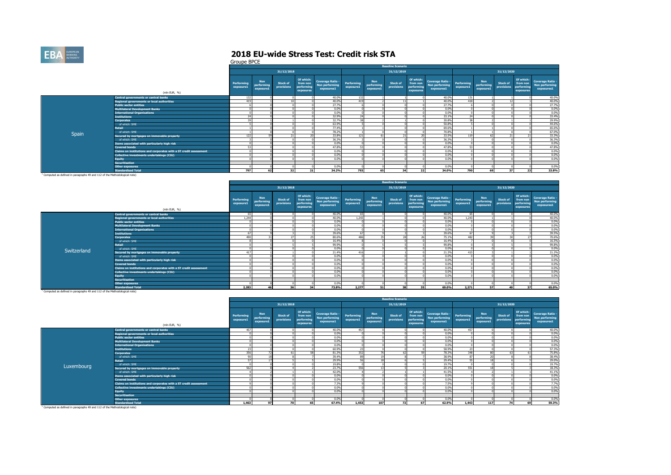

Groupe BPCE

|                                                                                       |                                                                   |                                |                                       |                               |                                                  |                                                         |                         |                                       | <b>Baseline Scenario</b>      |                                                  |                                                         |                         |                                       |                               |                                                  |                                                  |
|---------------------------------------------------------------------------------------|-------------------------------------------------------------------|--------------------------------|---------------------------------------|-------------------------------|--------------------------------------------------|---------------------------------------------------------|-------------------------|---------------------------------------|-------------------------------|--------------------------------------------------|---------------------------------------------------------|-------------------------|---------------------------------------|-------------------------------|--------------------------------------------------|--------------------------------------------------|
|                                                                                       |                                                                   |                                |                                       | 31/12/2018                    |                                                  |                                                         |                         |                                       | 31/12/2019                    |                                                  |                                                         |                         |                                       | 31/12/2020                    |                                                  |                                                  |
|                                                                                       | (mln EUR, %)                                                      | <b>Performing</b><br>exposure1 | <b>Non</b><br>performing<br>exposure1 | <b>Stock of</b><br>provisions | Of which:<br>from non<br>performing<br>exposures | <b>Coverage Ratio -</b><br>Non performing<br>exposures1 | Performing<br>exposure1 | <b>Non</b><br>performing<br>exposure1 | <b>Stock of</b><br>provisions | Of which:<br>from non<br>performing<br>exposures | <b>Coverage Ratio -</b><br>Non performing<br>exposures1 | Performing<br>exposure1 | <b>Non</b><br>performing<br>exposure1 | <b>Stock of</b><br>provisions | Of which:<br>from non<br>performing<br>exposures | Coverage Ratio -<br>Non performing<br>exposures1 |
|                                                                                       | <b>Central governments or central banks</b>                       | 132                            |                                       |                               |                                                  | 40.0%                                                   | 132                     |                                       |                               |                                                  | 40.0%                                                   | 131                     |                                       |                               |                                                  | 40.0%                                            |
|                                                                                       | <b>Regional governments or local authorities</b>                  | 419                            |                                       | 10                            |                                                  | 40.0%                                                   | 419                     |                                       | 11                            |                                                  | 40.0%                                                   | 418                     |                                       | $\sim$                        |                                                  | 40.0%                                            |
|                                                                                       | <b>Public sector entities</b>                                     |                                |                                       |                               |                                                  | 27.7%                                                   |                         |                                       |                               |                                                  | 27.7%                                                   |                         |                                       |                               |                                                  | 27.7%                                            |
|                                                                                       | <b>Multilateral Development Banks</b>                             |                                |                                       |                               |                                                  | 0.0%                                                    |                         |                                       |                               |                                                  | 0.0%                                                    |                         |                                       |                               |                                                  | 0.0%                                             |
|                                                                                       | <b>International Organisations</b>                                |                                |                                       |                               |                                                  | 0.0%                                                    |                         |                                       |                               |                                                  | 0.0%                                                    |                         |                                       |                               |                                                  | 0.0%                                             |
|                                                                                       | <b>Institutions</b>                                               | 24                             |                                       |                               |                                                  | 32.9%                                                   | 24                      |                                       |                               |                                                  | 33.19                                                   | 24                      |                                       |                               |                                                  | 33.4%                                            |
|                                                                                       | <b>Corporates</b>                                                 | 39                             |                                       |                               |                                                  | 32.7%                                                   | 38                      |                                       |                               |                                                  | 30.8%                                                   | 38                      |                                       |                               |                                                  | 29.9%                                            |
|                                                                                       | of which: SME                                                     |                                |                                       |                               |                                                  | 63.9%                                                   |                         |                                       |                               |                                                  | 50.8%                                                   |                         |                                       |                               |                                                  | 44.6%                                            |
|                                                                                       | <b>Retail</b>                                                     |                                |                                       |                               |                                                  | 77.4%                                                   |                         |                                       |                               |                                                  | 69.6%                                                   |                         |                                       |                               |                                                  | 65.6%                                            |
|                                                                                       | of which: SME                                                     |                                |                                       |                               |                                                  | 78.2%                                                   |                         |                                       |                               |                                                  | 70.8%                                                   |                         |                                       |                               |                                                  | 67.0%                                            |
| Spain                                                                                 | Secured by mortgages on immovable property                        | 122                            |                                       | 21                            |                                                  | 33.8%                                                   | 121                     |                                       | 21                            |                                                  | 33.5%                                                   | 119                     |                                       | 21                            |                                                  | 33.3%                                            |
|                                                                                       | of which: SME                                                     |                                |                                       |                               |                                                  | 36.3%                                                   |                         |                                       |                               |                                                  | 36.3%                                                   |                         |                                       |                               |                                                  | 36.3%                                            |
|                                                                                       | Items associated with particularly high risk                      |                                |                                       |                               |                                                  | 0.0%                                                    |                         |                                       |                               |                                                  | 0.0%                                                    |                         |                                       |                               |                                                  | 0.0%                                             |
|                                                                                       | <b>Covered bonds</b>                                              | C <sub>2</sub>                 |                                       |                               |                                                  | 47.8%                                                   | <b>CD</b>               |                                       |                               |                                                  | 47.8%                                                   | -77                     |                                       |                               |                                                  | 47.8%                                            |
|                                                                                       | Claims on institutions and corporates with a ST credit assessment |                                |                                       |                               |                                                  | 0.0%                                                    |                         |                                       |                               |                                                  | 0.0%                                                    |                         |                                       |                               |                                                  | 0.0%                                             |
|                                                                                       | Collective investments undertakings (CIU)                         |                                |                                       |                               |                                                  | 0.0%                                                    |                         |                                       |                               |                                                  | 0.0%                                                    |                         |                                       |                               |                                                  | 0.0%                                             |
|                                                                                       | <b>Equity</b>                                                     |                                |                                       |                               |                                                  | 0.0%                                                    |                         |                                       |                               |                                                  | 0.0%                                                    |                         |                                       |                               |                                                  | 0.0%                                             |
|                                                                                       | <b>Securitisation</b>                                             |                                |                                       |                               |                                                  |                                                         |                         |                                       |                               |                                                  |                                                         |                         |                                       |                               |                                                  |                                                  |
|                                                                                       | <b>Other exposures</b>                                            |                                |                                       |                               |                                                  | 0.0%                                                    |                         |                                       |                               |                                                  | 0.0%                                                    |                         |                                       |                               |                                                  | 0.0%                                             |
|                                                                                       | <b>Standardised Total</b>                                         | 797                            |                                       | 32                            | 21                                               | 34.2%                                                   | 793                     | 65                                    | 34                            | 22                                               | 34.0%                                                   | 790                     | 69                                    | 37                            | 23                                               | 33.8%                                            |
| <sup>1</sup> Computed as defined in paragraphs 49 and 112 of the Methodological note) |                                                                   |                                |                                       |                               |                                                  |                                                         |                         |                                       |                               |                                                  |                                                         |                         |                                       |                               |                                                  |                                                  |

|             |                                                                   |                         |                                       |                               |                                                  |                                                         |                         |                                       | <b>Baseline Scenario</b>      |                                                  |                                                         |                         |                                       |                               |                                                  |                                                  |
|-------------|-------------------------------------------------------------------|-------------------------|---------------------------------------|-------------------------------|--------------------------------------------------|---------------------------------------------------------|-------------------------|---------------------------------------|-------------------------------|--------------------------------------------------|---------------------------------------------------------|-------------------------|---------------------------------------|-------------------------------|--------------------------------------------------|--------------------------------------------------|
|             |                                                                   |                         |                                       | 31/12/2018                    |                                                  |                                                         |                         |                                       | 31/12/2019                    |                                                  |                                                         |                         |                                       | 31/12/2020                    |                                                  |                                                  |
|             | (mln EUR, %)                                                      | Performing<br>exposure1 | <b>Non</b><br>performing<br>exposure1 | <b>Stock of</b><br>provisions | Of which:<br>from non<br>performing<br>exposures | <b>Coverage Ratio -</b><br>Non performing<br>exposures1 | Performing<br>exposure1 | <b>Non</b><br>performing<br>exposure1 | <b>Stock of</b><br>provisions | Of which:<br>from non<br>performing<br>exposures | <b>Coverage Ratio -</b><br>Non performing<br>exposures1 | Performing<br>exposure1 | <b>Non</b><br>performing<br>exposure1 | <b>Stock of</b><br>provisions | Of which:<br>from non<br>performing<br>exposures | Coverage Ratio -<br>Non performing<br>exposures1 |
|             | <b>Central governments or central banks</b>                       | 65                      |                                       |                               |                                                  | 40.0%                                                   | 65                      |                                       |                               |                                                  | 40.0%                                                   | 65                      |                                       |                               |                                                  | 40.0%                                            |
|             | <b>Regional governments or local authorities</b>                  | 1,244                   |                                       |                               |                                                  | 40.0%                                                   | 1,243                   |                                       |                               |                                                  | 40.0%                                                   | 1.243                   |                                       |                               |                                                  | 40.0%                                            |
|             | <b>Public sector entities</b>                                     |                         |                                       |                               |                                                  | 0.0%                                                    |                         |                                       |                               |                                                  | 0.0%                                                    |                         |                                       |                               |                                                  | 0.0%                                             |
|             | <b>Multilateral Development Banks</b>                             |                         |                                       |                               |                                                  | 0.0%                                                    |                         |                                       |                               |                                                  | 0.0%                                                    |                         |                                       |                               |                                                  | 0.0%                                             |
|             | <b>International Organisations</b>                                |                         |                                       |                               |                                                  | 0.0%                                                    |                         |                                       |                               |                                                  | 0.0%                                                    |                         |                                       |                               |                                                  | 0.0%                                             |
|             | <b>Institutions</b>                                               | 67                      |                                       |                               |                                                  | 39.6%                                                   | 67                      |                                       |                               |                                                  | 39.6%                                                   | 67                      |                                       |                               |                                                  | 39.5%                                            |
|             | <b>Corporates</b>                                                 | 490                     |                                       | 27                            |                                                  | 80.6%                                                   | 486                     |                                       | 28                            |                                                  | 75.1%                                                   | 482                     |                                       | $\sim$                        |                                                  | 70.6%                                            |
|             | of which: SME                                                     |                         |                                       |                               |                                                  | 16.4%                                                   |                         |                                       |                               |                                                  | 16,4%                                                   |                         |                                       |                               |                                                  | 16.5%                                            |
|             | Retail                                                            |                         |                                       |                               |                                                  | 99.9%                                                   |                         |                                       |                               |                                                  | 99.8%                                                   |                         |                                       |                               |                                                  | 99.8%                                            |
| Switzerland | of which: SME                                                     |                         |                                       |                               |                                                  | 0.0%                                                    |                         |                                       |                               |                                                  | 0.0%                                                    |                         |                                       |                               |                                                  | 0.0%                                             |
|             | Secured by mortgages on immovable property                        | 417                     |                                       |                               |                                                  | 21.4%                                                   | 416                     |                                       |                               |                                                  | 21.3%                                                   | 415                     |                                       |                               |                                                  | 21.2%                                            |
|             | of which: SME                                                     |                         |                                       |                               |                                                  | 0.0%                                                    |                         |                                       |                               |                                                  | 0.0%                                                    |                         |                                       |                               |                                                  | 0.0%                                             |
|             | Items associated with particularly high risk                      |                         |                                       |                               |                                                  | 0.0%                                                    |                         |                                       |                               |                                                  | 0.0%                                                    |                         |                                       |                               |                                                  | 0.0%                                             |
|             | <b>Covered bonds</b>                                              |                         |                                       |                               |                                                  | 0.0%                                                    |                         |                                       |                               |                                                  | 0.0%                                                    |                         |                                       |                               |                                                  | 0.0%                                             |
|             | Claims on institutions and corporates with a ST credit assessment |                         |                                       |                               |                                                  | 0.0%                                                    |                         |                                       |                               |                                                  | 0.0%                                                    |                         |                                       |                               |                                                  | 0.0%                                             |
|             | Collective investments undertakings (CIU)                         |                         |                                       |                               |                                                  | 0.0%                                                    |                         |                                       |                               |                                                  | 0.0%                                                    |                         |                                       |                               |                                                  | 0.0%                                             |
|             | <b>Equity</b>                                                     |                         |                                       |                               |                                                  | 0.0%                                                    |                         |                                       |                               |                                                  | 0.0%                                                    |                         |                                       |                               |                                                  | 0.0%                                             |
|             | <b>Securitisation</b>                                             |                         |                                       |                               |                                                  |                                                         |                         |                                       |                               |                                                  |                                                         |                         |                                       |                               |                                                  |                                                  |
|             | <b>Other exposures</b>                                            |                         |                                       |                               |                                                  | 0.0%                                                    |                         |                                       |                               |                                                  | 0.0%                                                    |                         |                                       |                               |                                                  | 0.0%                                             |
|             | <b>Standardised Total</b>                                         | 2.283                   |                                       | 36                            | 34                                               | 73.8%                                                   | 2.277                   | 51                                    | 38                            | 35                                               | 69.0%                                                   | 2.271                   | 57                                    | 40                            | 37                                               | 65.0%                                            |

**Standardised Total** 1 Computed as defined in paragraphs 49 and 112 of the Methodological note)

|            |                                                                   |                         |                                       |                               |                                                  |                                                         |                         |                                       | <b>Baseline Scenario</b>      |                                                  |                                                             |           |                                       |                                                                                   |                                                  |
|------------|-------------------------------------------------------------------|-------------------------|---------------------------------------|-------------------------------|--------------------------------------------------|---------------------------------------------------------|-------------------------|---------------------------------------|-------------------------------|--------------------------------------------------|-------------------------------------------------------------|-----------|---------------------------------------|-----------------------------------------------------------------------------------|--------------------------------------------------|
|            |                                                                   |                         |                                       | 31/12/2018                    |                                                  |                                                         |                         |                                       | 31/12/2019                    |                                                  |                                                             |           |                                       | 31/12/2020                                                                        |                                                  |
|            | (mln EUR, %)                                                      | Performing<br>exposure1 | <b>Non</b><br>performing<br>exposure1 | <b>Stock of</b><br>provisions | Of which:<br>from non<br>performing<br>exposures | <b>Coverage Ratio -</b><br>Non performing<br>exposures1 | Performing<br>exposure1 | <b>Non</b><br>performing<br>exposure1 | <b>Stock of</b><br>provisions | Of which:<br>from non<br>performing<br>exposures | Coverage Ratio - Performing<br>Non performing<br>exposures1 | exposure1 | <b>Non</b><br>performing<br>exposure1 | Of which:<br><b>Stock of</b><br>from non<br>performing<br>provisions<br>exposures | Coverage Ratio -<br>Non performing<br>exposures1 |
|            | Central governments or central banks                              | 457                     |                                       |                               |                                                  | 40.0%                                                   | 457                     |                                       |                               |                                                  | 40.0%                                                       | 457       |                                       |                                                                                   | 40.0%                                            |
|            | <b>Regional governments or local authorities</b>                  |                         |                                       |                               |                                                  | 0.0%                                                    |                         |                                       |                               |                                                  | 0.0%                                                        |           |                                       |                                                                                   | 0.0%                                             |
|            | <b>Public sector entities</b>                                     |                         |                                       |                               |                                                  | 0.0%                                                    |                         |                                       |                               |                                                  | 0.0%                                                        |           |                                       |                                                                                   | 0.0%                                             |
|            | <b>Multilateral Development Banks</b>                             |                         |                                       |                               |                                                  | 0.0%                                                    |                         |                                       |                               |                                                  | 0.0%                                                        |           |                                       |                                                                                   | 0.0%                                             |
|            | <b>International Organisations</b>                                |                         |                                       |                               |                                                  | 0.0%                                                    |                         |                                       |                               |                                                  | 0.0%                                                        |           |                                       |                                                                                   | 0.0%                                             |
|            | <b>Institutions</b>                                               | 23                      |                                       |                               |                                                  | 60.9%                                                   | 23                      |                                       |                               |                                                  | 58.9%                                                       | 23        |                                       |                                                                                   | 57.3%                                            |
|            | <b>Corporates</b>                                                 | 356                     |                                       | 61                            |                                                  | 81.3%                                                   | 352                     |                                       | 62                            |                                                  | 78.3%                                                       | 348       |                                       | ch                                                                                | 75.8%                                            |
|            | of which: SME                                                     | on                      |                                       |                               |                                                  | 39.4%                                                   | 89                      |                                       |                               |                                                  | 38.9%                                                       | 87        |                                       |                                                                                   | 38.4%                                            |
|            | <b>Retail</b>                                                     | 57                      |                                       |                               |                                                  | 29.9%                                                   | 56                      |                                       |                               |                                                  | 29.4%                                                       | 55        |                                       |                                                                                   | 29.0%                                            |
| Luxembourg | of which: SME                                                     |                         |                                       |                               |                                                  | 19.8%                                                   |                         |                                       |                               |                                                  | 19.7%                                                       |           |                                       |                                                                                   | 19.7%                                            |
|            | Secured by mortgages on immovable property                        | 562                     |                                       |                               |                                                  | 23.7%                                                   | 556                     |                                       |                               |                                                  | 20.1%                                                       | 551       |                                       |                                                                                   | 18.3%                                            |
|            | of which: SME                                                     |                         |                                       |                               |                                                  | 42.0%                                                   |                         |                                       |                               |                                                  | 41.5%                                                       |           |                                       |                                                                                   | 41.1%                                            |
|            | Items associated with particularly high risk                      |                         |                                       |                               |                                                  | 0.0%                                                    |                         |                                       |                               |                                                  | 0.0%                                                        |           |                                       |                                                                                   | 0.0%                                             |
|            | <b>Covered bonds</b>                                              |                         |                                       |                               |                                                  | 0.0%                                                    |                         |                                       |                               |                                                  | 0.0%                                                        |           |                                       |                                                                                   | 0.0%                                             |
|            | Claims on institutions and corporates with a ST credit assessment |                         |                                       |                               |                                                  | 7.3%                                                    |                         |                                       |                               |                                                  | 7.5%                                                        |           |                                       |                                                                                   | 7.7%                                             |
|            | <b>Collective investments undertakings (CIU)</b>                  |                         |                                       |                               |                                                  | 0.0%                                                    |                         |                                       |                               |                                                  | 0.0%                                                        |           |                                       |                                                                                   | 0.0%                                             |
|            | Eauity                                                            |                         |                                       |                               |                                                  | 0.0%                                                    |                         |                                       |                               |                                                  | 0.0%                                                        |           |                                       |                                                                                   | 0.0%                                             |
|            | <b>Securitisation</b>                                             |                         |                                       |                               |                                                  |                                                         |                         |                                       |                               |                                                  |                                                             |           |                                       |                                                                                   |                                                  |
|            | Other exposures                                                   |                         |                                       |                               |                                                  | 0.0%                                                    |                         |                                       |                               |                                                  | 0.0%                                                        |           |                                       |                                                                                   | 0.0%                                             |
|            | <b>Standardised Total</b>                                         | 1,463                   | 97                                    | 70                            | 65                                               | 67.4%                                                   | 1,453                   | 107                                   | 72                            | 67                                               | 62.9%                                                       | 1,443     | 117                                   | 74                                                                                | 59.3%<br>69                                      |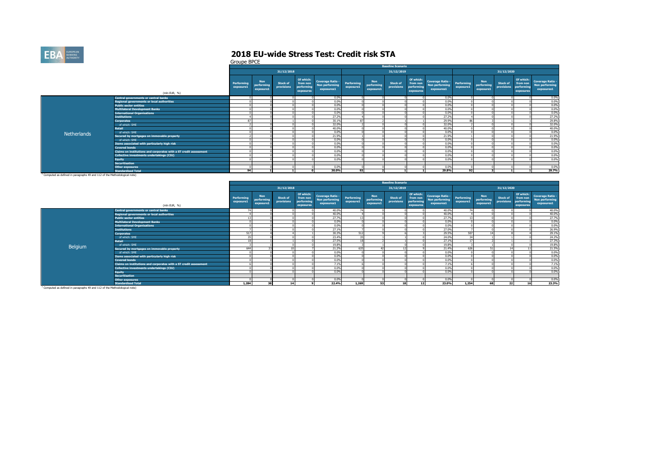

Groupe BPCE

|                                                                                       |                                                                   |                         |                                       |                        |                                                  |                                                         |                         |                                | <b>Baseline Scenario</b>      |                                                  |                                                         |                         |                                |                               |                                                  |                                                  |
|---------------------------------------------------------------------------------------|-------------------------------------------------------------------|-------------------------|---------------------------------------|------------------------|--------------------------------------------------|---------------------------------------------------------|-------------------------|--------------------------------|-------------------------------|--------------------------------------------------|---------------------------------------------------------|-------------------------|--------------------------------|-------------------------------|--------------------------------------------------|--------------------------------------------------|
|                                                                                       |                                                                   |                         |                                       | 31/12/2018             |                                                  |                                                         |                         |                                | 31/12/2019                    |                                                  |                                                         |                         |                                | 31/12/2020                    |                                                  |                                                  |
|                                                                                       | (mln EUR, %)                                                      | Performing<br>exposure1 | <b>Non</b><br>performing<br>exposure1 | Stock of<br>provisions | Of which:<br>from non<br>performing<br>exposures | <b>Coverage Ratio -</b><br>Non performing<br>exposures1 | Performing<br>exposure1 | Non<br>performing<br>exposure1 | <b>Stock of</b><br>provisions | Of which:<br>from non<br>performing<br>exposures | <b>Coverage Ratio -</b><br>Non performing<br>exposures1 | Performing<br>exposure1 | Non<br>performing<br>exposure1 | <b>Stock of</b><br>provisions | Of which:<br>from non<br>performing<br>exposures | Coverage Ratio -<br>Non performing<br>exposures1 |
|                                                                                       | <b>Central governments or central banks</b>                       |                         |                                       |                        |                                                  | 0.0%                                                    |                         |                                |                               |                                                  | 0.0%                                                    |                         |                                |                               |                                                  | 0.0%                                             |
|                                                                                       | <b>Regional governments or local authorities</b>                  |                         |                                       |                        |                                                  | 0.0%                                                    |                         |                                |                               |                                                  | 0.0%                                                    |                         |                                |                               |                                                  | 0.0%                                             |
|                                                                                       | <b>Public sector entities</b>                                     |                         |                                       |                        |                                                  | 0.0%                                                    |                         |                                |                               |                                                  | 0.0%                                                    |                         |                                |                               |                                                  | 0.0%                                             |
|                                                                                       | <b>Multilateral Development Banks</b>                             |                         |                                       |                        |                                                  | 0.0%                                                    |                         |                                |                               |                                                  | 0.0%                                                    |                         |                                |                               |                                                  | 0.0%                                             |
|                                                                                       | <b>International Organisations</b>                                |                         |                                       |                        |                                                  | 0.0%                                                    |                         |                                |                               |                                                  | 0.0%                                                    |                         |                                |                               |                                                  | 0.0%                                             |
|                                                                                       | <b>Institutions</b>                                               |                         |                                       |                        |                                                  | 27.2%                                                   |                         |                                |                               |                                                  | 27.2%                                                   |                         |                                |                               |                                                  | 27.2%                                            |
|                                                                                       | <b>Corporates</b>                                                 |                         |                                       |                        |                                                  | 30.1%                                                   |                         |                                |                               |                                                  | 29.9%                                                   | 86                      |                                |                               |                                                  | 29.8%                                            |
|                                                                                       | of which: SME                                                     |                         |                                       |                        |                                                  | 32.0%                                                   |                         |                                |                               |                                                  | 32.0%                                                   |                         |                                |                               |                                                  | 32.0%                                            |
|                                                                                       | <b>Retail</b>                                                     |                         |                                       |                        |                                                  | 40.0%                                                   |                         |                                |                               |                                                  | 40.0%                                                   |                         |                                |                               |                                                  | 40.0%                                            |
| Netherlands                                                                           | of which: SME                                                     |                         |                                       |                        |                                                  | 0.0%                                                    |                         |                                |                               |                                                  | 0.0%                                                    |                         |                                |                               |                                                  | 0.0%                                             |
|                                                                                       | Secured by mortgages on immovable property                        |                         |                                       |                        |                                                  | 21.9%                                                   |                         |                                |                               |                                                  | 21.9%                                                   |                         |                                |                               |                                                  | 21.9%                                            |
|                                                                                       | of which: SME                                                     |                         |                                       |                        |                                                  | 0.0%                                                    |                         |                                |                               |                                                  | 0.0%                                                    |                         |                                |                               |                                                  | 0.0%                                             |
|                                                                                       | Items associated with particularly high risk                      |                         |                                       |                        |                                                  | 0.0%                                                    |                         |                                |                               |                                                  | 0.0%                                                    |                         |                                |                               |                                                  | 0.0%                                             |
|                                                                                       | <b>Covered bonds</b>                                              |                         |                                       |                        |                                                  | 0.0%                                                    |                         |                                |                               |                                                  | 0.0%                                                    |                         |                                |                               |                                                  | 0.0%                                             |
|                                                                                       | Claims on institutions and corporates with a ST credit assessment |                         |                                       |                        |                                                  | 0.0%                                                    |                         |                                |                               |                                                  | 0.0%                                                    |                         |                                |                               |                                                  | 0.0%                                             |
|                                                                                       | Collective investments undertakings (CIU)                         |                         |                                       |                        |                                                  | 0.0%                                                    |                         |                                |                               |                                                  | 0.0%                                                    |                         |                                |                               |                                                  | 0.0%                                             |
|                                                                                       | <b>Equity</b>                                                     |                         |                                       |                        |                                                  | 0.0%                                                    |                         |                                |                               |                                                  | 0.0%                                                    |                         |                                |                               |                                                  | 0.0%                                             |
|                                                                                       | <b>Securitisation</b>                                             |                         |                                       |                        |                                                  |                                                         |                         |                                |                               |                                                  |                                                         |                         |                                |                               |                                                  |                                                  |
|                                                                                       | <b>Other exposures</b>                                            |                         |                                       |                        |                                                  | 0.0%                                                    |                         |                                |                               |                                                  | 0.0%                                                    |                         |                                |                               |                                                  | 0.0%                                             |
|                                                                                       | <b>Standardised Total</b>                                         | 94                      |                                       |                        |                                                  | 30.0%                                                   | 93                      |                                |                               |                                                  | 29.8%                                                   | 92                      |                                |                               |                                                  | 29.7%                                            |
| <sup>1</sup> Computed as defined in paragraphs 49 and 112 of the Methodological note) |                                                                   |                         |                                       |                        |                                                  |                                                         |                         |                                |                               |                                                  |                                                         |                         |                                |                               |                                                  |                                                  |

|         |                                                                   |                                |                                       |                               |                                                  |                                                         |                         |                                       | <b>Baseline Scenario</b>      |                                                  |                                                         |                         |                                       |                               |                                                  |                                                         |
|---------|-------------------------------------------------------------------|--------------------------------|---------------------------------------|-------------------------------|--------------------------------------------------|---------------------------------------------------------|-------------------------|---------------------------------------|-------------------------------|--------------------------------------------------|---------------------------------------------------------|-------------------------|---------------------------------------|-------------------------------|--------------------------------------------------|---------------------------------------------------------|
|         |                                                                   |                                |                                       | 31/12/2018                    |                                                  |                                                         |                         |                                       | 31/12/2019                    |                                                  |                                                         |                         |                                       | 31/12/2020                    |                                                  |                                                         |
|         | (mln EUR, %)                                                      | <b>Performing</b><br>exposure1 | <b>Non</b><br>performing<br>exposure1 | <b>Stock of</b><br>provisions | Of which:<br>from non<br>performing<br>exposures | <b>Coverage Ratio -</b><br>Non performing<br>exposures1 | Performing<br>exposure1 | <b>Non</b><br>performing<br>exposure1 | <b>Stock of</b><br>provisions | Of which:<br>from non<br>performing<br>exposures | <b>Coverage Ratio -</b><br>Non performing<br>exposures1 | Performing<br>exposure1 | <b>Non</b><br>performing<br>exposure1 | <b>Stock of</b><br>provisions | Of which:<br>from non<br>performing<br>exposures | <b>Coverage Ratio -</b><br>Non performing<br>exposures1 |
|         | <b>Central governments or central banks</b>                       |                                |                                       |                               |                                                  | 40.0%                                                   | 74                      |                                       |                               |                                                  | 40.0%                                                   | 74                      |                                       |                               |                                                  | 40.0%                                                   |
|         | <b>Regional governments or local authorities</b>                  |                                |                                       |                               |                                                  | 40.0%                                                   |                         |                                       |                               |                                                  | 40.0%                                                   |                         |                                       |                               |                                                  | 40.0%                                                   |
|         | <b>Public sector entities</b>                                     |                                |                                       |                               |                                                  | 27.7%                                                   |                         |                                       |                               |                                                  | 27.7%                                                   |                         |                                       |                               |                                                  | 27.7%                                                   |
|         | <b>Multilateral Development Banks</b>                             |                                |                                       |                               |                                                  | 0.0%                                                    |                         |                                       |                               |                                                  | 0.0%                                                    |                         |                                       |                               |                                                  | 0.0%                                                    |
|         | <b>International Organisations</b>                                |                                |                                       |                               |                                                  | 0.0%                                                    |                         |                                       |                               |                                                  | 0.0%                                                    |                         |                                       |                               |                                                  | 0.0%                                                    |
|         | <b>Institutions</b>                                               |                                |                                       |                               |                                                  | 27.1%                                                   |                         |                                       |                               |                                                  | 27.0%                                                   |                         |                                       |                               |                                                  | 26.9%                                                   |
|         | <b>Corporates</b>                                                 | 517                            |                                       |                               |                                                  | 30.3%                                                   | 512                     |                                       |                               |                                                  | 29.5%                                                   | 507                     |                                       |                               |                                                  | 29.1%                                                   |
|         | of which: SME                                                     |                                |                                       |                               |                                                  | 23.4%                                                   | 35                      |                                       |                               |                                                  | 24.0%                                                   | 34                      |                                       |                               |                                                  | 24.2%                                                   |
|         | <b>Retail</b>                                                     | 18                             |                                       |                               |                                                  | 27.5%                                                   | 18                      |                                       |                               |                                                  | 27.1%                                                   | 17                      |                                       |                               |                                                  | 27.3%                                                   |
| Belgium | of which: SME                                                     |                                |                                       |                               |                                                  | 19.8%                                                   |                         |                                       |                               |                                                  | 19.8%                                                   |                         |                                       |                               |                                                  | 19.8%                                                   |
|         | Secured by mortgages on immovable property                        | 644                            |                                       | 10 <sup>1</sup>               |                                                  | 21.2%                                                   | 635                     |                                       | 12                            |                                                  | 21.4%                                                   | 626                     |                                       | 14                            |                                                  | 21.5%                                                   |
|         | of which: SME                                                     |                                |                                       |                               |                                                  | 0.0%                                                    |                         |                                       |                               |                                                  | 0.0%                                                    |                         |                                       |                               |                                                  | 0.0%                                                    |
|         | Items associated with particularly high risk                      |                                |                                       |                               |                                                  | 0.0%                                                    |                         |                                       |                               |                                                  | 0.0%                                                    |                         |                                       |                               |                                                  | 0.0%                                                    |
|         | <b>Covered bonds</b>                                              |                                |                                       |                               |                                                  | 0.0%                                                    |                         |                                       |                               |                                                  | 0.0%                                                    |                         |                                       |                               |                                                  | 0.0%                                                    |
|         | Claims on institutions and corporates with a ST credit assessment |                                |                                       |                               |                                                  | 7.1%                                                    |                         |                                       |                               |                                                  | 7.1%                                                    |                         |                                       |                               |                                                  | 7.1%                                                    |
|         | Collective investments undertakings (CIU)                         |                                |                                       |                               |                                                  | 0.0%                                                    |                         |                                       |                               |                                                  | 0.0%                                                    |                         |                                       |                               |                                                  | 0.0%                                                    |
|         | <b>Equity</b>                                                     |                                |                                       |                               |                                                  | 0.0%                                                    |                         |                                       |                               |                                                  | 0.0%                                                    |                         |                                       |                               |                                                  | 0.0%                                                    |
|         | <b>Securitisation</b>                                             |                                |                                       |                               |                                                  |                                                         |                         |                                       |                               |                                                  |                                                         |                         |                                       |                               |                                                  |                                                         |
|         | Other exposures                                                   |                                |                                       |                               |                                                  | 0.0%                                                    |                         |                                       |                               |                                                  | 0.0%                                                    |                         |                                       |                               |                                                  | 0.0%                                                    |
|         | <b>Standardised Total</b>                                         | 1,284                          | 38                                    | 14                            |                                                  | 22.4%                                                   | 1,269                   | 53                                    | 18                            | 12                                               | 23.0%                                                   | 1,254                   | 68                                    | 22                            | 16                                               | 23.3%                                                   |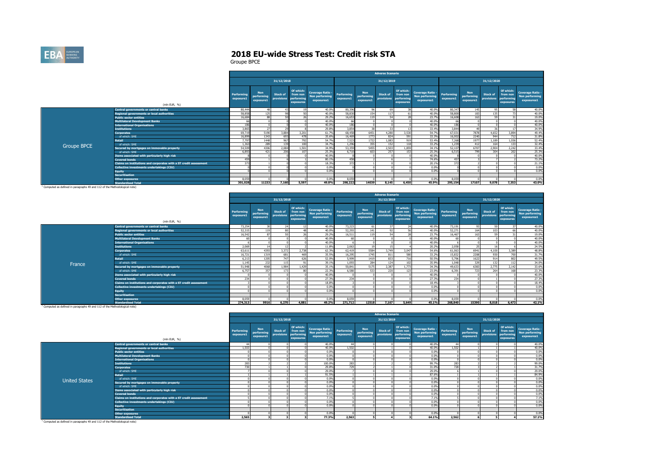

Groupe BPCE

|             |                                                                   |                         |                                       |                        |                                                  |                                                         |                         |                                       | <b>Adverse Scenario</b>       |                                                  |                                                                |                         |                                       |                        |                                                  |                                                         |
|-------------|-------------------------------------------------------------------|-------------------------|---------------------------------------|------------------------|--------------------------------------------------|---------------------------------------------------------|-------------------------|---------------------------------------|-------------------------------|--------------------------------------------------|----------------------------------------------------------------|-------------------------|---------------------------------------|------------------------|--------------------------------------------------|---------------------------------------------------------|
|             |                                                                   |                         |                                       | 31/12/2018             |                                                  |                                                         |                         |                                       | 31/12/2019                    |                                                  |                                                                |                         |                                       | 31/12/2020             |                                                  |                                                         |
|             | (mln EUR, %)                                                      | Performing<br>exposure1 | <b>Non</b><br>performing<br>exposure1 | Stock of<br>provisions | Of which:<br>from non<br>performina<br>exposures | <b>Coverage Ratio -</b><br>Non performing<br>exposures1 | Performing<br>exposure1 | <b>Non</b><br>performing<br>exposure1 | <b>Stock of</b><br>provisions | Of which:<br>from non<br>performing<br>exposures | <b>Coverage Ratio -</b><br><b>Non performing</b><br>exposures1 | Performing<br>exposure1 | <b>Non</b><br>performing<br>exposure1 | Stock of<br>provisions | Of which:<br>from non<br>performing<br>exposures | <b>Coverage Ratio -</b><br>Non performing<br>exposures1 |
|             | <b>Central governments or central banks</b>                       | 80,444                  |                                       | 43                     |                                                  | 40.0%                                                   | 80.396                  | 96                                    | 69                            | $\sim$                                           | 40.0%                                                          | 80.347                  | 145                                   | 95                     | 58                                               | 40.0%                                                   |
|             | <b>Regional governments or local authorities</b>                  | 58,858                  | 125                                   |                        |                                                  | 40.0%                                                   | 58,830                  | 154                                   | 117                           |                                                  | 40.0%                                                          | 58,800                  | 183                                   | 135                    | 73                                               | 40.0%                                                   |
|             | <b>Public sector entities</b>                                     | 16,684                  |                                       | <b>CO</b>              |                                                  | 29.2%                                                   | 16,653                  | 119                                   | 54                            |                                                  | 23.7%                                                          | 16,608                  | 163                                   | 59                     | 31                                               | 19.0%                                                   |
|             | <b>Multilateral Development Banks</b>                             | -66                     |                                       |                        |                                                  | 40.0%                                                   | 66                      |                                       |                               |                                                  | 40.0%                                                          | 66                      |                                       |                        |                                                  | 40.0%                                                   |
|             | <b>International Organisations</b>                                | 186                     |                                       |                        |                                                  | 40.0%                                                   | 186                     |                                       |                               |                                                  | 40.0%                                                          | 186                     |                                       |                        |                                                  | 40.0%                                                   |
|             | <b>Institutions</b>                                               | 3,865                   | 27                                    | 29                     |                                                  | 29.8%                                                   | 3,854                   | 38                                    | 33                            |                                                  | 33.4%                                                          | 3,844                   | 49                                    | 36                     | 17                                               | 34.9%                                                   |
|             | <b>Corporates</b>                                                 | 69,719                  | 5190                                  | 3,884                  | 3.201                                            | 61.7%                                                   | 68,458                  | 6451                                  | 4,280                         | 3,530                                            | 54.7%                                                          | 67,031                  | 7878                                  | 4.652                  | 3.894                                            | 49.4%                                                   |
|             | of which: SME                                                     | 16,899                  | 1343                                  | 693                    | 478                                              | 35.6%                                                   | 16,469                  | 1773                                  | 824                           | 591                                              | 33.3%                                                          | 16,002                  | 2240                                  | 944                    | 712                                              | 31.8%                                                   |
|             | <b>Retail</b>                                                     | 7,797                   | 1448                                  | 967                    | 792                                              | 54.7%                                                   | 7,523                   | 1722                                  | 1,083                         | 919                                              | 53.4%                                                          | 7.268                   | 1977                                  | 1.189                  | 1.036                                            | 52.4%                                                   |
|             | of which: SME                                                     | 1,363                   | 289                                   | 139                    | 100                                              | 34.7%                                                   | 1,296                   | 355                                   | 152                           | 118                                              | 33.2%                                                          | 1,239                   | 412                                   | 164                    | 133                                              | 32.4%                                                   |
| Groupe BPCE | Secured by mortgages on immovable property                        | 54,509                  | 4306                                  | 2,084                  | 1,501                                            | 34.9%                                                   | 53,359                  | 5455                                  | 2,503                         | 1.859                                            | 34.1%                                                          | 52,107                  | 6707                                  | 2,904                  | 2,242                                            | 33.4%                                                   |
|             | of which: SME                                                     | 6.893                   | 421                                   | 206                    | 107                                              | 25.3%                                                   | 6.710                   | 603                                   | 257                           | 153                                              | 25.3%                                                          | 6.515                   | 799                                   | 304                    | 202                                              | 25.3%                                                   |
|             | Items associated with particularly high risk                      |                         |                                       |                        |                                                  | 40.0%                                                   |                         |                                       |                               |                                                  | 40.0%                                                          |                         |                                       |                        |                                                  | 40.0%                                                   |
|             | <b>Covered bonds</b>                                              | 459                     |                                       |                        |                                                  | 80.1%                                                   | 458                     |                                       |                               |                                                  | 74.6%                                                          | 457                     |                                       |                        |                                                  | 73.2%                                                   |
|             | Claims on institutions and corporates with a ST credit assessment | 373                     |                                       |                        |                                                  | 18.3%                                                   | 372                     |                                       |                               |                                                  | 20.1%                                                          | 372                     |                                       |                        |                                                  | 21.1%                                                   |
|             | Collective investments undertakings (CIU)                         |                         |                                       |                        |                                                  | 0.0%                                                    |                         |                                       |                               |                                                  | 0.0%                                                           |                         |                                       |                        |                                                  | 0.0%                                                    |
|             | <b>Equity</b>                                                     |                         |                                       |                        |                                                  | 0.0%                                                    |                         |                                       |                               |                                                  | 0.0%                                                           |                         |                                       |                        |                                                  | 0.0%                                                    |
|             | <b>Securitisation</b>                                             |                         |                                       |                        |                                                  |                                                         |                         |                                       |                               |                                                  |                                                                |                         |                                       |                        |                                                  |                                                         |
|             | <b>Other exposures</b>                                            | 8.059                   |                                       |                        |                                                  | 0.0%                                                    | 8.059                   |                                       |                               |                                                  | 0.0%                                                           | 8.059                   |                                       |                        |                                                  | 0.0%                                                    |
|             | <b>Standardised Total</b>                                         | 301,028                 | 11233                                 | 7.160                  | 5.597                                            | 49.8%                                                   | 298.222                 | 14039                                 | 8.145                         | 6,450                                            | 45.9%                                                          | 295.154                 | 17107                                 | 9,078                  | 7,353                                            | 43.0%                                                   |

**Standardised Total** 1 Computed as defined in paragraphs 49 and 112 of the Methodological note)

|        |                                                                   |                         |                                       |                               |                                                  |                                                         |                         |                                       | <b>Adverse Scenario</b>           |                                    |                                                         |                         |                                       |                        |                                                  |                                                         |
|--------|-------------------------------------------------------------------|-------------------------|---------------------------------------|-------------------------------|--------------------------------------------------|---------------------------------------------------------|-------------------------|---------------------------------------|-----------------------------------|------------------------------------|---------------------------------------------------------|-------------------------|---------------------------------------|------------------------|--------------------------------------------------|---------------------------------------------------------|
|        |                                                                   |                         |                                       | 31/12/2018                    |                                                  |                                                         |                         |                                       | 31/12/2019                        |                                    |                                                         |                         |                                       | 31/12/2020             |                                                  |                                                         |
|        | (mln EUR, %)                                                      | Performing<br>exposure1 | <b>Non</b><br>performina<br>exposure1 | <b>Stock of</b><br>provisions | Of which:<br>from non<br>performing<br>exposures | <b>Coverage Ratio -</b><br>Non performing<br>exposures1 | Performing<br>exposure1 | <b>Non</b><br>performing<br>exposure1 | Stock of<br>provisions performing | Of which:<br>from non<br>exposures | <b>Coverage Ratio -</b><br>Non performing<br>exposures1 | Performing<br>exposure1 | <b>Non</b><br>performing<br>exposure1 | Stock of<br>provisions | Of which:<br>from non<br>performing<br>exposures | <b>Coverage Ratio -</b><br>Non performing<br>exposures1 |
|        | Central governments or central banks                              | 73,254                  |                                       | 24                            |                                                  | 40.0%                                                   | 73,223                  |                                       | 37                                |                                    | 40.0%                                                   | 73,191                  |                                       | co.                    |                                                  | 40.0%                                                   |
|        | <b>Regional governments or local authorities</b>                  | 52,315                  | 119                                   | 80                            |                                                  | 40.0%                                                   | 52,293                  | 141                                   | 97                                |                                    | 40.0%                                                   | 52,271                  | 164                                   | 103                    |                                                  | 40.0%                                                   |
|        | <b>Public sector entities</b>                                     | 16,542                  |                                       | 50 <sub>0</sub>               |                                                  | 29.2%                                                   | 16.511                  |                                       | 54                                |                                    | 23,7%                                                   | 16,467                  |                                       | 59                     |                                                  | 19.0%                                                   |
|        | <b>Multilateral Development Banks</b>                             | 60                      |                                       |                               |                                                  | 40.0%                                                   | 60                      |                                       |                                   |                                    | 40.0%                                                   | 60                      |                                       |                        |                                                  | 40.0%                                                   |
|        | <b>International Organisations</b>                                |                         |                                       |                               |                                                  | 40.0%                                                   |                         |                                       |                                   |                                    | 40.0%                                                   |                         |                                       |                        |                                                  | 40.0%                                                   |
|        | <b>Institutions</b>                                               | 2,069                   |                                       | 12                            |                                                  | 11.8%                                                   | 2.063                   |                                       | 15                                |                                    | 20.2%                                                   | 2,058                   |                                       | 16                     |                                                  | 24.5%                                                   |
|        | <b>Corporates</b>                                                 | 63,611                  | 4393                                  | 3,372                         | 2.738                                            | 62.3%                                                   | 62,419                  | 5584                                  | 3,749                             | 3,047                              | 54.6%                                                   | 61.063                  | 6941                                  | 4.100                  | 3.389                                            | 48.8%                                                   |
|        | of which: SME                                                     | 16,721                  | 1319                                  | 681                           | 469                                              | 35.5%                                                   | 16,295                  | 1745                                  | 811                               | 580                                | 33.2%                                                   | 15,832                  | 2208                                  | 930                    | 700                                              | 31.7%                                                   |
|        | <b>Retail</b>                                                     | 6,213                   | 1205                                  | 747                           | 626                                              | 52.0%                                                   | 5,999                   | 1419                                  | 833                               | 716                                | 50.5%                                                   | 5,796                   | 1622                                  | 914                    | 802                                              | 49.5%                                                   |
| France | of which: SME                                                     | 1.145                   | 232                                   | 115                           | Q <sub>1</sub>                                   | 39.1%                                                   | 1.093                   | 284                                   | 124                               | 102                                | 35.9%                                                   | 1.048                   | 329                                   | 132                    | 112                                              | 34.0%                                                   |
|        | Secured by mortgages on immovable property                        | 51,948                  | 4068                                  | 1.984                         | 1.429                                            | 35.1%                                                   | 50.841                  | 5175                                  | 2,387                             | 1.773                              | 34.3%                                                   | 49,633                  | 6383                                  | 2,775                  | 2.142                                            | 33.6%                                                   |
|        | of which: SME                                                     | 6.757                   | 357                                   | 173                           |                                                  | 22.3%                                                   | 6,580                   | 533                                   | 220                               | 123                                | 23.0%                                                   | 6.391                   | 723                                   | 264                    | 168                                              | 23.3%                                                   |
|        | Items associated with particularly high risk                      |                         |                                       |                               |                                                  | 40.0%                                                   |                         |                                       |                                   |                                    | 40.0%                                                   |                         |                                       |                        |                                                  | 40.0%                                                   |
|        | <b>Covered bonds</b>                                              | 234                     |                                       |                               |                                                  | 27.3%                                                   | 234                     |                                       |                                   |                                    | 27.3%                                                   | 234                     |                                       |                        |                                                  | 27.3%                                                   |
|        | Claims on institutions and corporates with a ST credit assessment |                         |                                       |                               |                                                  | 18.8%                                                   |                         |                                       |                                   |                                    | 18.4%                                                   |                         |                                       |                        |                                                  | 18.4%                                                   |
|        | Collective investments undertakings (CIU)                         |                         |                                       |                               |                                                  | 0.0%                                                    |                         |                                       |                                   |                                    | 0.0%                                                    |                         |                                       |                        |                                                  | 0.0%                                                    |
|        | <b>Equity</b>                                                     |                         |                                       |                               |                                                  | 0.0%                                                    |                         |                                       |                                   |                                    | 0.0%                                                    |                         |                                       |                        |                                                  | 0.0%                                                    |
|        | <b>Securitisation</b>                                             |                         |                                       |                               |                                                  |                                                         |                         |                                       |                                   |                                    |                                                         |                         |                                       |                        |                                                  |                                                         |
|        | <b>Other exposures</b>                                            | 8.059                   |                                       |                               |                                                  | 0.0%                                                    | 8.059                   |                                       |                                   |                                    | 0.0%                                                    | 8.059                   |                                       |                        |                                                  | 0.0%                                                    |
|        | <b>Standardised Total</b>                                         | 274,313                 | 9916                                  | 6,270                         | 4.881                                            | 49.2%                                                   | 271,712                 | 12518                                 | 7.167                             | 5,649                              | 45.1%                                                   | 268.840                 | 15390                                 | 8.018                  | 6.473                                            | 42.1%                                                   |

**Standardised Total** 1 Computed as defined in paragraphs 49 and 112 of the Methodological note)

|                      |                                                                   |                                |                                       |                        |                                                  |                                                         |                         |                         | <b>Adverse Scenario</b>                                                                      |                                                         |                         |                                       |                               |                                                  |                                                                |
|----------------------|-------------------------------------------------------------------|--------------------------------|---------------------------------------|------------------------|--------------------------------------------------|---------------------------------------------------------|-------------------------|-------------------------|----------------------------------------------------------------------------------------------|---------------------------------------------------------|-------------------------|---------------------------------------|-------------------------------|--------------------------------------------------|----------------------------------------------------------------|
|                      |                                                                   |                                |                                       | 31/12/2018             |                                                  |                                                         |                         |                         | 31/12/2019                                                                                   |                                                         |                         |                                       | 31/12/2020                    |                                                  |                                                                |
|                      | (mln EUR, %)                                                      | <b>Performing</b><br>exposure1 | <b>Non</b><br>performing<br>exposure1 | Stock of<br>provisions | Of which:<br>from non<br>performing<br>exposures | <b>Coverage Ratio -</b><br>Non performing<br>exposures1 | Performing<br>exposure1 | <b>Non</b><br>exposure1 | Of which:<br><b>Stock of</b><br>from non<br>performing provisions<br>performing<br>exposures | <b>Coverage Ratio -</b><br>Non performing<br>exposures1 | Performing<br>exposure1 | <b>Non</b><br>performing<br>exposure1 | <b>Stock of</b><br>provisions | Of which:<br>from non<br>performing<br>exposures | <b>Coverage Ratio -</b><br><b>Non performing</b><br>exposures1 |
|                      | Central governments or central banks                              |                                |                                       |                        |                                                  | 40.0%                                                   | 44                      |                         |                                                                                              | 40.0%                                                   | 44                      |                                       |                               |                                                  | 40.0%                                                          |
|                      | Regional governments or local authorities                         | 1.503                          |                                       |                        |                                                  | 40.0%                                                   | 1.502                   |                         |                                                                                              | 40.0%                                                   | 1.502                   |                                       |                               |                                                  | 40.0%                                                          |
|                      | <b>Public sector entities</b>                                     |                                |                                       |                        |                                                  | 0.0%                                                    |                         |                         |                                                                                              | 0.0%                                                    |                         |                                       |                               |                                                  | 0.0%                                                           |
|                      | <b>Multilateral Development Banks</b>                             |                                |                                       |                        |                                                  | 0.0%                                                    |                         |                         |                                                                                              | 0.0%                                                    |                         |                                       |                               |                                                  | 0.0%                                                           |
|                      | <b>International Organisations</b>                                |                                |                                       |                        |                                                  | 0.0%                                                    |                         |                         |                                                                                              | 0.0%                                                    |                         |                                       |                               |                                                  | 0.0%                                                           |
|                      | <b>Institutions</b>                                               | 283                            |                                       |                        |                                                  | 100,0%                                                  | 283                     |                         |                                                                                              | 99.7%                                                   | 283                     |                                       |                               |                                                  | 99.0%                                                          |
|                      | <b>Corporates</b>                                                 | 720                            |                                       |                        |                                                  | 29.8%                                                   | 729                     |                         |                                                                                              | 31.0%                                                   | 728                     |                                       |                               |                                                  | 31.7%                                                          |
|                      | of which: SME                                                     |                                |                                       |                        |                                                  | 29.0%                                                   |                         |                         |                                                                                              | 29.0%                                                   |                         |                                       |                               |                                                  | 29.0%                                                          |
|                      | <b>Retail</b>                                                     |                                |                                       |                        |                                                  | 91.5%                                                   |                         |                         |                                                                                              | 87.6%                                                   |                         |                                       |                               |                                                  | 84.9%                                                          |
| <b>United States</b> | of which: SME                                                     |                                |                                       |                        |                                                  | 0.0%                                                    |                         |                         |                                                                                              | 0.0%                                                    |                         |                                       |                               |                                                  | 0.0%                                                           |
|                      | Secured by mortgages on immovable property                        |                                |                                       |                        |                                                  | 0.0%                                                    |                         |                         |                                                                                              | 0.0%                                                    |                         |                                       |                               |                                                  | 0.0%                                                           |
|                      | of which: SME                                                     |                                |                                       |                        |                                                  | 0.0%                                                    |                         |                         |                                                                                              | 0.0%                                                    |                         |                                       |                               |                                                  | 0.0%                                                           |
|                      | Items associated with particularly high risk                      |                                |                                       |                        |                                                  | 0.0%                                                    |                         |                         |                                                                                              | 0.0%                                                    |                         |                                       |                               |                                                  | 0.0%                                                           |
|                      | <b>Covered bonds</b>                                              |                                |                                       |                        |                                                  | 0.0%                                                    |                         |                         |                                                                                              | 0.0%                                                    |                         |                                       |                               |                                                  | 0.0%                                                           |
|                      | Claims on institutions and corporates with a ST credit assessment |                                |                                       |                        |                                                  | 7.1%                                                    |                         |                         |                                                                                              | 7.1%                                                    |                         |                                       |                               |                                                  | 7.1%                                                           |
|                      | Collective investments undertakings (CIU)                         |                                |                                       |                        |                                                  | 0.0%                                                    |                         |                         |                                                                                              | 0.0%                                                    |                         |                                       |                               |                                                  | 0.0%                                                           |
|                      | <b>Equity</b>                                                     |                                |                                       |                        |                                                  | 0.0%                                                    |                         |                         |                                                                                              | 0.0%                                                    |                         |                                       |                               |                                                  | 0.0%                                                           |
|                      | <b>Securitisation</b>                                             |                                |                                       |                        |                                                  |                                                         |                         |                         |                                                                                              |                                                         |                         |                                       |                               |                                                  |                                                                |
|                      | <b>Other exposures</b>                                            |                                |                                       |                        |                                                  | 0.0%                                                    |                         |                         |                                                                                              | 0.0%                                                    |                         |                                       |                               |                                                  | 0.0%                                                           |
|                      | <b>Standardised Total</b>                                         | 2.565                          |                                       |                        |                                                  | 77.3%                                                   | 2.563                   | 5                       |                                                                                              | 64.1%                                                   | 2.562                   |                                       |                               |                                                  | 57.1%                                                          |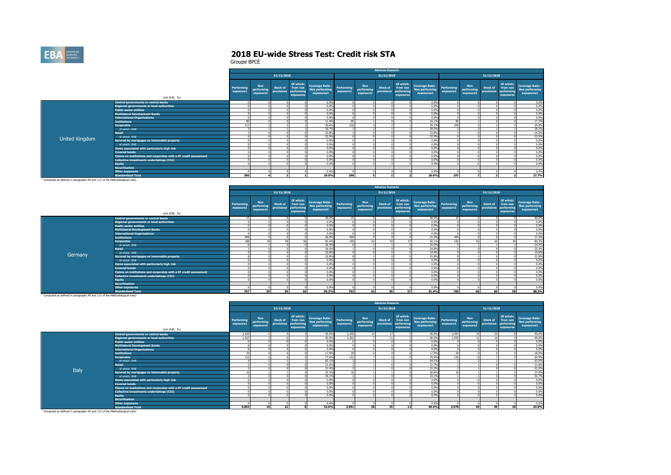

|                |                                                                   |                                |                                       |                 |                                                             |                                                             |           |                                | <b>Adverse Scenario</b> |                                                  |                                                         |                         |                                       |                               |                                                  |                                                                |
|----------------|-------------------------------------------------------------------|--------------------------------|---------------------------------------|-----------------|-------------------------------------------------------------|-------------------------------------------------------------|-----------|--------------------------------|-------------------------|--------------------------------------------------|---------------------------------------------------------|-------------------------|---------------------------------------|-------------------------------|--------------------------------------------------|----------------------------------------------------------------|
|                |                                                                   |                                |                                       | 31/12/2018      |                                                             |                                                             |           |                                | 31/12/2019              |                                                  |                                                         |                         |                                       | 31/12/2020                    |                                                  |                                                                |
|                | (mln EUR, %)                                                      | <b>Performing</b><br>exposure1 | <b>Non</b><br>performing<br>exposure1 | <b>Stock of</b> | Of which:<br>from non<br>provisions performing<br>exposures | Coverage Ratio - Performing<br>Non performing<br>exposures1 | exposure1 | Non<br>performing<br>exposure1 | Stock of<br>provisions  | Of which:<br>from non<br>performing<br>exposures | <b>Coverage Ratio -</b><br>Non performing<br>exposures1 | Performing<br>exposure1 | <b>Non</b><br>performing<br>exposure1 | <b>Stock of</b><br>provisions | Of which:<br>from non<br>performing<br>exposures | <b>Coverage Ratio -</b><br><b>Non performing</b><br>exposures1 |
|                | Central governments or central banks                              |                                |                                       |                 |                                                             | 0.0%                                                        |           |                                |                         |                                                  | 0.0%                                                    | $\sim$                  |                                       |                               |                                                  | 0.0%                                                           |
|                | Regional governments or local authorities                         |                                |                                       |                 |                                                             | 0.0%                                                        |           |                                |                         |                                                  | 0.0%                                                    |                         |                                       |                               |                                                  | 0.0%                                                           |
|                | <b>Public sector entities</b>                                     |                                |                                       |                 |                                                             | 0.0%                                                        |           |                                |                         |                                                  | 0.0%                                                    |                         |                                       |                               |                                                  | 0.0%                                                           |
|                | <b>Multilateral Development Banks</b>                             |                                |                                       |                 |                                                             | 0.0%                                                        |           |                                |                         |                                                  | 0.0%                                                    |                         |                                       |                               |                                                  | 0.0%                                                           |
|                | <b>International Organisations</b>                                |                                |                                       |                 |                                                             | 0.0%                                                        |           |                                |                         |                                                  | 0.0%                                                    |                         |                                       |                               |                                                  | 0.0%                                                           |
|                | <b>Institutions</b>                                               | 85                             |                                       |                 |                                                             | 11.4%                                                       | 85        |                                |                         |                                                  | 16.1%                                                   | 85                      |                                       |                               |                                                  | 17.1%                                                          |
|                | <b>Corporates</b>                                                 | 211                            |                                       |                 |                                                             | 30.6%                                                       | 210       |                                |                         |                                                  | 30.1%                                                   | 209                     |                                       |                               |                                                  | 29.9%                                                          |
|                | of which: SME                                                     |                                |                                       |                 |                                                             | 39.7%                                                       |           |                                |                         |                                                  | 39.5%                                                   |                         |                                       |                               |                                                  | 39.2%                                                          |
|                | <b>Retail</b>                                                     |                                |                                       |                 |                                                             | 23.8%                                                       |           |                                |                         |                                                  | 23.8%                                                   |                         |                                       |                               |                                                  | 24.2%                                                          |
| United Kingdom | of which: SME                                                     |                                |                                       |                 |                                                             | 33.9%                                                       |           |                                |                         |                                                  | 33.9%                                                   |                         |                                       |                               |                                                  | 33.9%                                                          |
|                | Secured by mortgages on immovable property                        |                                |                                       |                 |                                                             | 0.0%                                                        |           |                                |                         |                                                  | 0.0%                                                    |                         |                                       |                               |                                                  | 0.0%                                                           |
|                | of which: SME                                                     |                                |                                       |                 |                                                             | 0.0%                                                        |           |                                |                         |                                                  | 0.0%                                                    |                         |                                       |                               |                                                  | 0.0%                                                           |
|                | Items associated with particularly high risk                      |                                |                                       |                 |                                                             | 0.0%                                                        |           |                                |                         |                                                  | 0.0%                                                    |                         |                                       |                               |                                                  | 0.0%                                                           |
|                | <b>Covered bonds</b>                                              |                                |                                       |                 |                                                             | 0.0%                                                        |           |                                |                         |                                                  | 0.0%                                                    |                         |                                       |                               |                                                  | 0.0%                                                           |
|                | Claims on institutions and corporates with a ST credit assessment |                                |                                       |                 |                                                             | 0.0%                                                        |           |                                |                         |                                                  | 0.0%                                                    |                         |                                       |                               |                                                  | 0.0%                                                           |
|                | <b>Collective investments undertakings (CIU)</b>                  |                                |                                       |                 |                                                             | 0.0%                                                        |           |                                |                         |                                                  | 0.0%                                                    |                         |                                       |                               |                                                  | 0.0%                                                           |
|                | <b>Equity</b>                                                     |                                |                                       |                 |                                                             | 0.0%                                                        |           |                                |                         |                                                  | 0.0%                                                    |                         |                                       |                               |                                                  | 0.0%                                                           |
|                | <b>Securitisation</b>                                             |                                |                                       |                 |                                                             |                                                             |           |                                |                         |                                                  |                                                         |                         |                                       |                               |                                                  |                                                                |
|                | <b>Other exposures</b>                                            |                                |                                       |                 |                                                             | 0.0%                                                        |           |                                |                         |                                                  | 0.0%                                                    |                         |                                       |                               |                                                  | 0.0%                                                           |
|                | <b>Standardised Total</b>                                         | 300                            |                                       |                 |                                                             | 29.0%                                                       | 298       |                                | $\sim$                  |                                                  | 28.0%                                                   | 297                     |                                       |                               |                                                  | 27.7%                                                          |

**Standardised Total** 1 Computed as defined in paragraphs 49 and 112 of the Methodological note)

|         |                                                                   |                         |                                       |                               |                                                  |                                                         |                         |                                       | <b>Adverse Scenario</b>       |                                                  |                                                  |                         |                                       |                        |                                                  |                                                         |
|---------|-------------------------------------------------------------------|-------------------------|---------------------------------------|-------------------------------|--------------------------------------------------|---------------------------------------------------------|-------------------------|---------------------------------------|-------------------------------|--------------------------------------------------|--------------------------------------------------|-------------------------|---------------------------------------|------------------------|--------------------------------------------------|---------------------------------------------------------|
|         |                                                                   |                         |                                       | 31/12/2018                    |                                                  |                                                         |                         |                                       | 31/12/2019                    |                                                  |                                                  |                         |                                       | 31/12/2020             |                                                  |                                                         |
|         | (mln EUR, %)                                                      | Performing<br>exposure1 | <b>Non</b><br>performing<br>exposure1 | <b>Stock of</b><br>provisions | Of which:<br>from non<br>performing<br>exposures | <b>Coverage Ratio -</b><br>Non performing<br>exposures1 | Performing<br>exposure1 | <b>Non</b><br>performing<br>exposure1 | <b>Stock of</b><br>provisions | Of which:<br>from non<br>performing<br>exposures | Coverage Ratio -<br>Non performing<br>exposures1 | Performing<br>exposure1 | <b>Non</b><br>performing<br>exposure1 | Stock of<br>provisions | Of which:<br>from non<br>performing<br>exposures | <b>Coverage Ratio -</b><br>Non performing<br>exposures1 |
|         | <b>Central governments or central banks</b>                       |                         |                                       |                               |                                                  | 40.0%                                                   | 15                      |                                       |                               |                                                  | 40.0%                                            | 15                      |                                       |                        |                                                  | 40.0%                                                   |
|         | Regional governments or local authorities                         |                         |                                       |                               |                                                  | 0.0%                                                    |                         |                                       | $\sim$                        |                                                  | 0.0%                                             |                         |                                       |                        |                                                  | 0.0%                                                    |
|         | <b>Public sector entities</b>                                     |                         |                                       |                               |                                                  | 0.0%                                                    |                         |                                       |                               |                                                  | 0.0%                                             |                         |                                       |                        |                                                  | 0.0%                                                    |
|         | <b>Multilateral Development Banks</b>                             |                         |                                       |                               |                                                  | 0.0%                                                    |                         |                                       |                               |                                                  | 0.0%                                             |                         |                                       |                        |                                                  | 0.0%                                                    |
|         | <b>International Organisations</b>                                |                         |                                       |                               |                                                  | 0.0%                                                    |                         |                                       |                               |                                                  | 0.0%                                             |                         |                                       |                        |                                                  | 0.0%                                                    |
|         | <b>Institutions</b>                                               | 494                     |                                       |                               |                                                  | 26.9%                                                   | 494                     |                                       | $\sim$                        |                                                  | 21.5%                                            | 494                     |                                       |                        |                                                  | 17.2%                                                   |
|         | <b>Corporates</b>                                                 | 188                     |                                       | ro.                           |                                                  | 95.6%                                                   | 185                     |                                       | 5                             |                                                  | 92.1%                                            | 182                     |                                       | 60                     | <b>CC</b>                                        | 89.3%                                                   |
|         | of which: SME                                                     |                         |                                       |                               |                                                  | 36,4%                                                   |                         |                                       |                               |                                                  | 35.0%                                            |                         |                                       |                        |                                                  | 34.3%                                                   |
|         | Retail                                                            |                         |                                       |                               |                                                  | 24.0%                                                   |                         |                                       |                               |                                                  | 24.8%                                            |                         |                                       |                        |                                                  | 25.4%                                                   |
| Germany | of which: SME                                                     |                         |                                       |                               |                                                  | 19.8%                                                   |                         |                                       |                               |                                                  | 19.8%                                            |                         |                                       |                        |                                                  | 19.8%<br>22.8%                                          |
|         | Secured by mortgages on immovable property                        |                         |                                       |                               |                                                  | 22.8%                                                   |                         |                                       |                               |                                                  | 22.8%                                            |                         |                                       |                        |                                                  |                                                         |
|         | of which: SME                                                     |                         |                                       |                               |                                                  | 0.0%                                                    |                         |                                       |                               |                                                  | 0.0%                                             |                         |                                       |                        |                                                  | 0.0%                                                    |
|         | Items associated with particularly high risk                      |                         |                                       |                               |                                                  | 0.0%                                                    |                         |                                       |                               |                                                  | 0.0%                                             |                         |                                       |                        |                                                  | 0.0%                                                    |
|         | <b>Covered bonds</b>                                              |                         |                                       |                               |                                                  | 0.0%                                                    |                         |                                       |                               |                                                  | 0.0%                                             |                         |                                       |                        |                                                  | 0.0%                                                    |
|         | Claims on institutions and corporates with a ST credit assessment |                         |                                       |                               |                                                  | 0.0%                                                    |                         |                                       |                               |                                                  | 0.0%                                             |                         |                                       |                        |                                                  | $\frac{0.0\%}{0.0\%}$                                   |
|         | Collective investments undertakings (CIU)                         |                         |                                       |                               |                                                  | 0.0%                                                    |                         |                                       |                               |                                                  | 0.0%                                             |                         |                                       |                        |                                                  |                                                         |
|         | <b>Equity</b>                                                     |                         |                                       |                               |                                                  | 0.0%                                                    |                         |                                       |                               |                                                  | 0.0%                                             |                         |                                       |                        |                                                  | 0.0%                                                    |
|         | <b>Securitisation</b>                                             |                         |                                       |                               |                                                  |                                                         |                         |                                       |                               |                                                  |                                                  |                         |                                       |                        |                                                  |                                                         |
|         | <b>Other exposures</b>                                            |                         |                                       |                               |                                                  | 0.0%                                                    |                         |                                       |                               |                                                  | 0.0%                                             |                         |                                       |                        |                                                  | 0.0%                                                    |
|         | <b>Standardised Total</b>                                         | 707                     | 59                                    | 59                            | 56                                               | 95.3%                                                   | 703                     | 63                                    | 59                            | 57                                               | 91.4%                                            | 700                     | 66                                    | 60                     | 58                                               | 88.3%                                                   |

**Standardised Total** 1 Computed as defined in paragraphs 49 and 112 of the Methodological note)

|       |                                                                   |                         |                                       |                               |                                                  |                                                         |                         |                                       | <b>Adverse Scenario</b>       |                                                  |                                                         |                         |                                       |                               |                                                  |                                                         |
|-------|-------------------------------------------------------------------|-------------------------|---------------------------------------|-------------------------------|--------------------------------------------------|---------------------------------------------------------|-------------------------|---------------------------------------|-------------------------------|--------------------------------------------------|---------------------------------------------------------|-------------------------|---------------------------------------|-------------------------------|--------------------------------------------------|---------------------------------------------------------|
|       |                                                                   |                         |                                       | 31/12/2018                    |                                                  |                                                         |                         |                                       | 31/12/2019                    |                                                  |                                                         |                         |                                       | 31/12/2020                    |                                                  |                                                         |
|       | (mln EUR, %)                                                      | Performing<br>exposure1 | <b>Non</b><br>performing<br>exposure1 | <b>Stock of</b><br>provisions | Of which:<br>from non<br>performing<br>exposures | <b>Coverage Ratio -</b><br>Non performing<br>exposures1 | Performing<br>exposure1 | <b>Non</b><br>performing<br>exposure1 | <b>Stock of</b><br>provisions | Of which:<br>from non<br>performing<br>exposures | <b>Coverage Ratio -</b><br>Non performing<br>exposures1 | Performing<br>exposure1 | <b>Non</b><br>performing<br>exposure1 | <b>Stock of</b><br>provisions | Of which:<br>from non<br>performing<br>exposures | <b>Coverage Ratio -</b><br>Non performing<br>exposures1 |
|       | Central governments or central banks                              | 2.456                   |                                       |                               |                                                  | 40.0%                                                   | 2.450                   |                                       |                               |                                                  | 40.0%                                                   | 2.443                   |                                       | 26                            |                                                  | 40.0%                                                   |
|       | Regional governments or local authorities                         | 1,367                   |                                       |                               |                                                  | 40.0%                                                   | 1,363                   |                                       | 11                            |                                                  | 40.0%                                                   | 1.359                   |                                       | $\overline{16}$               |                                                  | 40.0%                                                   |
|       | <b>Public sector entities</b>                                     |                         |                                       |                               |                                                  | 0.0%                                                    |                         |                                       |                               |                                                  | 0.0%                                                    |                         |                                       |                               |                                                  | 0.0%                                                    |
|       | <b>Multilateral Development Banks</b>                             |                         |                                       |                               |                                                  | 0.0%                                                    |                         |                                       |                               |                                                  | 0.0%                                                    |                         |                                       |                               |                                                  | 0.0%                                                    |
|       | <b>International Organisations</b>                                |                         |                                       |                               |                                                  | 0.0%                                                    |                         |                                       |                               |                                                  | 0.0%                                                    |                         |                                       |                               |                                                  | 0.0%                                                    |
|       | <b>Institutions</b>                                               | 20                      |                                       |                               |                                                  | 17.9%                                                   | 39                      |                                       |                               |                                                  | 17.9%                                                   | 39                      |                                       |                               |                                                  | 18.0%                                                   |
|       | <b>Corporates</b>                                                 | 122                     |                                       |                               |                                                  | 77.6%                                                   | 121                     |                                       |                               |                                                  | 70.6%                                                   | 120                     |                                       |                               |                                                  | 64.9%                                                   |
|       | of which: SME                                                     |                         |                                       |                               |                                                  | 65.1%                                                   |                         |                                       |                               |                                                  | 64.1%                                                   |                         |                                       |                               |                                                  | 63.6%                                                   |
|       | Retail                                                            |                         |                                       |                               |                                                  | 21.6%                                                   |                         |                                       |                               |                                                  | 21.7%                                                   |                         |                                       |                               |                                                  | 21.8%                                                   |
| Italy | of which: SME                                                     |                         |                                       |                               |                                                  | 21.4%                                                   |                         |                                       |                               |                                                  | 21.5%                                                   |                         |                                       |                               |                                                  | 21.5%                                                   |
|       | Secured by mortgages on immovable property                        |                         |                                       |                               |                                                  | 25.3%                                                   | 16                      |                                       |                               |                                                  | 26.6%                                                   | 16                      |                                       |                               |                                                  | 27.0%                                                   |
|       | of which: SME                                                     |                         |                                       |                               |                                                  | 34.1%                                                   |                         |                                       |                               |                                                  | 33.1%                                                   |                         |                                       |                               |                                                  | 32.7%                                                   |
|       | Items associated with particularly high risk                      |                         |                                       |                               |                                                  | 0.0%                                                    |                         |                                       |                               |                                                  | 0.0%                                                    |                         |                                       |                               |                                                  | 0.0%                                                    |
|       | <b>Covered bonds</b>                                              |                         |                                       |                               |                                                  | 0.0%                                                    |                         |                                       |                               |                                                  | 0.0%                                                    |                         |                                       |                               |                                                  | 0.0%                                                    |
|       | Claims on institutions and corporates with a ST credit assessment |                         |                                       |                               |                                                  | 0.0%                                                    |                         |                                       |                               |                                                  | 0.0%                                                    |                         |                                       |                               |                                                  | 0.0%                                                    |
|       | Collective investments undertakings (CIU)                         |                         |                                       |                               |                                                  | 0.0%                                                    |                         |                                       |                               |                                                  | 0.0%                                                    |                         |                                       |                               |                                                  | 0.0%                                                    |
|       | <b>Equity</b>                                                     |                         |                                       |                               |                                                  | 0.0%                                                    |                         |                                       |                               |                                                  | 0.0%                                                    |                         |                                       |                               |                                                  | 0.0%                                                    |
|       | <b>Securitisation</b>                                             |                         |                                       |                               |                                                  |                                                         |                         |                                       |                               |                                                  |                                                         |                         |                                       |                               |                                                  |                                                         |
|       | <b>Other exposures</b>                                            |                         |                                       |                               |                                                  | 0.0%                                                    |                         |                                       |                               |                                                  | 0.0%                                                    |                         |                                       |                               |                                                  | 0.0%                                                    |
|       | <b>Standardised Total</b>                                         | 4,003                   | 16                                    | 22                            |                                                  | 52.6%                                                   | 3.991                   | 28                                    | 35                            | 13                                               | 46.4%                                                   | 3,978                   |                                       | 49                            |                                                  | 43.9%                                                   |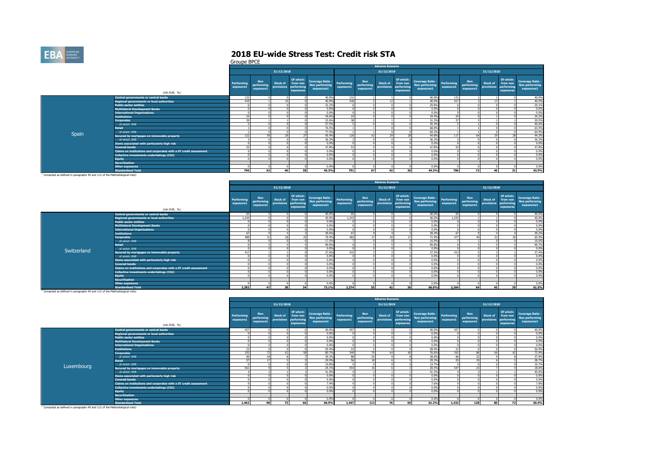

|                                                                                       |                                                                   | OI VUPC DI CE           |                                       |                               |                                                  |                                                         |                         |                                       | <b>Adverse Scenario</b>       |                                                  |                                                         |                         |                                       |                        |                                                  |                                                                |
|---------------------------------------------------------------------------------------|-------------------------------------------------------------------|-------------------------|---------------------------------------|-------------------------------|--------------------------------------------------|---------------------------------------------------------|-------------------------|---------------------------------------|-------------------------------|--------------------------------------------------|---------------------------------------------------------|-------------------------|---------------------------------------|------------------------|--------------------------------------------------|----------------------------------------------------------------|
|                                                                                       |                                                                   |                         |                                       | 31/12/2018                    |                                                  |                                                         |                         |                                       | 31/12/2019                    |                                                  |                                                         |                         |                                       | 31/12/2020             |                                                  |                                                                |
|                                                                                       | (mln EUR, %)                                                      | Performing<br>exposure1 | <b>Non</b><br>performing<br>exposure1 | <b>Stock of</b><br>provisions | Of which:<br>from non<br>performing<br>exposures | <b>Coverage Ratio -</b><br>Non performing<br>exposures1 | Performing<br>exposure1 | <b>Non</b><br>performing<br>exposure1 | <b>Stock of</b><br>provisions | Of which:<br>from non<br>performing<br>exposures | <b>Coverage Ratio -</b><br>Non performing<br>exposures1 | Performing<br>exposure1 | <b>Non</b><br>performing<br>exposure1 | Stock of<br>provisions | Of which:<br>from non<br>performing<br>exposures | <b>Coverage Ratio -</b><br><b>Non performing</b><br>exposures1 |
|                                                                                       | <b>Central governments or central banks</b>                       | 132                     |                                       |                               |                                                  | 40.0%                                                   | 131                     |                                       |                               |                                                  | 40.0%                                                   | 131                     |                                       |                        |                                                  | 40.0%                                                          |
|                                                                                       | <b>Regional governments or local authorities</b>                  | 419                     |                                       | $\overline{a}$                |                                                  | 40.0%                                                   | 418                     |                                       | 12                            |                                                  | 40.0%                                                   | 417                     |                                       |                        |                                                  | 40.0%                                                          |
|                                                                                       | <b>Public sector entities</b>                                     |                         |                                       |                               |                                                  | 32.2%                                                   |                         |                                       |                               |                                                  | 29.8%                                                   |                         |                                       |                        |                                                  | 29.1%                                                          |
|                                                                                       | <b>Multilateral Development Banks</b>                             |                         |                                       |                               |                                                  | 0.0%                                                    |                         |                                       |                               |                                                  | 0.0%                                                    |                         |                                       |                        |                                                  | 0.0%                                                           |
|                                                                                       | <b>International Organisations</b>                                |                         |                                       |                               |                                                  | 0.0%                                                    |                         |                                       |                               |                                                  | 0.0%                                                    |                         |                                       |                        |                                                  | 0.0%                                                           |
|                                                                                       | <b>Institutions</b>                                               | 24                      |                                       |                               |                                                  | 34.6%                                                   | 24                      |                                       |                               |                                                  | 34.4%                                                   | 24                      |                                       |                        |                                                  | 34.2%                                                          |
|                                                                                       | <b>Corporates</b>                                                 | 39                      |                                       |                               |                                                  | 33.6%                                                   | 38                      |                                       |                               |                                                  | 31.3%                                                   | $\overline{37}$         |                                       |                        |                                                  | 30.5%                                                          |
|                                                                                       | of which: SME                                                     |                         |                                       |                               |                                                  | 57.5%                                                   |                         |                                       |                               |                                                  | 45.4%                                                   |                         |                                       |                        |                                                  | 40.6%                                                          |
|                                                                                       | Retail                                                            |                         |                                       |                               |                                                  | 76.5%                                                   |                         |                                       |                               |                                                  | 68.0%                                                   |                         |                                       |                        |                                                  | 63.5%                                                          |
| <b>Spain</b>                                                                          | of which: SME                                                     |                         |                                       |                               |                                                  | 77.5%                                                   |                         |                                       |                               |                                                  | 69.3%                                                   |                         |                                       |                        |                                                  | 64.9%                                                          |
|                                                                                       | Secured by mortgages on immovable property                        | 122                     |                                       | 28                            | 27                                               | 45.4%                                                   | 120                     |                                       | 29                            |                                                  | 44.8%                                                   | 117                     |                                       | 20 <sup>o</sup>        |                                                  | 44.2%                                                          |
|                                                                                       | of which: SME                                                     |                         |                                       |                               |                                                  | 36.3%                                                   |                         |                                       |                               |                                                  | 36.3%                                                   |                         |                                       |                        |                                                  | 36.3%                                                          |
|                                                                                       | Items associated with particularly high risk                      |                         |                                       |                               |                                                  | 0.0%                                                    |                         |                                       |                               |                                                  | 0.0%                                                    |                         |                                       |                        |                                                  | 0.0%                                                           |
|                                                                                       | <b>Covered bonds</b>                                              | 53                      |                                       |                               |                                                  | 47.8%                                                   | 53                      |                                       |                               |                                                  | 47.8%                                                   | 53                      |                                       |                        |                                                  | 47.8%                                                          |
|                                                                                       | Claims on institutions and corporates with a ST credit assessment |                         |                                       |                               |                                                  | 0.0%                                                    |                         |                                       |                               |                                                  | 0.0%                                                    |                         |                                       |                        |                                                  | 0.0%                                                           |
|                                                                                       | Collective investments undertakings (CIU)                         |                         |                                       |                               |                                                  | 0.0%                                                    |                         |                                       |                               |                                                  | 0.0%                                                    |                         |                                       |                        |                                                  | 0.0%                                                           |
|                                                                                       | <b>Equity</b>                                                     |                         |                                       |                               |                                                  | 0.0%                                                    |                         |                                       |                               |                                                  | 0.0%                                                    |                         |                                       |                        |                                                  | 0.0%                                                           |
|                                                                                       | <b>Securitisation</b>                                             |                         |                                       |                               |                                                  |                                                         |                         |                                       |                               |                                                  |                                                         |                         |                                       |                        |                                                  |                                                                |
|                                                                                       | <b>Other exposures</b>                                            |                         |                                       |                               |                                                  | 0.0%                                                    |                         |                                       |                               |                                                  | 0.0%                                                    |                         |                                       |                        |                                                  | 0.0%                                                           |
|                                                                                       | <b>Standardised Total</b>                                         | 796                     | 62                                    | 40 <sub>1</sub>               | 28                                               | 45.3%                                                   | 791                     | 67                                    | 43                            | 20                                               | 44.3%                                                   | 786                     | 72                                    | AC                     | 31                                               | 43.5%                                                          |
| <sup>1</sup> Computed as defined in paragraphs 49 and 112 of the Methodological note) |                                                                   |                         |                                       |                               |                                                  |                                                         |                         |                                       |                               |                                                  |                                                         |                         |                                       |                        |                                                  |                                                                |

|             |                                                                   |                         |                                       |                 |                                                             |                                                         |                         |                                       | <b>Adverse Scenario</b>       |                                                  |                                                         |                         |                                       |                               |                                                  |                                                  |
|-------------|-------------------------------------------------------------------|-------------------------|---------------------------------------|-----------------|-------------------------------------------------------------|---------------------------------------------------------|-------------------------|---------------------------------------|-------------------------------|--------------------------------------------------|---------------------------------------------------------|-------------------------|---------------------------------------|-------------------------------|--------------------------------------------------|--------------------------------------------------|
|             |                                                                   |                         |                                       | 31/12/2018      |                                                             |                                                         |                         |                                       | 31/12/2019                    |                                                  |                                                         |                         |                                       | 31/12/2020                    |                                                  |                                                  |
|             | (mln EUR, %)                                                      | Performing<br>exposure1 | <b>Non</b><br>performing<br>exposure1 | <b>Stock of</b> | Of which:<br>from non<br>provisions performing<br>exposures | <b>Coverage Ratio -</b><br>Non performing<br>exposures1 | Performing<br>exposure1 | <b>Non</b><br>performing<br>exposure1 | <b>Stock of</b><br>provisions | Of which:<br>from non<br>performing<br>exposures | <b>Coverage Ratio -</b><br>Non performing<br>exposures1 | Performing<br>exposure1 | <b>Non</b><br>performing<br>exposure1 | <b>Stock of</b><br>provisions | Of which:<br>from non<br>performing<br>exposures | Coverage Ratio -<br>Non performing<br>exposures1 |
|             | Central governments or central banks                              | 65                      |                                       |                 |                                                             | 40.0%                                                   | 65                      |                                       |                               |                                                  | 40.0%                                                   | 65                      |                                       |                               |                                                  | 40.0%                                            |
|             | <b>Regional governments or local authorities</b>                  | 1.244                   |                                       |                 |                                                             | 40.0%                                                   | 1.243                   |                                       |                               |                                                  | 40.0%                                                   | 1.243                   |                                       |                               |                                                  | 40.0%                                            |
|             | <b>Public sector entities</b>                                     |                         |                                       |                 |                                                             | 0.0%                                                    |                         |                                       |                               |                                                  | 0.0%                                                    |                         |                                       |                               |                                                  | 0.0%                                             |
|             | <b>Multilateral Development Banks</b>                             |                         |                                       |                 |                                                             | 0.0%                                                    |                         |                                       |                               |                                                  | 0.0%                                                    |                         |                                       |                               |                                                  | 0.0%                                             |
|             | <b>International Organisations</b>                                |                         |                                       |                 |                                                             | 0.0%                                                    |                         |                                       |                               |                                                  | 0.0%                                                    |                         |                                       |                               |                                                  | 0.0%                                             |
|             | <b>Institutions</b>                                               | 67                      |                                       |                 |                                                             | 39.6%                                                   | 67                      |                                       |                               |                                                  | 39.4%                                                   |                         |                                       |                               |                                                  | 39.2%                                            |
|             | <b>Corporates</b>                                                 | 489                     | 24                                    | DO <sub>1</sub> |                                                             | 79.4%                                                   | 483                     |                                       | 20                            |                                                  | 71.9%                                                   | 477                     |                                       | 33                            | $\sim$                                           | 65.9%                                            |
|             | of which: SME                                                     |                         |                                       |                 |                                                             | 17.5%                                                   |                         |                                       |                               |                                                  | 16.9%                                                   |                         |                                       |                               |                                                  | 16.6%                                            |
|             | <b>Retail</b>                                                     |                         |                                       |                 |                                                             | 99.9%                                                   |                         |                                       |                               |                                                  | 99.8%                                                   |                         |                                       |                               |                                                  | 99.7%                                            |
| Switzerland | of which: SME                                                     |                         |                                       |                 |                                                             | 0.0%                                                    |                         |                                       |                               |                                                  | 0.0%                                                    |                         |                                       |                               |                                                  | 0.0%                                             |
|             | Secured by mortgages on immovable property                        | 417                     |                                       |                 |                                                             | 27.6%                                                   | 415                     |                                       |                               |                                                  | 27.5%                                                   | 413                     |                                       |                               |                                                  | 27,4%                                            |
|             | of which: SME                                                     |                         |                                       |                 |                                                             | 0.0%                                                    |                         |                                       |                               |                                                  | 0.0%                                                    |                         |                                       |                               |                                                  | 0.0%                                             |
|             | Items associated with particularly high risk                      |                         |                                       |                 |                                                             | 0.0%                                                    |                         |                                       |                               |                                                  | 0.0%                                                    |                         |                                       |                               |                                                  | 0.0%                                             |
|             | <b>Covered bonds</b>                                              |                         |                                       |                 |                                                             | 0.0%                                                    |                         |                                       |                               |                                                  | 0.0%                                                    |                         |                                       |                               |                                                  | 0.0%                                             |
|             | Claims on institutions and corporates with a ST credit assessment |                         |                                       |                 |                                                             | 0.0%                                                    |                         |                                       |                               |                                                  | 0.0%                                                    |                         |                                       |                               |                                                  | 0.0%                                             |
|             | Collective investments undertakings (CIU)                         |                         |                                       |                 |                                                             | 0.0%                                                    |                         |                                       |                               |                                                  | 0.0%                                                    |                         |                                       |                               |                                                  | 0.0%                                             |
|             | <b>Equity</b>                                                     |                         |                                       |                 |                                                             | 0.0%                                                    |                         |                                       |                               |                                                  | 0.0%                                                    |                         |                                       |                               |                                                  | 0.0%                                             |
|             | <b>Securitisation</b>                                             |                         |                                       |                 |                                                             |                                                         |                         |                                       |                               |                                                  |                                                         |                         |                                       |                               |                                                  |                                                  |
|             | <b>Other exposures</b>                                            |                         |                                       |                 |                                                             | 0.0%                                                    |                         |                                       |                               |                                                  | 0.0%                                                    |                         |                                       |                               |                                                  | 0.0%                                             |
|             | <b>Standardised Total</b>                                         | 2.282                   | 47                                    | 38              | 34                                                          | 73.1%                                                   | 2.274                   | 55                                    | 42                            | 36                                               | 66.9%                                                   | 2.264                   | 64                                    | 45                            | 39                                               | 61.5%                                            |

**Standardised Total** 1 Computed as defined in paragraphs 49 and 112 of the Methodological note)

|            |                                                                   |                         |                                       |                                   |                                    |                                                         |                         |                                       | <b>Adverse Scenario</b> |                                                  |                                                         |                         |                                       |                        |                                                  |                                                         |
|------------|-------------------------------------------------------------------|-------------------------|---------------------------------------|-----------------------------------|------------------------------------|---------------------------------------------------------|-------------------------|---------------------------------------|-------------------------|--------------------------------------------------|---------------------------------------------------------|-------------------------|---------------------------------------|------------------------|--------------------------------------------------|---------------------------------------------------------|
|            |                                                                   |                         |                                       | 31/12/2018                        |                                    |                                                         |                         |                                       | 31/12/2019              |                                                  |                                                         |                         |                                       | 31/12/2020             |                                                  |                                                         |
|            | (mln EUR, %)                                                      | Performing<br>exposure1 | <b>Non</b><br>performing<br>exposure1 | Stock of<br>provisions performing | Of which:<br>from non<br>exposures | <b>Coverage Ratio -</b><br>Non performing<br>exposures1 | Performing<br>exposure1 | <b>Non</b><br>performing<br>exposure1 | Stock of<br>provisions  | Of which:<br>from non<br>performing<br>exposures | <b>Coverage Ratio -</b><br>Non performing<br>exposures1 | Performing<br>exposure1 | <b>Non</b><br>performing<br>exposure1 | Stock of<br>provisions | Of which:<br>from non<br>performing<br>exposures | <b>Coverage Ratio -</b><br>Non performing<br>exposures1 |
|            | <b>Central governments or central banks</b>                       | 457                     |                                       |                                   |                                    | 40.0%                                                   | 457                     |                                       |                         |                                                  | 40.0%                                                   | 457                     |                                       |                        |                                                  | 40.0%                                                   |
|            | Regional governments or local authorities                         |                         |                                       |                                   |                                    | 0.0%                                                    |                         |                                       |                         |                                                  | 0.0%                                                    |                         |                                       |                        |                                                  | 0.0%                                                    |
|            | <b>Public sector entities</b>                                     |                         |                                       |                                   |                                    | 0.0%                                                    |                         |                                       |                         |                                                  | 0.0%                                                    |                         |                                       |                        |                                                  | 0.0%                                                    |
|            | <b>Multilateral Development Banks</b>                             |                         |                                       |                                   |                                    | 0.0%                                                    |                         |                                       |                         |                                                  | 0.0%                                                    |                         |                                       |                        |                                                  | 0.0%                                                    |
|            | <b>International Organisations</b>                                |                         |                                       |                                   |                                    | 0.0%                                                    |                         |                                       |                         |                                                  | 0.0%                                                    |                         |                                       |                        |                                                  | 0.0%                                                    |
|            | <b>Institutions</b>                                               | $\overline{2}$          |                                       |                                   |                                    | 59.4%                                                   | 23                      |                                       |                         |                                                  | 58.0%                                                   | 22                      |                                       |                        |                                                  | 56.9%                                                   |
|            | <b>Corporates</b>                                                 | 355                     |                                       |                                   |                                    | 80.7%                                                   | 349                     |                                       |                         |                                                  | 76.6%                                                   | 342                     |                                       | 66                     |                                                  | 72.99                                                   |
|            | of which: SME                                                     | 90                      | 18                                    |                                   |                                    | 39.3%                                                   | 88                      | 20                                    |                         |                                                  | 38.6%                                                   | 86                      | $\overline{2}$                        |                        |                                                  | 37.9%                                                   |
|            | <b>Retail</b>                                                     | ਨ                       | 17                                    |                                   |                                    | 29.9%                                                   | 56                      | 10                                    |                         |                                                  | 29.3%                                                   | 55                      | 15.0                                  |                        |                                                  | 28.7%                                                   |
| Luxembourg | of which: SME                                                     |                         |                                       |                                   |                                    | 19.8%                                                   |                         |                                       |                         |                                                  | 19.7%                                                   |                         |                                       |                        |                                                  | 19.7%                                                   |
|            | Secured by mortgages on immovable property                        | 561                     |                                       |                                   |                                    | 24.1%                                                   | 554                     |                                       |                         |                                                  | 20,5%                                                   | 547                     |                                       |                        |                                                  | 18.69                                                   |
|            | of which: SME                                                     |                         |                                       |                                   |                                    | 41.9%                                                   |                         |                                       |                         |                                                  | 41.3%                                                   |                         |                                       |                        |                                                  | 40.6%                                                   |
|            | Items associated with particularly high risk                      |                         |                                       |                                   |                                    | 0.0%                                                    |                         |                                       |                         |                                                  | 0.0%                                                    |                         |                                       |                        |                                                  | 0.0%                                                    |
|            | <b>Covered bonds</b>                                              |                         |                                       |                                   |                                    | 0.0%                                                    |                         |                                       |                         |                                                  | 0.0%                                                    |                         |                                       |                        |                                                  | 0.0%                                                    |
|            | Claims on institutions and corporates with a ST credit assessment |                         |                                       |                                   |                                    | 7.4%                                                    |                         |                                       |                         |                                                  | 7.6%                                                    |                         |                                       |                        |                                                  | 7.8%                                                    |
|            | Collective investments undertakings (CIU)                         |                         |                                       |                                   |                                    | 0.0%                                                    |                         |                                       |                         |                                                  | 0.0%                                                    |                         |                                       |                        |                                                  | 0.0%                                                    |
|            | <b>Equity</b>                                                     |                         |                                       |                                   |                                    | 0.0%                                                    |                         |                                       |                         |                                                  | 0.0%                                                    |                         |                                       |                        |                                                  | 0.0%                                                    |
|            | <b>Securitisation</b>                                             |                         |                                       |                                   |                                    |                                                         |                         |                                       |                         |                                                  |                                                         |                         |                                       |                        |                                                  |                                                         |
|            | <b>Other exposures</b>                                            |                         |                                       |                                   |                                    | 0.0%                                                    |                         |                                       |                         |                                                  | 0.0%                                                    |                         |                                       |                        |                                                  | 0.0%                                                    |
|            | <b>Standardised Total</b>                                         | 1,462                   | 98                                    | 73                                | 66                                 | 66.9%                                                   | 1,447                   | 113                                   | 76                      | 69                                               | 61.2%                                                   | 1,432                   | 128                                   | 80                     | 72                                               | 56.4%                                                   |
|            |                                                                   |                         |                                       |                                   |                                    |                                                         |                         |                                       |                         |                                                  |                                                         |                         |                                       |                        |                                                  |                                                         |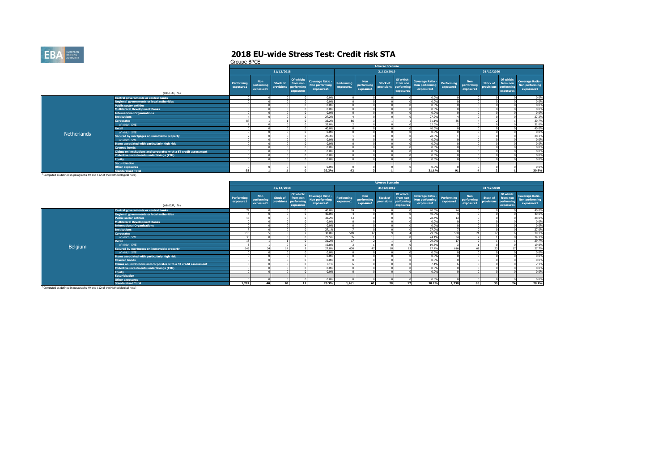

|                                                                                       |                                                                   |                         |                                       |                               |                                                  |                                                         |                         |                                       | <b>Adverse Scenario</b>       |                                                  |                                                         |                         |                                       |                               |                                                  |                                                         |
|---------------------------------------------------------------------------------------|-------------------------------------------------------------------|-------------------------|---------------------------------------|-------------------------------|--------------------------------------------------|---------------------------------------------------------|-------------------------|---------------------------------------|-------------------------------|--------------------------------------------------|---------------------------------------------------------|-------------------------|---------------------------------------|-------------------------------|--------------------------------------------------|---------------------------------------------------------|
|                                                                                       |                                                                   |                         |                                       | 31/12/2018                    |                                                  |                                                         |                         |                                       | 31/12/2019                    |                                                  |                                                         |                         |                                       | 31/12/2020                    |                                                  |                                                         |
|                                                                                       | (mln EUR, %)                                                      | Performing<br>exposure1 | <b>Non</b><br>performing<br>exposure1 | <b>Stock of</b><br>provisions | Of which:<br>from non<br>performing<br>exposures | <b>Coverage Ratio -</b><br>Non performing<br>exposures1 | Performing<br>exposure1 | <b>Non</b><br>performing<br>exposure1 | <b>Stock of</b><br>provisions | Of which:<br>from non<br>performing<br>exposures | <b>Coverage Ratio -</b><br>Non performing<br>exposures1 | Performing<br>exposure1 | <b>Non</b><br>performing<br>exposure1 | <b>Stock of</b><br>provisions | Of which:<br>from non<br>performing<br>exposures | <b>Coverage Ratio -</b><br>Non performing<br>exposures1 |
|                                                                                       | <b>Central governments or central banks</b>                       |                         |                                       |                               |                                                  | 0.0%                                                    |                         |                                       |                               |                                                  | 0.0%                                                    |                         |                                       |                               |                                                  | 0.0%                                                    |
|                                                                                       | <b>Regional governments or local authorities</b>                  |                         |                                       |                               |                                                  | 0.0%                                                    |                         |                                       |                               |                                                  | 0.0%                                                    |                         |                                       |                               |                                                  | 0.0%                                                    |
|                                                                                       | <b>Public sector entities</b>                                     |                         |                                       |                               |                                                  | 0.0%                                                    |                         |                                       |                               |                                                  | 0.0%                                                    |                         |                                       |                               |                                                  | 0.0%                                                    |
|                                                                                       | <b>Multilateral Development Banks</b>                             |                         |                                       |                               |                                                  | 0.0%                                                    |                         |                                       |                               |                                                  | 0.0%                                                    |                         |                                       |                               |                                                  | 0.0%                                                    |
|                                                                                       | <b>International Organisations</b>                                |                         |                                       |                               |                                                  | 0.0%                                                    |                         |                                       |                               |                                                  | 0.0%                                                    |                         |                                       |                               |                                                  | 0.0%                                                    |
|                                                                                       | <b>Institutions</b>                                               |                         |                                       |                               |                                                  | 27.2%                                                   |                         |                                       |                               |                                                  | 27.2%                                                   |                         |                                       |                               |                                                  | 27.2%                                                   |
|                                                                                       | <b>Corporates</b>                                                 | 87                      |                                       |                               |                                                  | 32.2%                                                   | 86                      |                                       |                               |                                                  | 31.1%                                                   | 85                      |                                       |                               |                                                  | 30.7%                                                   |
|                                                                                       | of which: SME                                                     |                         |                                       |                               |                                                  | 32.0%                                                   |                         |                                       |                               |                                                  | 32.0%                                                   |                         |                                       |                               |                                                  | 32.0%                                                   |
|                                                                                       | Retail                                                            |                         |                                       |                               |                                                  | 40.0%                                                   |                         |                                       |                               |                                                  | 40.0%                                                   |                         |                                       |                               |                                                  | 40.0%                                                   |
| Netherlands                                                                           | of which: SME                                                     |                         |                                       |                               |                                                  | 0.0%                                                    |                         |                                       |                               |                                                  | 0.0%                                                    |                         |                                       |                               |                                                  | 0.0%                                                    |
|                                                                                       | Secured by mortgages on immovable property                        |                         |                                       |                               |                                                  | 28.3%                                                   |                         |                                       |                               |                                                  | 28.3%                                                   |                         |                                       |                               |                                                  | 28.3%                                                   |
|                                                                                       | of which: SME                                                     |                         |                                       |                               |                                                  | 0.0%                                                    |                         |                                       |                               |                                                  | 0.0%                                                    |                         |                                       |                               |                                                  | 0.0%                                                    |
|                                                                                       | Items associated with particularly high risk                      |                         |                                       |                               |                                                  | 0.0%                                                    |                         |                                       |                               |                                                  | 0.0%                                                    |                         |                                       |                               |                                                  | 0.0%                                                    |
|                                                                                       | <b>Covered bonds</b>                                              |                         |                                       |                               |                                                  | 0.0%                                                    |                         |                                       |                               |                                                  | 0.0%                                                    |                         |                                       |                               |                                                  | 0.0%                                                    |
|                                                                                       | Claims on institutions and corporates with a ST credit assessment |                         |                                       |                               |                                                  | 0.0%                                                    |                         |                                       |                               |                                                  | 0.0%                                                    |                         |                                       |                               |                                                  | 0.0%                                                    |
|                                                                                       | Collective investments undertakings (CIU)                         |                         |                                       |                               |                                                  | 0.0%                                                    |                         |                                       |                               |                                                  | 0.0%                                                    |                         |                                       |                               |                                                  | 0.0%                                                    |
|                                                                                       | <b>Equity</b>                                                     |                         |                                       |                               |                                                  | 0.0%                                                    |                         |                                       |                               |                                                  | 0.0%                                                    |                         |                                       |                               |                                                  | 0.0%                                                    |
|                                                                                       | <b>Securitisation</b>                                             |                         |                                       |                               |                                                  |                                                         |                         |                                       |                               |                                                  |                                                         |                         |                                       |                               |                                                  |                                                         |
|                                                                                       | <b>Other exposures</b>                                            |                         |                                       |                               |                                                  | 0.0%                                                    |                         |                                       |                               |                                                  | 0.0%                                                    |                         |                                       |                               |                                                  | 0.0%                                                    |
|                                                                                       | <b>Standardised Total</b>                                         | 93                      |                                       |                               |                                                  | 32.2%                                                   | 92                      |                                       |                               |                                                  | 31.1%                                                   | 91                      |                                       |                               |                                                  | 30.8%                                                   |
| <sup>1</sup> Computed as defined in paragraphs 49 and 112 of the Methodological note) |                                                                   |                         |                                       |                               |                                                  |                                                         |                         |                                       |                               |                                                  |                                                         |                         |                                       |                               |                                                  |                                                         |

|         |                                                                   |                         |                                       |                        |                                                  |                                                             |           |                                | <b>Adverse Scenario</b>       |                                                  |                                                  |                         |                                       |                                                                                  |                                                         |
|---------|-------------------------------------------------------------------|-------------------------|---------------------------------------|------------------------|--------------------------------------------------|-------------------------------------------------------------|-----------|--------------------------------|-------------------------------|--------------------------------------------------|--------------------------------------------------|-------------------------|---------------------------------------|----------------------------------------------------------------------------------|---------------------------------------------------------|
|         |                                                                   |                         |                                       | 31/12/2018             |                                                  |                                                             |           |                                | 31/12/2019                    |                                                  |                                                  |                         |                                       | 31/12/2020                                                                       |                                                         |
|         | (mln EUR, %)                                                      | Performing<br>exposure1 | <b>Non</b><br>performing<br>exposure1 | Stock of<br>provisions | Of which:<br>from non<br>performing<br>exposures | Coverage Ratio - Performing<br>Non performing<br>exposures1 | exposure1 | Non<br>performing<br>exposure1 | <b>Stock of</b><br>provisions | Of which:<br>from non<br>performing<br>exposures | Coverage Ratio -<br>Non performing<br>exposures1 | Performing<br>exposure1 | <b>Non</b><br>performing<br>exposure1 | Of which:<br><b>Stock of</b><br>from non<br>provisions<br>performin<br>exposures | <b>Coverage Ratio -</b><br>Non performing<br>exposures1 |
|         | Central governments or central banks                              | <b>т</b>                |                                       |                        |                                                  | 40.0%                                                       | 74        |                                |                               |                                                  | 40.0%                                            | 74                      |                                       |                                                                                  | 40.0%                                                   |
|         | Regional governments or local authorities                         |                         |                                       |                        |                                                  | 40.0%                                                       |           |                                |                               |                                                  | 40.0%                                            |                         |                                       |                                                                                  | 40.0%                                                   |
|         | <b>Public sector entities</b>                                     |                         |                                       |                        |                                                  | 32.2%                                                       | 13        |                                |                               |                                                  | 28,4%                                            | 13                      |                                       |                                                                                  | 28.0%                                                   |
|         | <b>Multilateral Development Banks</b>                             |                         |                                       |                        |                                                  | 0.0%                                                        |           |                                |                               |                                                  | 0.0%                                             |                         |                                       |                                                                                  | 0.0%                                                    |
|         | <b>International Organisations,</b>                               |                         |                                       |                        |                                                  | 0.0%                                                        |           |                                |                               |                                                  | 0.0%                                             |                         |                                       |                                                                                  | 0.0%                                                    |
|         | <b>Institutions</b>                                               |                         |                                       |                        |                                                  | 27.1%                                                       |           |                                |                               |                                                  | 27.0%                                            |                         |                                       |                                                                                  | 27.0%                                                   |
|         | <b>Corporates</b>                                                 | 516                     |                                       |                        |                                                  | 30.8%                                                       | 509       |                                |                               |                                                  | 29.6%                                            | 500                     |                                       | $\sim$                                                                           | 29.1%                                                   |
|         | of which: SME                                                     |                         |                                       |                        |                                                  | 23.5%                                                       | 35        |                                |                               |                                                  | 24.1%                                            | $\mathcal{L}$           |                                       |                                                                                  | 24.3%                                                   |
|         | Retail                                                            | $\overline{a}$          |                                       |                        |                                                  | 31.2%                                                       | 17        |                                |                               |                                                  | 29.9%                                            | 17                      |                                       |                                                                                  | 29.7%                                                   |
| Belgium | of which: SME                                                     |                         |                                       |                        |                                                  | 19.8%                                                       |           |                                |                               |                                                  | 19.8%                                            |                         |                                       |                                                                                  | 19.8%                                                   |
|         | Secured by mortgages on immovable property                        | 643                     |                                       | 14                     |                                                  | 27.8%                                                       | 630       |                                | 18                            |                                                  | 27.7%                                            | 616                     |                                       | 23                                                                               | 27.7%                                                   |
|         | of which: SME                                                     |                         |                                       |                        |                                                  | 0.0%                                                        |           |                                |                               |                                                  | 0.0%                                             |                         |                                       |                                                                                  | 0.0%                                                    |
|         | Items associated with particularly high risk                      |                         |                                       |                        |                                                  | 0.0%                                                        |           |                                |                               |                                                  | 0.0%                                             |                         |                                       |                                                                                  | 0.0%                                                    |
|         | <b>Covered bonds</b>                                              |                         |                                       |                        |                                                  | 0.0%                                                        |           |                                |                               |                                                  | 0.0%                                             |                         |                                       |                                                                                  | 0.0%                                                    |
|         | Claims on institutions and corporates with a ST credit assessment |                         |                                       |                        |                                                  | 7.1%                                                        |           |                                |                               |                                                  | 7.1%                                             |                         |                                       |                                                                                  | 7.1%                                                    |
|         | Collective investments undertakings (CIU)                         |                         |                                       |                        |                                                  | 0.0%                                                        |           |                                |                               |                                                  | 0.0%                                             |                         |                                       |                                                                                  | 0.0%                                                    |
|         | <b>Equity</b>                                                     |                         |                                       |                        |                                                  | 0.0%                                                        |           |                                |                               |                                                  | 0.0%                                             |                         |                                       |                                                                                  | 0.0%                                                    |
|         | <b>Securitisation</b>                                             |                         |                                       |                        |                                                  |                                                             |           |                                |                               |                                                  |                                                  |                         |                                       |                                                                                  |                                                         |
|         | <b>Other exposures</b>                                            |                         |                                       |                        |                                                  | 0.0%                                                        |           |                                |                               |                                                  | 0.0%                                             |                         |                                       |                                                                                  | 0.0%                                                    |
|         | <b>Standardised Total</b>                                         | 1,282                   | 40                                    | 20                     | 11                                               | 28.3%                                                       | 1.261     | 61                             | 28                            | 17                                               | 28.2%                                            | 1,238                   | 85                                    | 35<br>24                                                                         | 28.1%                                                   |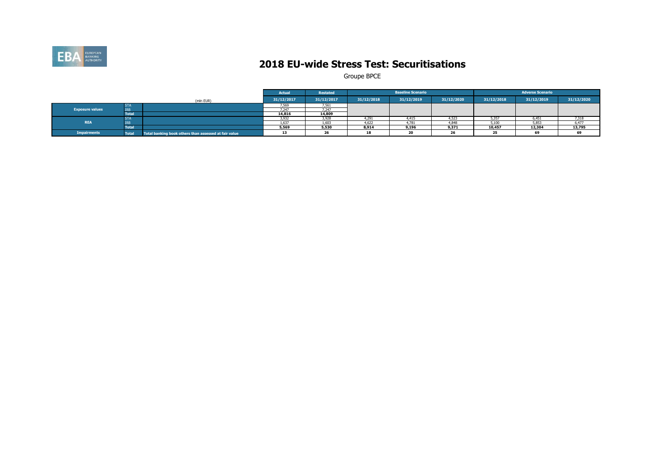

### **2018 EU-wide Stress Test: Securitisations**

|                        |              |                                                       | Actual     | <b>Restated</b> |            | <b>Baseline Scenario</b> |            |            | <b>Adverse Scenario</b> |            |
|------------------------|--------------|-------------------------------------------------------|------------|-----------------|------------|--------------------------|------------|------------|-------------------------|------------|
|                        |              | (mln EUR)                                             | 31/12/2017 | 31/12/2017      | 31/12/2018 | 31/12/2019               | 31/12/2020 | 31/12/2018 | 31/12/2019              | 31/12/2020 |
|                        | <b>STA</b>   |                                                       | '.569      | 7.561           |            |                          |            |            |                         |            |
| <b>Exposure values</b> | <b>IRB</b>   |                                                       | 247        | 7.247           |            |                          |            |            |                         |            |
|                        | <b>Total</b> |                                                       | 14,816     | 14,809          |            |                          |            |            |                         |            |
|                        | <b>STA</b>   |                                                       | 3,932      | 3,928           | 4,291      | 4.415                    | 4.52       | 5,357      | 6.451                   | 7,318      |
| <b>REA</b>             | IRE          |                                                       | 1.637      | 1.603           | 4.622      | 1.781                    | 4848       | 5,100      | 5,853                   | 6.477      |
|                        | <b>Total</b> |                                                       | 5,569      | 5,530           | 8,914      | 9,196                    | 9,371      | 10,457     | 12,304                  | 13,795     |
| <b>Impairments</b>     | <b>Total</b> | Total banking book others than assessed at fair value |            | $\sim$          | 18         | --                       | 26         |            | 69                      |            |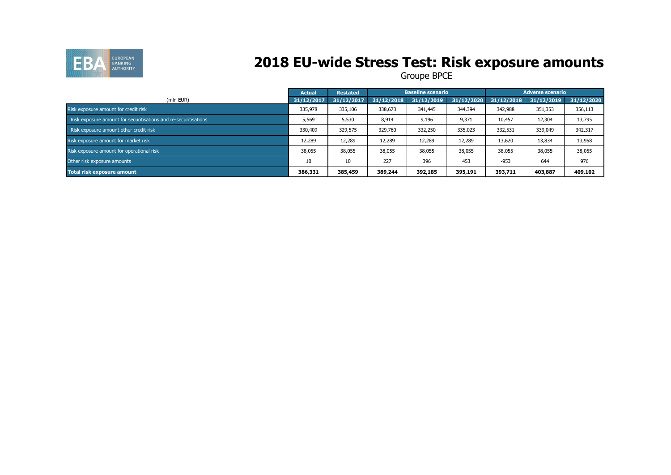

## **2018 EU-wide Stress Test: Risk exposure amounts**

|                                                                 | <b>Actual</b> | <b>Restated</b> |            | <b>Baseline scenario</b> |            |            | <b>Adverse scenario</b> |            |
|-----------------------------------------------------------------|---------------|-----------------|------------|--------------------------|------------|------------|-------------------------|------------|
| (mln EUR)                                                       | 31/12/2017    | 31/12/2017      | 31/12/2018 | 31/12/2019               | 31/12/2020 | 31/12/2018 | 31/12/2019              | 31/12/2020 |
| Risk exposure amount for credit risk                            | 335,978       | 335,106         | 338,673    | 341,445                  | 344,394    | 342,988    | 351,353                 | 356,113    |
| Risk exposure amount for securitisations and re-securitisations | 5,569         | 5,530           | 8,914      | 9,196                    | 9,371      | 10,457     | 12,304                  | 13,795     |
| Risk exposure amount other credit risk                          | 330,409       | 329,575         | 329,760    | 332,250                  | 335,023    | 332,531    | 339,049                 | 342,317    |
| Risk exposure amount for market risk                            | 12,289        | 12,289          | 12,289     | 12,289                   | 12,289     | 13,620     | 13,834                  | 13,958     |
| Risk exposure amount for operational risk                       | 38,055        | 38,055          | 38,055     | 38,055                   | 38,055     | 38,055     | 38,055                  | 38,055     |
| Other risk exposure amounts                                     | 10            | 10              | 227        | 396                      | 453        | $-953$     | 644                     | 976        |
| <b>Total risk exposure amount</b>                               | 386,331       | 385,459         | 389,244    | 392,185                  | 395,191    | 393,711    | 403,887                 | 409,102    |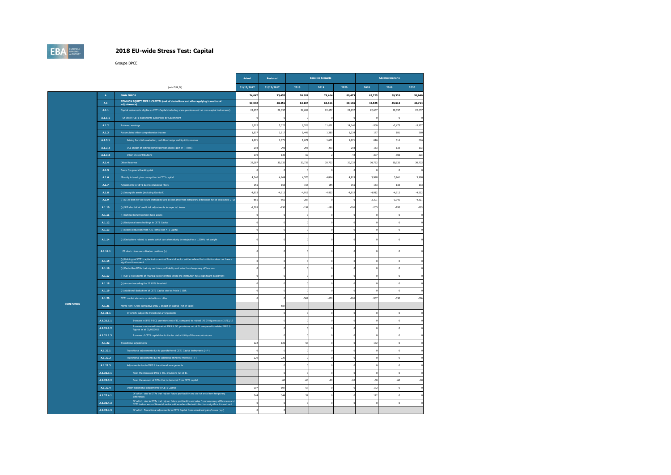## **EBA** EUROPEAN

#### **2018 EU-wide Stress Test: Capital**

|                  |            |                                                                                                                                                                                                      | Actual         | Restated   |          | <b>Baseline Scenario</b> |          |          | <b>Adverse Scenario</b> |          |
|------------------|------------|------------------------------------------------------------------------------------------------------------------------------------------------------------------------------------------------------|----------------|------------|----------|--------------------------|----------|----------|-------------------------|----------|
|                  |            | (mln EUR,%)                                                                                                                                                                                          | 31/12/2017     | 31/12/2017 | 2018     | 2019                     | 2020     | 2018     | 2019                    | 2020     |
|                  | A          | <b>OWN FUNDS</b>                                                                                                                                                                                     | 74,047         | 73,455     | 76,887   | 79,464                   | 80,473   | 63,225   | 59,326                  | 56,040   |
|                  | A.1        | COMMON EQUITY TIER 1 CAPITAL (net of deductions and after applying transitional<br>adiustments)                                                                                                      | 59,042         | 58,451     | 62,187   | 65,651                   | 68,146   | 48,525   | 45,513                  | 43,714   |
|                  | A.1.1      | Capital instruments eligible as CET1 Capital (including share premium and net own capital instruments)                                                                                               | 22,657         | 22,657     | 22,657   | 22,657                   | 22,657   | 22,657   | 22.657                  | 22,657   |
|                  | A.1.1.1    | Of which: CET1 instruments subscribed by Government                                                                                                                                                  |                |            |          |                          |          |          |                         |          |
|                  | A.1.2      | Retained earnings                                                                                                                                                                                    | 5,022          | 5.02       | 8.528    | 11.601                   | 14.146   | $-360$   | $-2,473$                | $-3,937$ |
|                  | A.1.3      | Accumulated other comprehensive income                                                                                                                                                               | 1,517          | 1,51       | 1,448    | 1,380                    | 1,33     | 177      | 181                     | 260      |
|                  | A.1.3.1    | Arising from full revaluation, cash flow hedge and liquidity reserves                                                                                                                                | 1,671          | 1,671      | 1,671    | 1,671                    | 1,67     | 616      | 616                     | 616      |
|                  | A.1.3.2    | OCI Impact of defined benefit pension plans [gain or (-) loss]                                                                                                                                       | $-293$         | $-293$     | $-293$   | $-293$                   | $-293$   | $-133$   | $-133$                  | $-133$   |
|                  | A.1.3.3    | Other OCI contributions                                                                                                                                                                              | 139            | 139        | 69       |                          | $-44$    | $-307$   | $-302$                  | $-223$   |
|                  | A.1.4      | Other Reserves                                                                                                                                                                                       | 32.287         | 30.73      | 30.732   | 30.732                   | 30.732   | 30.732   | 30.732                  | 30,732   |
|                  | A.1.5      | Funds for general banking risk                                                                                                                                                                       |                |            |          |                          |          |          |                         |          |
|                  | A.1.6      | Minority interest given recognition in CET1 capital                                                                                                                                                  | 4,340          | 4,26       | 4,573    | 4.86                     | 4,925    | 3,998    | 3,961                   | 3,990    |
|                  | A.1.7      | Adjustments to CET1 due to prudential filters                                                                                                                                                        | 155            | 155        | 155      | 155                      | 155      | 133      | 133                     | 133      |
|                  | A.1.8      | (-) Intangible assets (including Goodwill)                                                                                                                                                           | $-4,912$       | $-4,91$    | $-4,912$ | -4,912                   | $-4,912$ | $-4,912$ | $-4,912$                | $-4,912$ |
|                  | A.1.9      | (-) DTAs that rely on future profitability and do not arise from temporary differences net of associated DTLs                                                                                        | $-861$         | $-86$      | $-287$   |                          |          | $-3.301$ | $-3.941$                | $-4,321$ |
|                  | A.1.10     | (-) IRB shortfall of credit risk adjustments to expected losses                                                                                                                                      | $-1,285$       | $-250$     | $-197$   | $-196$                   | $-196$   | $-205$   | $-195$                  | $-193$   |
|                  | A.1.11     | (-) Defined benefit pension fund assets                                                                                                                                                              |                |            |          |                          |          |          | $\Omega$                |          |
|                  | A.1.12     | (-) Reciprocal cross holdings in CET1 Capital                                                                                                                                                        |                |            |          |                          |          |          | $\overline{0}$          |          |
|                  | A.1.13     | (-) Excess deduction from AT1 items over AT1 Capital                                                                                                                                                 |                |            |          |                          |          |          | $\circ$                 |          |
|                  | A.1.14     | (-) Deductions related to assets which can alternatively be subject to a 1.250% risk weight                                                                                                          |                |            |          |                          |          |          | $^{\circ}$              |          |
|                  | A.1.14.1   | Of which: from securitisation positions (-)                                                                                                                                                          |                |            |          |                          |          |          | $\Omega$                |          |
|                  | A.1.15     | (-) Holdings of CET1 capital instruments of financial sector entities where the institution does not have a                                                                                          |                |            |          |                          |          |          | $^{\circ}$              |          |
|                  | A.1.16     | (-) Deductible DTAs that rely on future profitability and arise from temporary differences                                                                                                           |                |            |          |                          |          |          | $\,$ 0                  |          |
|                  | A.1.17     | (-) CET1 instruments of financial sector entities where the institution has a significant investment                                                                                                 |                |            |          |                          |          |          | $\Omega$                |          |
|                  | A.1.18     | (-) Amount exceding the 17.65% threshold                                                                                                                                                             |                |            |          |                          |          |          |                         |          |
|                  | A.1.19     | (-) Additional deductions of CET1 Capital due to Article 3 CRR                                                                                                                                       |                |            |          |                          |          |          | $\Omega$                |          |
|                  | A.1.20     | CET1 capital elements or deductions - other                                                                                                                                                          |                |            | $-567$   | $-630$                   | $-696$   | $-567$   | $-630$                  | $-696$   |
| <b>OWN FUNDS</b> | A.1.21     | Memo item: Gross cumulative IFRS 9 impact on capital (net of taxes)                                                                                                                                  |                | $-58$      |          |                          |          |          |                         |          |
|                  | A.1.21.1   | Of which: subject to transitional arrangements                                                                                                                                                       |                |            |          |                          |          |          | $\overline{0}$          |          |
|                  | A.1.21.1.1 | Increase in IFRS 9 ECL provisions net of EL compared to related IAS 39 figures as at 31/12/17                                                                                                        |                |            |          |                          |          |          | $\ddot{\phantom{0}}$    |          |
|                  | A.1.21.1.2 | Increase in non-credit-impaired IFRS 9 ECL provisions net of EL compared to related IFRS 9<br>figures as at 01/01/2018                                                                               |                |            |          |                          |          |          | $\Omega$                |          |
|                  | A.1.21.1.3 | Increase of CET1 capital due to the tax deductibility of the amounts above                                                                                                                           |                |            |          |                          |          |          | $\overline{0}$          |          |
|                  | A.1.22     | <b>Transitional adjustments</b>                                                                                                                                                                      | 122            | 122        | 57       |                          |          | 172      | $\bf 0$                 |          |
|                  | A.1.22.1   | Transitional adjustments due to grandfathered CET1 Capital instruments (+/-)                                                                                                                         |                |            |          |                          |          |          | $\overline{0}$          |          |
|                  | A.1.22.2   | Transitional adjustments due to additional minority interests (+/-)                                                                                                                                  | 229            | 229        |          |                          |          |          |                         |          |
|                  | A.1.22.3   | Adjustments due to IFRS 9 transitional arrangements                                                                                                                                                  |                |            |          |                          |          |          | $\circ$                 |          |
|                  | A.1.22.3.1 | From the increased IFRS 9 ECL provisions net of EL                                                                                                                                                   |                |            |          |                          |          |          | $\,$ 0                  |          |
|                  | A.1.22.3.2 | From the amount of DTAs that is deducted from CET1 capital                                                                                                                                           |                | $-60$      | $-60$    | $+60$                    | $-60$    | $-60$    | $-60$                   | -60      |
|                  | A.1.22.4   | Other transitional adjustments to CET1 Capital                                                                                                                                                       | $-107$         | $-107$     | 57       |                          |          | 172      | $^{\circ}$              |          |
|                  | A.1.22.4.1 | Of which: due to DTAs that rely on future profitability and do not arise from temporary<br>difference                                                                                                | 344            | 344        | 57       |                          |          | 172      | $\,$ 0                  |          |
|                  | A.1.22.4.2 | Of which: due to DTAs that rely on future profitability and arise from temporary differences and<br>CET1 instruments of financial sector entities where the institution has a significant investment | $\sqrt{2}$     |            |          |                          |          |          | $\Omega$                |          |
|                  | A.1.22.4.3 | Of which: Transitional adjustments to CET1 Capital from unrealised gains/losses (+/-)                                                                                                                | $\mathfrak{g}$ |            |          |                          |          |          |                         |          |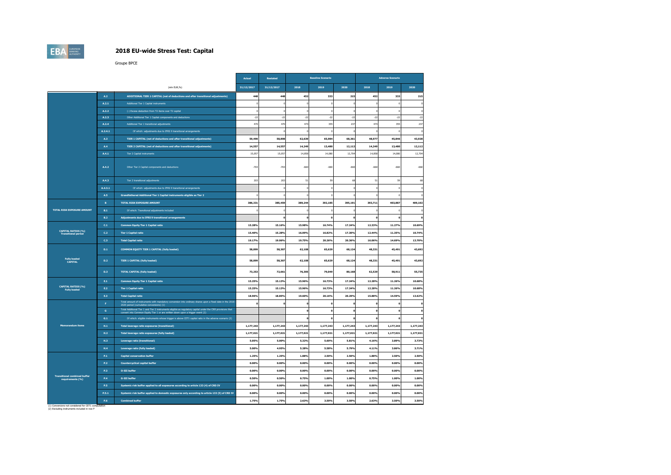## **EBA**

#### **2018 EU-wide Stress Test: Capital**

Groupe BPCE

|                                                         |              |                                                                                                                                                                                               | <b>Actual</b> | Restated   |           | <b>Baseline Scenario</b> |           |              | <b>Adverse Scenario</b> |            |
|---------------------------------------------------------|--------------|-----------------------------------------------------------------------------------------------------------------------------------------------------------------------------------------------|---------------|------------|-----------|--------------------------|-----------|--------------|-------------------------|------------|
|                                                         |              | (mln EUR.%)                                                                                                                                                                                   | 31/12/2017    | 31/12/2017 | 2018      | 2019                     | 2020      | 2018         | 2019                    | 2020       |
|                                                         | A.2          | ADDITIONAL TIER 1 CAPITAL (net of deductions and after transitional adjustments)                                                                                                              | 448           | 448        | 452       | 333                      | 215       | 452          | 333                     | 215        |
|                                                         | A.2.1        | Additional Tier 1 Capital instruments                                                                                                                                                         |               |            |           | $\theta$                 |           |              | $\theta$                | $\epsilon$ |
|                                                         | A.2.2        | (-) Excess deduction from T2 items over T2 capital                                                                                                                                            |               |            |           | $\theta$                 |           |              | $\Omega$                | <b>I</b>   |
|                                                         | A.2.3        | Other Additional Tier 1 Capital components and deductions                                                                                                                                     | $-2i$         | $-22$      | $-22$     | $-22$                    | $-22$     | $-22$        | $-22$                   | $-22$      |
|                                                         | A.2.4        | Additional Tier 1 transitional adjustments                                                                                                                                                    | 470           | 470        | 474       | 355                      | 237       | 474          | 355                     | 237        |
|                                                         | A.2.4.1      | Of which: adjustments due to IFRS 9 transitional arrangements                                                                                                                                 |               |            |           |                          |           |              |                         | ¢          |
|                                                         | A.3          | TIER 1 CAPITAL (net of deductions and after transitional adjustments)                                                                                                                         | 59,490        | 58,898     | 62,639    | 65,984                   | 68,361    | 48,977       | 45,846                  | 43,928     |
|                                                         | A.4          | TIER 2 CAPITAL (net of deductions and after transitional adjustments)                                                                                                                         | 14,55         | 14,557     | 14,249    | 13,480                   | 12,112    | 14,249       | 13,480                  | 12,112     |
|                                                         | A.4.1        | Tier 2 Capital instruments                                                                                                                                                                    | 15.057        | 15,057     | 14,858    | 14.080                   | 12,704    | 14,858       | 14.080                  | 12.704     |
|                                                         | A.4.2        | Other Tier 2 Capital components and deductions                                                                                                                                                | $-703$        | $-703$     | $-660$    | $-660$                   | $-660$    | $-660$       | $-660$                  | $-660$     |
|                                                         | A.4.3        | Tier 2 transitional adjustments                                                                                                                                                               | 203           | 203        | 51        | 59                       | 68        | 51           | 59                      | 68         |
|                                                         | A.4.3.1      | Of which: adjustments due to IFRS 9 transitional arrangements                                                                                                                                 |               |            |           | ò                        |           |              | ò                       | $\epsilon$ |
|                                                         | A.5          | Grandfathered Additional Tier 1 Capital instruments eligible as Tier 2                                                                                                                        |               |            |           |                          |           |              |                         | $\epsilon$ |
|                                                         | $\,$ B $\,$  | TOTAL RISK EXPOSURE AMOUNT                                                                                                                                                                    | 386,331       | 385,459    | 389,244   | 392.185                  | 395,191   | 393,711      | 403.887                 | 409,102    |
| TOTAL RISK EXPOSURE AMOUNT                              | <b>B.1</b>   | Of which: Transitional adjustments included                                                                                                                                                   |               |            |           |                          |           |              |                         | ſ          |
|                                                         | B.2          | Adjustments due to IFRS 9 transitional arrangements                                                                                                                                           |               |            |           | $\mathbf{0}$             |           | $\mathbf 0$  | $\Omega$                | -C         |
|                                                         | C.1          | <b>Common Equity Tier 1 Capital ratio</b>                                                                                                                                                     | 15.28%        | 15.16%     | 15.98%    | 16.74%                   | 17.24%    | 12.33%       | 11.27%                  | 10.69%     |
| <b>CAPITAL RATIOS (%)</b><br><b>Transitional period</b> | C.2          | <b>Tier 1 Capital ratio</b>                                                                                                                                                                   | 15.40%        | 15.28%     | 16.09%    | 16.82%                   | 17.30%    | 12.44%       | 11.35%                  | 10.74%     |
|                                                         | C.3          | <b>Total Capital ratio</b>                                                                                                                                                                    | 19.17%        | 19.06%     | 19.75%    | 20.26%                   | 20.36%    | 16.06%       | 14.69%                  | 13.70%     |
|                                                         | D.1          | COMMON EQUITY TIER 1 CAPITAL (fully loaded)                                                                                                                                                   | 58,899        | 58,307     | 62,108    | 65,629                   | 68,124    | 48,331       | 45,491                  | 43,692     |
| <b>Fully loaded</b><br>CAPITAL                          | D.2          | <b>TIER 1 CAPITAL (fully loaded)</b>                                                                                                                                                          | 58,899        | 58,307     | 62,108    | 65,629                   | 68,124    | 48,331       | 45,491                  | 43,692     |
|                                                         | D.3          | <b>TOTAL CAPITAL (fully loaded)</b>                                                                                                                                                           | 73,253        | 72,661     | 76,305    | 79,049                   | 80,168    | 62,529       | 58,911                  | 55,735     |
|                                                         | E.1          | <b>Common Equity Tier 1 Capital ratio</b>                                                                                                                                                     | 15.25%        | 15.13%     | 15.96%    | 16.73%                   | 17.24%    | 12.28%       | 11.26%                  | 10.68%     |
| <b>CAPITAL RATIOS (%)</b><br><b>Fully loaded</b>        | E.2          | <b>Tier 1 Capital ratio</b>                                                                                                                                                                   | 15.25%        | 15.13%     | 15.96%    | 16.73%                   | 17.24%    | 12.28%       | 11.26%                  | 10.68%     |
|                                                         | E.3          | <b>Total Capital ratio</b>                                                                                                                                                                    | 18.96%        | 18.85%     | 19.60%    | 20.16%                   | 20.29%    | 15.88%       | 14.59%                  | 13.62%     |
|                                                         | F.           | Total amount of instruments with mandatory conversion into ordinary shares upon a fixed date in the 2018<br>2020 period (cumulative conversions) (1)                                          |               |            |           | $\Omega$                 |           | $\mathbf{r}$ | $\Omega$                | $\epsilon$ |
|                                                         | $\mathbf{G}$ | Total Additional Tier 1 and Tier 2 instruments eligible as regulatory capital under the CRR provisions that<br>convert into Common Equity Tier 1 or are written down upon a trigger event (2) |               |            |           | $\mathbf{o}$             |           | $\mathbf 0$  | $\mathbf{0}$            | -C         |
|                                                         | G.1          | Of which: eligible instruments whose trigger is above CET1 capital ratio in the adverse scenario (2)                                                                                          |               |            |           | $\mathbf{o}$             |           | $\mathbf{o}$ |                         |            |
| <b>Memorandum items</b>                                 | H.1          | <b>Total leverage ratio exposures (transitional)</b>                                                                                                                                          | 1,177,243     | 1,177,243  | 1,177,243 | 1,177,243                | 1,177,243 | 1,177,243    | 1,177,243               | 1,177,243  |
|                                                         | H.2          | Total leverage ratio exposures (fully loaded)                                                                                                                                                 | 1,177,021     | 1,177,021  | 1,177,021 | 1,177,021                | 1,177,021 | 1,177,021    | 1,177,021               | 1,177,021  |
|                                                         | <b>H3</b>    | Leverage ratio (transitional)                                                                                                                                                                 | 5.05%         | 5.00%      | 5.32%     | 5.60%                    | 5.81%     | 4.16%        | 3.89%                   | 3.73%      |
|                                                         | H.A          | Leverage ratio (fully loaded)                                                                                                                                                                 | 5.00%         | 4.95%      | 5.28%     | 5.58%                    | 5.79%     | 4.11%        | 3.86%                   | 3.71%      |
|                                                         | P.1          | <b>Capital conservation buffer</b>                                                                                                                                                            | 1.25%         | 1.25%      | 1.88%     | 2.50%                    | 2.50%     | 1.88%        | 2.50%                   | 2.50%      |
|                                                         | P.2          | <b>Countercyclical capital buffer</b>                                                                                                                                                         | 0.00%         | 0.00%      | 0.00%     | 0.00%                    | 0.00%     | 0.00%        | 0.00%                   | 0.00%      |
|                                                         | P.3          | <b>O-SII buffer</b>                                                                                                                                                                           | 0.00%         | 0.00%      | 0.00%     | 0.00%                    | 0.00%     | 0.00%        | 0.00%                   | 0.00%      |
| <b>Transitional combined buffer</b><br>requirements (%) | <b>P.4</b>   | <b>G-SII buffer</b>                                                                                                                                                                           | 0.50%         | 0.50%      | 0.75%     | 1.00%                    | 1.00%     | 0.75%        | 1.00%                   | 1.00%      |
|                                                         | P.5          | Systemic risk buffer applied to all exposures according to article 133 (4) of CRD IV                                                                                                          | 0.00%         | 0.00%      | 0.00%     | 0.00%                    | 0.00%     | 0.00%        | 0.00%                   | 0.00%      |
|                                                         | P.5.1        | Systemic risk buffer applied to domestic exposures only according to article 133 (5) of CRD IV                                                                                                | 0.00%         | 0.00%      | 0.00%     | 0.00%                    | 0.00%     | 0.00%        | 0.00%                   | 0.00%      |
|                                                         | P.6          | <b>Combined buffer</b>                                                                                                                                                                        | 1.75%         | 1.75%      | 2.63%     | 3.50%                    | 3.50%     | 2.63%        | 3.50%                   | 3.50%      |

(1) Conversions not considered for CET1 computation (2) Excluding instruments included in row F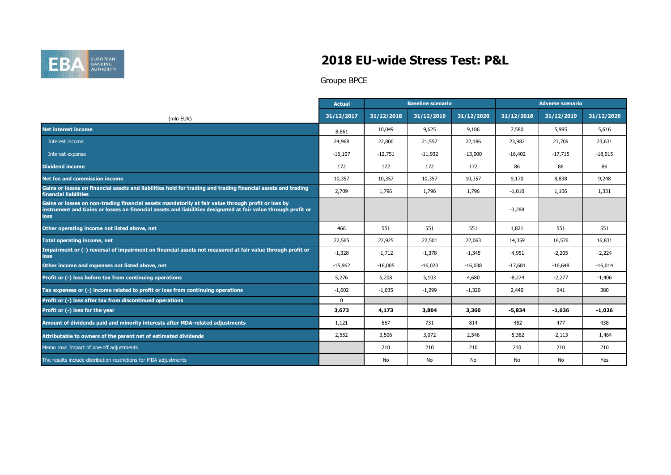

### **2018 EU-wide Stress Test: P&L**

|                                                                                                                                                                                                                              | <b>Actual</b> | <b>Baseline scenario</b> |            |            | <b>Adverse scenario</b> |            |            |
|------------------------------------------------------------------------------------------------------------------------------------------------------------------------------------------------------------------------------|---------------|--------------------------|------------|------------|-------------------------|------------|------------|
| (mln EUR)                                                                                                                                                                                                                    | 31/12/2017    | 31/12/2018               | 31/12/2019 | 31/12/2020 | 31/12/2018              | 31/12/2019 | 31/12/2020 |
| <b>Net interest income</b>                                                                                                                                                                                                   | 8,861         | 10,049                   | 9,625      | 9,186      | 7,580                   | 5,995      | 5,616      |
| Interest income                                                                                                                                                                                                              | 24,968        | 22,800                   | 21,557     | 22,186     | 23,982                  | 23,709     | 23,631     |
| Interest expense                                                                                                                                                                                                             | $-16,107$     | $-12,751$                | $-11,932$  | $-13,000$  | $-16,402$               | $-17,715$  | $-18,015$  |
| <b>Dividend income</b>                                                                                                                                                                                                       | 172           | 172                      | 172        | 172        | 86                      | 86         | 86         |
| Net fee and commission income                                                                                                                                                                                                | 10,357        | 10,357                   | 10,357     | 10,357     | 9,170                   | 8,838      | 9,248      |
| Gains or losses on financial assets and liabilities held for trading and trading financial assets and trading<br>financial liabilities                                                                                       | 2,709         | 1,796                    | 1,796      | 1,796      | $-1,010$                | 1,106      | 1,331      |
| Gains or losses on non-trading financial assets mandatorily at fair value through profit or loss by<br>instrument and Gains or losses on financial assets and liabilities designated at fair value through profit or<br>loss |               |                          |            |            | $-3,288$                |            |            |
| Other operating income not listed above, net                                                                                                                                                                                 | 466           | 551                      | 551        | 551        | 1,821                   | 551        | 551        |
| <b>Total operating income, net</b>                                                                                                                                                                                           | 22,565        | 22,925                   | 22,501     | 22,063     | 14,359                  | 16,576     | 16,831     |
| Impairment or (-) reversal of impairment on financial assets not measured at fair value through profit or<br><b>loss</b>                                                                                                     | $-1,328$      | $-1,712$                 | $-1,378$   | $-1,345$   | $-4,951$                | $-2,205$   | $-2,224$   |
| Other income and expenses not listed above, net                                                                                                                                                                              | $-15,962$     | $-16,005$                | $-16,020$  | $-16,038$  | $-17,681$               | $-16,648$  | $-16,014$  |
| Profit or (-) loss before tax from continuing operations                                                                                                                                                                     | 5,276         | 5,208                    | 5,103      | 4,680      | $-8,274$                | $-2,277$   | $-1,406$   |
| Tax expenses or $\overline{(-)}$ income related to profit or loss from continuing operations                                                                                                                                 | $-1,602$      | $-1,035$                 | $-1,299$   | $-1,320$   | 2,440                   | 641        | 380        |
| Profit or (-) loss after tax from discontinued operations                                                                                                                                                                    | $\mathbf 0$   |                          |            |            |                         |            |            |
| Profit or (-) loss for the year                                                                                                                                                                                              | 3,673         | 4,173                    | 3,804      | 3,360      | $-5,834$                | $-1,636$   | $-1,026$   |
| Amount of dividends paid and minority interests after MDA-related adjustments                                                                                                                                                | 1,121         | 667                      | 731        | 814        | $-452$                  | 477        | 438        |
| Attributable to owners of the parent net of estimated dividends                                                                                                                                                              | 2,552         | 3,506                    | 3,072      | 2,546      | $-5,382$                | $-2,113$   | $-1,464$   |
| Memo row: Impact of one-off adjustments                                                                                                                                                                                      |               | 210                      | 210        | 210        | 210                     | 210        | 210        |
| The results include distribution restrictions for MDA adjustments                                                                                                                                                            |               | No                       | No         | No         | No                      | No         | Yes        |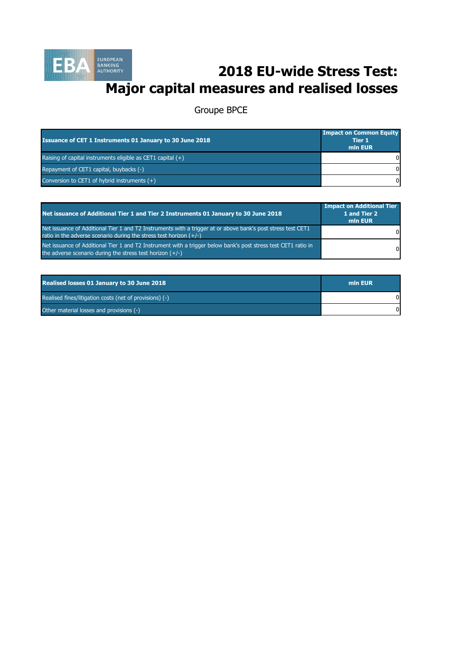

# **2018 EU-wide Stress Test: Major capital measures and realised losses**

| <b>Issuance of CET 1 Instruments 01 January to 30 June 2018</b> | <b>Impact on Common Equity</b><br>Tier 1<br>min EUR |
|-----------------------------------------------------------------|-----------------------------------------------------|
| Raising of capital instruments eligible as CET1 capital $(+)$   |                                                     |
| Repayment of CET1 capital, buybacks (-)                         | 0                                                   |
| Conversion to CET1 of $\overline{hybrid}$ instruments $(+)$     | 0                                                   |

| Net issuance of Additional Tier 1 and Tier 2 Instruments 01 January to 30 June 2018                                                                                                  | <b>Impact on Additional Tier</b><br>1 and Tier 2<br>min EUR |
|--------------------------------------------------------------------------------------------------------------------------------------------------------------------------------------|-------------------------------------------------------------|
| Net issuance of Additional Tier 1 and T2 Instruments with a trigger at or above bank's post stress test CET1<br>ratio in the adverse scenario during the stress test horizon $(+/-)$ | $\mathbf{0}$                                                |
| Net issuance of Additional Tier 1 and T2 Instrument with a trigger below bank's post stress test CET1 ratio in<br>the adverse scenario during the stress test horizon $(+/-)$        | $\Omega$                                                    |

| <b>Realised losses 01 January to 30 June 2018</b>       | min EUR |
|---------------------------------------------------------|---------|
| Realised fines/litigation costs (net of provisions) (-) |         |
| Other material losses and provisions (-)                |         |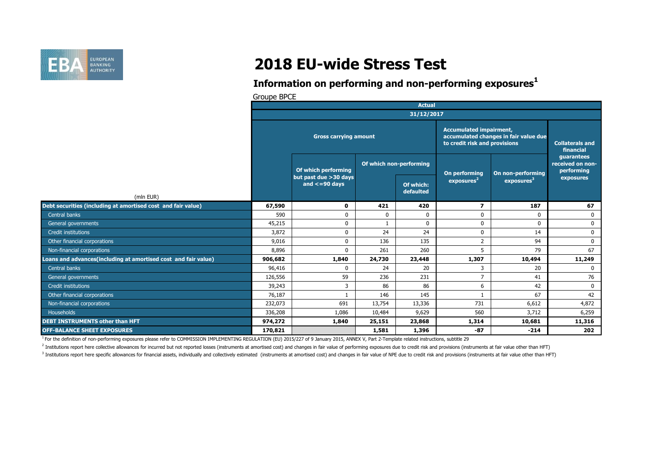

# **2018 EU-wide Stress Test**

### **Information on performing and non-performing exposures<sup>1</sup>**

Groupe BPCE

|                                                                | <b>Actual</b>                |                                              |                         |                        |                                                                                                          |                                     |                                              |  |
|----------------------------------------------------------------|------------------------------|----------------------------------------------|-------------------------|------------------------|----------------------------------------------------------------------------------------------------------|-------------------------------------|----------------------------------------------|--|
|                                                                | 31/12/2017                   |                                              |                         |                        |                                                                                                          |                                     |                                              |  |
|                                                                | <b>Gross carrying amount</b> |                                              |                         |                        | <b>Accumulated impairment,</b><br>accumulated changes in fair value due<br>to credit risk and provisions | <b>Collaterals and</b><br>financial |                                              |  |
|                                                                |                              | Of which performing                          | Of which non-performing |                        | On performing                                                                                            | On non-performing                   | quarantees<br>received on non-<br>performing |  |
| (mln EUR)                                                      |                              | but past due >30 days<br>and $\leq$ =90 days |                         | Of which:<br>defaulted | exposures <sup>2</sup>                                                                                   | exposures <sup>3</sup>              | exposures                                    |  |
| Debt securities (including at amortised cost and fair value)   | 67,590                       | 0                                            | 421                     | 420                    | $\overline{\mathbf{z}}$                                                                                  | 187                                 | 67                                           |  |
| Central banks                                                  | 590                          | $\Omega$                                     | $\mathbf{0}$            | 0                      | $\Omega$                                                                                                 | $\mathbf 0$                         | $\mathbf 0$                                  |  |
| General governments                                            | 45,215                       | $\mathbf 0$                                  |                         | $\mathbf 0$            | $\Omega$                                                                                                 | $\mathbf 0$                         | $\mathbf 0$                                  |  |
| Credit institutions                                            | 3,872                        | $\mathbf 0$                                  | 24                      | 24                     | $\mathbf{0}$                                                                                             | 14                                  | $\mathbf 0$                                  |  |
| Other financial corporations                                   | 9,016                        | $\mathbf 0$                                  | 136                     | 135                    | $\overline{2}$                                                                                           | 94                                  | $\mathbf 0$                                  |  |
| Non-financial corporations                                     | 8,896                        | $\Omega$                                     | 261                     | 260                    | 5                                                                                                        | 79                                  | 67                                           |  |
| Loans and advances(including at amortised cost and fair value) | 906,682                      | 1,840                                        | 24,730                  | 23,448                 | 1,307                                                                                                    | 10,494                              | 11,249                                       |  |
| Central banks                                                  | 96,416                       | $\Omega$                                     | 24                      | 20                     | 3                                                                                                        | 20                                  | $\Omega$                                     |  |
| General governments                                            | 126,556                      | 59                                           | 236                     | 231                    | $\overline{7}$                                                                                           | 41                                  | 76                                           |  |
| Credit institutions                                            | 39,243                       | 3                                            | 86                      | 86                     | 6                                                                                                        | 42                                  | $\mathbf 0$                                  |  |
| Other financial corporations                                   | 76,187                       |                                              | 146                     | 145                    |                                                                                                          | 67                                  | 42                                           |  |
| Non-financial corporations                                     | 232,073                      | 691                                          | 13,754                  | 13,336                 | 731                                                                                                      | 6,612                               | 4,872                                        |  |
| Households                                                     | 336,208                      | 1,086                                        | 10,484                  | 9,629                  | 560                                                                                                      | 3,712                               | 6,259                                        |  |
| <b>DEBT INSTRUMENTS other than HFT</b>                         | 974,272                      | 1,840                                        | 25,151                  | 23,868                 | 1,314                                                                                                    | 10,681                              | 11,316                                       |  |
| <b>OFF-BALANCE SHEET EXPOSURES</b>                             | 170,821                      |                                              | 1,581                   | 1,396                  | $-87$                                                                                                    | $-214$                              | 202                                          |  |

<sup>1</sup> For the definition of non-performing exposures please refer to COMMISSION IMPLEMENTING REGULATION (EU) 2015/227 of 9 January 2015, ANNEX V, Part 2-Template related instructions, subtitle 29

<sup>2</sup> Institutions report here collective allowances for incurred but not reported losses (instruments at amortised cost) and changes in fair value of performing exposures due to credit risk and provisions (instruments at fa

<sup>3</sup> Institutions report here specific allowances for financial assets, individually and collectively estimated (instruments at amortised cost) and changes in fair value of NPE due to credit risk and provisions (instruments